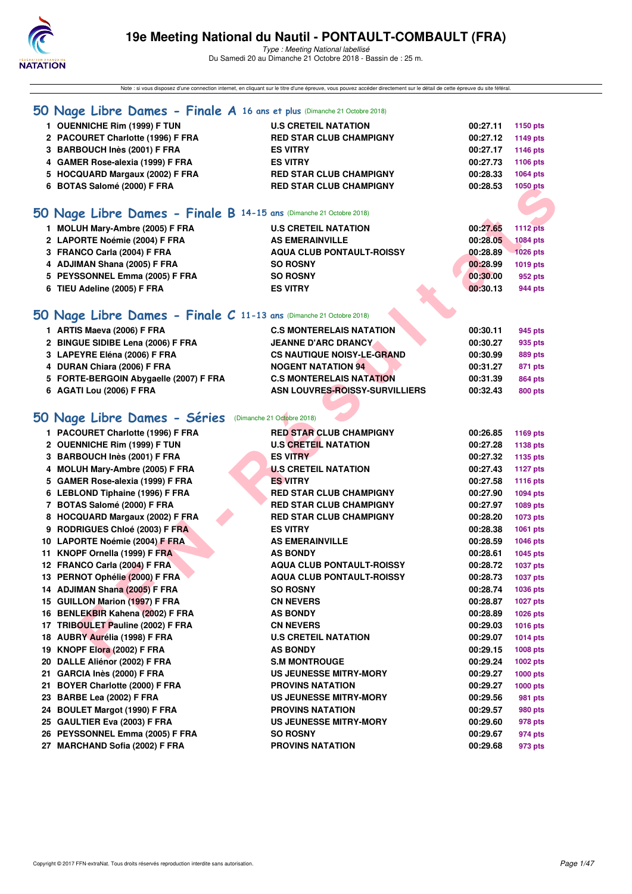

Type : Meeting National labellisé

Du Samedi 20 au Dimanche 21 Octobre 2018 - Bassin de : 25 m.

| Note : si vous disposez d'une connection internet, en cliquant sur le titre d'une épreuve, vous pouvez accéder directement sur le détail de cette épreuve du site féféral. |                                       |          |                 |  |  |
|----------------------------------------------------------------------------------------------------------------------------------------------------------------------------|---------------------------------------|----------|-----------------|--|--|
| 50 Nage Libre Dames - Finale A 16 ans et plus (Dimanche 21 Octobre 2018)                                                                                                   |                                       |          |                 |  |  |
| 1 OUENNICHE Rim (1999) F TUN                                                                                                                                               | <b>U.S CRETEIL NATATION</b>           | 00:27.11 | 1150 pts        |  |  |
| 2 PACOURET Charlotte (1996) F FRA                                                                                                                                          | <b>RED STAR CLUB CHAMPIGNY</b>        | 00:27.12 | 1149 pts        |  |  |
| 3 BARBOUCH Inès (2001) F FRA                                                                                                                                               | <b>ES VITRY</b>                       | 00:27.17 | 1146 pts        |  |  |
| 4 GAMER Rose-alexia (1999) F FRA                                                                                                                                           | <b>ES VITRY</b>                       | 00:27.73 | 1106 pts        |  |  |
| 5 HOCQUARD Margaux (2002) F FRA                                                                                                                                            | <b>RED STAR CLUB CHAMPIGNY</b>        | 00:28.33 | <b>1064 pts</b> |  |  |
| 6 BOTAS Salomé (2000) F FRA                                                                                                                                                | <b>RED STAR CLUB CHAMPIGNY</b>        | 00:28.53 | 1050 pts        |  |  |
|                                                                                                                                                                            |                                       |          |                 |  |  |
| 50 Nage Libre Dames - Finale B 14-15 ans (Dimanche 21 Octobre 2018)                                                                                                        |                                       |          |                 |  |  |
| 1 MOLUH Mary-Ambre (2005) F FRA                                                                                                                                            | <b>U.S CRETEIL NATATION</b>           | 00:27.65 | <b>1112 pts</b> |  |  |
| 2 LAPORTE Noémie (2004) F FRA                                                                                                                                              | <b>AS EMERAINVILLE</b>                | 00:28.05 | <b>1084 pts</b> |  |  |
| 3 FRANCO Carla (2004) F FRA                                                                                                                                                | <b>AQUA CLUB PONTAULT-ROISSY</b>      | 00:28.89 | <b>1026 pts</b> |  |  |
| 4 ADJIMAN Shana (2005) F FRA                                                                                                                                               | <b>SO ROSNY</b>                       | 00:28.99 | 1019 pts        |  |  |
| 5 PEYSSONNEL Emma (2005) F FRA                                                                                                                                             | <b>SO ROSNY</b>                       | 00:30.00 | 952 pts         |  |  |
| 6 TIEU Adeline (2005) F FRA                                                                                                                                                | <b>ES VITRY</b>                       | 00:30.13 | 944 pts         |  |  |
|                                                                                                                                                                            |                                       |          |                 |  |  |
| 50 Nage Libre Dames - Finale C 11-13 ans (Dimanche 21 Octobre 2018)                                                                                                        |                                       |          |                 |  |  |
| 1 ARTIS Maeva (2006) F FRA                                                                                                                                                 | <b>C.S MONTERELAIS NATATION</b>       | 00:30.11 | 945 pts         |  |  |
| 2 BINGUE SIDIBE Lena (2006) F FRA                                                                                                                                          | <b>JEANNE D'ARC DRANCY.</b>           | 00:30.27 | 935 pts         |  |  |
| 3 LAPEYRE Eléna (2006) F FRA                                                                                                                                               | <b>CS NAUTIQUE NOISY-LE-GRAND</b>     | 00:30.99 | <b>889 pts</b>  |  |  |
| 4 DURAN Chiara (2006) F FRA                                                                                                                                                | <b>NOGENT NATATION 94</b>             | 00:31.27 | 871 pts         |  |  |
| 5 FORTE-BERGOIN Abygaelle (2007) F FRA                                                                                                                                     | <b>C.S MONTERELAIS NATATION</b>       | 00:31.39 | <b>864 pts</b>  |  |  |
| 6 AGATI Lou (2006) F FRA                                                                                                                                                   | <b>ASN LOUVRES-ROISSY-SURVILLIERS</b> | 00:32.43 | <b>800 pts</b>  |  |  |
|                                                                                                                                                                            |                                       |          |                 |  |  |
| 50 Nage Libre Dames - Séries                                                                                                                                               | (Dimanche 21 Octobre 2018)            |          |                 |  |  |
| 1 PACOURET Charlotte (1996) F FRA                                                                                                                                          | <b>RED STAR CLUB CHAMPIGNY</b>        | 00:26.85 | 1169 pts        |  |  |
| 2 OUENNICHE Rim (1999) F TUN                                                                                                                                               | <b>U.S CRETEIL NATATION</b>           | 00:27.28 | <b>1138 pts</b> |  |  |
| 3 BARBOUCH Inès (2001) F FRA                                                                                                                                               | <b>ES VITRY</b>                       | 00:27.32 | 1135 pts        |  |  |
| 4 MOLUH Mary-Ambre (2005) F FRA                                                                                                                                            | <b>U.S CRETEIL NATATION</b>           | 00:27.43 | <b>1127 pts</b> |  |  |
| 5 GAMER Rose-alexia (1999) F FRA                                                                                                                                           | <b>ES VITRY</b>                       | 00:27.58 | 1116 pts        |  |  |
| 6 LEBLOND Tiphaine (1996) F FRA                                                                                                                                            | <b>RED STAR CLUB CHAMPIGNY</b>        | 00:27.90 | 1094 pts        |  |  |
| 7 BOTAS Salomé (2000) F FRA                                                                                                                                                | <b>RED STAR CLUB CHAMPIGNY</b>        | 00:27.97 | 1089 pts        |  |  |
| 8 HOCQUARD Margaux (2002) F FRA                                                                                                                                            | <b>RED STAR CLUB CHAMPIGNY</b>        | 00:28.20 | <b>1073 pts</b> |  |  |
| 9 RODRIGUES Chloé (2003) F FRA                                                                                                                                             | <b>ES VITRY</b>                       | 00:28.38 | 1061 pts        |  |  |
| 10 LAPORTE Noémie (2004) F FRA                                                                                                                                             | <b>AS EMERAINVILLE</b>                | 00:28.59 | <b>1046 pts</b> |  |  |
| 11 KNOPF Ornella (1999) F FRA                                                                                                                                              | <b>AS BONDY</b>                       | 00:28.61 | 1045 pts        |  |  |
| 12 FRANCO Carla (2004) F FRA                                                                                                                                               | <b>AQUA CLUB PONTAULT-ROISSY</b>      | 00:28.72 | <b>1037 pts</b> |  |  |
| 13 PERNOT Ophélie (2000) F FRA                                                                                                                                             | <b>AQUA CLUB PONTAULT-ROISSY</b>      | 00:28.73 | 1037 pts        |  |  |
| 14 ADJIMAN Shana (2005) F FRA                                                                                                                                              | <b>SO ROSNY</b>                       | 00:28.74 | 1036 pts        |  |  |
| 15 GUILLON Marion (1997) F FRA                                                                                                                                             | <b>CN NEVERS</b>                      | 00:28.87 | <b>1027 pts</b> |  |  |
| 16 BENLEKBIR Kahena (2002) F FRA                                                                                                                                           | <b>AS BONDY</b>                       | 00:28.89 | <b>1026 pts</b> |  |  |
| 17 TRIBOULET Pauline (2002) F FRA                                                                                                                                          | <b>CN NEVERS</b>                      | 00:29.03 | 1016 pts        |  |  |
| 18 AUBRY Aurélia (1998) F FRA                                                                                                                                              | <b>U.S CRETEIL NATATION</b>           | 00:29.07 | <b>1014 pts</b> |  |  |
| 19 KNOPF Elora (2002) F FRA                                                                                                                                                | <b>AS BONDY</b>                       | 00:29.15 | <b>1008 pts</b> |  |  |
| 20 DALLE Aliénor (2002) F FRA                                                                                                                                              | <b>S.M MONTROUGE</b>                  | 00:29.24 | <b>1002 pts</b> |  |  |
| 21 GARCIA Inès (2000) F FRA                                                                                                                                                | <b>US JEUNESSE MITRY-MORY</b>         | 00:29.27 | $1000$ pts      |  |  |
| 21 BOYER Charlotte (2000) F FRA                                                                                                                                            | <b>PROVINS NATATION</b>               | 00:29.27 | <b>1000 pts</b> |  |  |
| 23 BARBE Lea (2002) F FRA                                                                                                                                                  | <b>US JEUNESSE MITRY-MORY</b>         | 00:29.56 | 981 pts         |  |  |
| 24 BOULET Margot (1990) F FRA                                                                                                                                              | <b>PROVINS NATATION</b>               | 00:29.57 | 980 pts         |  |  |
| 25 GAULTIER Eva (2003) F FRA                                                                                                                                               | <b>US JEUNESSE MITRY-MORY</b>         | 00:29.60 |                 |  |  |
|                                                                                                                                                                            |                                       |          | 978 pts         |  |  |
| 26 PEYSSONNEL Emma (2005) F FRA                                                                                                                                            | <b>SO ROSNY</b>                       | 00:29.67 | 974 pts         |  |  |
| 27 MARCHAND Sofia (2002) F FRA                                                                                                                                             | <b>PROVINS NATATION</b>               | 00:29.68 | 973 pts         |  |  |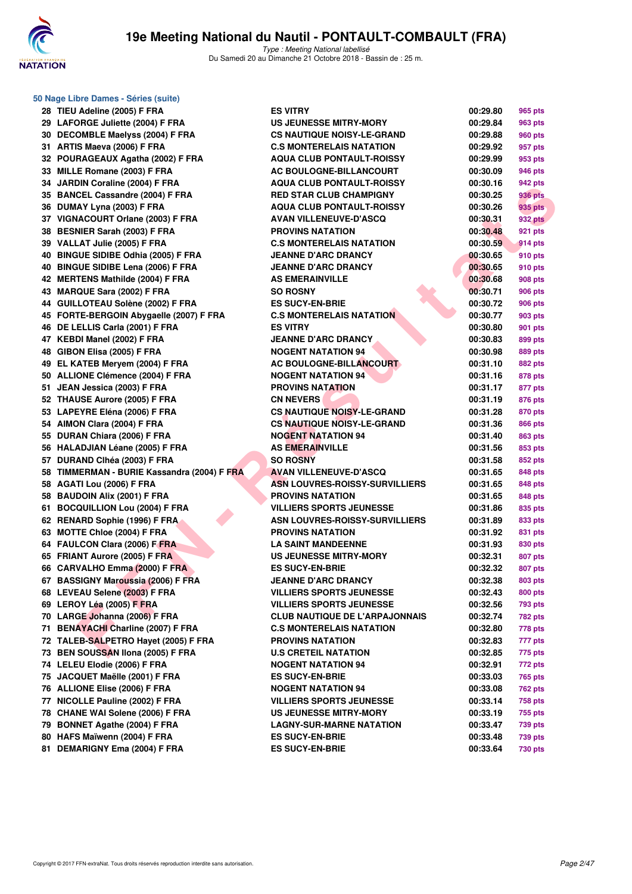

| 50 Nage Libre Dames - Séries (suite)        |                                       |          |                |  |  |  |
|---------------------------------------------|---------------------------------------|----------|----------------|--|--|--|
| 28 TIEU Adeline (2005) F FRA                | <b>ES VITRY</b>                       | 00:29.80 | 965 pts        |  |  |  |
| 29 LAFORGE Juliette (2004) F FRA            | <b>US JEUNESSE MITRY-MORY</b>         | 00:29.84 | 963 pts        |  |  |  |
| 30 DECOMBLE Maelyss (2004) F FRA            | <b>CS NAUTIQUE NOISY-LE-GRAND</b>     | 00:29.88 | 960 pts        |  |  |  |
| 31 ARTIS Maeva (2006) F FRA                 | <b>C.S MONTERELAIS NATATION</b>       | 00:29.92 | 957 pts        |  |  |  |
| 32 POURAGEAUX Agatha (2002) F FRA           | <b>AQUA CLUB PONTAULT-ROISSY</b>      | 00:29.99 | 953 pts        |  |  |  |
| 33 MILLE Romane (2003) F FRA                | AC BOULOGNE-BILLANCOURT               | 00:30.09 | 946 pts        |  |  |  |
| 34 JARDIN Coraline (2004) F FRA             | <b>AQUA CLUB PONTAULT-ROISSY</b>      | 00:30.16 | 942 pts        |  |  |  |
| 35 BANCEL Cassandre (2004) F FRA            | <b>RED STAR CLUB CHAMPIGNY</b>        | 00:30.25 | 936 pts        |  |  |  |
| 36 DUMAY Lyna (2003) F FRA                  | <b>AQUA CLUB PONTAULT-ROISSY</b>      | 00:30.26 | 935 pts        |  |  |  |
| 37 VIGNACOURT Orlane (2003) F FRA           | <b>AVAN VILLENEUVE-D'ASCQ</b>         | 00:30.31 | <b>932 pts</b> |  |  |  |
| 38 BESNIER Sarah (2003) F FRA               | <b>PROVINS NATATION</b>               | 00:30.48 | 921 pts        |  |  |  |
| 39 VALLAT Julie (2005) F FRA                | <b>C.S MONTERELAIS NATATION</b>       | 00:30.59 | 914 pts        |  |  |  |
| 40 BINGUE SIDIBE Odhia (2005) F FRA         | <b>JEANNE D'ARC DRANCY</b>            | 00:30.65 | 910 pts        |  |  |  |
| 40 BINGUE SIDIBE Lena (2006) F FRA          | <b>JEANNE D'ARC DRANCY</b>            | 00:30.65 | 910 pts        |  |  |  |
| 42 MERTENS Mathilde (2004) F FRA            | <b>AS EMERAINVILLE</b>                | 00:30.68 | 908 pts        |  |  |  |
| 43 MARQUE Sara (2002) F FRA                 | <b>SO ROSNY</b>                       | 00:30.71 | <b>906 pts</b> |  |  |  |
| 44 GUILLOTEAU Solène (2002) F FRA           | <b>ES SUCY-EN-BRIE</b>                | 00:30.72 | <b>906 pts</b> |  |  |  |
| 45 FORTE-BERGOIN Abygaelle (2007) F FRA     | <b>C.S MONTERELAIS NATATION</b>       | 00:30.77 | 903 pts        |  |  |  |
| 46 DE LELLIS Carla (2001) F FRA             | <b>ES VITRY</b>                       | 00:30.80 | 901 pts        |  |  |  |
| 47 KEBDI Manel (2002) F FRA                 | <b>JEANNE D'ARC DRANCY</b>            | 00:30.83 | 899 pts        |  |  |  |
| 48 GIBON Elisa (2005) F FRA                 | <b>NOGENT NATATION 94</b>             | 00:30.98 | 889 pts        |  |  |  |
| 49 EL KATEB Meryem (2004) F FRA             | AC BOULOGNE-BILLANCOURT               | 00:31.10 | 882 pts        |  |  |  |
| 50 ALLIONE Clémence (2004) F FRA            | <b>NOGENT NATATION 94</b>             | 00:31.16 | 878 pts        |  |  |  |
| 51 JEAN Jessica (2003) F FRA                | <b>PROVINS NATATION</b>               | 00:31.17 | 877 pts        |  |  |  |
| 52 THAUSE Aurore (2005) F FRA               | <b>CN NEVERS</b>                      | 00:31.19 | 876 pts        |  |  |  |
| 53 LAPEYRE Eléna (2006) F FRA               | <b>CS NAUTIQUE NOISY-LE-GRAND</b>     | 00:31.28 | 870 pts        |  |  |  |
| 54 AIMON Clara (2004) F FRA                 | <b>CS NAUTIQUE NOISY-LE-GRAND</b>     | 00:31.36 | 866 pts        |  |  |  |
| 55 DURAN Chiara (2006) F FRA                | <b>NOGENT NATATION 94</b>             | 00:31.40 | 863 pts        |  |  |  |
| 56 HALADJIAN Léane (2005) F FRA             | <b>AS EMERAINVILLE</b>                | 00:31.56 | 853 pts        |  |  |  |
| 57 DURAND CIhéa (2003) F FRA                | <b>SO ROSNY</b>                       | 00:31.58 | 852 pts        |  |  |  |
| 58 TIMMERMAN - BURIE Kassandra (2004) F FRA | <b>AVAN VILLENEUVE-D'ASCQ</b>         | 00:31.65 | 848 pts        |  |  |  |
| 58 AGATI Lou (2006) F FRA                   | <b>ASN LOUVRES-ROISSY-SURVILLIERS</b> | 00:31.65 | 848 pts        |  |  |  |
| 58 BAUDOIN Alix (2001) F FRA                | <b>PROVINS NATATION</b>               | 00:31.65 | 848 pts        |  |  |  |
| 61 BOCQUILLION Lou (2004) F FRA             | <b>VILLIERS SPORTS JEUNESSE</b>       | 00:31.86 | 835 pts        |  |  |  |
| 62 RENARD Sophie (1996) F FRA               | ASN LOUVRES-ROISSY-SURVILLIERS        | 00:31.89 | 833 pts        |  |  |  |
| 63 MOTTE Chloe (2004) F FRA                 | <b>PROVINS NATATION</b>               | 00:31.92 | 831 pts        |  |  |  |
| 64 FAULCON Clara (2006) F FRA               | <b>LA SAINT MANDEENNE</b>             | 00:31.93 | 830 pts        |  |  |  |
| 65 FRIANT Aurore (2005) F FRA               | <b>US JEUNESSE MITRY-MORY</b>         | 00:32.31 | 807 pts        |  |  |  |
| 66 CARVALHO Emma (2000) F FRA               | <b>ES SUCY-EN-BRIE</b>                | 00:32.32 | 807 pts        |  |  |  |
| 67 BASSIGNY Maroussia (2006) F FRA          | <b>JEANNE D'ARC DRANCY</b>            | 00:32.38 | 803 pts        |  |  |  |
| 68 LEVEAU Selene (2003) F FRA               | <b>VILLIERS SPORTS JEUNESSE</b>       | 00:32.43 | <b>800 pts</b> |  |  |  |
| 69 LEROY Léa (2005) F FRA                   | <b>VILLIERS SPORTS JEUNESSE</b>       | 00:32.56 | 793 pts        |  |  |  |
| 70 LARGE Johanna (2006) F FRA               | <b>CLUB NAUTIQUE DE L'ARPAJONNAIS</b> | 00:32.74 | <b>782 pts</b> |  |  |  |
| 71 BENAYACHI Charline (2007) F FRA          | <b>C.S MONTERELAIS NATATION</b>       | 00:32.80 | 778 pts        |  |  |  |
| 72 TALEB-SALPETRO Hayet (2005) F FRA        | <b>PROVINS NATATION</b>               | 00:32.83 | 777 pts        |  |  |  |
| 73 BEN SOUSSAN Ilona (2005) F FRA           | <b>U.S CRETEIL NATATION</b>           | 00:32.85 | 775 pts        |  |  |  |
| 74 LELEU Elodie (2006) F FRA                | <b>NOGENT NATATION 94</b>             | 00:32.91 | 772 pts        |  |  |  |
| 75 JACQUET Maëlle (2001) F FRA              | <b>ES SUCY-EN-BRIE</b>                | 00:33.03 | <b>765 pts</b> |  |  |  |
| 76 ALLIONE Elise (2006) F FRA               | <b>NOGENT NATATION 94</b>             | 00:33.08 | 762 pts        |  |  |  |
| 77 NICOLLE Pauline (2002) F FRA             | <b>VILLIERS SPORTS JEUNESSE</b>       | 00:33.14 | 758 pts        |  |  |  |
| 78 CHANE WAI Solene (2006) F FRA            | US JEUNESSE MITRY-MORY                | 00:33.19 | 755 pts        |  |  |  |
| 79 BONNET Agathe (2004) F FRA               | <b>LAGNY-SUR-MARNE NATATION</b>       | 00:33.47 | 739 pts        |  |  |  |
| 80 HAFS Maïwenn (2004) F FRA                | <b>ES SUCY-EN-BRIE</b>                | 00:33.48 | <b>739 pts</b> |  |  |  |
| 81 DEMARIGNY Ema (2004) F FRA               | <b>ES SUCY-EN-BRIE</b>                | 00:33.64 | <b>730 pts</b> |  |  |  |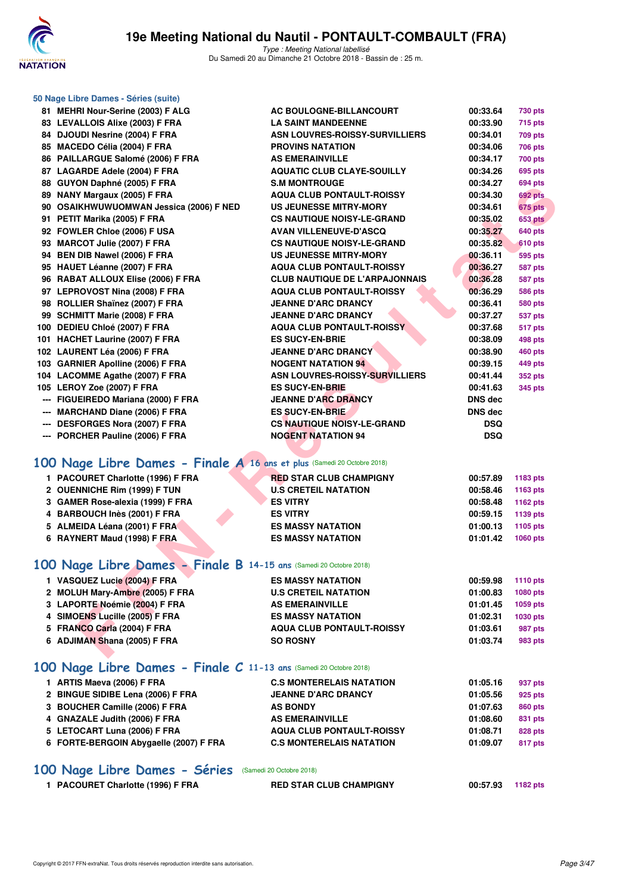

|     | 50 Nage Libre Dames - Séries (suite)                                    |                                       |            |                 |
|-----|-------------------------------------------------------------------------|---------------------------------------|------------|-----------------|
|     | 81 MEHRI Nour-Serine (2003) F ALG                                       | AC BOULOGNE-BILLANCOURT               | 00:33.64   | <b>730 pts</b>  |
|     | 83 LEVALLOIS Alixe (2003) F FRA                                         | <b>LA SAINT MANDEENNE</b>             | 00:33.90   | <b>715 pts</b>  |
|     | 84 DJOUDI Nesrine (2004) F FRA                                          | ASN LOUVRES-ROISSY-SURVILLIERS        | 00:34.01   | <b>709 pts</b>  |
|     | 85 MACEDO Célia (2004) F FRA                                            | <b>PROVINS NATATION</b>               | 00:34.06   | <b>706 pts</b>  |
|     | 86 PAILLARGUE Salomé (2006) F FRA                                       | <b>AS EMERAINVILLE</b>                | 00:34.17   | <b>700 pts</b>  |
|     | 87 LAGARDE Adele (2004) F FRA                                           | <b>AQUATIC CLUB CLAYE-SOUILLY</b>     | 00:34.26   | 695 pts         |
|     | 88 GUYON Daphné (2005) F FRA                                            | <b>S.M MONTROUGE</b>                  | 00:34.27   | <b>694 pts</b>  |
|     | 89 NANY Margaux (2005) F FRA                                            | <b>AQUA CLUB PONTAULT-ROISSY</b>      | 00:34.30   | 692 pts         |
|     | 90 OSAIKHWUWUOMWAN Jessica (2006) F NED                                 | <b>US JEUNESSE MITRY-MORY</b>         | 00:34.61   | 675 pts         |
|     | 91 PETIT Marika (2005) F FRA                                            | <b>CS NAUTIQUE NOISY-LE-GRAND</b>     | 00:35.02   | <b>653 pts</b>  |
|     | 92 FOWLER Chloe (2006) F USA                                            | <b>AVAN VILLENEUVE-D'ASCQ</b>         | 00:35.27   | <b>640 pts</b>  |
|     | 93 MARCOT Julie (2007) F FRA                                            | <b>CS NAUTIQUE NOISY-LE-GRAND</b>     | 00:35.82   | 610 pts         |
|     | 94 BEN DIB Nawel (2006) F FRA                                           | <b>US JEUNESSE MITRY-MORY</b>         | 00:36.11   | 595 pts         |
|     | 95 HAUET Léanne (2007) F FRA                                            | <b>AQUA CLUB PONTAULT-ROISSY</b>      | 00:36.27   | <b>587 pts</b>  |
|     | 96 RABAT ALLOUX Elise (2006) F FRA                                      | <b>CLUB NAUTIQUE DE L'ARPAJONNAIS</b> | 00:36.28   | <b>587 pts</b>  |
|     | 97 LEPROVOST Nina (2008) F FRA                                          | <b>AQUA CLUB PONTAULT-ROISSY</b>      | 00:36.29   | <b>586 pts</b>  |
|     | 98 ROLLIER Shaïnez (2007) F FRA                                         | <b>JEANNE D'ARC DRANCY</b>            | 00:36.41   | <b>580 pts</b>  |
|     | 99 SCHMITT Marie (2008) F FRA                                           | <b>JEANNE D'ARC DRANCY</b>            | 00:37.27   | <b>537 pts</b>  |
|     | 100 DEDIEU Chloé (2007) F FRA                                           | <b>AQUA CLUB PONTAULT-ROISSY</b>      | 00:37.68   | 517 pts         |
|     | 101 HACHET Laurine (2007) F FRA                                         | <b>ES SUCY-EN-BRIE</b>                | 00:38.09   | 498 pts         |
|     | 102 LAURENT Léa (2006) F FRA                                            | <b>JEANNE D'ARC DRANCY</b>            | 00:38.90   | <b>460 pts</b>  |
|     | 103 GARNIER Apolline (2006) F FRA                                       | <b>NOGENT NATATION 94</b>             | 00:39.15   | 449 pts         |
|     | 104 LACOMME Agathe (2007) F FRA                                         | <b>ASN LOUVRES-ROISSY-SURVILLIERS</b> | 00:41.44   | <b>352 pts</b>  |
|     | 105 LEROY Zoe (2007) F FRA                                              | <b>ES SUCY-EN-BRIE</b>                | 00:41.63   | 345 pts         |
|     | --- FIGUEIREDO Mariana (2000) F FRA                                     | <b>JEANNE D'ARC DRANCY</b>            | DNS dec    |                 |
| --- | <b>MARCHAND Diane (2006) F FRA</b>                                      | <b>ES SUCY-EN-BRIE</b>                | DNS dec    |                 |
|     | <b>DESFORGES Nora (2007) F FRA</b>                                      | <b>CS NAUTIQUE NOISY-LE-GRAND</b>     | <b>DSQ</b> |                 |
|     | PORCHER Pauline (2006) F FRA                                            | <b>NOGENT NATATION 94</b>             | <b>DSQ</b> |                 |
|     |                                                                         |                                       |            |                 |
|     | 100 Nage Libre Dames - Finale A 16 ans et plus (Samedi 20 Octobre 2018) |                                       |            |                 |
|     | 1 PACOURET Charlotte (1996) F FRA                                       | <b>RED STAR CLUB CHAMPIGNY</b>        | 00:57.89   | 1183 pts        |
|     | 2 OUENNICHE Rim (1999) F TUN                                            | <b>U.S CRETEIL NATATION</b>           | 00:58.46   | 1163 pts        |
|     | 3 GAMER Rose-alexia (1999) F FRA                                        | <b>ES VITRY</b>                       | 00:58.48   | 1162 pts        |
|     | 4 BARBOUCH Inès (2001) F FRA                                            | <b>ES VITRY</b>                       | 00:59.15   | 1139 pts        |
|     | 5 ALMEIDA Léana (2001) F FRA                                            | <b>ES MASSY NATATION</b>              | 01:00.13   | 1105 pts        |
|     | 6 RAYNERT Maud (1998) F FRA                                             | <b>ES MASSY NATATION</b>              | 01:01.42   | 1060 pts        |
|     |                                                                         |                                       |            |                 |
|     | 100 Nage Libre Dames - Finale B 14-15 ans (Samedi 20 Octobre 2018)      |                                       |            |                 |
|     | 1 VASQUEZ Lucie (2004) F FRA                                            | <b>ES MASSY NATATION</b>              | 00:59.98   | <b>1110 pts</b> |
|     | 2 MOLUH Mary-Ambre (2005) F FRA                                         | <b>U.S CRETEIL NATATION</b>           | 01:00.83   | 1080 pts        |
|     | 3 LAPORTE Noémie (2004) F FRA                                           | <b>AS EMERAINVILLE</b>                | 01:01.45   | 1059 pts        |
|     | 4 SIMOENS Lucille (2005) F FRA                                          | <b>ES MASSY NATATION</b>              | 01:02.31   | 1030 pts        |
|     | 5 FRANCO Carla (2004) F FRA                                             | <b>AQUA CLUB PONTAULT-ROISSY</b>      | 01:03.61   | 987 pts         |
|     | 6 ADJIMAN Shana (2005) F FRA                                            | <b>SO ROSNY</b>                       | 01:03.74   | 983 pts         |
|     |                                                                         |                                       |            |                 |
|     | 100 Nage Libre Dames - Finale C 11-13 ans (Samedi 20 Octobre 2018)      |                                       |            |                 |
|     | 1 ARTIS Maeva (2006) F FRA                                              | <b>C.S MONTERELAIS NATATION</b>       | 01:05.16   | 937 pts         |
|     | 2 BINGUE SIDIBE Lena (2006) F FRA                                       | <b>JEANNE D'ARC DRANCY</b>            | 01:05.56   | 925 pts         |
|     | 3 BOUCHER Camille (2006) F FRA                                          | <b>AS BONDY</b>                       | 01:07.63   | 860 pts         |
|     | 4 GNAZALE Judith (2006) F FRA                                           | <b>AS EMERAINVILLE</b>                | 01:08.60   | 831 pts         |

# **[100 Nage Libre Dames - Séries](http://www.ffnatation.fr/webffn/resultats.php?idact=nat&go=epr&idcpt=55747&idepr=2)** (Samedi 20 Octobre 2018)

| 1 PACOURET Charlotte (1996) F FRA | <b>RED STAR CLUB CHAMPIGNY</b> | 00:57.93 1182 pts |  |
|-----------------------------------|--------------------------------|-------------------|--|

**5 LETOCART Luna (2006) F FRA AQUA CLUB PONTAULT-ROISSY 01:08.71 828 pts 6 FORTE-BERGOIN Abygaelle (2007) F FRA C.S MONTERELAIS NATATION 01:09.07 817 pts**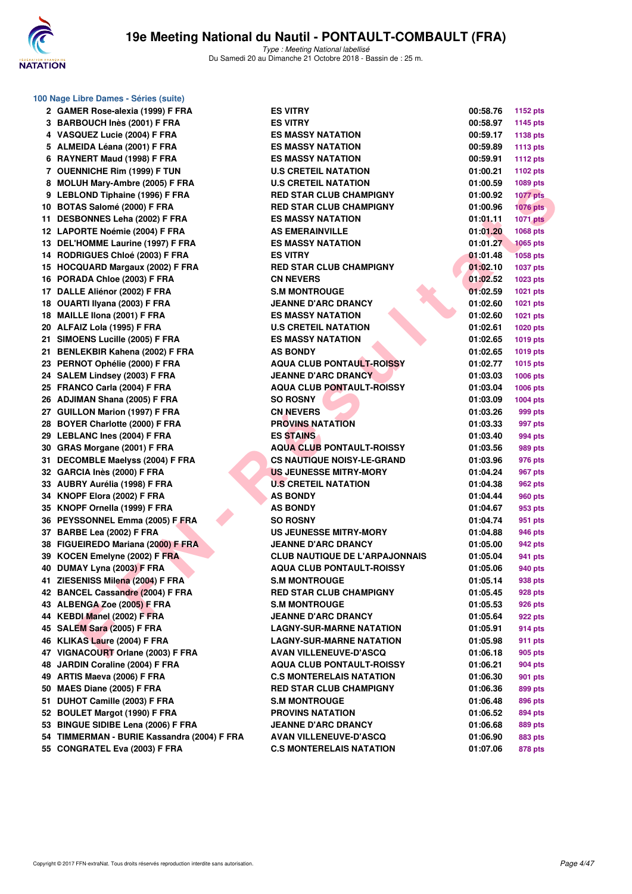

|    | 100 Nage Libre Dames - Séries (suite) |
|----|---------------------------------------|
| 2  | GAMER Rose-alexia (1999) F FRA        |
| 3  | BARBOUCH Inès (2001) F FRA            |
| 4  | VASQUEZ Lucie (2004) F FRA            |
| 5  | ALMEIDA Léana (2001) F FRA            |
| 6  | RAYNERT Maud (1998) F FRA             |
| 7  | <b>OUENNICHE Rim (1999) F TUN</b>     |
| 8  | MOLUH Mary-Ambre (2005) F FRA         |
| 9  | <b>LEBLOND Tiphaine (1996) F FRA</b>  |
| 10 | BOTAS Salomé (2000) F FRA             |
| 11 | DESBONNES Leha (2002) F FRA           |
| 12 | LAPORTE Noémie (2004) F FRA           |
| 13 | DEL'HOMME Laurine (1997) F FRA        |
| 14 | RODRIGUES Chloé (2003) F FRA          |
| 15 | HOCQUARD Margaux (2002) F FRA         |
| 16 | PORADA Chloe (2003) F FRA             |
| 17 | DALLE Aliénor (2002) F FRA            |
| 18 | OUARTI Ilyana (2003) F FRA            |
| 18 | MAILLE IIona (2001) F FRA             |
| 20 | ALFAIZ Lola (1995) F FRA              |
| 21 | SIMOENS Lucille (2005) F FRA          |
| 21 | BENLEKBIR Kahena (2002) F FRA         |
| 23 | PERNOT Ophélie (2000) F FRA           |
| 24 | SALEM Lindsey (2003) F FRA            |
| 25 | FRANCO Carla (2004) F FRA             |
| 26 | <b>ADJIMAN Shana (2005) F FRA</b>     |
| 27 | <b>GUILLON Marion (1997) F FRA</b>    |
| 28 | BOYER Charlotte (2000) F FRA          |
| 29 | LEBLANC Ines (2004) F FRA             |
| 30 | GRAS Morgane (2001) F FRA             |
| 31 | DECOMBLE Maelyss (2004) F FRA         |
| 32 | GARCIA Inès (2000) F FRA              |
| 33 | AUBRY Aurélia (1998) F FRA            |
| 34 | KNOPF Elora (2002) F FRA              |
| 35 | KNOPF Ornella (1999) F FRA            |
| 36 | PEYSSONNEL Emma (2005) F FRA          |
| 37 | BARBE Lea (2002) F FRA                |
| 38 | FIGUEIREDO Mariana (2000) F FRA       |
| 39 | KOCEN Emelyne (2002) F FRA            |
| 40 | DUMAY Lyna (2003) F FRA               |
| 41 | ZIESENISS Milena (2004) F FRA         |
|    | 42 BANCEL Cassandre (2004) F FRA      |
|    | 43 ALBENGA Zoe (2005) F FRA           |
|    | 44 KEBDI Manel (2002) F FRA           |
|    | 45 SALEM Sara (2005) F FRA            |
|    | 46 KLIKAS Laure (2004) F FRA          |
| 47 | VIGNACOURT Orlane (2003) F FRA        |
| 48 | JARDIN Coraline (2004) F FRA          |
|    | 49 ARTIS Maeva (2006) F FRA           |
| 50 | MAES Diane (2005) F FRA               |
| 51 | DUHOT Camille (2003) F FRA            |
|    | 52 BOULET Margot (1990) F FRA         |
|    | 53 BINGUE SIDIBE Lena (2006) F FRA    |
|    | 54 TIMMERMAN - BURIE Kassandra (2004  |
| 55 | <b>CONGRATEL Eva (2003) F FRA</b>     |
|    |                                       |

| 2 GAMER Rose-alexia (1999) F FRA            | <b>ES VITRY</b>                       | 00:58.76 | 1152 pts        |
|---------------------------------------------|---------------------------------------|----------|-----------------|
| 3 BARBOUCH Inès (2001) F FRA                | <b>ES VITRY</b>                       | 00:58.97 | 1145 pts        |
| 4 VASQUEZ Lucie (2004) F FRA                | <b>ES MASSY NATATION</b>              | 00:59.17 | 1138 pts        |
| 5 ALMEIDA Léana (2001) F FRA                | <b>ES MASSY NATATION</b>              | 00:59.89 | <b>1113 pts</b> |
| 6 RAYNERT Maud (1998) F FRA                 | <b>ES MASSY NATATION</b>              | 00:59.91 | <b>1112 pts</b> |
| 7 OUENNICHE Rim (1999) F TUN                | <b>U.S CRETEIL NATATION</b>           | 01:00.21 | 1102 pts        |
| 8 MOLUH Mary-Ambre (2005) F FRA             | <b>U.S CRETEIL NATATION</b>           | 01:00.59 | 1089 pts        |
| 9 LEBLOND Tiphaine (1996) F FRA             | <b>RED STAR CLUB CHAMPIGNY</b>        | 01:00.92 | <b>1077 pts</b> |
| 10 BOTAS Salomé (2000) F FRA                | <b>RED STAR CLUB CHAMPIGNY</b>        | 01:00.96 | $1076$ pts      |
| 11 DESBONNES Leha (2002) F FRA              | <b>ES MASSY NATATION</b>              | 01:01.11 | <b>1071 pts</b> |
| 12 LAPORTE Noémie (2004) F FRA              | <b>AS EMERAINVILLE</b>                | 01:01.20 | 1068 pts        |
| 13 DEL'HOMME Laurine (1997) F FRA           | <b>ES MASSY NATATION</b>              | 01:01.27 | <b>1065 pts</b> |
| 14 RODRIGUES Chloé (2003) F FRA             | <b>ES VITRY</b>                       | 01:01.48 | <b>1058 pts</b> |
| 15 HOCQUARD Margaux (2002) F FRA            | <b>RED STAR CLUB CHAMPIGNY</b>        | 01:02.10 | <b>1037 pts</b> |
| 16 PORADA Chloe (2003) F FRA                | <b>CN NEVERS</b>                      | 01:02.52 | <b>1023 pts</b> |
| 17 DALLE Aliénor (2002) F FRA               | <b>S.M MONTROUGE</b>                  | 01:02.59 | <b>1021 pts</b> |
| 18 OUARTI Ilyana (2003) F FRA               | <b>JEANNE D'ARC DRANCY</b>            | 01:02.60 | <b>1021 pts</b> |
| 18 MAILLE Ilona (2001) F FRA                | <b>ES MASSY NATATION</b>              | 01:02.60 | <b>1021 pts</b> |
| 20 ALFAIZ Lola (1995) F FRA                 | <b>U.S CRETEIL NATATION</b>           | 01:02.61 | <b>1020 pts</b> |
| 21 SIMOENS Lucille (2005) F FRA             | <b>ES MASSY NATATION</b>              | 01:02.65 | <b>1019 pts</b> |
| 21 BENLEKBIR Kahena (2002) F FRA            | <b>AS BONDY</b>                       | 01:02.65 | <b>1019 pts</b> |
| 23 PERNOT Ophélie (2000) F FRA              | <b>AQUA CLUB PONTAULT-ROISSY</b>      | 01:02.77 | 1015 pts        |
| 24 SALEM Lindsey (2003) F FRA               | <b>JEANNE D'ARC DRANCY</b>            | 01:03.03 | 1006 pts        |
| 25 FRANCO Carla (2004) F FRA                | <b>AQUA CLUB PONTAULT-ROISSY</b>      | 01:03.04 | 1006 pts        |
| 26 ADJIMAN Shana (2005) F FRA               | <b>SO ROSNY</b>                       | 01:03.09 | 1004 pts        |
| 27 GUILLON Marion (1997) F FRA              | <b>CN NEVERS</b>                      | 01:03.26 | 999 pts         |
| 28 BOYER Charlotte (2000) F FRA             | <b>PROVINS NATATION</b>               | 01:03.33 | 997 pts         |
| 29 LEBLANC Ines (2004) F FRA                | <b>ES STAINS</b>                      | 01:03.40 | 994 pts         |
| 30 GRAS Morgane (2001) F FRA                | <b>AQUA CLUB PONTAULT-ROISSY</b>      | 01:03.56 | 989 pts         |
| 31 DECOMBLE Maelyss (2004) F FRA            | <b>CS NAUTIQUE NOISY-LE-GRAND</b>     | 01:03.96 | 976 pts         |
| 32 GARCIA Inès (2000) F FRA                 | <b>US JEUNESSE MITRY-MORY</b>         | 01:04.24 | 967 pts         |
| 33 AUBRY Aurélia (1998) F FRA               | <b>U.S CRETEIL NATATION</b>           | 01:04.38 | 962 pts         |
| 34 KNOPF Elora (2002) F FRA                 | <b>AS BONDY</b>                       | 01:04.44 | 960 pts         |
| 35 KNOPF Ornella (1999) F FRA               | <b>AS BONDY</b>                       | 01:04.67 | 953 pts         |
| 36 PEYSSONNEL Emma (2005) F FRA             | <b>SO ROSNY</b>                       | 01:04.74 | 951 pts         |
| 37 BARBE Lea (2002) F FRA                   | <b>US JEUNESSE MITRY-MORY</b>         | 01:04.88 | 946 pts         |
| 38 FIGUEIREDO Mariana (2000) F FRA          | <b>JEANNE D'ARC DRANCY</b>            | 01:05.00 | 942 pts         |
| 39 KOCEN Emelyne (2002) F FRA               | <b>CLUB NAUTIQUE DE L'ARPAJONNAIS</b> | 01:05.04 | 941 pts         |
| 40 DUMAY Lyna (2003) F FRA                  | <b>AQUA CLUB PONTAULT-ROISSY</b>      | 01:05.06 | 940 pts         |
| 41 ZIESENISS Milena (2004) F FRA            | <b>S.M MONTROUGE</b>                  | 01:05.14 | 938 pts         |
| 42 BANCEL Cassandre (2004) F FRA            | <b>RED STAR CLUB CHAMPIGNY</b>        | 01:05.45 | 928 pts         |
| 43 ALBENGA Zoe (2005) F FRA                 | <b>S.M MONTROUGE</b>                  | 01:05.53 | 926 pts         |
| 44 KEBDI Manel (2002) F FRA                 | <b>JEANNE D'ARC DRANCY</b>            | 01:05.64 | 922 pts         |
| 45 SALEM Sara (2005) F FRA                  | <b>LAGNY-SUR-MARNE NATATION</b>       | 01:05.91 | 914 pts         |
| 46 KLIKAS Laure (2004) F FRA                | <b>LAGNY-SUR-MARNE NATATION</b>       | 01:05.98 | 911 pts         |
| 47 VIGNACOURT Orlane (2003) F FRA           | <b>AVAN VILLENEUVE-D'ASCQ</b>         | 01:06.18 | 905 pts         |
| 48 JARDIN Coraline (2004) F FRA             | <b>AQUA CLUB PONTAULT-ROISSY</b>      | 01:06.21 | 904 pts         |
| 49 ARTIS Maeva (2006) F FRA                 | <b>C.S MONTERELAIS NATATION</b>       | 01:06.30 | 901 pts         |
| 50 MAES Diane (2005) F FRA                  | <b>RED STAR CLUB CHAMPIGNY</b>        | 01:06.36 | 899 pts         |
| 51 DUHOT Camille (2003) F FRA               | <b>S.M MONTROUGE</b>                  | 01:06.48 | 896 pts         |
| 52 BOULET Margot (1990) F FRA               | <b>PROVINS NATATION</b>               | 01:06.52 | 894 pts         |
| 53 BINGUE SIDIBE Lena (2006) F FRA          | <b>JEANNE D'ARC DRANCY</b>            | 01:06.68 | 889 pts         |
| 54 TIMMERMAN - BURIE Kassandra (2004) F FRA | <b>AVAN VILLENEUVE-D'ASCQ</b>         | 01:06.90 | 883 pts         |
| 55 CONGRATEL Eva (2003) F FRA               | <b>C.S MONTERELAIS NATATION</b>       | 01:07.06 | 878 pts         |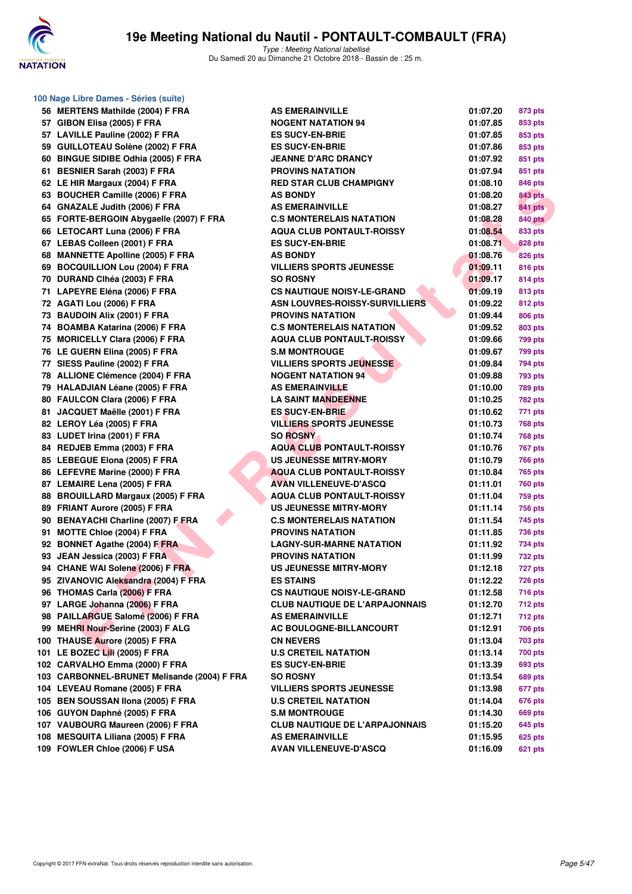

**100 Nage Libre Dames - Séries (suite)**

### **19e Meeting National du Nautil - PONTAULT-COMBAULT (FRA)**

| 56  | <b>MERTENS Mathilde (2004) F FRA</b>                                        |
|-----|-----------------------------------------------------------------------------|
| 57  | GIBON Elisa (2005) F FRA                                                    |
| 57  | <b>LAVILLE Pauline (2002) F FRA</b>                                         |
| 59  | GUILLOTEAU Solène (2002) F FRA                                              |
| 60  | <b>BINGUE SIDIBE Odhia (2005) F FRA</b>                                     |
| 61  | <b>BESNIER Sarah (2003) F FRA</b>                                           |
| 62  | LE HIR Margaux (2004) F FRA                                                 |
| 63  | <b>BOUCHER Camille (2006) F FRA</b>                                         |
| 64  | <b>GNAZALE Judith (2006) F FRA</b>                                          |
| 65  | FORTE-BERGOIN Abygaelle (2007) F FRA                                        |
| 66  | LETOCART Luna (2006) F FRA                                                  |
| 67  | LEBAS Colleen (2001) F FRA                                                  |
| 68  | <b>MANNETTE Apolline (2005) F FRA</b>                                       |
| 69  | <b>BOCQUILLION Lou (2004) F FRA</b>                                         |
| 70  | DURAND Clhéa (2003) F FRA                                                   |
| 71  | LAPEYRE Eléna (2006) F FRA                                                  |
| 72  | AGATI Lou (2006) F FRA                                                      |
| 73  | <b>BAUDOIN Alix (2001) F FRA</b>                                            |
| 74  | <b>BOAMBA Katarina (2006) F FRA</b>                                         |
| 75  | <b>MORICELLY Clara (2006) F FRA</b>                                         |
| 76  | LE GUERN Elina (2005) F FRA                                                 |
| 77  | SIESS Pauline (2002) F FRA                                                  |
| 78  | <b>ALLIONE Clémence (2004) F FRA</b>                                        |
| 79  | <b>HALADJIAN Léane (2005) F FRA</b>                                         |
| 80  | <b>FAULCON Clara (2006) F FRA</b>                                           |
| 81  | JACQUET Maëlle (2001) F FRA                                                 |
| 82  | LEROY Léa (2005) F FRA                                                      |
| 83  | LUDET Irina (2001) F FRA                                                    |
| 84  | REDJEB Emma (2003) F FRA                                                    |
| 85  | LEBEGUE Elona (2005) F FRA                                                  |
| 86  | LEFEVRE Marine (2000) F FRA                                                 |
| 87  | <b>LEMAIRE Lena (2005) F FRA</b>                                            |
| 88  | <b>BROUILLARD Margaux (2005) F FRA</b>                                      |
| 89  | FRIANT Aurore (2005) F FRA                                                  |
| 90  | <b>BENAYACHI Charline (2007) F FRA</b>                                      |
| 91  | <b>MOTTE Chloe (2004) F FRA</b>                                             |
| 92  | <b>BONNET Agathe (2004) F FRA</b>                                           |
| 93  | JEAN Jessica (2003) F FRA                                                   |
|     | 94 CHANE WAI Solene (2006) F FRA                                            |
| 95  | ZIVANOVIC Aleksandra (2004) F FRA                                           |
| 96  | THOMAS Carla (2006) F FRA                                                   |
| 97  | LARGE Johanna (2006) F FRA                                                  |
| 98  | PAILLARGUE Salomé (2006) F FRA                                              |
| 99  | MEHRI Nour-Serine (2003) F ALG                                              |
| 100 | THAUSE Aurore (2005) F FRA                                                  |
| 101 | LE BOZEC Lili (2005) F FRA                                                  |
| 102 | CARVALHO Emma (2000) F FRA                                                  |
| 103 | <b>CARBONNEL-BRUNET Melisande (2004) F FR</b>                               |
| 104 | LEVEAU Romane (2005) F FRA                                                  |
| 105 | BEN SOUSSAN IIona (2005) F FRA                                              |
| 106 | GUYON Daphné (2005) F FRA                                                   |
| 107 | VAUBOURG Maureen (2006) F FRA                                               |
| 108 | <b>MESQUITA Liliana (2005) F FRA</b><br>100 <b>EOWLER CHLO (2006) E USA</b> |
|     |                                                                             |

| 56 MERTENS Mathilde (2004) F FRA                                   | <b>AS EMERAINVILLE</b>                                          | 01:07.20             | 873 pts        |
|--------------------------------------------------------------------|-----------------------------------------------------------------|----------------------|----------------|
| 57 GIBON Elisa (2005) F FRA                                        | <b>NOGENT NATATION 94</b>                                       | 01:07.85             | 853 pts        |
| 57 LAVILLE Pauline (2002) F FRA                                    | <b>ES SUCY-EN-BRIE</b>                                          | 01:07.85             | 853 pts        |
| 59 GUILLOTEAU Solène (2002) F FRA                                  | <b>ES SUCY-EN-BRIE</b>                                          | 01:07.86             | 853 pts        |
| 60 BINGUE SIDIBE Odhia (2005) F FRA                                | <b>JEANNE D'ARC DRANCY</b>                                      | 01:07.92             | 851 pts        |
| 61 BESNIER Sarah (2003) F FRA                                      | <b>PROVINS NATATION</b>                                         | 01:07.94             | 851 pts        |
| 62 LE HIR Margaux (2004) F FRA                                     | <b>RED STAR CLUB CHAMPIGNY</b>                                  | 01:08.10             | 846 pts        |
| 63 BOUCHER Camille (2006) F FRA                                    | <b>AS BONDY</b>                                                 | 01:08.20             | <b>843 pts</b> |
| 64 GNAZALE Judith (2006) F FRA                                     | <b>AS EMERAINVILLE</b>                                          | 01:08.27             | <b>841 pts</b> |
| 65 FORTE-BERGOIN Abygaelle (2007) F FRA                            | <b>C.S MONTERELAIS NATATION</b>                                 | 01:08.28             | <b>840 pts</b> |
| 66 LETOCART Luna (2006) F FRA                                      | <b>AQUA CLUB PONTAULT-ROISSY</b>                                | 01:08.54             | 833 pts        |
| 67 LEBAS Colleen (2001) F FRA                                      | <b>ES SUCY-EN-BRIE</b>                                          | 01:08.71             | 828 pts        |
| 68 MANNETTE Apolline (2005) F FRA                                  | <b>AS BONDY</b>                                                 | 01:08.76             | 826 pts        |
| 69 BOCQUILLION Lou (2004) F FRA                                    | <b>VILLIERS SPORTS JEUNESSE</b>                                 | 01:09.11             | 816 pts        |
| 70 DURAND CIhéa (2003) F FRA                                       | <b>SO ROSNY</b>                                                 | 01:09.17             | 814 pts        |
| 71 LAPEYRE Eléna (2006) F FRA                                      | <b>CS NAUTIQUE NOISY-LE-GRAND</b>                               | 01:09.19             | 813 pts        |
| 72 AGATI Lou (2006) F FRA                                          | ASN LOUVRES-ROISSY-SURVILLIERS                                  | 01:09.22             | 812 pts        |
| 73 BAUDOIN Alix (2001) F FRA                                       | <b>PROVINS NATATION</b>                                         | 01:09.44             | <b>806 pts</b> |
| 74 BOAMBA Katarina (2006) F FRA                                    | <b>C.S MONTERELAIS NATATION</b>                                 | 01:09.52             | 803 pts        |
| 75 MORICELLY Clara (2006) F FRA                                    | <b>AQUA CLUB PONTAULT-ROISSY</b>                                | 01:09.66             | <b>799 pts</b> |
| 76 LE GUERN Elina (2005) F FRA                                     | <b>S.M MONTROUGE</b>                                            | 01:09.67             | 799 pts        |
| 77 SIESS Pauline (2002) F FRA                                      | <b>VILLIERS SPORTS JEUNESSE</b>                                 | 01:09.84             | <b>794 pts</b> |
| 78 ALLIONE Clémence (2004) F FRA                                   | <b>NOGENT NATATION 94</b>                                       | 01:09.88             | <b>793 pts</b> |
| 79 HALADJIAN Léane (2005) F FRA                                    | <b>AS EMERAINVILLE</b>                                          | 01:10.00             | 789 pts        |
| 80 FAULCON Clara (2006) F FRA                                      | <b>LA SAINT MANDEENNE</b>                                       | 01:10.25             | 782 pts        |
| 81 JACQUET Maëlle (2001) F FRA                                     | <b>ES SUCY-EN-BRIE</b>                                          | 01:10.62             | 771 pts        |
| 82 LEROY Léa (2005) F FRA                                          | <b>VILLIERS SPORTS JEUNESSE</b>                                 | 01:10.73             | <b>768 pts</b> |
| 83 LUDET Irina (2001) F FRA                                        | <b>SO ROSNY</b>                                                 | 01:10.74             | <b>768 pts</b> |
| 84 REDJEB Emma (2003) F FRA                                        | <b>AQUA CLUB PONTAULT-ROISSY</b>                                | 01:10.76             | 767 pts        |
| 85 LEBEGUE Elona (2005) F FRA                                      | <b>US JEUNESSE MITRY-MORY</b>                                   | 01:10.79             | <b>766 pts</b> |
| 86 LEFEVRE Marine (2000) F FRA                                     | <b>AQUA CLUB PONTAULT-ROISSY</b>                                | 01:10.84             | 765 pts        |
| 87 LEMAIRE Lena (2005) F FRA                                       | <b>AVAN VILLENEUVE-D'ASCQ</b>                                   | 01:11.01             | 760 pts        |
| 88 BROUILLARD Margaux (2005) F FRA                                 | <b>AQUA CLUB PONTAULT-ROISSY</b>                                | 01:11.04             | 759 pts        |
| 89 FRIANT Aurore (2005) F FRA                                      | <b>US JEUNESSE MITRY-MORY</b>                                   | 01:11.14             | 756 pts        |
| 90 BENAYACHI Charline (2007) F FRA                                 | <b>C.S MONTERELAIS NATATION</b>                                 | 01:11.54             | 745 pts        |
| 91 MOTTE Chloe (2004) F FRA                                        | <b>PROVINS NATATION</b>                                         | 01:11.85             | <b>736 pts</b> |
| 92 BONNET Agathe (2004) F FRA                                      | <b>LAGNY-SUR-MARNE NATATION</b>                                 | 01:11.92             | <b>734 pts</b> |
| 93 JEAN Jessica (2003) F FRA                                       | <b>PROVINS NATATION</b>                                         | 01:11.99             | <b>732 pts</b> |
| 94 CHANE WAI Solene (2006) F FRA                                   | <b>US JEUNESSE MITRY-MORY</b>                                   | 01:12.18             | 727 pts        |
| 95 ZIVANOVIC Aleksandra (2004) F FRA                               | <b>ES STAINS</b>                                                | 01:12.22             | 726 pts        |
| 96 THOMAS Carla (2006) F FRA                                       | <b>CS NAUTIQUE NOISY-LE-GRAND</b>                               | 01:12.58             | 716 pts        |
| 97 LARGE Johanna (2006) F FRA                                      | <b>CLUB NAUTIQUE DE L'ARPAJONNAIS</b>                           | 01:12.70             | 712 pts        |
| 98 PAILLARGUE Salomé (2006) F FRA                                  | <b>AS EMERAINVILLE</b>                                          | 01:12.71             | 712 pts        |
| 99 MEHRI Nour-Serine (2003) F ALG                                  | AC BOULOGNE-BILLANCOURT                                         | 01:12.91             | 706 pts        |
| 100 THAUSE Aurore (2005) F FRA                                     | <b>CN NEVERS</b>                                                | 01:13.04             | 703 pts        |
| 101 LE BOZEC Lili (2005) F FRA                                     | <b>U.S CRETEIL NATATION</b>                                     | 01:13.14             | <b>700 pts</b> |
| 102 CARVALHO Emma (2000) F FRA                                     | <b>ES SUCY-EN-BRIE</b>                                          | 01:13.39             | 693 pts        |
| 103 CARBONNEL-BRUNET Melisande (2004) F FRA                        | <b>SO ROSNY</b>                                                 | 01:13.54             | 689 pts        |
| 104 LEVEAU Romane (2005) F FRA                                     | <b>VILLIERS SPORTS JEUNESSE</b>                                 | 01:13.98             | 677 pts        |
| 105 BEN SOUSSAN Ilona (2005) F FRA                                 | <b>U.S CRETEIL NATATION</b>                                     | 01:14.04             | 676 pts        |
| 106 GUYON Daphné (2005) F FRA                                      | <b>S.M MONTROUGE</b>                                            | 01:14.30             | <b>669 pts</b> |
| 107 VAUBOURG Maureen (2006) F FRA                                  | <b>CLUB NAUTIQUE DE L'ARPAJONNAIS</b><br><b>AS EMERAINVILLE</b> | 01:15.20             | 645 pts        |
| 108 MESQUITA Liliana (2005) F FRA<br>109 FOWLER Chloe (2006) F USA | <b>AVAN VILLENEUVE-D'ASCQ</b>                                   | 01:15.95<br>01:16.09 | 625 pts        |
|                                                                    |                                                                 |                      | 621 pts        |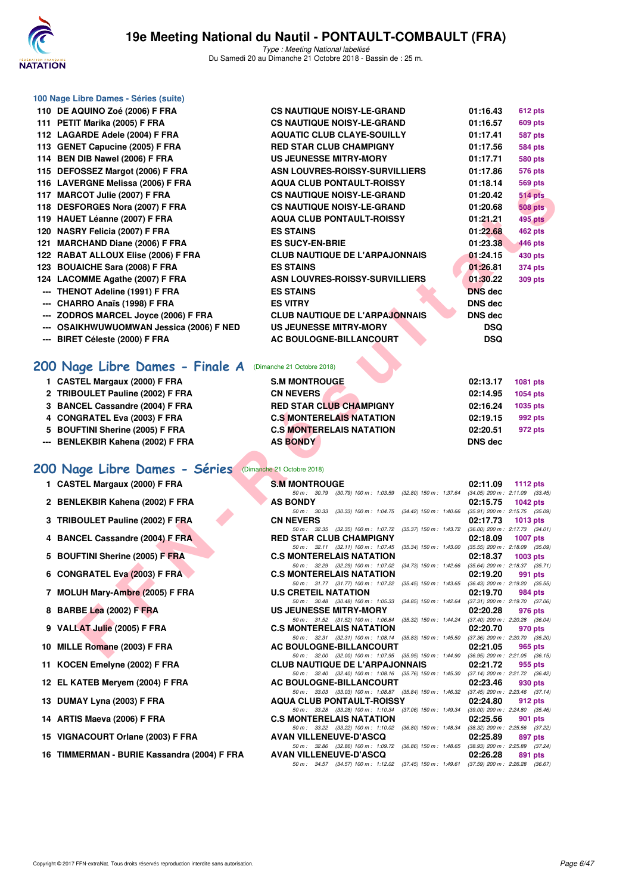

| 100 Nage Libre Dames - Séries (suite)                                                                                                                                                                                                                                                                                                                                                                             |  |
|-------------------------------------------------------------------------------------------------------------------------------------------------------------------------------------------------------------------------------------------------------------------------------------------------------------------------------------------------------------------------------------------------------------------|--|
| $P = 1$ $\alpha$ , $\alpha$ , $\alpha$ , $\alpha$ , $\alpha$ , $\alpha$ , $\alpha$ , $\alpha$ , $\alpha$ , $\alpha$ , $\alpha$ , $\alpha$ , $\alpha$ , $\alpha$ , $\alpha$ , $\alpha$ , $\alpha$ , $\alpha$ , $\alpha$ , $\alpha$ , $\alpha$ , $\alpha$ , $\alpha$ , $\alpha$ , $\alpha$ , $\alpha$ , $\alpha$ , $\alpha$ , $\alpha$ , $\alpha$ , $\alpha$ , $\alpha$ , $\alpha$ , $\alpha$ , $\alpha$ , $\alpha$ |  |

| 110 DE AQUINO Zoé (2006) F FRA           | c |
|------------------------------------------|---|
| 111 PETIT Marika (2005) F FRA            | c |
| 112 LAGARDE Adele (2004) F FRA           | Α |
| 113 GENET Capucine (2005) F FRA          | R |
| 114 BEN DIB Nawel (2006) F FRA           | U |
| 115 DEFOSSEZ Margot (2006) F FRA         | A |
| 116 LAVERGNE Melissa (2006) F FRA        | A |
| 117 MARCOT Julie (2007) F FRA            | C |
| 118 DESFORGES Nora (2007) F FRA          | c |
| 119 HAUET Léanne (2007) F FRA            | A |
| 120 NASRY Felicia (2007) F FRA           | Е |
| 121 MARCHAND Diane (2006) F FRA          | Е |
| 122 RABAT ALLOUX Elise (2006) F FRA      | c |
| 123 BOUAICHE Sara (2008) F FRA           | Е |
| 124 LACOMME Agathe (2007) F FRA          | A |
| --- THENOT Adeline (1991) F FRA          | Е |
| --- CHARRO Anaïs (1998) F FRA            | Е |
| --- ZODROS MARCEL Joyce (2006) F FRA     | C |
| --- OSAIKHWUWUOMWAN Jessica (2006) F NED | U |
| --- BIRET Céleste (2000) F FRA           | A |

### **[200 Nage Libre Dames - Finale A](http://www.ffnatation.fr/webffn/resultats.php?idact=nat&go=epr&idcpt=55747&idepr=3)** (Dimanche 21 Octobre 2018)

|  | 1 CASTEL Margaux (2000) F FRA |
|--|-------------------------------|

- 2 TRIBOULET Pauline (2002) F FRA
- **3 BANCEL Cassandre (2004) F FRA**
- **4 CONGRATEL Eva (2003) F FRA**
- **5 BOUFTINI Sherine (2005) F FRA**
- **--- BENLEKBIR Kahena (2002) F FRA**

# **[200 Nage Libre Dames - Séries](http://www.ffnatation.fr/webffn/resultats.php?idact=nat&go=epr&idcpt=55747&idepr=3)** (Dimanche 21 Octobre 2018)

- 
- 2 BENLEKBIR Kahena (2002) F FRA
- **3 TRIBOULET Pauline (2002) F FRA**
- **4 BANCEL Cassandre (2004) F FRA**
- **5 BOUFTINI Sherine (2005) F FRA**
- **6 CONGRATEL Eva (2003) F FRA**
- **7 MOLUH Mary-Ambre (2005) F FRA**
- **8 BARBE Lea (2002) F FRA**
- **9 VALLAT Julie (2005) F FRA**
- **10 MILLE Romane (2003) F FRA**
- 11 KOCEN Emelyne (2002) F FRA
- 12 EL KATEB Meryem (2004) F FRA
- **13 DUMAY Lyna (2003) F FRA**
- **14 ARTIS Maeva (2006) F FRA**
- **15 VIGNACOURT Orlane (2003) F FRA**
- **16 TIMMERMAN BURIE Kassandra (2004) F FRA**

| 114 BEN DIB Nawel (2006) F FRA           | <b>US JEUNESSE MITRY-MORY</b>         | 01:17.71       | <b>580 pts</b> |
|------------------------------------------|---------------------------------------|----------------|----------------|
| 115 DEFOSSEZ Margot (2006) F FRA         | ASN LOUVRES-ROISSY-SURVILLIERS        | 01:17.86       | <b>576 pts</b> |
| 116 LAVERGNE Melissa (2006) F FRA        | <b>AQUA CLUB PONTAULT-ROISSY</b>      | 01:18.14       | <b>569 pts</b> |
| 117 MARCOT Julie (2007) F FRA            | <b>CS NAUTIQUE NOISY-LE-GRAND</b>     | 01:20.42       | <b>514 pts</b> |
| 118 DESFORGES Nora (2007) F FRA          | <b>CS NAUTIQUE NOISY-LE-GRAND</b>     | 01:20.68       | <b>508 pts</b> |
| 119 HAUET Léanne (2007) F FRA            | <b>AQUA CLUB PONTAULT-ROISSY</b>      | 01:21.21       | <b>495 pts</b> |
| 120 NASRY Felicia (2007) F FRA           | <b>ES STAINS</b>                      | 01:22.68       | <b>462 pts</b> |
| 121 MARCHAND Diane (2006) F FRA          | <b>ES SUCY-EN-BRIE</b>                | 01:23.38       | 446 pts        |
| 122 RABAT ALLOUX Elise (2006) F FRA      | <b>CLUB NAUTIQUE DE L'ARPAJONNAIS</b> | 01:24.15       | 430 pts        |
| 123 BOUAICHE Sara (2008) F FRA           | <b>ES STAINS</b>                      | 01:26.81       | <b>374 pts</b> |
| 124 LACOMME Agathe (2007) F FRA          | ASN LOUVRES-ROISSY-SURVILLIERS        | 01:30.22       | <b>309 pts</b> |
| --- THENOT Adeline (1991) F FRA          | <b>ES STAINS</b>                      | <b>DNS</b> dec |                |
| --- CHARRO Anaïs (1998) F FRA            | <b>ES VITRY</b>                       | <b>DNS</b> dec |                |
| --- ZODROS MARCEL Joyce (2006) F FRA     | <b>CLUB NAUTIQUE DE L'ARPAJONNAIS</b> | <b>DNS</b> dec |                |
| --- OSAIKHWUWUOMWAN Jessica (2006) F NED | US JEUNESSE MITRY-MORY                | <b>DSQ</b>     |                |
| --- BIRET Céleste (2000) F FRA           | AC BOULOGNE-BILLANCOURT               | <b>DSQ</b>     |                |
|                                          |                                       |                |                |

**110 DE ACCE (2006) FOR ACCE (2006) FOR ALL PRACTICES NAUTIQUE NOISY-LE-GRAND** 01:16.43 612 pts **1116.57 111 PETER ONEXA CS NAUTIQUE NOISY-LE-GRAND 601:16.57 609 pts 112 AQUATIC CLUB CLAYE-SOUILLY** 01:17.41 587 pts **117.56 113 GED STAR CLUB CHAMPIGNY 113** 

| 1 CASTEL Margaux (2000) F FRA    | <b>S.M MONTROUGE</b>            | 02:13.17<br>1081 pts |
|----------------------------------|---------------------------------|----------------------|
| 2 TRIBOULET Pauline (2002) F FRA | <b>CN NEVERS</b>                | 02:14.95<br>1054 pts |
| 3 BANCEL Cassandre (2004) F FRA  | <b>RED STAR CLUB CHAMPIGNY</b>  | 02:16.24<br>1035 pts |
| 4 CONGRATEL Eva (2003) F FRA     | <b>C.S MONTERELAIS NATATION</b> | 02:19.15<br>992 pts  |
| 5 BOUFTINI Sherine (2005) F FRA  | <b>C.S MONTERELAIS NATATION</b> | 02:20.51<br>972 pts  |
| -- BENLEKBIR Kahena (2002) F FRA | <b>AS BONDY</b>                 | <b>DNS dec</b>       |

| 0 LAVERGIVE MURIISSA (2000) F FRA                                                        | AQUA CLUB FUNTAULT-NUISST                                                                                                                                                                         | 01.IO.I <del>T</del> | ບບອ µເຣ                                                |
|------------------------------------------------------------------------------------------|---------------------------------------------------------------------------------------------------------------------------------------------------------------------------------------------------|----------------------|--------------------------------------------------------|
| 7 MARCOT Julie (2007) F FRA                                                              | <b>CS NAUTIQUE NOISY-LE-GRAND</b>                                                                                                                                                                 | 01:20.42             | <b>514 pts</b>                                         |
| 8 DESFORGES Nora (2007) F FRA                                                            | <b>CS NAUTIQUE NOISY-LE-GRAND</b>                                                                                                                                                                 | 01:20.68             | <b>508 pts</b>                                         |
| 9 HAUET Léanne (2007) F FRA                                                              | <b>AQUA CLUB PONTAULT-ROISSY</b>                                                                                                                                                                  | 01:21.21             | <b>495 pts</b>                                         |
| 20 NASRY Felicia (2007) F FRA                                                            | <b>ES STAINS</b>                                                                                                                                                                                  | 01:22.68             | 462 pts                                                |
| 1 MARCHAND Diane (2006) F FRA                                                            | <b>ES SUCY-EN-BRIE</b>                                                                                                                                                                            | 01:23.38             | 446 pts                                                |
| 2 RABAT ALLOUX Elise (2006) F FRA                                                        | <b>CLUB NAUTIQUE DE L'ARPAJONNAIS</b>                                                                                                                                                             | 01:24.15             | 430 pts                                                |
| 23 BOUAICHE Sara (2008) F FRA                                                            | <b>ES STAINS</b>                                                                                                                                                                                  | 01:26.81             | <b>374 pts</b>                                         |
| 24 LACOMME Agathe (2007) F FRA                                                           | ASN LOUVRES-ROISSY-SURVILLIERS                                                                                                                                                                    | 01:30.22             | 309 pts                                                |
| -- THENOT Adeline (1991) F FRA                                                           | <b>ES STAINS</b>                                                                                                                                                                                  | <b>DNS</b> dec       |                                                        |
| -- CHARRO Anaïs (1998) F FRA                                                             | <b>ES VITRY</b>                                                                                                                                                                                   | <b>DNS</b> dec       |                                                        |
| -- ZODROS MARCEL Joyce (2006) F FRA                                                      | <b>CLUB NAUTIQUE DE L'ARPAJONNAIS</b>                                                                                                                                                             | DNS dec              |                                                        |
| -- OSAIKHWUWUOMWAN Jessica (2006) F NED                                                  | <b>US JEUNESSE MITRY-MORY</b>                                                                                                                                                                     | <b>DSQ</b>           |                                                        |
| -- BIRET Céleste (2000) F FRA                                                            | AC BOULOGNE-BILLANCOURT                                                                                                                                                                           | <b>DSQ</b>           |                                                        |
| 00 Nage Libre Dames - Finale A                                                           | (Dimanche 21 Octobre 2018)                                                                                                                                                                        |                      |                                                        |
| 1 CASTEL Margaux (2000) F FRA                                                            | <b>S.M MONTROUGE</b>                                                                                                                                                                              | 02:13.17             | 1081 pts                                               |
| 2 TRIBOULET Pauline (2002) F FRA                                                         | <b>CN NEVERS</b>                                                                                                                                                                                  | 02:14.95             | <b>1054 pts</b>                                        |
| 3 BANCEL Cassandre (2004) F FRA                                                          | <b>RED STAR CLUB CHAMPIGNY</b>                                                                                                                                                                    | 02:16.24             | 1035 pts                                               |
| 4 CONGRATEL Eva (2003) F FRA                                                             | <b>C.S MONTERELAIS NATATION</b>                                                                                                                                                                   | 02:19.15             | 992 pts                                                |
| 5 BOUFTINI Sherine (2005) F FRA                                                          | <b>C.S MONTERELAIS NATATION</b>                                                                                                                                                                   | 02:20.51             | 972 pts                                                |
| -- BENLEKBIR Kahena (2002) F FRA                                                         | <b>AS BONDY</b>                                                                                                                                                                                   | <b>DNS dec</b>       |                                                        |
| 00 Nage Libre Dames - Séries (Dimanche 21 Octobre 2018)<br>1 CASTEL Margaux (2000) F FRA | <b>S.M MONTROUGE</b>                                                                                                                                                                              | 02:11.09             | 1112 $pts$                                             |
| 2 BENLEKBIR Kahena (2002) F FRA                                                          | 50 m : 30.79 (30.79) 100 m : 1:03.59<br>(32.80) 150 m : 1:37.64<br><b>AS BONDY</b>                                                                                                                | 02:15.75             | $(34.05)$ 200 m : 2:11.09 $(33.45)$<br><b>1042 pts</b> |
| 3 TRIBOULET Pauline (2002) F FRA                                                         | (34.42) 150 m: 1:40.66 (35.91) 200 m: 2:15.75 (35.09)<br>50 m: 30.33 (30.33) 100 m: 1:04.75<br><b>CN NEVERS</b>                                                                                   | 02:17.73             | 1013 pts                                               |
| 4 BANCEL Cassandre (2004) F FRA                                                          | 50 m: 32.35 (32.35) 100 m: 1:07.72<br>(35.37) 150 m: 1:43.72 (36.00) 200 m: 2:17.73 (34.01)<br><b>RED STAR CLUB CHAMPIGNY</b>                                                                     | 02:18.09             | <b>1007 pts</b>                                        |
| 5 BOUFTINI Sherine (2005) F FRA                                                          | 50 m: 32.11 (32.11) 100 m: 1:07.45<br>(35.34) 150 m: 1:43.00 (35.55) 200 m: 2:18.09 (35.09)<br><b>C.S MONTERELAIS NATATION</b>                                                                    | 02:18.37             | $1003$ pts                                             |
| 6 CONGRATEL Eva (2003) F FRA                                                             | 50 m: 32.29 (32.29) 100 m: 1:07.02<br>(34.73) 150 m : 1:42.66 (35.64) 200 m : 2:18.37 (35.71)<br><b>C.S MONTERELAIS NATATION</b>                                                                  | 02:19.20             | 991 pts                                                |
| 7 MOLUH Mary-Ambre (2005) F FRA                                                          | 50 m: 31.77 (31.77) 100 m: 1:07.22<br>$(35.45)$ 150 m : 1:43.65<br><b>U.S CRETEIL NATATION</b>                                                                                                    | 02:19.70             | $(36.43)$ 200 m : 2:19.20 $(35.55)$<br>984 pts         |
| 8 BARBE Lea (2002) F FRA                                                                 | 50 m: 30.48 (30.48) 100 m: 1:05.33<br>$(34.85)$ 150 m : 1:42.64<br><b>US JEUNESSE MITRY-MORY</b><br>50 m: 31.52 (31.52) 100 m: 1:06.84<br>(35.32) 150 m : 1:44.24 (37.40) 200 m : 2:20.28 (36.04) | 02:20.28             | $(37.31)$ 200 m : 2:19.70 $(37.06)$<br>976 pts         |
| 9 VALLAT Julie (2005) F FRA                                                              | <b>C.S MONTERELAIS NATATION</b><br>50 m: 32.31 (32.31) 100 m: 1:08.14 (35.83) 150 m: 1:45.50 (37.36) 200 m: 2:20.70 (35.20)                                                                       | 02:20.70             | 970 pts                                                |
| 0 MILLE Romane (2003) F FRA                                                              | AC BOULOGNE-BILLANCOURT<br>50 m: 32.00 (32.00) 100 m: 1:07.95 (35.95) 150 m: 1:44.90 (36.95) 200 m: 2:21.05 (36.15)                                                                               | 02:21.05             | 965 pts                                                |
| 1 KOCEN Emelyne (2002) F FRA                                                             | <b>CLUB NAUTIQUE DE L'ARPAJONNAIS</b><br>50 m: 32.40 (32.40) 100 m: 1:08.16 (35.76) 150 m: 1:45.30                                                                                                | 02:21.72             | 955 pts<br>(37.14) 200 m : 2:21.72 (36.42)             |
| 2 EL KATEB Meryem (2004) F FRA                                                           | <b>AC BOULOGNE-BILLANCOURT</b><br>50 m : 33.03 (33.03) 100 m : 1:08.87 (35.84) 150 m : 1:46.32                                                                                                    | 02:23.46             | 930 pts<br>$(37.45)$ 200 m : 2:23.46 $(37.14)$         |
| 3 DUMAY Lyna (2003) F FRA                                                                | <b>AQUA CLUB PONTAULT-ROISSY</b><br>50 m : 33.28 (33.28) 100 m : 1:10.34<br>(37.06) 150 m : 1:49.34                                                                                               | 02:24.80             | 912 pts<br>$(39.00)$ 200 m : 2:24.80 $(35.46)$         |
| 4 ARTIS Maeva (2006) F FRA                                                               | <b>C.S MONTERELAIS NATATION</b><br>50 m: 33.22 (33.22) 100 m: 1:10.02<br>(36.80) 150 m : 1:48.34                                                                                                  | 02:25.56             | 901 pts<br>(38.32) 200 m : 2:25.56 (37.22)             |
| 5 VIGNACOURT Orlane (2003) F FRA                                                         | <b>AVAN VILLENEUVE-D'ASCQ</b>                                                                                                                                                                     | 02:25.89             | 897 pts                                                |
| 6 TIMMERMAN - BURIE Kassandra (2004) F FRA                                               | 50 m: 32.86 (32.86) 100 m: 1:09.72 (36.86) 150 m: 1:48.65 (38.93) 200 m: 2:25.89 (37.24)<br><b>AVAN VILLENEUVE-D'ASCQ</b>                                                                         | 02:26.28             | 891 pts                                                |
|                                                                                          | 50 m : 34.57 (34.57) 100 m : 1:12.02 (37.45) 150 m : 1:49.61 (37.59) 200 m : 2:26.28 (36.67)                                                                                                      |                      |                                                        |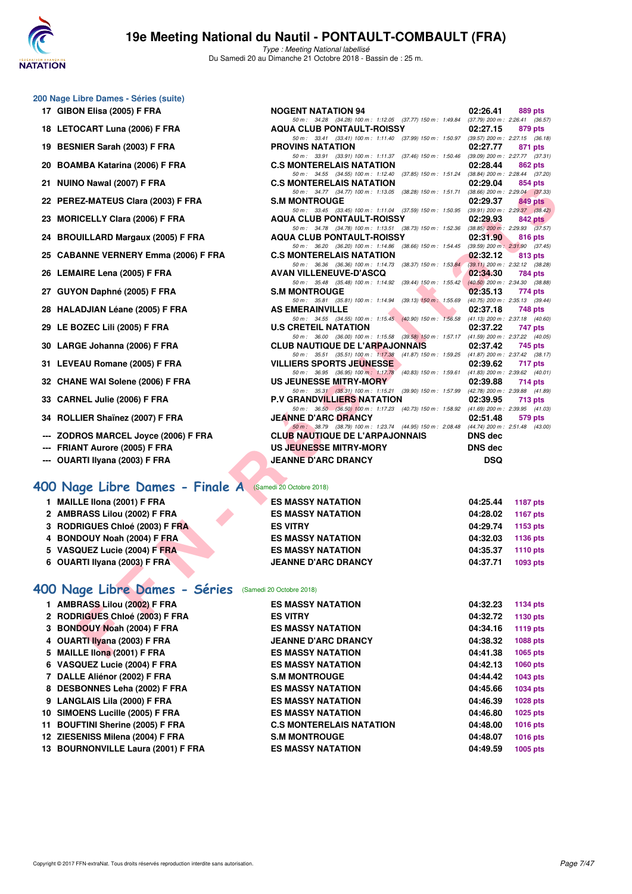

Type : Meeting National labellisé Du Samedi 20 au Dimanche 21 Octobre 2018 - Bassin de : 25 m.

| 200 Nage Libre Dames - Séries (suite) |  |  |  |
|---------------------------------------|--|--|--|
|---------------------------------------|--|--|--|

- 
- 
- 
- 
- 
- 22 PEREZ-MATEUS Clara (2003) F FRA
- 
- 
- 
- 
- 
- 
- 
- 
- 
- 
- 
- 
- --- ZODROS MARCEL Jovce (2006) F FRA
- **--- FRIANT Aurore (2005) F FRA**
- **--- OUARTI Ilyana (2003) F FRA JEANNE D'ARC DRANCY DSQ**

#### **[400 Nage Libre Dames - Finale A](http://www.ffnatation.fr/webffn/resultats.php?idact=nat&go=epr&idcpt=55747&idepr=4)** (Samedi 20 Octobre 2018)

- **1 MAILLE Ilona (2001) F FRA ES MASSY NATATION 04:25.44 1187 pts**
- **2 AMBRASS Lilou (2002) F FRA ES MASSY NATATION 04:28.02 1167 pts**
- **3 RODRIGUES Chloé (2003) F FRA ES VITRY 04:29.74 1153 pts**
- **4 BONDOUY Noah (2004) F FRA ES MASSY NATATION 04:32.03 1136 pts**
- **5 VASQUEZ Lucie (2004) F FRA ES MASSY NATATION 04:35.37 1110 pts**
- **6 OUARTI Ilyana (2003) F FRA JEANNE D'ARC DRANCY 04:37.71 1093 pts**

### **[400 Nage Libre Dames - Séries](http://www.ffnatation.fr/webffn/resultats.php?idact=nat&go=epr&idcpt=55747&idepr=4)** (Samedi 20 Octobre 2018)

| 1 AMBRASS Lilou (2002) F FRA       | <b>ES MASSY NATATION</b>        | 04:32.23 | 1134 pts        |
|------------------------------------|---------------------------------|----------|-----------------|
| 2 RODRIGUES Chloé (2003) F FRA     | <b>ES VITRY</b>                 | 04:32.72 | 1130 pts        |
| 3 BONDOUY Noah (2004) F FRA        | <b>ES MASSY NATATION</b>        | 04:34.16 | 1119 pts        |
| 4 OUARTI Ilyana (2003) F FRA       | <b>JEANNE D'ARC DRANCY</b>      | 04:38.32 | 1088 pts        |
| 5 MAILLE Ilona (2001) F FRA        | <b>ES MASSY NATATION</b>        | 04:41.38 | 1065 pts        |
| 6 VASQUEZ Lucie (2004) F FRA       | <b>ES MASSY NATATION</b>        | 04:42.13 | <b>1060 pts</b> |
| 7 DALLE Aliénor (2002) F FRA       | <b>S.M MONTROUGE</b>            | 04:44.42 | 1043 pts        |
| 8 DESBONNES Leha (2002) F FRA      | <b>ES MASSY NATATION</b>        | 04:45.66 | 1034 pts        |
| 9 LANGLAIS Lila (2000) F FRA       | <b>ES MASSY NATATION</b>        | 04:46.39 | 1028 pts        |
| 10 SIMOENS Lucille (2005) F FRA    | <b>ES MASSY NATATION</b>        | 04:46.80 | 1025 pts        |
| 11 BOUFTINI Sherine (2005) F FRA   | <b>C.S MONTERELAIS NATATION</b> | 04:48.00 | <b>1016 pts</b> |
| 12 ZIESENISS Milena (2004) F FRA   | <b>S.M MONTROUGE</b>            | 04:48.07 | <b>1016 pts</b> |
| 13 BOURNONVILLE Laura (2001) F FRA | <b>ES MASSY NATATION</b>        | 04:49.59 | 1005 pts        |
|                                    |                                 |          |                 |

| 17 GIBON Elisa (2005) F FRA                             | <b>NOGENT NATATION 94</b>                                                                                                                                                                                                | 02:26.41       | 889 pts                                    |
|---------------------------------------------------------|--------------------------------------------------------------------------------------------------------------------------------------------------------------------------------------------------------------------------|----------------|--------------------------------------------|
| 18 LETOCART Luna (2006) F FRA                           | 50 m: 34.28 (34.28) 100 m: 1:12.05 (37.77) 150 m: 1:49.84 (37.79) 200 m: 2:26.41 (36.57)<br><b>AQUA CLUB PONTAULT-ROISSY</b><br>50 m: 33.41 (33.41) 100 m: 1:11.40 (37.99) 150 m: 1:50.97 (39.57) 200 m: 2:27.15 (36.18) | 02:27.15       | 879 pts                                    |
| 19 BESNIER Sarah (2003) F FRA                           | <b>PROVINS NATATION</b>                                                                                                                                                                                                  | 02:27.77       | 871 pts                                    |
| 20 BOAMBA Katarina (2006) F FRA                         | 50 m: 33.91 (33.91) 100 m: 1:11.37 (37.46) 150 m: 1:50.46 (39.09) 200 m: 2:27.77 (37.31)<br><b>C.S MONTERELAIS NATATION</b>                                                                                              | 02:28.44       | 862 pts                                    |
| 21 NUINO Nawal (2007) F FRA                             | 50 m: 34.55 (34.55) 100 m: 1:12.40 (37.85) 150 m: 1:51.24 (38.84) 200 m: 2:28.44 (37.20)<br><b>C.S MONTERELAIS NATATION</b>                                                                                              | 02:29.04       | 854 pts                                    |
| 22 PEREZ-MATEUS Clara (2003) F FRA                      | 50 m: 34.77 (34.77) 100 m: 1:13.05 (38.28) 150 m: 1:51.71 (38.66) 200 m: 2:29.04 (37.33)<br><b>S.M MONTROUGE</b>                                                                                                         | 02:29.37       | 849 pts                                    |
|                                                         | 50 m: 33.45 (33.45) 100 m: 1:11.04 (37.59) 150 m: 1:50.95 (39.91) 200 m: 2:29.37 (38.42)                                                                                                                                 |                |                                            |
| 23 MORICELLY Clara (2006) F FRA                         | <b>AQUA CLUB PONTAULT-ROISSY</b><br>50 m: 34.78 (34.78) 100 m: 1:13.51 (38.73) 150 m: 1:52.36 (38.85) 200 m: 2:29.93 (37.57)                                                                                             | 02:29.93       | 842 pts                                    |
| 24 BROUILLARD Margaux (2005) F FRA                      | <b>AQUA CLUB PONTAULT-ROISSY</b>                                                                                                                                                                                         | 02:31.90       | 816 pts                                    |
| 25 CABANNE VERNERY Emma (2006) F FRA                    | 50 m: 36.20 (36.20) 100 m: 1:14.86 (38.66) 150 m: 1:54.45 (39.59) 200 m: 2:31.90 (37.45)<br><b>C.S MONTERELAIS NATATION</b>                                                                                              | 02:32.12       | 813 pts                                    |
| 26 LEMAIRE Lena (2005) F FRA                            | 50 m: 36.36 (36.36) 100 m: 1:14.73 (38.37) 150 m: 1:53.84 (39.11) 200 m: 2:32.12 (38.28)<br><b>AVAN VILLENEUVE-D'ASCQ</b>                                                                                                | 02:34.30       | 784 pts                                    |
|                                                         | 50 m: 35.48 (35.48) 100 m: 1:14.92 (39.44) 150 m: 1:55.42 (40.50) 200 m: 2:34.30 (38.88)                                                                                                                                 |                |                                            |
| 27 GUYON Daphné (2005) F FRA                            | <b>S.M MONTROUGE</b><br>50 m: 35.81 (35.81) 100 m: 1:14.94 (39.13) 150 m: 1:55.69                                                                                                                                        | 02:35.13       | 774 pts<br>(40.75) 200 m : 2:35.13 (39.44) |
| 28 HALADJIAN Léane (2005) F FRA                         | <b>AS EMERAINVILLE</b>                                                                                                                                                                                                   | 02:37.18       | 748 pts                                    |
| 29 LE BOZEC Lili (2005) F FRA                           | 50 m: 34.55 (34.55) 100 m: 1:15.45 (40.90) 150 m: 1:56.58 (41.13) 200 m: 2:37.18 (40.60)<br><b>U.S CRETEIL NATATION</b>                                                                                                  | 02:37.22       | 747 pts                                    |
|                                                         | 50 m: 36.00 (36.00) 100 m: 1:15.58 (39.58) 150 m: 1:57.17 (41.59) 200 m: 2:37.22 (40.05)                                                                                                                                 |                |                                            |
| 30 LARGE Johanna (2006) F FRA                           | <b>CLUB NAUTIQUE DE L'ARPAJONNAIS</b><br>50 m: 35.51 (35.51) 100 m: 1:17.38 (41.87) 150 m: 1:59.25 (41.87) 200 m: 2:37.42 (38.17)                                                                                        | 02:37.42       | 745 pts                                    |
| 31 LEVEAU Romane (2005) F FRA                           | <b>VILLIERS SPORTS JEUNESSE</b>                                                                                                                                                                                          | 02:39.62       | 717 pts                                    |
| 32 CHANE WAI Solene (2006) F FRA                        | 50 m: 36.95 (36.95) 100 m: 1:17.78 (40.83) 150 m: 1:59.61 (41.83) 200 m: 2:39.62 (40.01)<br>US JEUNESSE MITRY-MORY                                                                                                       | 02:39.88       | 714 pts                                    |
|                                                         | 50 m: 35.31 (35.31) 100 m: 1:15.21 (39.90) 150 m: 1:57.99 (42.78) 200 m: 2:39.88 (41.89)                                                                                                                                 |                |                                            |
| 33 CARNEL Julie (2006) F FRA                            | <b>P.V GRANDVILLIERS NATATION</b><br>50 m: 36.50 (36.50) 100 m: 1:17.23 (40.73) 150 m: 1:58.92 (41.69) 200 m: 2:39.95 (41.03)                                                                                            | 02:39.95       | <b>713 pts</b>                             |
| 34 ROLLIER Shaïnez (2007) F FRA                         | <b>JEANNE D'ARC DRANCY</b>                                                                                                                                                                                               | 02:51.48       | 579 pts                                    |
| --- ZODROS MARCEL Joyce (2006) F FRA                    | 50 m : 38.79 (38.79) 100 m : 1:23.74 (44.95) 150 m : 2:08.48 (44.74) 200 m : 2:51.48 (43.00)<br><b>CLUB NAUTIQUE DE L'ARPAJONNAIS</b>                                                                                    | <b>DNS</b> dec |                                            |
| --- FRIANT Aurore (2005) F FRA                          | US JEUNESSE MITRY-MORY                                                                                                                                                                                                   | <b>DNS dec</b> |                                            |
| --- OUARTI Ilyana (2003) F FRA                          | <b>JEANNE D'ARC DRANCY</b>                                                                                                                                                                                               | <b>DSQ</b>     |                                            |
| 00 Nage Libre Dames - Finale A (Samedi 20 Octobre 2018) |                                                                                                                                                                                                                          |                |                                            |
| 1 MAILLE IIona (2001) F FRA                             | <b>ES MASSY NATATION</b>                                                                                                                                                                                                 | 04:25.44       | 1187 pts                                   |
| 2 AMBRASS Lilou (2002) F FRA                            | <b>ES MASSY NATATION</b>                                                                                                                                                                                                 | 04:28.02       | <b>1167 pts</b>                            |
| 3 RODRIGUES Chloé (2003) F FRA                          | <b>ES VITRY</b>                                                                                                                                                                                                          | 04:29.74       | 1153 pts                                   |
| 4 BONDOUY Noah (2004) F FRA                             | <b>ES MASSY NATATION</b>                                                                                                                                                                                                 | 04:32.03       | <b>1136 pts</b>                            |
| 5 VASQUEZ Lucie (2004) F FRA                            | <b>ES MASSY NATATION</b>                                                                                                                                                                                                 | 04:35.37       | <b>1110 pts</b>                            |
| 6 OUARTI Ilyana (2003) F FRA                            | <b>JEANNE D'ARC DRANCY</b>                                                                                                                                                                                               | 04:37.71       | 1093 pts                                   |
| 00 Nage Libre Dames - Séries (Samedi 20 Octobre 2018)   |                                                                                                                                                                                                                          |                |                                            |
| 1 AMBRASS Lilou (2002) F FRA                            | <b>ES MASSY NATATION</b>                                                                                                                                                                                                 | 04:32.23       | <b>1134 pts</b>                            |
| 2 RODRIGUES Chloé (2003) F FRA                          | <b>ES VITRY</b>                                                                                                                                                                                                          | 04:32.72       | 1130 pts                                   |
| 3 BONDOUY Noah (2004) F FRA                             | <b>ES MASSY NATATION</b>                                                                                                                                                                                                 | 04:34.16       | 1119 pts                                   |
| 4 OUARTI Ilyana (2003) F FRA                            | <b>JEANNE D'ARC DRANCY</b>                                                                                                                                                                                               | 04:38.32       | 1088 pts                                   |
| 5 MAILLE Ilona (2001) F FRA                             | <b>ES MASSY NATATION</b>                                                                                                                                                                                                 | 04:41.38       | 1065 pts                                   |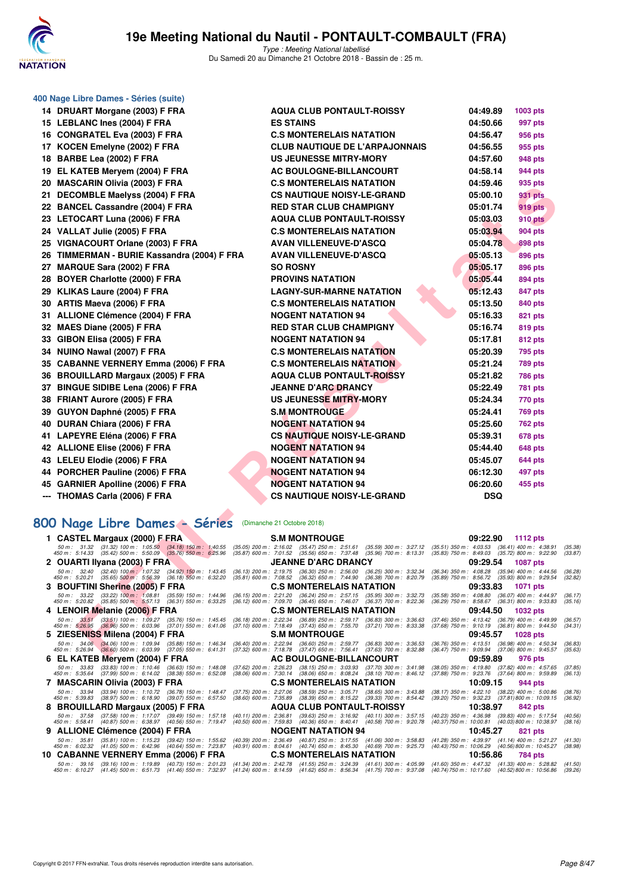

|     | 400 Nage Libre Dames - Séries (suite)                                                                                                                                                         |                                                                                                                                                                                                                                                                                        |                                                        |          |                                                                                                            |               |
|-----|-----------------------------------------------------------------------------------------------------------------------------------------------------------------------------------------------|----------------------------------------------------------------------------------------------------------------------------------------------------------------------------------------------------------------------------------------------------------------------------------------|--------------------------------------------------------|----------|------------------------------------------------------------------------------------------------------------|---------------|
|     | 14 DRUART Morgane (2003) F FRA                                                                                                                                                                | <b>AQUA CLUB PONTAULT-ROISSY</b>                                                                                                                                                                                                                                                       |                                                        | 04:49.89 | 1003 pts                                                                                                   |               |
|     | 15 LEBLANC Ines (2004) F FRA                                                                                                                                                                  | <b>ES STAINS</b>                                                                                                                                                                                                                                                                       |                                                        | 04:50.66 | 997 pts                                                                                                    |               |
|     | 16 CONGRATEL Eva (2003) F FRA                                                                                                                                                                 | <b>C.S MONTERELAIS NATATION</b>                                                                                                                                                                                                                                                        |                                                        | 04:56.47 | 956 pts                                                                                                    |               |
|     | 17 KOCEN Emelyne (2002) F FRA                                                                                                                                                                 | <b>CLUB NAUTIQUE DE L'ARPAJONNAIS</b>                                                                                                                                                                                                                                                  |                                                        | 04:56.55 | 955 pts                                                                                                    |               |
|     | 18 BARBE Lea (2002) F FRA                                                                                                                                                                     | <b>US JEUNESSE MITRY-MORY</b>                                                                                                                                                                                                                                                          |                                                        | 04:57.60 | 948 pts                                                                                                    |               |
|     | 19 EL KATEB Meryem (2004) F FRA                                                                                                                                                               | AC BOULOGNE-BILLANCOURT                                                                                                                                                                                                                                                                |                                                        | 04:58.14 | 944 pts                                                                                                    |               |
|     | 20 MASCARIN Olivia (2003) F FRA                                                                                                                                                               | <b>C.S MONTERELAIS NATATION</b>                                                                                                                                                                                                                                                        |                                                        | 04:59.46 | 935 pts                                                                                                    |               |
| 21. | <b>DECOMBLE Maelyss (2004) F FRA</b>                                                                                                                                                          | <b>CS NAUTIQUE NOISY-LE-GRAND</b>                                                                                                                                                                                                                                                      |                                                        | 05:00.10 | 931 pts                                                                                                    |               |
|     | 22 BANCEL Cassandre (2004) F FRA                                                                                                                                                              | <b>RED STAR CLUB CHAMPIGNY</b>                                                                                                                                                                                                                                                         |                                                        | 05:01.74 | 919 pts                                                                                                    |               |
|     | 23 LETOCART Luna (2006) F FRA                                                                                                                                                                 | <b>AQUA CLUB PONTAULT-ROISSY</b>                                                                                                                                                                                                                                                       |                                                        | 05:03.03 | <b>910 pts</b>                                                                                             |               |
|     | 24 VALLAT Julie (2005) F FRA                                                                                                                                                                  | <b>C.S MONTERELAIS NATATION</b>                                                                                                                                                                                                                                                        |                                                        | 05:03.94 | 904 pts                                                                                                    |               |
|     | 25 VIGNACOURT Orlane (2003) F FRA                                                                                                                                                             | <b>AVAN VILLENEUVE-D'ASCQ</b>                                                                                                                                                                                                                                                          |                                                        | 05:04.78 | 898 pts                                                                                                    |               |
|     | 26 TIMMERMAN - BURIE Kassandra (2004) F FRA                                                                                                                                                   | <b>AVAN VILLENEUVE-D'ASCQ</b>                                                                                                                                                                                                                                                          |                                                        | 05:05.13 | 896 pts                                                                                                    |               |
|     | 27 MARQUE Sara (2002) F FRA                                                                                                                                                                   | <b>SO ROSNY</b>                                                                                                                                                                                                                                                                        |                                                        | 05:05.17 | 896 pts                                                                                                    |               |
|     | 28 BOYER Charlotte (2000) F FRA                                                                                                                                                               | <b>PROVINS NATATION</b>                                                                                                                                                                                                                                                                |                                                        | 05:05.44 | 894 pts                                                                                                    |               |
|     | 29 KLIKAS Laure (2004) F FRA                                                                                                                                                                  | <b>LAGNY-SUR-MARNE NATATION</b>                                                                                                                                                                                                                                                        |                                                        | 05:12.43 | 847 pts                                                                                                    |               |
|     | 30 ARTIS Maeva (2006) F FRA                                                                                                                                                                   | <b>C.S MONTERELAIS NATATION</b>                                                                                                                                                                                                                                                        |                                                        | 05:13.50 | 840 pts                                                                                                    |               |
|     | 31 ALLIONE Clémence (2004) F FRA                                                                                                                                                              | <b>NOGENT NATATION 94</b>                                                                                                                                                                                                                                                              |                                                        | 05:16.33 | 821 pts                                                                                                    |               |
|     | 32 MAES Diane (2005) F FRA                                                                                                                                                                    | <b>RED STAR CLUB CHAMPIGNY</b>                                                                                                                                                                                                                                                         |                                                        | 05:16.74 | 819 pts                                                                                                    |               |
|     | 33 GIBON Elisa (2005) F FRA                                                                                                                                                                   | <b>NOGENT NATATION 94</b>                                                                                                                                                                                                                                                              |                                                        | 05:17.81 | 812 pts                                                                                                    |               |
|     | 34 NUINO Nawal (2007) F FRA                                                                                                                                                                   | <b>C.S MONTERELAIS NATATION</b>                                                                                                                                                                                                                                                        |                                                        | 05:20.39 | 795 pts                                                                                                    |               |
|     | 35 CABANNE VERNERY Emma (2006) F FRA                                                                                                                                                          | <b>C.S MONTERELAIS NATATION</b>                                                                                                                                                                                                                                                        |                                                        | 05:21.24 | <b>789 pts</b>                                                                                             |               |
|     | 36 BROUILLARD Margaux (2005) F FRA                                                                                                                                                            | <b>AQUA CLUB PONTAULT-ROISSY</b>                                                                                                                                                                                                                                                       |                                                        | 05:21.82 | <b>786 pts</b>                                                                                             |               |
|     | 37 BINGUE SIDIBE Lena (2006) F FRA                                                                                                                                                            | <b>JEANNE D'ARC DRANCY</b>                                                                                                                                                                                                                                                             |                                                        | 05:22.49 | 781 pts                                                                                                    |               |
|     | 38 FRIANT Aurore (2005) F FRA                                                                                                                                                                 | US JEUNESSE MITRY-MORY                                                                                                                                                                                                                                                                 |                                                        | 05:24.34 | 770 pts                                                                                                    |               |
|     | 39 GUYON Daphné (2005) F FRA                                                                                                                                                                  | <b>S.M MONTROUGE</b>                                                                                                                                                                                                                                                                   |                                                        | 05:24.41 | <b>769 pts</b>                                                                                             |               |
|     | 40 DURAN Chiara (2006) F FRA                                                                                                                                                                  | <b>NOGENT NATATION 94</b>                                                                                                                                                                                                                                                              |                                                        | 05:25.60 | 762 pts                                                                                                    |               |
|     | 41 LAPEYRE Eléna (2006) F FRA                                                                                                                                                                 | <b>CS NAUTIQUE NOISY-LE-GRAND</b>                                                                                                                                                                                                                                                      |                                                        | 05:39.31 | 678 pts                                                                                                    |               |
|     | 42 ALLIONE Elise (2006) F FRA                                                                                                                                                                 | <b>NOGENT NATATION 94</b>                                                                                                                                                                                                                                                              |                                                        | 05:44.40 | <b>648 pts</b>                                                                                             |               |
|     | 43 LELEU Elodie (2006) F FRA                                                                                                                                                                  | <b>NOGENT NATATION 94</b>                                                                                                                                                                                                                                                              |                                                        | 05:45.07 | 644 pts                                                                                                    |               |
|     | 44 PORCHER Pauline (2006) F FRA                                                                                                                                                               | <b>NOGENT NATATION 94</b>                                                                                                                                                                                                                                                              |                                                        | 06:12.30 | 497 pts                                                                                                    |               |
|     | 45 GARNIER Apolline (2006) F FRA                                                                                                                                                              | <b>NOGENT NATATION 94</b>                                                                                                                                                                                                                                                              |                                                        | 06:20.60 | 455 pts                                                                                                    |               |
|     | --- THOMAS Carla (2006) F FRA                                                                                                                                                                 | <b>CS NAUTIQUE NOISY-LE-GRAND</b>                                                                                                                                                                                                                                                      |                                                        | DSQ      |                                                                                                            |               |
|     |                                                                                                                                                                                               |                                                                                                                                                                                                                                                                                        |                                                        |          |                                                                                                            |               |
|     | 800 Nage Libre Dames - Séries                                                                                                                                                                 | (Dimanche 21 Octobre 2018)                                                                                                                                                                                                                                                             |                                                        |          |                                                                                                            |               |
|     | 1 CASTEL Margaux (2000) F FRA                                                                                                                                                                 | <b>S.M MONTROUGE</b>                                                                                                                                                                                                                                                                   |                                                        | 09:22.90 | <b>1112 pts</b>                                                                                            |               |
|     | 50 m: 31.32 (31.32) 100 m: 1:05.50 (34.18) 150 m: 1:40.55<br>450 m : 5:14.33 (35.42) 500 m : 5:50.09 (35.76) 550 m : 6:25.96                                                                  | (35.05) 200 m : 2:16.02<br>$(35.47)$ 250 m : 2:51.61<br>(35.59) 300 m : 3:27.12<br>(35.87) 600 m : 7:01.52 (35.56) 650 m : 7:37.48<br>$(35.96)$ 700 m : 8:13.31                                                                                                                        | $(35.51)$ 350 m : 4:03.53<br>$(35.83)$ 750 m : 8:49.03 |          | $(36.41)$ 400 m : 4:38.91<br>$(35.72)$ 800 m : 9:22.90                                                     | (3)<br>(3)    |
|     | 2 OUARTI Ilyana (2003) F FRA                                                                                                                                                                  | <b>JEANNE D'ARC DRANCY</b>                                                                                                                                                                                                                                                             |                                                        | 09:29.54 | <b>1087 pts</b>                                                                                            |               |
|     | 50 m: 32.40 (32.40) 100 m: 1:07.32 (34.92) 150 m: 1:43.45<br>450 m : 5:20.21 (35.65) 500 m : 5:56.39 (36.18) 550 m : 6:32.20                                                                  | (36.13) 200 m: 2:19.75 (36.30) 250 m: 2:56.00 (36.25) 300 m: 3:32.34<br>(35.81) 600 m: 7:08.52 (36.32) 650 m: 7:44.90 (36.38) 700 m: 8:20.79                                                                                                                                           |                                                        |          | (36.34) 350 m: 4:08.28 (35.94) 400 m: 4:44.56 (3<br>(35.89) 750 m : 8:56.72 (35.93) 800 m : 9:29.54        | (3)           |
|     | 3 BOUFTINI Sherine (2005) F FRA                                                                                                                                                               | <b>C.S MONTERELAIS NATATION</b>                                                                                                                                                                                                                                                        |                                                        | 09:33.83 | 1071 pts                                                                                                   |               |
|     | $(33.22)$ 100 m : 1:08.81 $(35.59)$ 150 m : 1:44.96<br>50 m : 33.22<br>450 m : 5:20.82 (35.85) 500 m : 5:57.13 (36.31) 550 m : 6:33.25                                                        | $\begin{array}{cccc} (36.15) \ 200 \ m \colon \ 2.21.20 \quad \ (36.24) \ 250 \ m \colon \ 2.57.15 \quad \ (35.95) \ 300 \ m \colon \ 3.32.73 \\ (36.12) \ 600 \ m \colon \ 7.09.70 \quad \ (36.45) \ 650 \ m \colon \ 7.46.07 \quad \ (36.37) \ 700 \ m \colon \ 8.22.36 \end{array}$ |                                                        |          | (35.58) 350 m : 4:08.80 (36.07) 400 m : 4:44.97 (36)<br>(36.29) 750 m : 8:58.67 (36.31) 800 m : 9:33.83    | (35)          |
|     | 4 LENOIR Melanie (2006) F FRA                                                                                                                                                                 | <b>C.S MONTERELAIS NATATION</b>                                                                                                                                                                                                                                                        |                                                        | 09:44.50 | 1032 pts                                                                                                   |               |
|     | 50 m: 33.51 (33.51) 100 m: 1:09.27 (35.76) 150 m: 1:45.45<br>450 m : 5:26.95 (36.96) 500 m : 6:03.96 (37.01) 550 m : 6:41.06                                                                  | (36.18) 200 m : 2:22.34 (36.89) 250 m : 2:59.17 (36.83) 300 m : 3:36.63<br>$(37.10)$ 600 m : 7:18.49 $(37.43)$ 650 m : 7:55.70 $(37.21)$ 700 m : 8:33.38                                                                                                                               |                                                        |          | (37.46) 350 m : 4:13.42 (36.79) 400 m : 4:49.99<br>(37.68) 750 m : 9:10.19 (36.81) 800 m : 9:44.50         | (3)<br>$(3 -$ |
|     | 5 ZIESENISS Milena (2004) F FRA                                                                                                                                                               | <b>S.M MONTROUGE</b>                                                                                                                                                                                                                                                                   |                                                        | 09:45.57 | 1028 pts                                                                                                   |               |
|     | $\begin{array}{cccc} 50\,m: & 34.06 & (34.06) & 100\,m: & 1.09.94 & (35.88) & 150\,m: & 1.46.34 \\ 450\,m: & 5.26.94 & (36.60) & 500\,m: & 6.03.99 & (37.05) & 550\,m: & 6.41.31 \end{array}$ | (36.40) 200 m : 2:22.94 (36.60) 250 m : 2:59.77 (36.83) 300 m : 3:36.53<br>$(37.32)$ 600 m : 7:18.78 $(37.47)$ 650 m : 7:56.41 $(37.63)$ 700 m : 8:32.88                                                                                                                               |                                                        |          | (36.76) 350 m : 4:13.51 (36.98) 400 m : 4:50.34 (3)<br>(36.47) 750 m : 9:09.94 (37.06) 800 m : 9:45.57 (3: |               |
|     | $C$ CL KATED Monton (0004) E EDA                                                                                                                                                              | AO BOULOONE BULLANOOURT                                                                                                                                                                                                                                                                |                                                        | 00.50.80 | 07c                                                                                                        |               |

### **[800 Nage Libre Dames - Séries](http://www.ffnatation.fr/webffn/resultats.php?idact=nat&go=epr&idcpt=55747&idepr=5)** (Dimanche 21 Octobre 2018)

|                          | 1 CASTEL Margaux (2000) F FRA                                                                                                |  | <b>S.M MONTROUGE</b>                                                                                                                               | 09:22.90                                                                                                                                                                     | 1112 pts                  |                     |
|--------------------------|------------------------------------------------------------------------------------------------------------------------------|--|----------------------------------------------------------------------------------------------------------------------------------------------------|------------------------------------------------------------------------------------------------------------------------------------------------------------------------------|---------------------------|---------------------|
|                          | 50 m: 31.32 (31.32) 100 m: 1:05.50 (34.18) 150 m: 1:40.55<br>450 m : 5:14.33 (35.42) 500 m : 5:50.09 (35.76) 550 m : 6:25.96 |  | (35.87) 600 m : 7:01.52 (35.56) 650 m : 7:37.48 (35.96) 700 m : 8:13.31                                                                            | (35.05) 200 m : 2:16.02 (35.47) 250 m : 2:51.61 (35.59) 300 m : 3:27.12 (35.51) 350 m : 4:03.53<br>$(35.83)$ 750 m : 8:49.03 $(35.72)$ 800 m : 9:22.90                       | $(36.41)$ 400 m : 4:38.91 | (35, 38)<br>(33.87) |
|                          | 2 OUARTI Ilyana (2003) F FRA                                                                                                 |  | <b>JEANNE D'ARC DRANCY</b>                                                                                                                         | 09:29.54                                                                                                                                                                     | <b>1087 pts</b>           |                     |
|                          | 50 m: 32.40 (32.40) 100 m: 1:07.32 (34.92) 150 m: 1:43.45<br>450 m : 5:20.21 (35.65) 500 m : 5:56.39 (36.18) 550 m : 6:32.20 |  | (35.81) 600 m : 7:08.52 (36.32) 650 m : 7:44.90 (36.38) 700 m : 8:20.79                                                                            | (36.13) 200 m : 2:19.75 (36.30) 250 m : 2:56.00 (36.25) 300 m : 3:32.34 (36.34) 350 m : 4:08.28 (35.94) 400 m : 4:44.56<br>(35.89) 750 m : 8:56.72 (35.93) 800 m : 9:29.54   |                           | (36.28)<br>(32.82)  |
|                          | 3 BOUFTINI Sherine (2005) F FRA                                                                                              |  | <b>C.S MONTERELAIS NATATION</b>                                                                                                                    | 09:33.83                                                                                                                                                                     | <b>1071 pts</b>           |                     |
|                          | 50 m: 33.22 (33.22) 100 m: 1:08.81 (35.59) 150 m: 1:44.96<br>450 m : 5:20.82 (35.85) 500 m : 5:57.13 (36.31) 550 m : 6:33.25 |  | (36.15) 200 m: 2:21.20 (36.24) 250 m: 2:57.15 (35.95) 300 m: 3:32.73<br>(36.12) 600 m : 7:09.70 (36.45) 650 m : 7:46.07 (36.37) 700 m : 8:22.36    | $(35.58)$ 350 m : 4:08.80 $(36.07)$ 400 m : 4:44.97<br>(36.29) 750 m : 8:58.67 (36.31) 800 m : 9:33.83                                                                       |                           | (36.17)<br>(35.16)  |
|                          | 4 LENOIR Melanie (2006) F FRA                                                                                                |  | <b>C.S MONTERELAIS NATATION</b>                                                                                                                    | 09:44.50                                                                                                                                                                     | <b>1032 pts</b>           |                     |
|                          | 50 m: 33.51 (33.51) 100 m: 1:09.27 (35.76) 150 m: 1:45.45<br>450 m : 5:26.95 (36.96) 500 m : 6:03.96 (37.01) 550 m : 6:41.06 |  | (36.18) 200 m : 2:22.34 (36.89) 250 m : 2:59.17 (36.83) 300 m : 3:36.63<br>(37.10) 600 m : 7:18.49 (37.43) 650 m : 7:55.70 (37.21) 700 m : 8:33.38 | $(37.46)$ 350 m : 4:13.42 $(36.79)$ 400 m : 4:49.99<br>$(37.68)$ 750 m : 9:10.19 $(36.81)$ 800 m : 9:44.50                                                                   |                           | (36.57)<br>(34.31)  |
|                          | 5 ZIESENISS Milena (2004) F FRA                                                                                              |  | <b>S.M MONTROUGE</b>                                                                                                                               | 09:45.57                                                                                                                                                                     | <b>1028 pts</b>           |                     |
|                          | 50 m: 34.06 (34.06) 100 m: 1:09.94 (35.88) 150 m: 1:46.34<br>450 m : 5:26.94 (36.60) 500 m : 6:03.99 (37.05) 550 m : 6:41.31 |  | (36.40) 200 m: 2:22.94 (36.60) 250 m: 2:59.77 (36.83) 300 m: 3:36.53<br>(37.32) 600 m : 7:18.78 (37.47) 650 m : 7:56.41 (37.63) 700 m : 8:32.88    | (36.76) 350 m : 4:13.51 (36.98) 400 m : 4:50.34<br>(36.47) 750 m : 9:09.94 (37.06) 800 m : 9:45.57                                                                           |                           | (36, 83)<br>(35.63) |
|                          |                                                                                                                              |  |                                                                                                                                                    |                                                                                                                                                                              |                           |                     |
|                          | 6 EL KATEB Meryem (2004) F FRA                                                                                               |  | AC BOULOGNE-BILLANCOURT                                                                                                                            | 09:59.89                                                                                                                                                                     | 976 pts                   |                     |
|                          | 50 m: 33.83 (33.83) 100 m: 1:10.46 (36.63) 150 m: 1:48.08<br>450 m : 5:35.64 (37.99) 500 m : 6:14.02 (38.38) 550 m : 6:52.08 |  | (37.62) 200 m : 2:26.23 (38.15) 250 m : 3:03.93 (37.70) 300 m : 3:41.98<br>(38.06) 600 m : 7:30.14 (38.06) 650 m : 8:08.24 (38.10) 700 m : 8:46.12 | $(38.05)$ 350 m : 4:19.80 $(37.82)$ 400 m : 4:57.65<br>(37.88) 750 m : 9:23.76 (37.64) 800 m : 9:59.89                                                                       |                           |                     |
|                          | 7 MASCARIN Olivia (2003) F FRA                                                                                               |  | <b>C.S MONTERELAIS NATATION</b>                                                                                                                    | 10:09.15                                                                                                                                                                     | 944 pts                   | (37.85)<br>(36.13)  |
|                          | 50 m: 33.94 (33.94) 100 m: 1:10.72 (36.78) 150 m: 1:48.47<br>450 m : 5:39.83 (38.97) 500 m : 6:18.90 (39.07) 550 m : 6:57.50 |  | (37.75) 200 m : 2:27.06 (38.59) 250 m : 3:05.71 (38.65) 300 m : 3:43.88<br>(38.60) 600 m : 7:35.89 (38.39) 650 m : 8:15.22 (39.33) 700 m : 8:54.42 | $(38.17)$ 350 m : 4:22.10 $(38.22)$ 400 m : 5:00.86<br>(39.20) 750 m : 9:32.23 (37.81) 800 m : 10:09.15                                                                      |                           | (38.76)<br>(36.92)  |
|                          | 8 BROUILLARD Margaux (2005) F FRA                                                                                            |  | <b>AQUA CLUB PONTAULT-ROISSY</b>                                                                                                                   | 10:38.97                                                                                                                                                                     | 842 pts                   |                     |
|                          | 50 m: 37.58 (37.58) 100 m: 1:17.07 (39.49) 150 m: 1:57.18<br>450 m: 5:58.41 (40.87) 500 m: 6:38.97 (40.56) 550 m: 7:19.47    |  | (40.11) 200 m: 2:36.81 (39.63) 250 m: 3:16.92 (40.11) 300 m: 3:57.15<br>(40.50) 600 m: 7:59.83 (40.36) 650 m: 8:40.41 (40.58) 700 m: 9:20.78       | (40.23) 350 m : 4:36.98 (39.83) 400 m : 5:17.54<br>(40.37) 750 m : 10:00.81 (40.03) 800 m : 10:38.97                                                                         |                           | (40.56)<br>(38.16)  |
|                          | 9 ALLIONE Clémence (2004) F FRA                                                                                              |  | <b>NOGENT NATATION 94</b>                                                                                                                          | 10:45.27                                                                                                                                                                     | 821 pts                   |                     |
| $50 \text{ m}$ : $35.81$ | $(35.81)$ 100 m : 1:15.23 $(39.42)$ 150 m : 1:55.62<br>450 m: 6:02.32 (41.05) 500 m: 6:42.96 (40.64) 550 m: 7:23.87          |  | (40.91) 600 m: 8:04.61 (40.74) 650 m: 8:45.30 (40.69) 700 m: 9:25.73                                                                               | (40.39) 200 m : 2:36.49 (40.87) 250 m : 3:17.55 (41.06) 300 m : 3:58.83 (41.28) 350 m : 4:39.97 (41.14) 400 m : 5:21.27<br>(40.43) 750 m : 10:06.29 (40.56) 800 m : 10:45.27 |                           | (41.30)<br>(38.98)  |
|                          | 10 CABANNE VERNERY Emma (2006) F FRA                                                                                         |  | <b>C.S MONTERELAIS NATATION</b>                                                                                                                    | 10:56.86                                                                                                                                                                     | 784 pts                   |                     |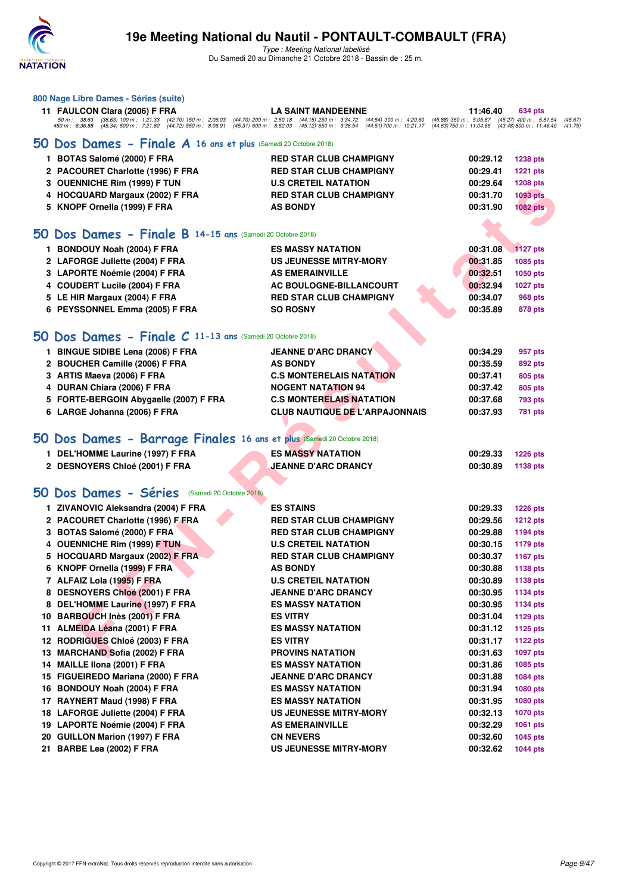

| 800 Nage Libre Dames - Séries (suite)                                                                                                                                                                                             |                                                         |          |                                                                             |
|-----------------------------------------------------------------------------------------------------------------------------------------------------------------------------------------------------------------------------------|---------------------------------------------------------|----------|-----------------------------------------------------------------------------|
| 11 FAULCON Clara (2006) F FRA                                                                                                                                                                                                     | <b>LA SAINT MANDEENNE</b>                               | 11:46.40 | 634 pts                                                                     |
| 50 m: 38.63 (38.63) 100 m: 1:21.33 (42.70) 150 m: 2:06.03 (44.70) 200 m: 2:50.18 (44.15) 250 m: 3:34.72 (44.54) 300 m: 4:20.60<br>450 m: 6:36.88 (45.34) 500 m: 7:21.60 (44.72) 550 m: 8:06.91 (45.31) 600 m: 8:52.03 (45.12) 650 | $(45.88)$ 350 m : 5:05.87<br>$(44.63)$ 750 m : 11:04.65 |          | $(45.27)$ 400 m : 5:51.54<br>(45.67)<br>(43.48) 800 m : 11:46.40<br>(41.75) |
| 50 Dos Dames - Finale A 16 ans et plus (Samedi 20 Octobre 2018)                                                                                                                                                                   |                                                         |          |                                                                             |
| 1 BOTAS Salomé (2000) F FRA                                                                                                                                                                                                       | <b>RED STAR CLUB CHAMPIGNY</b>                          | 00:29.12 | <b>1238 pts</b>                                                             |
| 2 PACOURET Charlotte (1996) F FRA                                                                                                                                                                                                 | <b>RED STAR CLUB CHAMPIGNY</b>                          | 00:29.41 | <b>1221 pts</b>                                                             |
| 3 OUENNICHE Rim (1999) F TUN                                                                                                                                                                                                      | <b>U.S CRETEIL NATATION</b>                             | 00:29.64 | <b>1208 pts</b>                                                             |
| 4 HOCQUARD Margaux (2002) F FRA                                                                                                                                                                                                   | <b>RED STAR CLUB CHAMPIGNY</b>                          | 00:31.70 | <b>1093 pts</b>                                                             |
| 5 KNOPF Ornella (1999) F FRA                                                                                                                                                                                                      | <b>AS BONDY</b>                                         | 00:31.90 | <b>1082 pts</b>                                                             |
|                                                                                                                                                                                                                                   |                                                         |          |                                                                             |
| 50 Dos Dames - Finale B 14-15 ans (Samedi 20 Octobre 2018)                                                                                                                                                                        |                                                         |          |                                                                             |
| 1 BONDOUY Noah (2004) F FRA                                                                                                                                                                                                       | <b>ES MASSY NATATION</b>                                | 00:31.08 | <b>1127 pts</b>                                                             |
| 2 LAFORGE Juliette (2004) F FRA                                                                                                                                                                                                   | US JEUNESSE MITRY-MORY                                  | 00:31.85 | 1085 pts                                                                    |
| 3 LAPORTE Noémie (2004) F FRA                                                                                                                                                                                                     | <b>AS EMERAINVILLE</b>                                  | 00:32.51 | 1050 pts                                                                    |
| 4 COUDERT Lucile (2004) F FRA                                                                                                                                                                                                     | AC BOULOGNE-BILLANCOURT                                 | 00:32.94 | <b>1027 pts</b>                                                             |
| 5 LE HIR Margaux (2004) F FRA                                                                                                                                                                                                     | <b>RED STAR CLUB CHAMPIGNY</b>                          | 00:34.07 | 968 pts                                                                     |
| 6 PEYSSONNEL Emma (2005) F FRA                                                                                                                                                                                                    | <b>SO ROSNY</b>                                         | 00:35.89 | 878 pts                                                                     |
|                                                                                                                                                                                                                                   |                                                         |          |                                                                             |
| 50 Dos Dames - Finale C 11-13 ans (Samedi 20 Octobre 2018)                                                                                                                                                                        |                                                         |          |                                                                             |
| 1 BINGUE SIDIBE Lena (2006) F FRA                                                                                                                                                                                                 | <b>JEANNE D'ARC DRANCY</b>                              | 00:34.29 | 957 pts                                                                     |
| 2 BOUCHER Camille (2006) F FRA                                                                                                                                                                                                    | <b>AS BONDY</b>                                         | 00:35.59 | 892 pts                                                                     |
| 3 ARTIS Maeva (2006) F FRA                                                                                                                                                                                                        | <b>C.S MONTERELAIS NATATION</b>                         | 00:37.41 | 805 pts                                                                     |
| 4 DURAN Chiara (2006) F FRA                                                                                                                                                                                                       | <b>NOGENT NATATION 94</b>                               | 00:37.42 | 805 pts                                                                     |
| 5 FORTE-BERGOIN Abygaelle (2007) F FRA                                                                                                                                                                                            | <b>C.S MONTERELAIS NATATION</b>                         | 00:37.68 | <b>793 pts</b>                                                              |
| 6 LARGE Johanna (2006) F FRA                                                                                                                                                                                                      | <b>CLUB NAUTIQUE DE L'ARPAJONNAIS</b>                   | 00:37.93 | 781 pts                                                                     |
|                                                                                                                                                                                                                                   |                                                         |          |                                                                             |
| 50 Dos Dames - Barrage Finales 16 ans et plus (Samedi 20 Octobre 2018)                                                                                                                                                            |                                                         |          |                                                                             |
| 1 DEL'HOMME Laurine (1997) F FRA                                                                                                                                                                                                  | <b>ES MASSY NATATION</b>                                | 00:29.33 | <b>1226 pts</b>                                                             |
| 2 DESNOYERS Chloé (2001) F FRA                                                                                                                                                                                                    | <b>JEANNE D'ARC DRANCY</b>                              | 00:30.89 | 1138 pts                                                                    |
|                                                                                                                                                                                                                                   |                                                         |          |                                                                             |
| 50 Dos Dames - Séries<br>(Samedi 20 Octobre 2018)                                                                                                                                                                                 |                                                         |          |                                                                             |
| 1 ZIVANOVIC Aleksandra (2004) F FRA                                                                                                                                                                                               | <b>ES STAINS</b>                                        | 00:29.33 | <b>1226 pts</b>                                                             |
| 2 PACOURET Charlotte (1996) F FRA                                                                                                                                                                                                 | <b>RED STAR CLUB CHAMPIGNY</b>                          | 00:29.56 | <b>1212 pts</b>                                                             |
| 3 BOTAS Salomé (2000) F FRA                                                                                                                                                                                                       | <b>RED STAR CLUB CHAMPIGNY</b>                          | 00:29.88 | 1194 pts                                                                    |
| 4 OUENNICHE Rim (1999) F TUN                                                                                                                                                                                                      | <b>U.S CRETEIL NATATION</b>                             | 00:30.15 | <b>1179 pts</b>                                                             |
| 5 HOCQUARD Margaux (2002) F FRA                                                                                                                                                                                                   | <b>RED STAR CLUB CHAMPIGNY</b>                          | 00:30.37 | <b>1167 pts</b>                                                             |
| 6 KNOPF Ornella (1999) F FRA                                                                                                                                                                                                      | <b>AS BONDY</b>                                         | 00:30.88 | 1138 pts                                                                    |
| 7 ALFAIZ Lola (1995) F FRA                                                                                                                                                                                                        | <b>U.S CRETEIL NATATION</b>                             | 00:30.89 | 1138 pts                                                                    |
| 8 DESNOYERS Chloé (2001) F FRA                                                                                                                                                                                                    | <b>JEANNE D'ARC DRANCY</b>                              | 00:30.95 | <b>1134 pts</b>                                                             |
| 8 DEL'HOMME Laurine (1997) F FRA                                                                                                                                                                                                  | <b>ES MASSY NATATION</b>                                | 00:30.95 | 1134 pts                                                                    |
| 10 BARBOUCH Inès (2001) F FRA                                                                                                                                                                                                     | <b>ES VITRY</b>                                         | 00:31.04 | <b>1129 pts</b>                                                             |
| 11 ALMEIDA Léana (2001) F FRA                                                                                                                                                                                                     | <b>ES MASSY NATATION</b>                                | 00:31.12 | <b>1125 pts</b>                                                             |
| 12 RODRIGUES Chloé (2003) F FRA                                                                                                                                                                                                   | <b>ES VITRY</b>                                         | 00:31.17 | <b>1122 pts</b>                                                             |
| 13 MARCHAND Sofia (2002) F FRA                                                                                                                                                                                                    | <b>PROVINS NATATION</b>                                 | 00:31.63 | 1097 pts                                                                    |
| 14 MAILLE IIona (2001) F FRA                                                                                                                                                                                                      | <b>ES MASSY NATATION</b>                                | 00:31.86 | 1085 pts                                                                    |
| 15 FIGUEIREDO Mariana (2000) F FRA                                                                                                                                                                                                | <b>JEANNE D'ARC DRANCY</b>                              | 00:31.88 | <b>1084 pts</b>                                                             |
| 16 BONDOUY Noah (2004) F FRA                                                                                                                                                                                                      | <b>ES MASSY NATATION</b>                                | 00:31.94 | 1080 pts                                                                    |
| 17 RAYNERT Maud (1998) F FRA                                                                                                                                                                                                      | ES MASSY NATATION                                       | 00:31.95 | 1080 pts                                                                    |
| 18 LAFORGE Juliette (2004) F FRA                                                                                                                                                                                                  | <b>US JEUNESSE MITRY-MORY</b>                           | 00:32.13 | <b>1070 pts</b>                                                             |
| 19 LAPORTE Noémie (2004) F FRA                                                                                                                                                                                                    | <b>AS EMERAINVILLE</b>                                  | 00:32.29 | 1061 pts                                                                    |
| 20 GUILLON Marion (1997) F FRA                                                                                                                                                                                                    | <b>CN NEVERS</b>                                        | 00:32.60 | 1045 pts                                                                    |
| 21 BARBE Lea (2002) F FRA                                                                                                                                                                                                         | <b>US JEUNESSE MITRY-MORY</b>                           | 00:32.62 | <b>1044 pts</b>                                                             |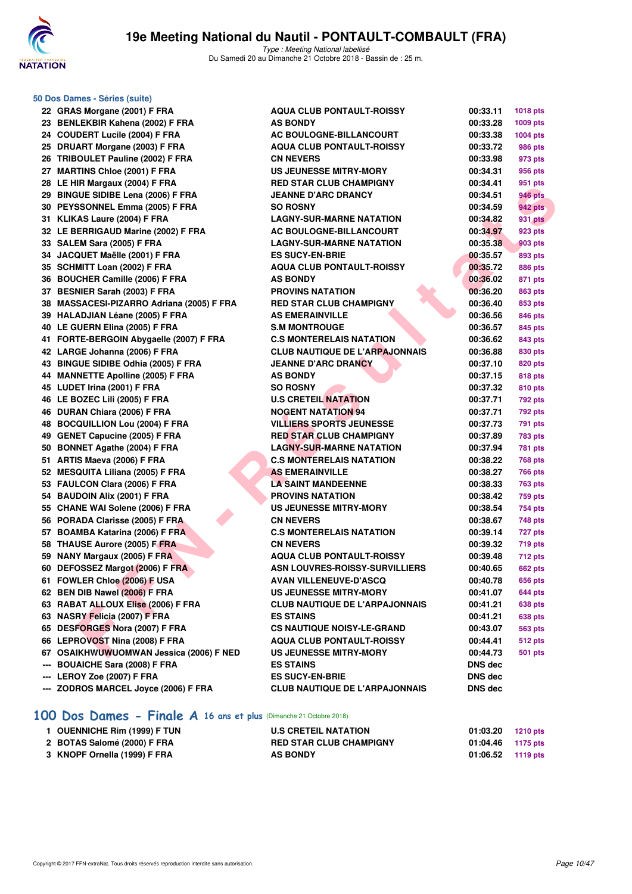

**50 Dos Dames - Séries (suite)**

Type : Meeting National labellisé Du Samedi 20 au Dimanche 21 Octobre 2018 - Bassin de : 25 m.

|     | 22 GRAS Morgane (2001) F FRA              | <b>AQUA CLUB PONTAULT-ROISSY</b>      | 00:33.11       | 1018 pts       |
|-----|-------------------------------------------|---------------------------------------|----------------|----------------|
|     | 23 BENLEKBIR Kahena (2002) F FRA          | <b>AS BONDY</b>                       | 00:33.28       | 1009 pts       |
|     | 24 COUDERT Lucile (2004) F FRA            | AC BOULOGNE-BILLANCOURT               | 00:33.38       | 1004 pts       |
|     | 25 DRUART Morgane (2003) F FRA            | <b>AQUA CLUB PONTAULT-ROISSY</b>      | 00:33.72       | 986 pts        |
|     | 26 TRIBOULET Pauline (2002) F FRA         | <b>CN NEVERS</b>                      | 00:33.98       | 973 pts        |
|     | 27 MARTINS Chloe (2001) F FRA             | <b>US JEUNESSE MITRY-MORY</b>         | 00:34.31       | 956 pts        |
|     | 28 LE HIR Margaux (2004) F FRA            | <b>RED STAR CLUB CHAMPIGNY</b>        | 00:34.41       | 951 pts        |
|     | 29 BINGUE SIDIBE Lena (2006) F FRA        | <b>JEANNE D'ARC DRANCY</b>            | 00:34.51       | 946 pts        |
|     | 30 PEYSSONNEL Emma (2005) F FRA           | <b>SO ROSNY</b>                       | 00:34.59       | <b>942 pts</b> |
|     | 31 KLIKAS Laure (2004) F FRA              | <b>LAGNY-SUR-MARNE NATATION</b>       | 00:34.82       | <b>931 pts</b> |
|     | 32 LE BERRIGAUD Marine (2002) F FRA       | AC BOULOGNE-BILLANCOURT               | 00:34.97       | 923 pts        |
|     | 33 SALEM Sara (2005) F FRA                | <b>LAGNY-SUR-MARNE NATATION</b>       | 00:35.38       | 903 pts        |
|     | 34 JACQUET Maëlle (2001) F FRA            | <b>ES SUCY-EN-BRIE</b>                | 00:35.57       | 893 pts        |
|     | 35 SCHMITT Loan (2002) F FRA              | <b>AQUA CLUB PONTAULT-ROISSY</b>      | 00:35.72       | <b>886 pts</b> |
|     | 36 BOUCHER Camille (2006) F FRA           | <b>AS BONDY</b>                       | 00:36.02       | 871 pts        |
|     | 37 BESNIER Sarah (2003) F FRA             | <b>PROVINS NATATION</b>               | 00:36.20       | 863 pts        |
|     | 38 MASSACESI-PIZARRO Adriana (2005) F FRA | <b>RED STAR CLUB CHAMPIGNY</b>        | 00:36.40       | 853 pts        |
|     | 39 HALADJIAN Léane (2005) F FRA           | <b>AS EMERAINVILLE</b>                | 00:36.56       | 846 pts        |
|     | 40 LE GUERN Elina (2005) F FRA            | <b>S.M MONTROUGE</b>                  | 00:36.57       | 845 pts        |
|     | 41 FORTE-BERGOIN Abygaelle (2007) F FRA   | <b>C.S MONTERELAIS NATATION</b>       | 00:36.62       | 843 pts        |
|     | 42 LARGE Johanna (2006) F FRA             | <b>CLUB NAUTIQUE DE L'ARPAJONNAIS</b> | 00:36.88       | 830 pts        |
|     | 43 BINGUE SIDIBE Odhia (2005) F FRA       | <b>JEANNE D'ARC DRANCY</b>            | 00:37.10       | 820 pts        |
|     | 44 MANNETTE Apolline (2005) F FRA         | <b>AS BONDY</b>                       | 00:37.15       | <b>818 pts</b> |
|     | 45 LUDET Irina (2001) F FRA               | <b>SO ROSNY</b>                       | 00:37.32       | <b>810 pts</b> |
|     | 46 LE BOZEC Lili (2005) F FRA             | <b>U.S CRETEIL NATATION</b>           | 00:37.71       | 792 pts        |
|     | 46 DURAN Chiara (2006) F FRA              | <b>NOGENT NATATION 94</b>             | 00:37.71       | 792 pts        |
|     | 48 BOCQUILLION Lou (2004) F FRA           | <b>VILLIERS SPORTS JEUNESSE</b>       | 00:37.73       | 791 pts        |
|     | 49 GENET Capucine (2005) F FRA            | <b>RED STAR CLUB CHAMPIGNY</b>        | 00:37.89       | 783 pts        |
|     | 50 BONNET Agathe (2004) F FRA             | <b>LAGNY-SUR-MARNE NATATION</b>       | 00:37.94       | <b>781 pts</b> |
|     | 51 ARTIS Maeva (2006) F FRA               | <b>C.S MONTERELAIS NATATION</b>       | 00:38.22       | 768 pts        |
|     | 52 MESQUITA Liliana (2005) F FRA          | <b>AS EMERAINVILLE</b>                | 00:38.27       | 766 pts        |
|     | 53 FAULCON Clara (2006) F FRA             | <b>LA SAINT MANDEENNE</b>             | 00:38.33       | 763 pts        |
|     | 54 BAUDOIN Alix (2001) F FRA              | <b>PROVINS NATATION</b>               | 00:38.42       | 759 pts        |
|     | 55 CHANE WAI Solene (2006) F FRA          | <b>US JEUNESSE MITRY-MORY</b>         | 00:38.54       | <b>754 pts</b> |
|     | 56 PORADA Clarisse (2005) F FRA           | <b>CN NEVERS</b>                      | 00:38.67       | 748 pts        |
|     | 57 BOAMBA Katarina (2006) F FRA           | <b>C.S MONTERELAIS NATATION</b>       | 00:39.14       | <b>727 pts</b> |
|     | 58 THAUSE Aurore (2005) F FRA             | <b>CN NEVERS</b>                      | 00:39.32       | 719 pts        |
|     | 59 NANY Margaux (2005) F FRA              | <b>AQUA CLUB PONTAULT-ROISSY</b>      | 00:39.48       | 712 pts        |
|     | 60 DEFOSSEZ Margot (2006) F FRA           | ASN LOUVRES-ROISSY-SURVILLIERS        | 00:40.65       | <b>662 pts</b> |
|     | 61 FOWLER Chloe (2006) F USA              | <b>AVAN VILLENEUVE-D'ASCQ</b>         | 00:40.78       | 656 pts        |
|     | 62 BEN DIB Nawel (2006) F FRA             | <b>US JEUNESSE MITRY-MORY</b>         | 00:41.07       | 644 pts        |
|     | 63 RABAT ALLOUX Elise (2006) F FRA        | <b>CLUB NAUTIQUE DE L'ARPAJONNAIS</b> | 00:41.21       | <b>638 pts</b> |
|     | 63 NASRY Felicia (2007) F FRA             | <b>ES STAINS</b>                      | 00:41.21       | 638 pts        |
|     | 65 DESFORGES Nora (2007) F FRA            | <b>CS NAUTIQUE NOISY-LE-GRAND</b>     | 00:43.07       | 563 pts        |
|     | 66 LEPROVOST Nina (2008) F FRA            | <b>AQUA CLUB PONTAULT-ROISSY</b>      | 00:44.41       | 512 pts        |
|     | 67 OSAIKHWUWUOMWAN Jessica (2006) F NED   | <b>US JEUNESSE MITRY-MORY</b>         | 00:44.73       | 501 pts        |
| --- | <b>BOUAICHE Sara (2008) F FRA</b>         | <b>ES STAINS</b>                      | <b>DNS dec</b> |                |
|     | LEROY Zoe (2007) F FRA                    | <b>ES SUCY-EN-BRIE</b>                | <b>DNS dec</b> |                |
|     | --- ZODROS MARCEL Joyce (2006) F FRA      | <b>CLUB NAUTIQUE DE L'ARPAJONNAIS</b> | DNS dec        |                |

# **[100 Dos Dames - Finale A](http://www.ffnatation.fr/webffn/resultats.php?idact=nat&go=epr&idcpt=55747&idepr=12) 16 ans et plus** (Dimanche 21 Octobre 2018)

| 1 OUENNICHE Rim (1999) F TUN | <b>U.S CRETEIL NATATION</b>    | 01:03.20          | 1210 pts |
|------------------------------|--------------------------------|-------------------|----------|
| 2 BOTAS Salomé (2000) F FRA  | <b>RED STAR CLUB CHAMPIGNY</b> | 01:04.46 1175 pts |          |
| 3 KNOPF Ornella (1999) F FRA | <b>AS BONDY</b>                | 01:06.52 1119 pts |          |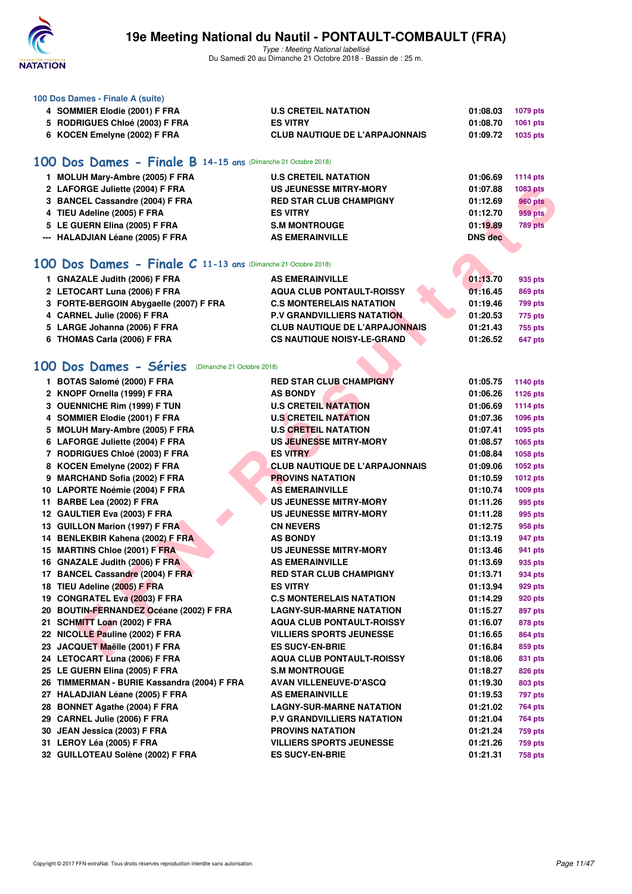

| 100 Dos Dames - Finale A (suite) |                                                               |                                       |                |                 |  |  |  |
|----------------------------------|---------------------------------------------------------------|---------------------------------------|----------------|-----------------|--|--|--|
|                                  | 4 SOMMIER Elodie (2001) F FRA                                 | <b>U.S CRETEIL NATATION</b>           | 01:08.03       | 1079 pts        |  |  |  |
|                                  | 5 RODRIGUES Chloé (2003) F FRA                                | <b>ES VITRY</b>                       | 01:08.70       | 1061 pts        |  |  |  |
|                                  | 6 KOCEN Emelyne (2002) F FRA                                  | <b>CLUB NAUTIQUE DE L'ARPAJONNAIS</b> | 01:09.72       | 1035 pts        |  |  |  |
|                                  |                                                               |                                       |                |                 |  |  |  |
|                                  | 100 Dos Dames - Finale B 14-15 ans (Dimanche 21 Octobre 2018) |                                       |                |                 |  |  |  |
|                                  | 1 MOLUH Mary-Ambre (2005) F FRA                               | <b>U.S CRETEIL NATATION</b>           | 01:06.69       | <b>1114 pts</b> |  |  |  |
|                                  | 2 LAFORGE Juliette (2004) F FRA                               | <b>US JEUNESSE MITRY-MORY</b>         | 01:07.88       | 1083 pts        |  |  |  |
|                                  | 3 BANCEL Cassandre (2004) F FRA                               | <b>RED STAR CLUB CHAMPIGNY</b>        | 01:12.69       | <b>960 pts</b>  |  |  |  |
|                                  | 4 TIEU Adeline (2005) F FRA                                   | <b>ES VITRY</b>                       | 01:12.70       | <b>959 pts</b>  |  |  |  |
|                                  | 5 LE GUERN Elina (2005) F FRA                                 | <b>S.M MONTROUGE</b>                  | 01:19.89       | 789 pts         |  |  |  |
|                                  | --- HALADJIAN Léane (2005) F FRA                              | <b>AS EMERAINVILLE</b>                | <b>DNS</b> dec |                 |  |  |  |
|                                  |                                                               |                                       |                |                 |  |  |  |
|                                  | 100 Dos Dames - Finale C 11-13 ans (Dimanche 21 Octobre 2018) |                                       |                |                 |  |  |  |
|                                  |                                                               |                                       |                |                 |  |  |  |
|                                  | 1 GNAZALE Judith (2006) F FRA                                 | <b>AS EMERAINVILLE</b>                | 01:13.70       | 935 pts         |  |  |  |
|                                  | 2 LETOCART Luna (2006) F FRA                                  | <b>AQUA CLUB PONTAULT-ROISSY</b>      | 01:16.45       | 869 pts         |  |  |  |
|                                  | 3 FORTE-BERGOIN Abygaelle (2007) F FRA                        | <b>C.S MONTERELAIS NATATION</b>       | 01:19.46       | <b>799 pts</b>  |  |  |  |
|                                  | 4 CARNEL Julie (2006) F FRA                                   | <b>P.V GRANDVILLIERS NATATION</b>     | 01:20.53       | 775 pts         |  |  |  |
|                                  | 5 LARGE Johanna (2006) F FRA                                  | <b>CLUB NAUTIQUE DE L'ARPAJONNAIS</b> | 01:21.43       | 755 pts         |  |  |  |
|                                  | 6 THOMAS Carla (2006) F FRA                                   | <b>CS NAUTIQUE NOISY-LE-GRAND</b>     | 01:26.52       | 647 pts         |  |  |  |
|                                  |                                                               |                                       |                |                 |  |  |  |
|                                  | 100 Dos Dames - Séries<br>(Dimanche 21 Octobre 2018)          |                                       |                |                 |  |  |  |
|                                  | 1 BOTAS Salomé (2000) F FRA                                   | <b>RED STAR CLUB CHAMPIGNY</b>        | 01:05.75       | 1140 pts        |  |  |  |
|                                  | 2 KNOPF Ornella (1999) F FRA                                  | <b>AS BONDY</b>                       | 01:06.26       | <b>1126 pts</b> |  |  |  |
|                                  | 3 OUENNICHE Rim (1999) F TUN                                  | <b>U.S CRETEIL NATATION</b>           | 01:06.69       | <b>1114 pts</b> |  |  |  |
|                                  | 4 SOMMIER Elodie (2001) F FRA                                 | <b>U.S CRETEIL NATATION</b>           | 01:07.36       | 1096 pts        |  |  |  |
|                                  | 5 MOLUH Mary-Ambre (2005) F FRA                               | <b>U.S CRETEIL NATATION</b>           | 01:07.41       | 1095 pts        |  |  |  |
|                                  | 6 LAFORGE Juliette (2004) F FRA                               | US JEUNESSE MITRY-MORY                | 01:08.57       | 1065 pts        |  |  |  |
|                                  | 7 RODRIGUES Chloé (2003) F FRA                                | <b>ES VITRY</b>                       | 01:08.84       | 1058 pts        |  |  |  |
|                                  | 8 KOCEN Emelyne (2002) F FRA                                  | <b>CLUB NAUTIQUE DE L'ARPAJONNAIS</b> | 01:09.06       | 1052 pts        |  |  |  |
|                                  | 9 MARCHAND Sofia (2002) F FRA                                 | <b>PROVINS NATATION</b>               | 01:10.59       | <b>1012 pts</b> |  |  |  |
|                                  | 10 LAPORTE Noémie (2004) F FRA                                | <b>AS EMERAINVILLE</b>                | 01:10.74       | 1009 pts        |  |  |  |
|                                  | 11 BARBE Lea (2002) F FRA                                     | <b>US JEUNESSE MITRY-MORY</b>         | 01:11.26       | 995 pts         |  |  |  |
|                                  | 12 GAULTIER Eva (2003) F FRA                                  | <b>US JEUNESSE MITRY-MORY</b>         | 01:11.28       | 995 pts         |  |  |  |
|                                  | 13 GUILLON Marion (1997) F FRA                                | <b>CN NEVERS</b>                      | 01:12.75       | 958 pts         |  |  |  |
|                                  | 14 BENLEKBIR Kahena (2002) F FRA                              | <b>AS BONDY</b>                       | 01:13.19       | 947 pts         |  |  |  |
|                                  | 15 MARTINS Chloe (2001) F FRA                                 | <b>US JEUNESSE MITRY-MORY</b>         | 01:13.46       | 941 pts         |  |  |  |
|                                  | 16 GNAZALE Judith (2006) F FRA                                | <b>AS EMERAINVILLE</b>                | 01:13.69       | 935 pts         |  |  |  |
|                                  | 17 BANCEL Cassandre (2004) F FRA                              | <b>RED STAR CLUB CHAMPIGNY</b>        | 01:13.71       | 934 pts         |  |  |  |
|                                  | 18 TIEU Adeline (2005) F FRA                                  | <b>ES VITRY</b>                       | 01:13.94       | 929 pts         |  |  |  |
|                                  | 19 CONGRATEL Eva (2003) F FRA                                 | <b>C.S MONTERELAIS NATATION</b>       | 01:14.29       | 920 pts         |  |  |  |
|                                  | 20 BOUTIN-FERNANDEZ Océane (2002) F FRA                       | <b>LAGNY-SUR-MARNE NATATION</b>       | 01:15.27       | 897 pts         |  |  |  |
|                                  | 21 SCHMITT Loan (2002) F FRA                                  | <b>AQUA CLUB PONTAULT-ROISSY</b>      | 01:16.07       | 878 pts         |  |  |  |
|                                  | 22 NICOLLE Pauline (2002) F FRA                               | <b>VILLIERS SPORTS JEUNESSE</b>       | 01:16.65       | 864 pts         |  |  |  |
|                                  | 23 JACQUET Maëlle (2001) F FRA                                | <b>ES SUCY-EN-BRIE</b>                | 01:16.84       | 859 pts         |  |  |  |
|                                  | 24 LETOCART Luna (2006) F FRA                                 | <b>AQUA CLUB PONTAULT-ROISSY</b>      | 01:18.06       | 831 pts         |  |  |  |
|                                  | 25 LE GUERN Elina (2005) F FRA                                | <b>S.M MONTROUGE</b>                  | 01:18.27       | 826 pts         |  |  |  |
|                                  | 26 TIMMERMAN - BURIE Kassandra (2004) F FRA                   | <b>AVAN VILLENEUVE-D'ASCQ</b>         | 01:19.30       | 803 pts         |  |  |  |
|                                  | 27 HALADJIAN Léane (2005) F FRA                               | <b>AS EMERAINVILLE</b>                | 01:19.53       | 797 pts         |  |  |  |
|                                  | 28 BONNET Agathe (2004) F FRA                                 | <b>LAGNY-SUR-MARNE NATATION</b>       | 01:21.02       | 764 pts         |  |  |  |
|                                  | 29 CARNEL Julie (2006) F FRA                                  | <b>P.V GRANDVILLIERS NATATION</b>     | 01:21.04       | 764 pts         |  |  |  |
|                                  | 30 JEAN Jessica (2003) F FRA                                  | <b>PROVINS NATATION</b>               | 01:21.24       | 759 pts         |  |  |  |
|                                  | 31 LEROY Léa (2005) F FRA                                     | <b>VILLIERS SPORTS JEUNESSE</b>       | 01:21.26       | 759 pts         |  |  |  |
|                                  | 32 GUILLOTEAU Solène (2002) F FRA                             | <b>ES SUCY-EN-BRIE</b>                | 01:21.31       | <b>758 pts</b>  |  |  |  |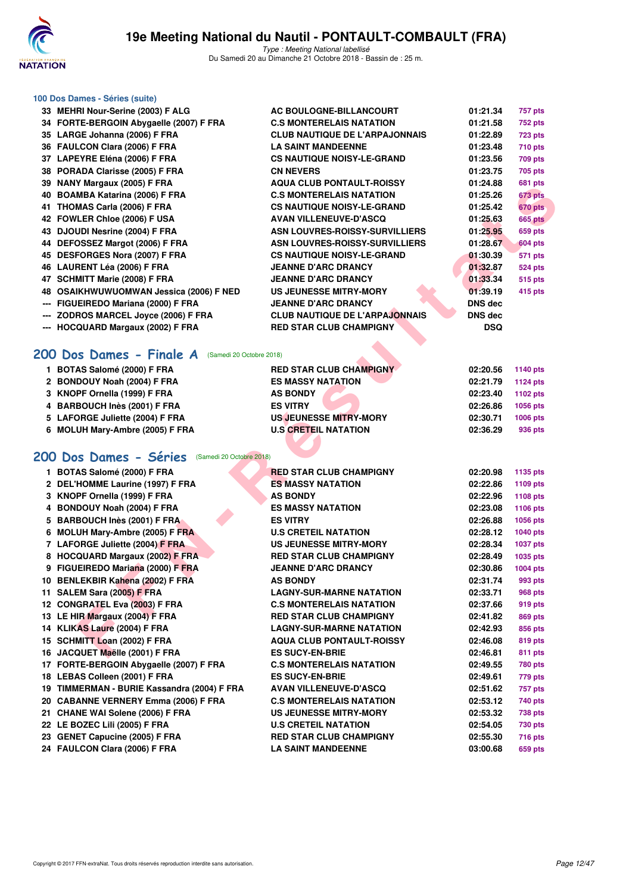

#### **100 Dos Dames - Séries (suite)**

|     | 33 MEHRI Nour-Serine (2003) F ALG       | AC BOULOGNE-BILLANCOURT               | 01:21.34   | 757 pts        |
|-----|-----------------------------------------|---------------------------------------|------------|----------------|
|     | 34 FORTE-BERGOIN Abygaelle (2007) F FRA | <b>C.S MONTERELAIS NATATION</b>       | 01:21.58   | <b>752 pts</b> |
|     | 35 LARGE Johanna (2006) F FRA           | <b>CLUB NAUTIQUE DE L'ARPAJONNAIS</b> | 01:22.89   | <b>723 pts</b> |
|     | 36 FAULCON Clara (2006) F FRA           | <b>LA SAINT MANDEENNE</b>             | 01:23.48   | <b>710 pts</b> |
|     | 37 LAPEYRE Eléna (2006) F FRA           | <b>CS NAUTIQUE NOISY-LE-GRAND</b>     | 01:23.56   | <b>709 pts</b> |
|     | 38 PORADA Clarisse (2005) F FRA         | <b>CN NEVERS</b>                      | 01:23.75   | 705 pts        |
|     | 39 NANY Margaux (2005) F FRA            | <b>AQUA CLUB PONTAULT-ROISSY</b>      | 01:24.88   | 681 pts        |
|     | 40 BOAMBA Katarina (2006) F FRA         | <b>C.S MONTERELAIS NATATION</b>       | 01:25.26   | 673 pts        |
|     | 41 THOMAS Carla (2006) F FRA            | <b>CS NAUTIQUE NOISY-LE-GRAND</b>     | 01:25.42   | 670 pts        |
|     | 42 FOWLER Chloe (2006) F USA            | <b>AVAN VILLENEUVE-D'ASCQ</b>         | 01:25.63   | <b>665 pts</b> |
|     | 43 DJOUDI Nesrine (2004) F FRA          | ASN LOUVRES-ROISSY-SURVILLIERS        | 01:25.95   | 659 pts        |
|     | 44 DEFOSSEZ Margot (2006) F FRA         | ASN LOUVRES-ROISSY-SURVILLIERS        | 01:28.67   | <b>604 pts</b> |
|     | 45 DESFORGES Nora (2007) F FRA          | <b>CS NAUTIQUE NOISY-LE-GRAND</b>     | 01:30.39   | 571 pts        |
|     | 46 LAURENT Léa (2006) F FRA             | <b>JEANNE D'ARC DRANCY</b>            | 01:32.87   | <b>524 pts</b> |
| 47  | <b>SCHMITT Marie (2008) F FRA</b>       | <b>JEANNE D'ARC DRANCY</b>            | 01:33.34   | 515 pts        |
|     | 48 OSAIKHWUWUOMWAN Jessica (2006) F NED | <b>US JEUNESSE MITRY-MORY</b>         | 01:39.19   | 415 pts        |
| --- | FIGUEIREDO Mariana (2000) F FRA         | <b>JEANNE D'ARC DRANCY</b>            | DNS dec    |                |
| --- | <b>ZODROS MARCEL Joyce (2006) F FRA</b> | <b>CLUB NAUTIQUE DE L'ARPAJONNAIS</b> | DNS dec    |                |
|     | --- HOCQUARD Margaux (2002) F FRA       | <b>RED STAR CLUB CHAMPIGNY</b>        | <b>DSQ</b> |                |
|     |                                         |                                       |            |                |

#### [200 Dos Dames - Finale A](http://www.ffnatation.fr/webffn/resultats.php?idact=nat&go=epr&idcpt=55747&idepr=13) (Samedi 20 Octobre 2018)

| 1140 pts                                                             |
|----------------------------------------------------------------------|
| 1124 pts                                                             |
| 1102 pts                                                             |
| 1056 pts                                                             |
| <b>1006 pts</b>                                                      |
| 936 pts                                                              |
| 02:20.56<br>02:21.79<br>02:23.40<br>02:26.86<br>02:30.71<br>02:36.29 |

### **[200 Dos Dames - Séries](http://www.ffnatation.fr/webffn/resultats.php?idact=nat&go=epr&idcpt=55747&idepr=13)** (Samedi 20 Octobre 2018)

| JJ INANI MAIYAUA (200J) F FRA                        | AGOA CLOB FONTAULT-NOISST             | 01.Z4.OO   | <b>voi</b> pis  |
|------------------------------------------------------|---------------------------------------|------------|-----------------|
| 40 BOAMBA Katarina (2006) F FRA                      | <b>C.S MONTERELAIS NATATION</b>       | 01:25.26   | 673 pts         |
| 41 THOMAS Carla (2006) F FRA                         | <b>CS NAUTIQUE NOISY-LE-GRAND</b>     | 01:25.42   | 670 pts         |
| 42 FOWLER Chloe (2006) F USA                         | <b>AVAN VILLENEUVE-D'ASCQ</b>         | 01:25.63   | <b>665 pts</b>  |
| 43 DJOUDI Nesrine (2004) F FRA                       | ASN LOUVRES-ROISSY-SURVILLIERS        | 01:25.95   | <b>659 pts</b>  |
| 44 DEFOSSEZ Margot (2006) F FRA                      | ASN LOUVRES-ROISSY-SURVILLIERS        | 01:28.67   | 604 pts         |
| 45 DESFORGES Nora (2007) F FRA                       | <b>CS NAUTIQUE NOISY-LE-GRAND</b>     | 01:30.39   | 571 pts         |
| 46 LAURENT Léa (2006) F FRA                          | <b>JEANNE D'ARC DRANCY</b>            | 01:32.87   | <b>524 pts</b>  |
| 47 SCHMITT Marie (2008) F FRA                        | <b>JEANNE D'ARC DRANCY</b>            | 01:33.34   | <b>515 pts</b>  |
| 48 OSAIKHWUWUOMWAN Jessica (2006) F NED              | <b>US JEUNESSE MITRY-MORY</b>         | 01:39.19   | 415 pts         |
| FIGUEIREDO Mariana (2000) F FRA                      | <b>JEANNE D'ARC DRANCY</b>            | DNS dec    |                 |
| --- ZODROS MARCEL Joyce (2006) F FRA                 | <b>CLUB NAUTIQUE DE L'ARPAJONNAIS</b> | DNS dec    |                 |
| --- HOCQUARD Margaux (2002) F FRA                    | <b>RED STAR CLUB CHAMPIGNY</b>        | <b>DSQ</b> |                 |
|                                                      |                                       |            |                 |
| 200 Dos Dames - Finale A<br>(Samedi 20 Octobre 2018) |                                       |            |                 |
| 1 BOTAS Salomé (2000) F FRA                          | <b>RED STAR CLUB CHAMPIGNY</b>        | 02:20.56   | 1140 pts        |
| 2 BONDOUY Noah (2004) F FRA                          | <b>ES MASSY NATATION</b>              | 02:21.79   | <b>1124 pts</b> |
| 3 KNOPF Ornella (1999) F FRA                         | <b>AS BONDY</b>                       | 02:23.40   | 1102 pts        |
| 4 BARBOUCH Inès (2001) F FRA                         | <b>ES VITRY</b>                       | 02:26.86   | 1056 pts        |
| 5 LAFORGE Juliette (2004) F FRA                      | <b>US JEUNESSE MITRY-MORY</b>         | 02:30.71   | 1006 pts        |
| 6 MOLUH Mary-Ambre (2005) F FRA                      | <b>U.S CRETEIL NATATION</b>           | 02:36.29   | 936 pts         |
|                                                      |                                       |            |                 |
| 200 Dos Dames - Séries<br>(Samedi 20 Octobre 2018)   |                                       |            |                 |
| 1 BOTAS Salomé (2000) F FRA                          | <b>RED STAR CLUB CHAMPIGNY</b>        | 02:20.98   | 1135 pts        |
| 2 DEL'HOMME Laurine (1997) F FRA                     | <b>ES MASSY NATATION</b>              | 02:22.86   | 1109 pts        |
| 3 KNOPF Ornella (1999) F FRA                         | <b>AS BONDY</b>                       | 02:22.96   | 1108 pts        |
| 4 BONDOUY Noah (2004) F FRA                          | <b>ES MASSY NATATION</b>              | 02:23.08   | 1106 pts        |
| 5 BARBOUCH Inès (2001) F FRA                         | <b>ES VITRY</b>                       | 02:26.88   | 1056 pts        |
| 6 MOLUH Mary-Ambre (2005) F FRA                      | <b>U.S CRETEIL NATATION</b>           | 02:28.12   | <b>1040 pts</b> |
| 7 LAFORGE Juliette (2004) F FRA                      | <b>US JEUNESSE MITRY-MORY</b>         | 02:28.34   | <b>1037 pts</b> |
| 8 HOCQUARD Margaux (2002) F FRA                      | <b>RED STAR CLUB CHAMPIGNY</b>        | 02:28.49   | 1035 pts        |
| 9 FIGUEIREDO Mariana (2000) F FRA                    | <b>JEANNE D'ARC DRANCY</b>            | 02:30.86   | 1004 pts        |
| 10 BENLEKBIR Kahena (2002) F FRA                     | <b>AS BONDY</b>                       | 02:31.74   | 993 pts         |
| 11 SALEM Sara (2005) F FRA                           | <b>LAGNY-SUR-MARNE NATATION</b>       | 02:33.71   | 968 pts         |
| 12 CONGRATEL Eva (2003) F FRA                        | <b>C.S MONTERELAIS NATATION</b>       | 02:37.66   | 919 pts         |
| 13 LE HIR Margaux (2004) F FRA                       | <b>RED STAR CLUB CHAMPIGNY</b>        | 02:41.82   | 869 pts         |
| 14 KLIKAS Laure (2004) F FRA                         | <b>LAGNY-SUR-MARNE NATATION</b>       | 02:42.93   | 856 pts         |
| 15 SCHMITT Loan (2002) F FRA                         | <b>AQUA CLUB PONTAULT-ROISSY</b>      | 02:46.08   | 819 pts         |
|                                                      | <b>ES SUCY-EN-BRIE</b>                | 02:46.81   | 811 pts         |
| 16 JACQUET Maëlle (2001) F FRA                       |                                       |            |                 |
| 17 FORTE-BERGOIN Abygaelle (2007) F FRA              | <b>C.S MONTERELAIS NATATION</b>       | 02:49.55   | 780 pts         |
| 18 LEBAS Colleen (2001) F FRA                        | <b>ES SUCY-EN-BRIE</b>                | 02:49.61   | 779 pts         |
| 19 TIMMERMAN - BURIE Kassandra (2004) F FRA          | <b>AVAN VILLENEUVE-D'ASCQ</b>         | 02:51.62   | 757 pts         |
| 20 CABANNE VERNERY Emma (2006) F FRA                 | <b>C.S MONTERELAIS NATATION</b>       | 02:53.12   | 740 pts         |
| 21 CHANE WAI Solene (2006) F FRA                     | <b>US JEUNESSE MITRY-MORY</b>         | 02:53.32   | 738 pts         |
| 22 LE BOZEC Lili (2005) F FRA                        | <b>U.S CRETEIL NATATION</b>           | 02:54.05   | 730 pts         |
| 23 GENET Capucine (2005) F FRA                       | <b>RED STAR CLUB CHAMPIGNY</b>        | 02:55.30   | <b>716 pts</b>  |
| 24 FAULCON Clara (2006) F FRA                        | <b>LA SAINT MANDEENNE</b>             | 03:00.68   | 659 pts         |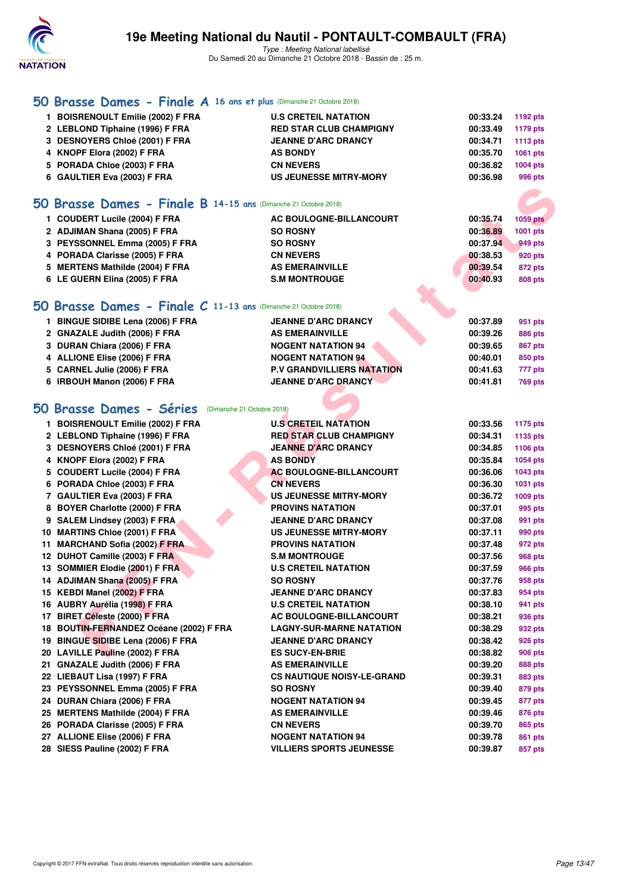

| 50 Brasse Dames - Finale A 16 ans et plus (Dimanche 21 Octobre 2018) |                                   |          |                 |
|----------------------------------------------------------------------|-----------------------------------|----------|-----------------|
| 1 BOISRENOULT Emilie (2002) F FRA                                    | <b>U.S CRETEIL NATATION</b>       | 00:33.24 | 1192 pts        |
| 2 LEBLOND Tiphaine (1996) F FRA                                      | <b>RED STAR CLUB CHAMPIGNY</b>    | 00:33.49 | 1179 pts        |
| 3 DESNOYERS Chloé (2001) F FRA                                       | <b>JEANNE D'ARC DRANCY</b>        | 00:34.71 | <b>1113 pts</b> |
| 4 KNOPF Elora (2002) F FRA                                           | <b>AS BONDY</b>                   | 00:35.70 | 1061 pts        |
| 5 PORADA Chloe (2003) F FRA                                          | <b>CN NEVERS</b>                  | 00:36.82 | 1004 pts        |
| 6 GAULTIER Eva (2003) F FRA                                          | <b>US JEUNESSE MITRY-MORY</b>     | 00:36.98 | 996 pts         |
|                                                                      |                                   |          |                 |
| 50 Brasse Dames - Finale B 14-15 ans (Dimanche 21 Octobre 2018)      |                                   |          |                 |
| 1 COUDERT Lucile (2004) F FRA                                        | AC BOULOGNE-BILLANCOURT           | 00:35.74 | <b>1059 pts</b> |
| 2 ADJIMAN Shana (2005) F FRA                                         | <b>SO ROSNY</b>                   | 00:36.89 | 1001 pts        |
| 3 PEYSSONNEL Emma (2005) F FRA                                       | <b>SO ROSNY</b>                   | 00:37.94 | 949 pts         |
| 4 PORADA Clarisse (2005) F FRA                                       | <b>CN NEVERS</b>                  | 00:38.53 | 920 pts         |
| 5 MERTENS Mathilde (2004) F FRA                                      | <b>AS EMERAINVILLE</b>            | 00:39.54 | <b>872 pts</b>  |
| 6 LE GUERN Elina (2005) F FRA                                        | <b>S.M MONTROUGE</b>              | 00:40.93 | <b>808 pts</b>  |
|                                                                      |                                   |          |                 |
|                                                                      |                                   |          |                 |
| 50 Brasse Dames - Finale C 11-13 ans (Dimanche 21 Octobre 2018)      |                                   |          |                 |
| 1 BINGUE SIDIBE Lena (2006) F FRA                                    | <b>JEANNE D'ARC DRANCY</b>        | 00:37.89 | 951 pts         |
| 2 GNAZALE Judith (2006) F FRA                                        | <b>AS EMERAINVILLE</b>            | 00:39.26 | 886 pts         |
| 3 DURAN Chiara (2006) F FRA                                          | <b>NOGENT NATATION 94</b>         | 00:39.65 | <b>867 pts</b>  |
| 4 ALLIONE Elise (2006) F FRA                                         | <b>NOGENT NATATION 94</b>         | 00:40.01 | 850 pts         |
| 5 CARNEL Julie (2006) F FRA                                          | <b>P.V GRANDVILLIERS NATATION</b> | 00:41.63 | 777 pts         |
| 6 IRBOUH Manon (2006) F FRA                                          | <b>JEANNE D'ARC DRANCY</b>        | 00:41.81 | <b>769 pts</b>  |
|                                                                      |                                   |          |                 |
| 50 Brasse Dames - Séries (Dimanche 21 Octobre 2018)                  |                                   |          |                 |
| 1 BOISRENOULT Emilie (2002) F FRA                                    | <b>U.S CRETEIL NATATION</b>       | 00:33.56 | <b>1175 pts</b> |
| 2 LEBLOND Tiphaine (1996) F FRA                                      | <b>RED STAR CLUB CHAMPIGNY</b>    | 00:34.31 | 1135 pts        |
| 3 DESNOYERS Chloé (2001) F FRA                                       | <b>JEANNE D'ARC DRANCY</b>        | 00:34.85 | 1106 pts        |
| 4 KNOPF Elora (2002) F FRA                                           | <b>AS BONDY</b>                   | 00:35.84 | 1054 pts        |
| 5 COUDERT Lucile (2004) F FRA                                        | <b>AC BOULOGNE-BILLANCOURT</b>    | 00:36.06 | 1043 pts        |
| 6 PORADA Chloe (2003) F FRA                                          | <b>CN NEVERS</b>                  | 00:36.30 | 1031 pts        |
| 7 GAULTIER Eva (2003) F FRA                                          | <b>US JEUNESSE MITRY-MORY</b>     | 00:36.72 | 1009 pts        |
| 8 BOYER Charlotte (2000) F FRA                                       | <b>PROVINS NATATION</b>           | 00:37.01 | 995 pts         |
| 9 SALEM Lindsey (2003) F FRA                                         | <b>JEANNE D'ARC DRANCY</b>        | 00:37.08 | 991 pts         |
| 10 MARTINS Chloe (2001) F FRA                                        | <b>US JEUNESSE MITRY-MORY</b>     | 00:37.11 | 990 pts         |
| 11 MARCHAND Sofia (2002) F FRA                                       | <b>PROVINS NATATION</b>           | 00:37.48 | 972 pts         |
| 12 DUHOT Camille (2003) F FRA                                        | <b>S.M MONTROUGE</b>              | 00:37.56 | <b>968 pts</b>  |
| 13 SOMMIER Elodie (2001) F FRA                                       | <b>U.S CRETEIL NATATION</b>       | 00:37.59 | <b>966 pts</b>  |
| 14 ADJIMAN Shana (2005) F FRA                                        | <b>SO ROSNY</b>                   | 00:37.76 | 958 pts         |
| 15 KEBDI Manel (2002) F FRA                                          | <b>JEANNE D'ARC DRANCY</b>        | 00:37.83 | 954 pts         |
| 16 AUBRY Aurélia (1998) F FRA                                        | <b>U.S CRETEIL NATATION</b>       | 00:38.10 | 941 pts         |
| 17 BIRET Céleste (2000) F FRA                                        | <b>AC BOULOGNE-BILLANCOURT</b>    | 00:38.21 | 936 pts         |
| 18 BOUTIN-FERNANDEZ Océane (2002) F FRA                              | <b>LAGNY-SUR-MARNE NATATION</b>   | 00:38.29 | 932 pts         |
| 19 BINGUE SIDIBE Lena (2006) F FRA                                   | <b>JEANNE D'ARC DRANCY</b>        | 00:38.42 | 926 pts         |
| 20 LAVILLE Pauline (2002) F FRA                                      | <b>ES SUCY-EN-BRIE</b>            | 00:38.82 | <b>906 pts</b>  |
| 21 GNAZALE Judith (2006) F FRA                                       | <b>AS EMERAINVILLE</b>            | 00:39.20 | 888 pts         |
| 22 LIEBAUT Lisa (1997) F FRA                                         | <b>CS NAUTIQUE NOISY-LE-GRAND</b> | 00:39.31 | 883 pts         |
| 23 PEYSSONNEL Emma (2005) F FRA                                      | <b>SO ROSNY</b>                   | 00:39.40 | 879 pts         |
| 24 DURAN Chiara (2006) F FRA                                         | <b>NOGENT NATATION 94</b>         | 00:39.45 | 877 pts         |
| 25 MERTENS Mathilde (2004) F FRA                                     | <b>AS EMERAINVILLE</b>            | 00:39.46 | 876 pts         |
| 26 PORADA Clarisse (2005) F FRA                                      | <b>CN NEVERS</b>                  | 00:39.70 | 865 pts         |
| 27 ALLIONE Elise (2006) F FRA                                        | <b>NOGENT NATATION 94</b>         | 00:39.78 | 861 pts         |
| 28 SIESS Pauline (2002) F FRA                                        | <b>VILLIERS SPORTS JEUNESSE</b>   | 00:39.87 | 857 pts         |
|                                                                      |                                   |          |                 |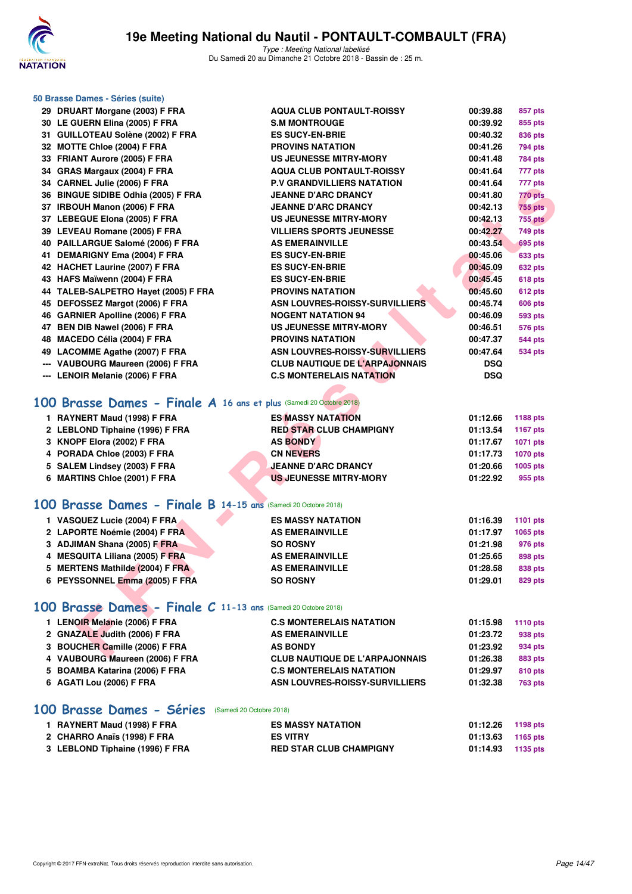

| 50 Brasse Dames - Séries (suite)                                    |                                       |                 |                 |
|---------------------------------------------------------------------|---------------------------------------|-----------------|-----------------|
| 29 DRUART Morgane (2003) F FRA                                      | <b>AQUA CLUB PONTAULT-ROISSY</b>      | 00:39.88        | 857 pts         |
| 30 LE GUERN Elina (2005) F FRA                                      | <b>S.M MONTROUGE</b>                  | 00:39.92        | 855 pts         |
| 31 GUILLOTEAU Solène (2002) F FRA                                   | <b>ES SUCY-EN-BRIE</b>                | 00:40.32        | 836 pts         |
| 32 MOTTE Chloe (2004) F FRA                                         | <b>PROVINS NATATION</b>               | 00:41.26        | 794 pts         |
| 33 FRIANT Aurore (2005) F FRA                                       | <b>US JEUNESSE MITRY-MORY</b>         | 00:41.48        | <b>784 pts</b>  |
| 34 GRAS Margaux (2004) F FRA                                        | <b>AQUA CLUB PONTAULT-ROISSY</b>      | 00:41.64        | 777 pts         |
| 34 CARNEL Julie (2006) F FRA                                        | <b>P.V GRANDVILLIERS NATATION</b>     | 00:41.64        | 777 pts         |
| 36 BINGUE SIDIBE Odhia (2005) F FRA                                 | <b>JEANNE D'ARC DRANCY</b>            | 00:41.80        | 770 pts         |
| 37 IRBOUH Manon (2006) F FRA                                        | <b>JEANNE D'ARC DRANCY</b>            | 00:42.13        | <b>755 pts</b>  |
| 37 LEBEGUE Elona (2005) F FRA                                       | US JEUNESSE MITRY-MORY                | 00:42.13        | <b>755 pts</b>  |
| 39 LEVEAU Romane (2005) F FRA                                       | <b>VILLIERS SPORTS JEUNESSE</b>       | 00:42.27        | <b>749 pts</b>  |
| 40 PAILLARGUE Salomé (2006) F FRA                                   | <b>AS EMERAINVILLE</b>                | 00:43.54        | <b>695 pts</b>  |
| 41 DEMARIGNY Ema (2004) F FRA                                       | <b>ES SUCY-EN-BRIE</b>                | 00:45.06        | 633 pts         |
| 42 HACHET Laurine (2007) F FRA                                      | <b>ES SUCY-EN-BRIE</b>                | 00:45.09        | <b>632 pts</b>  |
| 43 HAFS Maïwenn (2004) F FRA                                        | <b>ES SUCY-EN-BRIE</b>                | 00:45.45        | <b>618 pts</b>  |
| 44 TALEB-SALPETRO Hayet (2005) F FRA                                | <b>PROVINS NATATION</b>               | 00:45.60        | <b>612 pts</b>  |
| 45 DEFOSSEZ Margot (2006) F FRA                                     | ASN LOUVRES-ROISSY-SURVILLIERS        | 00:45.74        | <b>606 pts</b>  |
| 46 GARNIER Apolline (2006) F FRA                                    | <b>NOGENT NATATION 94</b>             | 00:46.09        | <b>593 pts</b>  |
| 47 BEN DIB Nawel (2006) F FRA                                       | <b>US JEUNESSE MITRY-MORY</b>         | 00:46.51        | <b>576 pts</b>  |
| 48 MACEDO Célia (2004) F FRA                                        | <b>PROVINS NATATION</b>               | 00:47.37        | <b>544 pts</b>  |
| 49 LACOMME Agathe (2007) F FRA                                      | <b>ASN LOUVRES-ROISSY-SURVILLIERS</b> | 00:47.64        | <b>534 pts</b>  |
| --- VAUBOURG Maureen (2006) F FRA                                   | <b>CLUB NAUTIQUE DE L'ARPAJONNAIS</b> | <b>DSQ</b>      |                 |
| --- LENOIR Melanie (2006) F FRA                                     | <b>C.S MONTERELAIS NATATION</b>       | <b>DSQ</b>      |                 |
| 100 Brasse Dames - Finale A 16 ans et plus (Samedi 20 Octobre 2018) |                                       |                 |                 |
| 1 RAYNERT Maud (1998) F FRA                                         | <b>ES MASSY NATATION</b>              | 01:12.66        | 1188 pts        |
| 2 LEBLOND Tiphaine (1996) F FRA                                     | <b>RED STAR CLUB CHAMPIGNY</b>        | 01:13.54        | <b>1167 pts</b> |
| 3 KNOPF Elora (2002) F FRA                                          | <b>AS BONDY</b>                       | 01:17.67        | 1071 pts        |
| 4 PORADA Chloe (2003) F FRA                                         | <b>CN NEVERS</b>                      | 01:17.73        | 1070 pts        |
| 5 SALEM Lindsey (2003) F FRA                                        | <b>JEANNE D'ARC DRANCY</b>            | 01:20.66        | 1005 pts        |
| 6 MARTINS Chloe (2001) F FRA                                        | <b>US JEUNESSE MITRY-MORY</b>         | 01:22.92        | 955 pts         |
| 100 Brasse Dames - Finale B 14-15 ans (Samedi 20 Octobre 2018)      |                                       |                 |                 |
| 1 VASQUEZ Lucie (2004) F FRA                                        | <b>ES MASSY NATATION</b>              | 01:16.39        | 1101 pts        |
| 2 LAPORTE Noémie (2004) F FRA                                       | <b>AS EMERAINVILLE</b>                | 01:17.97        | 1065 pts        |
| 3 ADJIMAN Shana (2005) F FRA                                        | <b>SO ROSNY</b>                       | 01:21.98        | 976 pts         |
| 4 MESQUITA Liliana (2005) F FRA                                     | <b>AS EMERAINVILLE</b>                | 01:25.65        | 898 pts         |
| 5 MERTENS Mathilde (2004) F FRA                                     | <b>AS EMERAINVILLE</b>                | 01:28.58        | 838 pts         |
| 6 PEYSSONNEL Emma (2005) F FRA                                      | <b>SO ROSNY</b>                       | 01:29.01        | 829 pts         |
| 100 Brasse Dames - Finale C 11-13 ans (Samedi 20 Octobre 2018)      |                                       |                 |                 |
| 1 LENOIR Melanie (2006) F FRA                                       | <b>C.S MONTERELAIS NATATION</b>       | 01:15.98        | 1110 pts        |
| 2 GNAZALE Judith (2006) F FRA                                       | <b>AS EMERAINVILLE</b>                | 01:23.72        | 938 pts         |
| 3 BOUCHER Camille (2006) F FRA                                      | <b>AS BONDY</b>                       | 01:23.92        | 934 pts         |
| VAUDOUDO Meureen (000C) E EDA                                       | CLUB NAUTIOUE BE L'ABBA IONNAIC       | <b>04.00.00</b> | $009 - 1$       |

| <b>C.S MONTERELAIS NATATION</b>                                                                                                                                                                   | 01:15.98 | <b>1110 pts</b> |
|---------------------------------------------------------------------------------------------------------------------------------------------------------------------------------------------------|----------|-----------------|
| <b>AS EMERAINVILLE</b>                                                                                                                                                                            | 01:23.72 | 938 pts         |
| <b>AS BONDY</b>                                                                                                                                                                                   | 01:23.92 | 934 pts         |
| <b>CLUB NAUTIQUE DE L'ARPAJONNAIS</b>                                                                                                                                                             | 01:26.38 | 883 pts         |
| <b>C.S MONTERELAIS NATATION</b>                                                                                                                                                                   | 01:29.97 | 810 pts         |
| ASN LOUVRES-ROISSY-SURVILLIERS                                                                                                                                                                    | 01:32.38 | <b>763 pts</b>  |
| 1 LENOIR Melanie (2006) F FRA<br>2 GNAZALE Judith (2006) F FRA<br>3 BOUCHER Camille (2006) F FRA<br>4 VAUBOURG Maureen (2006) F FRA<br>5 BOAMBA Katarina (2006) F FRA<br>6 AGATI Lou (2006) F FRA |          |                 |

# **[100 Brasse Dames - Séries](http://www.ffnatation.fr/webffn/resultats.php?idact=nat&go=epr&idcpt=55747&idepr=22)** (Samedi 20 Octobre 2018)

| 1 RAYNERT Maud (1998) F FRA     | <b>ES MASSY NATATION</b>       | 01:12.26 | 1198 pts |
|---------------------------------|--------------------------------|----------|----------|
| 2 CHARRO Anaïs (1998) F FRA     | <b>ES VITRY</b>                | 01:13.63 | 1165 pts |
| 3 LEBLOND Tiphaine (1996) F FRA | <b>RED STAR CLUB CHAMPIGNY</b> | 01:14.93 | 1135 pts |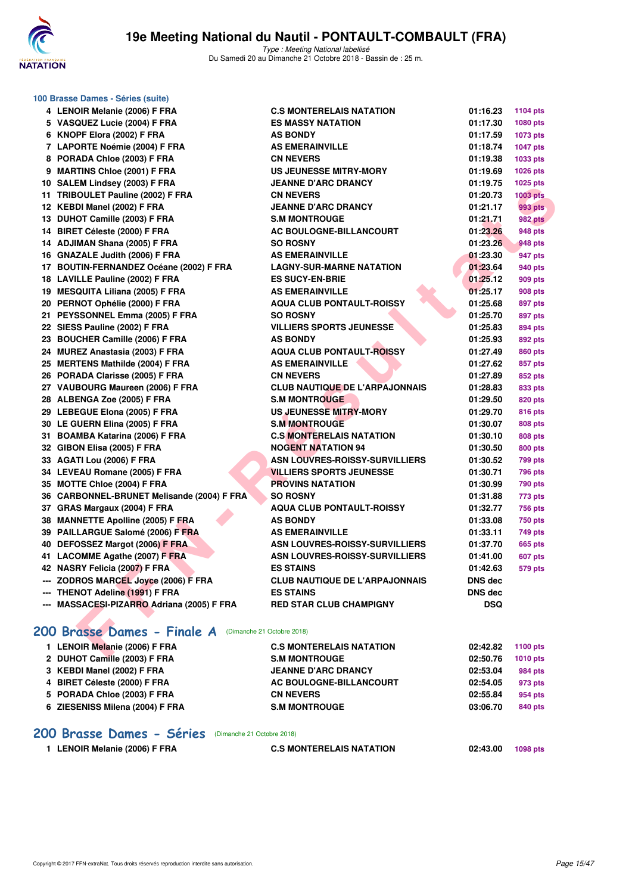

|     | 100 Brasse Dames - Séries (suite)          |                                       |            |                 |  |  |  |  |
|-----|--------------------------------------------|---------------------------------------|------------|-----------------|--|--|--|--|
|     | 4 LENOIR Melanie (2006) F FRA              | <b>C.S MONTERELAIS NATATION</b>       | 01:16.23   | <b>1104 pts</b> |  |  |  |  |
|     | 5 VASQUEZ Lucie (2004) F FRA               | <b>ES MASSY NATATION</b>              | 01:17.30   | 1080 pts        |  |  |  |  |
|     | 6 KNOPF Elora (2002) F FRA                 | <b>AS BONDY</b>                       | 01:17.59   | 1073 pts        |  |  |  |  |
|     | 7 LAPORTE Noémie (2004) F FRA              | <b>AS EMERAINVILLE</b>                | 01:18.74   | <b>1047 pts</b> |  |  |  |  |
|     | 8 PORADA Chloe (2003) F FRA                | <b>CN NEVERS</b>                      | 01:19.38   | 1033 pts        |  |  |  |  |
|     | 9 MARTINS Chloe (2001) F FRA               | <b>US JEUNESSE MITRY-MORY</b>         | 01:19.69   | <b>1026 pts</b> |  |  |  |  |
|     | 10 SALEM Lindsey (2003) F FRA              | <b>JEANNE D'ARC DRANCY</b>            | 01:19.75   | 1025 pts        |  |  |  |  |
|     | 11 TRIBOULET Pauline (2002) F FRA          | <b>CN NEVERS</b>                      | 01:20.73   | <b>1003 pts</b> |  |  |  |  |
|     | 12 KEBDI Manel (2002) F FRA                | <b>JEANNE D'ARC DRANCY</b>            | 01:21.17   | 993 pts         |  |  |  |  |
|     | 13 DUHOT Camille (2003) F FRA              | <b>S.M MONTROUGE</b>                  | 01:21.71   | <b>982 pts</b>  |  |  |  |  |
|     | 14 BIRET Céleste (2000) F FRA              | AC BOULOGNE-BILLANCOURT               | 01:23.26   | 948 pts         |  |  |  |  |
|     | 14 ADJIMAN Shana (2005) F FRA              | <b>SO ROSNY</b>                       | 01:23.26   | 948 pts         |  |  |  |  |
|     | 16 GNAZALE Judith (2006) F FRA             | <b>AS EMERAINVILLE</b>                | 01:23.30   | 947 pts         |  |  |  |  |
|     | 17 BOUTIN-FERNANDEZ Océane (2002) F FRA    | <b>LAGNY-SUR-MARNE NATATION</b>       | 01:23.64   | 940 pts         |  |  |  |  |
|     | 18 LAVILLE Pauline (2002) F FRA            | <b>ES SUCY-EN-BRIE</b>                | 01:25.12   | 909 pts         |  |  |  |  |
|     | 19 MESQUITA Liliana (2005) F FRA           | <b>AS EMERAINVILLE</b>                | 01:25.17   | 908 pts         |  |  |  |  |
|     | 20 PERNOT Ophélie (2000) F FRA             | <b>AQUA CLUB PONTAULT-ROISSY</b>      | 01:25.68   | 897 pts         |  |  |  |  |
|     | 21 PEYSSONNEL Emma (2005) F FRA            | <b>SO ROSNY</b>                       | 01:25.70   | 897 pts         |  |  |  |  |
|     | 22 SIESS Pauline (2002) F FRA              | <b>VILLIERS SPORTS JEUNESSE</b>       | 01:25.83   | 894 pts         |  |  |  |  |
|     | 23 BOUCHER Camille (2006) F FRA            | <b>AS BONDY</b>                       | 01:25.93   | 892 pts         |  |  |  |  |
|     | 24 MUREZ Anastasia (2003) F FRA            | <b>AQUA CLUB PONTAULT-ROISSY</b>      | 01:27.49   | 860 pts         |  |  |  |  |
|     | 25 MERTENS Mathilde (2004) F FRA           | <b>AS EMERAINVILLE</b>                | 01:27.62   | 857 pts         |  |  |  |  |
|     | 26 PORADA Clarisse (2005) F FRA            | <b>CN NEVERS</b>                      | 01:27.89   | 852 pts         |  |  |  |  |
|     | 27 VAUBOURG Maureen (2006) F FRA           | <b>CLUB NAUTIQUE DE L'ARPAJONNAIS</b> | 01:28.83   | 833 pts         |  |  |  |  |
|     | 28 ALBENGA Zoe (2005) F FRA                | <b>S.M MONTROUGE</b>                  | 01:29.50   | 820 pts         |  |  |  |  |
|     | 29 LEBEGUE Elona (2005) F FRA              | <b>US JEUNESSE MITRY-MORY</b>         | 01:29.70   | 816 pts         |  |  |  |  |
|     | 30 LE GUERN Elina (2005) F FRA             | <b>S.M MONTROUGE</b>                  | 01:30.07   | 808 pts         |  |  |  |  |
|     | 31 BOAMBA Katarina (2006) F FRA            | <b>C.S MONTERELAIS NATATION</b>       | 01:30.10   | 808 pts         |  |  |  |  |
|     | 32 GIBON Elisa (2005) F FRA                | <b>NOGENT NATATION 94</b>             | 01:30.50   | 800 pts         |  |  |  |  |
|     | 33 AGATI Lou (2006) F FRA                  | <b>ASN LOUVRES-ROISSY-SURVILLIERS</b> | 01:30.52   | <b>799 pts</b>  |  |  |  |  |
|     | 34 LEVEAU Romane (2005) F FRA              | <b>VILLIERS SPORTS JEUNESSE</b>       | 01:30.71   | <b>796 pts</b>  |  |  |  |  |
|     | 35 MOTTE Chloe (2004) F FRA                | <b>PROVINS NATATION</b>               | 01:30.99   | <b>790 pts</b>  |  |  |  |  |
|     | 36 CARBONNEL-BRUNET Melisande (2004) F FRA | <b>SO ROSNY</b>                       | 01:31.88   | 773 pts         |  |  |  |  |
|     | 37 GRAS Margaux (2004) F FRA               | <b>AQUA CLUB PONTAULT-ROISSY</b>      | 01:32.77   | <b>756 pts</b>  |  |  |  |  |
|     | 38 MANNETTE Apolline (2005) F FRA          | <b>AS BONDY</b>                       | 01:33.08   | <b>750 pts</b>  |  |  |  |  |
|     | 39 PAILLARGUE Salomé (2006) F FRA          | <b>AS EMERAINVILLE</b>                | 01:33.11   | 749 pts         |  |  |  |  |
|     | 40 DEFOSSEZ Margot (2006) F FRA            | <b>ASN LOUVRES-ROISSY-SURVILLIERS</b> | 01:37.70   | 665 pts         |  |  |  |  |
|     | 41 LACOMME Agathe (2007) F FRA             | ASN LOUVRES-ROISSY-SURVILLIERS        | 01:41.00   | <b>607 pts</b>  |  |  |  |  |
|     | 42 NASRY Felicia (2007) F FRA              | <b>ES STAINS</b>                      | 01:42.63   | <b>579 pts</b>  |  |  |  |  |
|     | --- ZODROS MARCEL Joyce (2006) F FRA       | <b>CLUB NAUTIQUE DE L'ARPAJONNAIS</b> | DNS dec    |                 |  |  |  |  |
| --- | THENOT Adeline (1991) F FRA                | <b>ES STAINS</b>                      | DNS dec    |                 |  |  |  |  |
|     | --- MASSACESI-PIZARRO Adriana (2005) F FRA | <b>RED STAR CLUB CHAMPIGNY</b>        | <b>DSQ</b> |                 |  |  |  |  |
|     | 200 Brasse Dames - Finale A                | (Dimanche 21 Octobre 2018)            |            |                 |  |  |  |  |
|     | 1 LENOIR Melanie (2006) F FRA              | <b>C.S MONTERELAIS NATATION</b>       | 02:42.82   | 1100 pts        |  |  |  |  |
|     | $0.51110T0111(0000)$ FFDA                  | <b>C.M.MONTDOUGE</b>                  | 00.EO 70   |                 |  |  |  |  |

# [200 Brasse Dames - Finale A](http://www.ffnatation.fr/webffn/resultats.php?idact=nat&go=epr&idcpt=55747&idepr=23) (Dimanche 21 Octobre 2018)

| 1 LENOIR Melanie (2006) F FRA   | <b>C.S MONTERELAIS NATATION</b> | 02:42.82 | 1100 pts        |
|---------------------------------|---------------------------------|----------|-----------------|
| 2 DUHOT Camille (2003) F FRA    | <b>S.M MONTROUGE</b>            | 02:50.76 | <b>1010 pts</b> |
| 3 KEBDI Manel (2002) F FRA      | <b>JEANNE D'ARC DRANCY</b>      | 02:53.04 | 984 pts         |
| 4 BIRET Céleste (2000) F FRA    | AC BOULOGNE-BILLANCOURT         | 02:54.05 | 973 pts         |
| 5 PORADA Chloe (2003) F FRA     | <b>CN NEVERS</b>                | 02:55.84 | 954 pts         |
| 6 ZIESENISS Milena (2004) F FRA | <b>S.M MONTROUGE</b>            | 03:06.70 | 840 pts         |
|                                 |                                 |          |                 |

#### **[200 Brasse Dames - Séries](http://www.ffnatation.fr/webffn/resultats.php?idact=nat&go=epr&idcpt=55747&idepr=23)** (Dimanche 21 Octobre 2018)

**1 LENOIR Melanie (2006) F FRA C.S MONTERELAIS NATATION 02:43.00 1098 pts**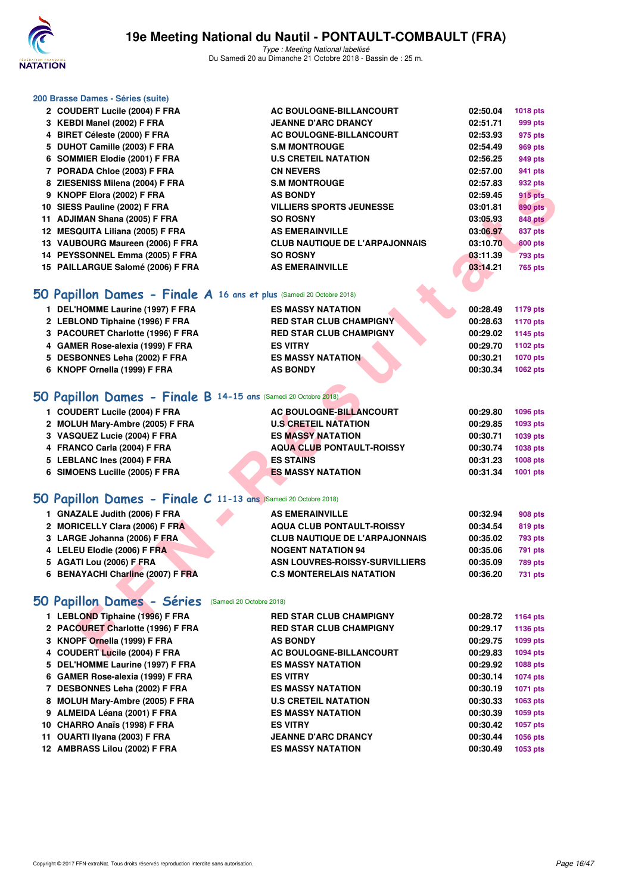

Type : Meeting National labellisé Du Samedi 20 au Dimanche 21 Octobre 2018 - Bassin de : 25 m.

| 200 Brasse Dames - Séries (suite)                                    |                                       |          |                 |
|----------------------------------------------------------------------|---------------------------------------|----------|-----------------|
| 2 COUDERT Lucile (2004) F FRA                                        | AC BOULOGNE-BILLANCOURT               | 02:50.04 | <b>1018 pts</b> |
| 3 KEBDI Manel (2002) F FRA                                           | <b>JEANNE D'ARC DRANCY</b>            | 02:51.71 | 999 pts         |
| 4 BIRET Céleste (2000) F FRA                                         | AC BOULOGNE-BILLANCOURT               | 02:53.93 | 975 pts         |
| 5 DUHOT Camille (2003) F FRA                                         | <b>S.M MONTROUGE</b>                  | 02:54.49 | <b>969 pts</b>  |
| 6 SOMMIER Elodie (2001) F FRA                                        | <b>U.S CRETEIL NATATION</b>           | 02:56.25 | 949 pts         |
| 7 PORADA Chloe (2003) F FRA                                          | <b>CN NEVERS</b>                      | 02:57.00 | 941 pts         |
| 8 ZIESENISS Milena (2004) F FRA                                      | <b>S.M MONTROUGE</b>                  | 02:57.83 | 932 pts         |
| 9 KNOPF Elora (2002) F FRA                                           | <b>AS BONDY</b>                       | 02:59.45 | <b>915 pts</b>  |
| 10 SIESS Pauline (2002) F FRA                                        | <b>VILLIERS SPORTS JEUNESSE</b>       | 03:01.81 | <b>890 pts</b>  |
| 11 ADJIMAN Shana (2005) F FRA                                        | <b>SO ROSNY</b>                       | 03:05.93 | <b>848 pts</b>  |
| 12 MESQUITA Liliana (2005) F FRA                                     | <b>AS EMERAINVILLE</b>                | 03:06.97 | 837 pts         |
| 13 VAUBOURG Maureen (2006) F FRA                                     | <b>CLUB NAUTIQUE DE L'ARPAJONNAIS</b> | 03:10.70 | 800 pts         |
| 14 PEYSSONNEL Emma (2005) F FRA                                      | <b>SO ROSNY</b>                       | 03:11.39 | <b>793 pts</b>  |
| 15 PAILLARGUE Salomé (2006) F FRA                                    | <b>AS EMERAINVILLE</b>                | 03:14.21 | <b>765 pts</b>  |
|                                                                      |                                       |          |                 |
| 50 Papillon Dames - Finale A 16 ans et plus (Samedi 20 Octobre 2018) |                                       |          |                 |
| 1 DEL'HOMME Laurine (1997) F FRA                                     | <b>ES MASSY NATATION</b>              | 00:28.49 | 1179 pts        |
| 2 LEBLOND Tiphaine (1996) F FRA                                      | <b>RED STAR CLUB CHAMPIGNY</b>        | 00:28.63 | <b>1170 pts</b> |
| 3 PACOURET Charlotte (1996) F FRA                                    | <b>RED STAR CLUB CHAMPIGNY</b>        | 00:29.02 | 1145 pts        |
| 4 GAMER Rose-alexia (1999) F FRA                                     | <b>ES VITRY</b>                       | 00:29.70 | 1102 pts        |
| 5 DESBONNES Leha (2002) F FRA                                        | <b>ES MASSY NATATION</b>              | 00:30.21 | <b>1070 pts</b> |
| 6 KNOPF Ornella (1999) F FRA                                         | <b>AS BONDY</b>                       | 00:30.34 | 1062 pts        |
|                                                                      |                                       |          |                 |
| 50 Papillon Dames - Finale B 14-15 ans (Samedi 20 Octobre 2018)      |                                       |          |                 |
| 1 COUDERT Lucile (2004) F FRA                                        | <b>AC BOULOGNE-BILLANCOURT</b>        | 00:29.80 | 1096 pts        |
| 2 MOLUH Mary-Ambre (2005) F FRA                                      | <b>U.S CRETEIL NATATION</b>           | 00:29.85 | 1093 pts        |
| 3 VASQUEZ Lucie (2004) F FRA                                         | <b>ES MASSY NATATION</b>              | 00:30.71 | 1039 pts        |
| 4 FRANCO Carla (2004) F FRA                                          | <b>AQUA CLUB PONTAULT-ROISSY</b>      | 00:30.74 | 1038 pts        |
| 5 LEBLANC Ines (2004) F FRA                                          | <b>ES STAINS</b>                      | 00:31.23 | 1008 pts        |
| 6 SIMOENS Lucille (2005) F FRA                                       | <b>ES MASSY NATATION</b>              | 00:31.34 | 1001 pts        |
|                                                                      |                                       |          |                 |
| 50 Papillon Dames - Finale C 11-13 ans (Samedi 20 Octobre 2018)      |                                       |          |                 |
| 1 GNAZALE Judith (2006) F FRA                                        | <b>AS EMERAINVILLE</b>                | 00:32.94 | <b>908 pts</b>  |
| 2 MORICELLY Clara (2006) F FRA                                       | <b>AQUA CLUB PONTAULT-ROISSY</b>      | 00:34.54 | 819 pts         |
| 3 LARGE Johanna (2006) F FRA                                         | <b>CLUB NAUTIQUE DE L'ARPAJONNAIS</b> | 00:35.02 | 793 pts         |
| 4 LELEU Elodie (2006) F FRA                                          | <b>NOGENT NATATION 94</b>             | 00:35.06 | <b>791 pts</b>  |
| 5 AGATI Lou (2006) F FRA                                             | <b>ASN LOUVRES-ROISSY-SURVILLIERS</b> | 00:35.09 | <b>789 pts</b>  |
| 6 BENAYACHI Charline (2007) F FRA                                    | <b>C.S MONTERELAIS NATATION</b>       | 00:36.20 | <b>731 pts</b>  |
| 50 Papillon Dames - Séries<br>(Samedi 20 Octobre 2018)               |                                       |          |                 |
|                                                                      |                                       |          |                 |
| 1 LEBLOND Tiphaine (1996) F FRA                                      | <b>RED STAR CLUB CHAMPIGNY</b>        | 00:28.72 | 1164 pts        |
| 2 PACOURET Charlotte (1996) F FRA                                    | <b>RED STAR CLUB CHAMPIGNY</b>        | 00:29.17 | 1136 pts        |
| 3 KNOPF Ornella (1999) F FRA                                         | <b>AS BONDY</b>                       | 00:29.75 | 1099 pts        |
| 4 COUDERT Lucile (2004) F FRA                                        | AC BOULOGNE-BILLANCOURT               | 00:29.83 | 1094 pts        |

### **[50 Papillon Dames - Finale A](http://www.ffnatation.fr/webffn/resultats.php?idact=nat&go=epr&idcpt=55747&idepr=31) 16 ans et plus** (Samedi 20 Octobre 2018)

| DEL'HOMME Laurine (1997) F FRA    | <b>ES MASSY NATATION</b>       | 00:28.49<br>1179 pts |  |
|-----------------------------------|--------------------------------|----------------------|--|
| 2 LEBLOND Tiphaine (1996) F FRA   | <b>RED STAR CLUB CHAMPIGNY</b> | 00:28.63<br>1170 pts |  |
| 3 PACOURET Charlotte (1996) F FRA | <b>RED STAR CLUB CHAMPIGNY</b> | 00:29.02<br>1145 pts |  |
| 4 GAMER Rose-alexia (1999) F FRA  | <b>ES VITRY</b>                | 00:29.70<br>1102 pts |  |
| 5 DESBONNES Leha (2002) F FRA     | <b>ES MASSY NATATION</b>       | 00:30.21<br>1070 pts |  |
| 6 KNOPF Ornella (1999) F FRA      | <b>AS BONDY</b>                | 00:30.34<br>1062 pts |  |
|                                   |                                |                      |  |

### **[50 Papillon Dames - Finale B](http://www.ffnatation.fr/webffn/resultats.php?idact=nat&go=epr&idcpt=55747&idepr=31) 14-15 ans** (Samedi 20 Octobre 2018)

| 1 COUDERT Lucile (2004) F FRA   | AC BOULOGNE-BILLANCOURT          | 00:29.80 | 1096 pts |
|---------------------------------|----------------------------------|----------|----------|
| 2 MOLUH Mary-Ambre (2005) F FRA | <b>U.S CRETEIL NATATION</b>      | 00:29.85 | 1093 pts |
| 3 VASQUEZ Lucie (2004) F FRA    | <b>ES MASSY NATATION</b>         | 00:30.71 | 1039 pts |
| 4 FRANCO Carla (2004) F FRA     | <b>AQUA CLUB PONTAULT-ROISSY</b> | 00:30.74 | 1038 pts |
| 5 LEBLANC Ines (2004) F FRA     | <b>ES STAINS</b>                 | 00:31.23 | 1008 pts |
| 6 SIMOENS Lucille (2005) F FRA  | <b>ES MASSY NATATION</b>         | 00:31.34 | 1001 pts |

### **[50 Papillon Dames - Finale C](http://www.ffnatation.fr/webffn/resultats.php?idact=nat&go=epr&idcpt=55747&idepr=31) 11-13 ans** (Samedi 20 Octobre 2018)

| 1 GNAZALE Judith (2006) F FRA     | <b>AS EMERAINVILLE</b>                | 00:32.94 | 908 pts |
|-----------------------------------|---------------------------------------|----------|---------|
| 2 MORICELLY Clara (2006) F FRA    | <b>AQUA CLUB PONTAULT-ROISSY</b>      | 00:34.54 | 819 pts |
| 3 LARGE Johanna (2006) F FRA      | <b>CLUB NAUTIQUE DE L'ARPAJONNAIS</b> | 00:35.02 | 793 pts |
| 4 LELEU Elodie (2006) F FRA       | <b>NOGENT NATATION 94</b>             | 00:35.06 | 791 pts |
| 5 AGATI Lou (2006) F FRA          | ASN LOUVRES-ROISSY-SURVILLIERS        | 00:35.09 | 789 pts |
| 6 BENAYACHI Charline (2007) F FRA | <b>C.S MONTERELAIS NATATION</b>       | 00:36.20 | 731 pts |
|                                   |                                       |          |         |

# **[50 Papillon Dames - Séries](http://www.ffnatation.fr/webffn/resultats.php?idact=nat&go=epr&idcpt=55747&idepr=31)** (Samedi 20 Octobre 2018)

| 1 LEBLOND Tiphaine (1996) F FRA   | <b>RED STAR CLUB CHAMPIGNY</b> | 00:28.72 | 1164 pts |
|-----------------------------------|--------------------------------|----------|----------|
| 2 PACOURET Charlotte (1996) F FRA | <b>RED STAR CLUB CHAMPIGNY</b> | 00:29.17 | 1136 pts |
| 3 KNOPF Ornella (1999) F FRA      | <b>AS BONDY</b>                | 00:29.75 | 1099 pts |
| 4 COUDERT Lucile (2004) F FRA     | AC BOULOGNE-BILLANCOURT        | 00:29.83 | 1094 pts |
| 5 DEL'HOMME Laurine (1997) F FRA  | <b>ES MASSY NATATION</b>       | 00:29.92 | 1088 pts |
| 6 GAMER Rose-alexia (1999) F FRA  | <b>ES VITRY</b>                | 00:30.14 | 1074 pts |
| 7 DESBONNES Leha (2002) F FRA     | <b>ES MASSY NATATION</b>       | 00:30.19 | 1071 pts |
| 8 MOLUH Mary-Ambre (2005) F FRA   | <b>U.S CRETEIL NATATION</b>    | 00:30.33 | 1063 pts |
| 9 ALMEIDA Léana (2001) F FRA      | <b>ES MASSY NATATION</b>       | 00:30.39 | 1059 pts |
| 10 CHARRO Anaïs (1998) F FRA      | <b>ES VITRY</b>                | 00:30.42 | 1057 pts |
| 11 OUARTI Ilyana (2003) F FRA     | <b>JEANNE D'ARC DRANCY</b>     | 00:30.44 | 1056 pts |
| 12 AMBRASS Lilou (2002) F FRA     | <b>ES MASSY NATATION</b>       | 00:30.49 | 1053 pts |
|                                   |                                |          |          |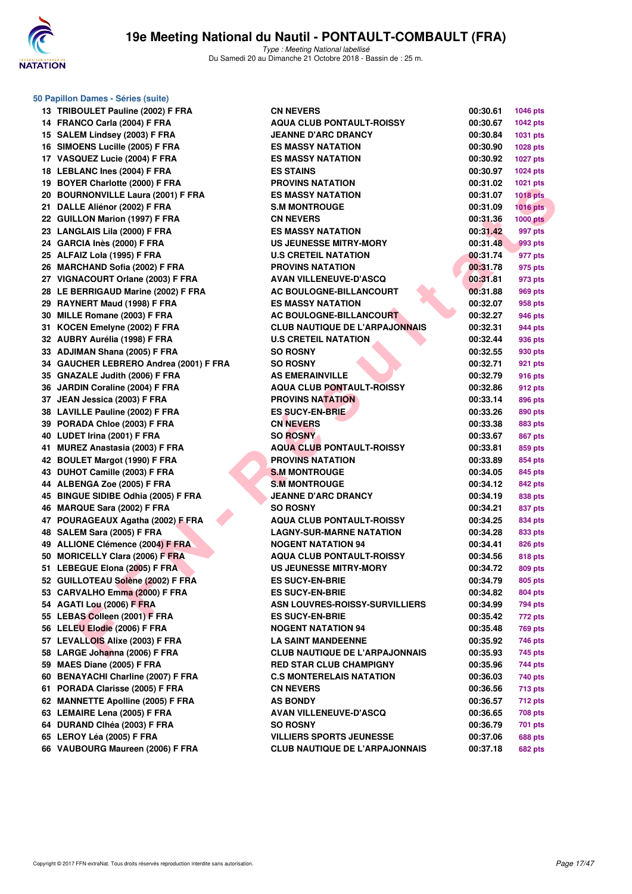

**50 Papillon Dames - Séries (suite)**

### **19e Meeting National du Nautil - PONTAULT-COMBAULT (FRA)**

| 13 | TRIBOULET Pauline (2002) F FRA         |
|----|----------------------------------------|
| 14 | FRANCO Carla (2004) F FRA              |
|    | 15 SALEM Lindsey (2003) F FRA          |
| 16 | SIMOENS Lucille (2005) F FRA           |
| 17 | VASQUEZ Lucie (2004) F FRA             |
| 18 | <b>LEBLANC Ines (2004) F FRA</b>       |
|    | 19 BOYER Charlotte (2000) F FRA        |
|    | 20 BOURNONVILLE Laura (2001) F FRA     |
| 21 | DALLE Aliénor (2002) F FRA             |
| 22 | <b>GUILLON Marion (1997) F FRA</b>     |
| 23 | <b>LANGLAIS Lila (2000) F FRA</b>      |
| 24 | GARCIA Inès (2000) F FRA               |
| 25 | ALFAIZ Lola (1995) F FRA               |
|    | 26 MARCHAND Sofia (2002) F FRA         |
|    | 27 VIGNACOURT Orlane (2003) F FRA      |
| 28 | LE BERRIGAUD Marine (2002) F FRA       |
|    | 29 RAYNERT Maud (1998) F FRA           |
| 30 | MILLE Romane (2003) F FRA              |
| 31 | KOCEN Emelyne (2002) F FRA             |
| 32 | AUBRY Aurélia (1998) F FRA             |
| 33 | ADJIMAN Shana (2005) F FRA             |
|    | 34 GAUCHER LEBRERO Andrea (2001) F F   |
|    | 35 GNAZALE Judith (2006) F FRA         |
| 36 | JARDIN Coraline (2004) F FRA           |
|    | 37 JEAN Jessica (2003) F FRA           |
|    | 38 LAVILLE Pauline (2002) F FRA        |
|    | 39 PORADA Chloe (2003) F FRA           |
|    | 40 LUDET Irina (2001) F FRA            |
| 41 | MUREZ Anastasia (2003) F FRA           |
| 42 | <b>BOULET Margot (1990) F FRA</b>      |
| 43 | DUHOT Camille (2003) F FRA             |
| 44 | ALBENGA Zoe (2005) F FRA               |
|    | 45 BINGUE SIDIBE Odhia (2005) F FRA    |
|    | 46 MARQUE Sara (2002) F FRA            |
|    | 47 POURAGEAUX Agatha (2002) F FRA      |
| 48 | SALEM Sara (2005) F FRA                |
|    | 49 ALLIONE Clémence (2004) F FRA       |
|    | 50 MORICELLY Clara (2006) F FRA        |
|    | 51 LEBEGUE Elona (2005) F FRA          |
|    | 52 GUILLOTEAU Solène (2002) F FRA      |
|    | 53 CARVALHO Emma (2000) F FRA          |
|    | 54 AGATI Lou (2006) F FRA              |
|    | 55 LEBAS Colleen (2001) F FRA          |
|    | 56 LELEU Elodie (2006) F FRA           |
|    | 57 LEVALLOIS Alixe (2003) F FRA        |
| 58 | LARGE Johanna (2006) F FRA             |
| 59 | MAES Diane (2005) F FRA                |
| 60 | <b>BENAYACHI Charline (2007) F FRA</b> |
| 61 | PORADA Clarisse (2005) F FRA           |
| 62 | <b>MANNETTE Apolline (2005) F FRA</b>  |
| 63 | <b>LEMAIRE Lena (2005) F FRA</b>       |
| 64 | DURAND Clhéa (2003) F FRA              |
|    | 65 LEROY Léa (2005) F FRA              |
| 66 | VAUBOURG Maureen (2006) F FRA          |

| 13 TRIBOULET Pauline (2002) F FRA      | <b>CN NEVERS</b>                      | 00:30.61 | <b>1046 pts</b> |
|----------------------------------------|---------------------------------------|----------|-----------------|
| 14 FRANCO Carla (2004) F FRA           | <b>AQUA CLUB PONTAULT-ROISSY</b>      | 00:30.67 | 1042 pts        |
| 15 SALEM Lindsey (2003) F FRA          | <b>JEANNE D'ARC DRANCY</b>            | 00:30.84 | 1031 pts        |
| 16 SIMOENS Lucille (2005) F FRA        | <b>ES MASSY NATATION</b>              | 00:30.90 | 1028 pts        |
| 17 VASQUEZ Lucie (2004) F FRA          | <b>ES MASSY NATATION</b>              | 00:30.92 | <b>1027 pts</b> |
| 18 LEBLANC Ines (2004) F FRA           | <b>ES STAINS</b>                      | 00:30.97 | 1024 pts        |
| 19 BOYER Charlotte (2000) F FRA        | <b>PROVINS NATATION</b>               | 00:31.02 | 1021 pts        |
| 20 BOURNONVILLE Laura (2001) F FRA     | <b>ES MASSY NATATION</b>              | 00:31.07 | <b>1018 pts</b> |
| 21 DALLE Aliénor (2002) F FRA          | <b>S.M MONTROUGE</b>                  | 00:31.09 | 1016 pts        |
| 22 GUILLON Marion (1997) F FRA         | <b>CN NEVERS</b>                      | 00:31.36 | <b>1000 pts</b> |
| 23 LANGLAIS Lila (2000) F FRA          | <b>ES MASSY NATATION</b>              | 00:31.42 | 997 pts         |
| 24 GARCIA Inès (2000) F FRA            | <b>US JEUNESSE MITRY-MORY</b>         | 00:31.48 | 993 pts         |
| 25 ALFAIZ Lola (1995) F FRA            | <b>U.S CRETEIL NATATION</b>           | 00:31.74 | 977 pts         |
| 26 MARCHAND Sofia (2002) F FRA         | <b>PROVINS NATATION</b>               | 00:31.78 | 975 pts         |
| 27 VIGNACOURT Orlane (2003) F FRA      | <b>AVAN VILLENEUVE-D'ASCQ</b>         | 00:31.81 | 973 pts         |
| 28 LE BERRIGAUD Marine (2002) F FRA    | AC BOULOGNE-BILLANCOURT               | 00:31.88 | 969 pts         |
| 29 RAYNERT Maud (1998) F FRA           | <b>ES MASSY NATATION</b>              | 00:32.07 | 958 pts         |
| 30 MILLE Romane (2003) F FRA           | AC BOULOGNE-BILLANCOURT               | 00:32.27 | 946 pts         |
| 31 KOCEN Emelyne (2002) F FRA          | <b>CLUB NAUTIQUE DE L'ARPAJONNAIS</b> | 00:32.31 | 944 pts         |
| 32 AUBRY Aurélia (1998) F FRA          | <b>U.S CRETEIL NATATION</b>           | 00:32.44 | 936 pts         |
| 33 ADJIMAN Shana (2005) F FRA          | <b>SO ROSNY</b>                       | 00:32.55 | 930 pts         |
| 34 GAUCHER LEBRERO Andrea (2001) F FRA | <b>SO ROSNY</b>                       | 00:32.71 | 921 pts         |
| 35 GNAZALE Judith (2006) F FRA         | <b>AS EMERAINVILLE</b>                | 00:32.79 | 916 pts         |
| 36 JARDIN Coraline (2004) F FRA        | <b>AQUA CLUB PONTAULT-ROISSY</b>      | 00:32.86 | 912 pts         |
| 37 JEAN Jessica (2003) F FRA           | <b>PROVINS NATATION</b>               | 00:33.14 | 896 pts         |
| 38 LAVILLE Pauline (2002) F FRA        | <b>ES SUCY-EN-BRIE</b>                | 00:33.26 | 890 pts         |
| 39 PORADA Chloe (2003) F FRA           | <b>CN NEVERS</b>                      | 00:33.38 | 883 pts         |
| 40 LUDET Irina (2001) F FRA            | <b>SO ROSNY</b>                       | 00:33.67 | <b>867 pts</b>  |
| 41 MUREZ Anastasia (2003) F FRA        | <b>AQUA CLUB PONTAULT-ROISSY</b>      | 00:33.81 | 859 pts         |
| 42 BOULET Margot (1990) F FRA          | <b>PROVINS NATATION</b>               | 00:33.89 | 854 pts         |
| 43 DUHOT Camille (2003) F FRA          | <b>S.M MONTROUGE</b>                  | 00:34.05 | 845 pts         |
| 44 ALBENGA Zoe (2005) F FRA            | <b>S.M MONTROUGE</b>                  | 00:34.12 | 842 pts         |
| 45 BINGUE SIDIBE Odhia (2005) F FRA    | <b>JEANNE D'ARC DRANCY</b>            | 00:34.19 | 838 pts         |
| 46 MARQUE Sara (2002) F FRA            | <b>SO ROSNY</b>                       | 00:34.21 | 837 pts         |
| 47 POURAGEAUX Agatha (2002) F FRA      | <b>AQUA CLUB PONTAULT-ROISSY</b>      | 00:34.25 | 834 pts         |
| 48 SALEM Sara (2005) F FRA             | <b>LAGNY-SUR-MARNE NATATION</b>       | 00:34.28 | 833 pts         |
| 49 ALLIONE Clémence (2004) F FRA       | <b>NOGENT NATATION 94</b>             | 00:34.41 | 826 pts         |
| 50 MORICELLY Clara (2006) F FRA        | <b>AQUA CLUB PONTAULT-ROISSY</b>      | 00:34.56 | 818 pts         |
| 51 LEBEGUE Elona (2005) F FRA          | <b>US JEUNESSE MITRY-MORY</b>         | 00:34.72 | 809 pts         |
| 52 GUILLOTEAU Solène (2002) F FRA      | <b>ES SUCY-EN-BRIE</b>                | 00:34.79 | 805 pts         |
| 53 CARVALHO Emma (2000) F FRA          | <b>ES SUCY-EN-BRIE</b>                | 00:34.82 | 804 pts         |
| 54 AGATI Lou (2006) F FRA              | <b>ASN LOUVRES-ROISSY-SURVILLIERS</b> | 00:34.99 | 794 pts         |
| 55 LEBAS Colleen (2001) F FRA          | <b>ES SUCY-EN-BRIE</b>                | 00:35.42 | 772 pts         |
| 56 LELEU Elodie (2006) F FRA           | <b>NOGENT NATATION 94</b>             | 00:35.48 | <b>769 pts</b>  |
| 57 LEVALLOIS Alixe (2003) F FRA        | <b>LA SAINT MANDEENNE</b>             | 00:35.92 | 746 pts         |
| 58 LARGE Johanna (2006) F FRA          | <b>CLUB NAUTIQUE DE L'ARPAJONNAIS</b> | 00:35.93 | 745 pts         |
| 59 MAES Diane (2005) F FRA             | <b>RED STAR CLUB CHAMPIGNY</b>        | 00:35.96 | 744 pts         |
| 60 BENAYACHI Charline (2007) F FRA     | <b>C.S MONTERELAIS NATATION</b>       | 00:36.03 | 740 pts         |
| 61 PORADA Clarisse (2005) F FRA        | <b>CN NEVERS</b>                      | 00:36.56 | 713 pts         |
| 62 MANNETTE Apolline (2005) F FRA      | <b>AS BONDY</b>                       | 00:36.57 | 712 pts         |
| 63 LEMAIRE Lena (2005) F FRA           | <b>AVAN VILLENEUVE-D'ASCQ</b>         | 00:36.65 | 708 pts         |
| 64 DURAND CIhéa (2003) F FRA           | <b>SO ROSNY</b>                       | 00:36.79 | 701 pts         |
| 65 LEROY Léa (2005) F FRA              | <b>VILLIERS SPORTS JEUNESSE</b>       | 00:37.06 | 688 pts         |
| 66 VAUBOURG Maureen (2006) F FRA       | <b>CLUB NAUTIQUE DE L'ARPAJONNAIS</b> | 00:37.18 | 682 pts         |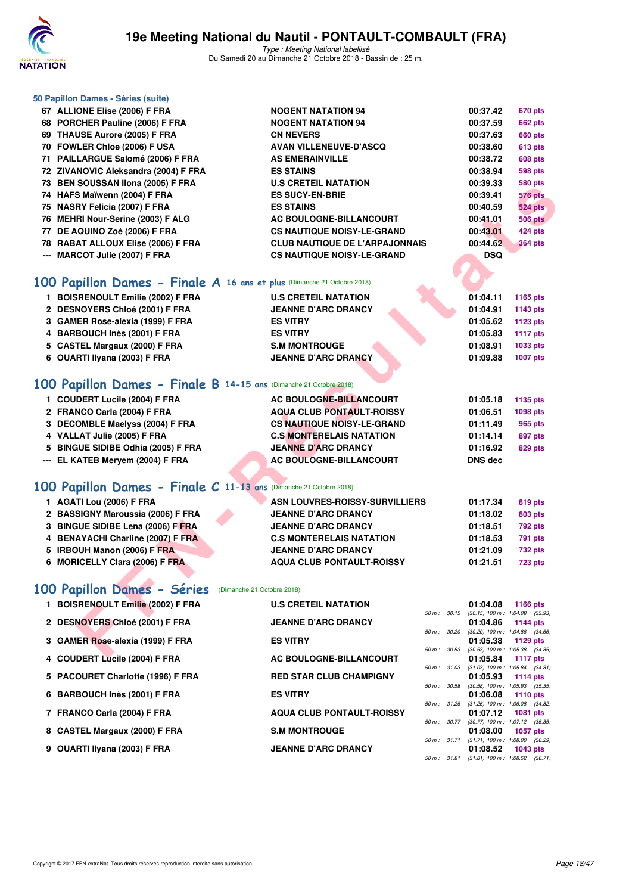

Type : Meeting National labellisé Du Samedi 20 au Dimanche 21 Octobre 2018 - Bassin de : 25 m.

#### **50 Papillon Dames - Séries (suite)**

| 67 ALLIONE Elise (2006) F FRA                                          | <b>NOGENT NATATION 94</b>             |  | 00:37.42       | 670 pts                                                    |
|------------------------------------------------------------------------|---------------------------------------|--|----------------|------------------------------------------------------------|
| 68 PORCHER Pauline (2006) F FRA                                        | <b>NOGENT NATATION 94</b>             |  | 00:37.59       | <b>662 pts</b>                                             |
| 69 THAUSE Aurore (2005) F FRA                                          | <b>CN NEVERS</b>                      |  | 00:37.63       | <b>660 pts</b>                                             |
| 70 FOWLER Chloe (2006) F USA                                           | <b>AVAN VILLENEUVE-D'ASCQ</b>         |  | 00:38.60       | 613 pts                                                    |
| 71 PAILLARGUE Salomé (2006) F FRA                                      | <b>AS EMERAINVILLE</b>                |  | 00:38.72       | <b>608 pts</b>                                             |
| 72 ZIVANOVIC Aleksandra (2004) F FRA                                   | <b>ES STAINS</b>                      |  | 00:38.94       | <b>598 pts</b>                                             |
| 73 BEN SOUSSAN Ilona (2005) F FRA                                      | <b>U.S CRETEIL NATATION</b>           |  | 00:39.33       | <b>580 pts</b>                                             |
| 74 HAFS Maïwenn (2004) F FRA                                           | <b>ES SUCY-EN-BRIE</b>                |  | 00:39.41       | <b>576 pts</b>                                             |
| 75 NASRY Felicia (2007) F FRA                                          | <b>ES STAINS</b>                      |  | 00:40.59       | <b>524 pts</b>                                             |
| 76 MEHRI Nour-Serine (2003) F ALG                                      | AC BOULOGNE-BILLANCOURT               |  | 00:41.01       | <b>506 pts</b>                                             |
| 77 DE AQUINO Zoé (2006) F FRA                                          | <b>CS NAUTIQUE NOISY-LE-GRAND</b>     |  | 00:43.01       | 424 pts                                                    |
| 78 RABAT ALLOUX Elise (2006) F FRA                                     | <b>CLUB NAUTIQUE DE L'ARPAJONNAIS</b> |  | 00:44.62       | <b>364 pts</b>                                             |
| --- MARCOT Julie (2007) F FRA                                          | <b>CS NAUTIQUE NOISY-LE-GRAND</b>     |  | <b>DSQ</b>     |                                                            |
|                                                                        |                                       |  |                |                                                            |
| 00 Papillon Dames - Finale A 16 ans et plus (Dimanche 21 Octobre 2018) |                                       |  |                |                                                            |
|                                                                        |                                       |  |                |                                                            |
| 1 BOISRENOULT Emilie (2002) F FRA                                      | <b>U.S CRETEIL NATATION</b>           |  | 01:04.11       | 1165 pts                                                   |
| 2 DESNOYERS Chloé (2001) F FRA                                         | <b>JEANNE D'ARC DRANCY</b>            |  | 01:04.91       | 1143 pts                                                   |
| 3 GAMER Rose-alexia (1999) F FRA                                       | <b>ES VITRY</b>                       |  | 01:05.62       | 1123 pts                                                   |
| 4 BARBOUCH Inès (2001) F FRA                                           | <b>ES VITRY</b>                       |  | 01:05.83       | <b>1117 pts</b>                                            |
| 5 CASTEL Margaux (2000) F FRA                                          | <b>S.M MONTROUGE</b>                  |  | 01:08.91       | 1033 pts                                                   |
| 6 OUARTI Ilyana (2003) F FRA                                           | <b>JEANNE D'ARC DRANCY</b>            |  | 01:09.88       | <b>1007 pts</b>                                            |
|                                                                        |                                       |  |                |                                                            |
| 00 Papillon Dames - Finale B 14-15 ans (Dimanche 21 Octobre 2018)      |                                       |  |                |                                                            |
| 1 COUDERT Lucile (2004) F FRA                                          | AC BOULOGNE-BILLANCOURT               |  | 01:05.18       | 1135 pts                                                   |
| 2 FRANCO Carla (2004) F FRA                                            | <b>AQUA CLUB PONTAULT-ROISSY</b>      |  | 01:06.51       | 1098 pts                                                   |
| 3 DECOMBLE Maelyss (2004) F FRA                                        | <b>CS NAUTIQUE NOISY-LE-GRAND</b>     |  | 01:11.49       | <b>965 pts</b>                                             |
| 4 VALLAT Julie (2005) F FRA                                            | <b>C.S MONTERELAIS NATATION</b>       |  | 01:14.14       | 897 pts                                                    |
| 5 BINGUE SIDIBE Odhia (2005) F FRA                                     | <b>JEANNE D'ARC DRANCY</b>            |  | 01:16.92       | <b>829 pts</b>                                             |
| --- EL KATEB Meryem (2004) F FRA                                       | AC BOULOGNE-BILLANCOURT               |  | <b>DNS</b> dec |                                                            |
|                                                                        |                                       |  |                |                                                            |
|                                                                        |                                       |  |                |                                                            |
| 00 Papillon Dames - Finale C 11-13 ans (Dimanche 21 Octobre 2018)      |                                       |  |                |                                                            |
| 1 AGATI Lou (2006) F FRA                                               | <b>ASN LOUVRES-ROISSY-SURVILLIERS</b> |  | 01:17.34       | 819 pts                                                    |
| 2 BASSIGNY Maroussia (2006) F FRA                                      | <b>JEANNE D'ARC DRANCY</b>            |  | 01:18.02       | 803 pts                                                    |
| 3 BINGUE SIDIBE Lena (2006) F FRA                                      | <b>JEANNE D'ARC DRANCY</b>            |  | 01:18.51       | 792 pts                                                    |
| 4 BENAYACHI Charline (2007) F FRA                                      | <b>C.S MONTERELAIS NATATION</b>       |  | 01:18.53       | 791 pts                                                    |
| 5 IRBOUH Manon (2006) F FRA                                            | <b>JEANNE D'ARC DRANCY</b>            |  | 01:21.09       | 732 pts                                                    |
| 6 MORICELLY Clara (2006) F FRA                                         | <b>AQUA CLUB PONTAULT-ROISSY</b>      |  | 01:21.51       | <b>723 pts</b>                                             |
|                                                                        |                                       |  |                |                                                            |
| 00 Papillon Dames - Séries (Dimanche 21 Octobre 2018)                  |                                       |  |                |                                                            |
| 1 BOISRENOULT Emilie (2002) F FRA                                      | <b>U.S CRETEIL NATATION</b>           |  | 01:04.08       | 1166 pts                                                   |
|                                                                        |                                       |  |                | $50 m$ : $30.15$ (30.15) $100 m$ : $1.04.08$ (33.93)       |
| 2 DESNOYERS Chloé (2001) F FRA                                         | <b>JEANNE D'ARC DRANCY</b>            |  | 01:04.86       | 1144 pts                                                   |
| 3 GAMER Rose-alexia (1999) F FRA                                       | <b>ES VITRY</b>                       |  | 01:05.38       | 50 m : 30.20 (30.20) 100 m : 1:04.86 (34.66)<br>1129 $pts$ |
|                                                                        |                                       |  |                | 50 m: 30.53 (30.53) 100 m: 1:05.38 (34.85)                 |
| $A$ , COUDERT LIGHT (COOL) E EDA                                       | <b>AO BOULOONE BULLANOOUDT</b>        |  | 04.05.04       | -----                                                      |

### **[100 Papillon Dames - Finale A](http://www.ffnatation.fr/webffn/resultats.php?idact=nat&go=epr&idcpt=55747&idepr=32) 16 ans et plus** (Dimanche 21 Octobre 2018)

| <b>U.S CRETEIL NATATION</b> |  |  | 01:04.11 | 1165 pts        |
|-----------------------------|--|--|----------|-----------------|
| <b>JEANNE D'ARC DRANCY</b>  |  |  | 01:04.91 | 1143 pts        |
| <b>ES VITRY</b>             |  |  | 01:05.62 | 1123 pts        |
| <b>ES VITRY</b>             |  |  | 01:05.83 | <b>1117 pts</b> |
| <b>S.M MONTROUGE</b>        |  |  | 01:08.91 | 1033 pts        |
| <b>JEANNE D'ARC DRANCY</b>  |  |  | 01:09.88 | 1007 pts        |
|                             |  |  |          |                 |

### **[100 Papillon Dames - Finale B](http://www.ffnatation.fr/webffn/resultats.php?idact=nat&go=epr&idcpt=55747&idepr=32) 14-15 ans** (Dimanche 21 Octobre 2018)

| 1 COUDERT Lucile (2004) F FRA      | AC BOULOGNE-BILLANCOURT           | 01:05.18       | 1135 pts |
|------------------------------------|-----------------------------------|----------------|----------|
|                                    |                                   |                |          |
| 2 FRANCO Carla (2004) F FRA        | <b>AQUA CLUB PONTAULT-ROISSY</b>  | 01:06.51       | 1098 pts |
| 3 DECOMBLE Maelyss (2004) F FRA    | <b>CS NAUTIQUE NOISY-LE-GRAND</b> | 01:11.49       | 965 pts  |
| 4 VALLAT Julie (2005) F FRA        | <b>C.S MONTERELAIS NATATION</b>   | 01:14.14       | 897 pts  |
| 5 BINGUE SIDIBE Odhia (2005) F FRA | <b>JEANNE D'ARC DRANCY</b>        | 01:16.92       | 829 pts  |
| --- EL KATEB Mervem (2004) F FRA   | AC BOULOGNE-BILLANCOURT           | <b>DNS</b> dec |          |
|                                    |                                   |                |          |

### **[100 Papillon Dames - Finale C](http://www.ffnatation.fr/webffn/resultats.php?idact=nat&go=epr&idcpt=55747&idepr=32) 11-13 ans** (Dimanche 21 Octobre 2018)

| 1 AGATI Lou (2006) F FRA          | ASN LOUVRES-ROISSY-SURVILLIERS   | 01:17.34 | 819 pts        |
|-----------------------------------|----------------------------------|----------|----------------|
| 2 BASSIGNY Maroussia (2006) F FRA | <b>JEANNE D'ARC DRANCY</b>       | 01:18.02 | 803 pts        |
| 3 BINGUE SIDIBE Lena (2006) F FRA | <b>JEANNE D'ARC DRANCY</b>       | 01:18.51 | 792 pts        |
| 4 BENAYACHI Charline (2007) F FRA | <b>C.S MONTERELAIS NATATION</b>  | 01:18.53 | 791 pts        |
| 5 IRBOUH Manon (2006) F FRA       | <b>JEANNE D'ARC DRANCY</b>       | 01:21.09 | <b>732 pts</b> |
| 6 MORICELLY Clara (2006) F FRA    | <b>AQUA CLUB PONTAULT-ROISSY</b> | 01:21.51 | <b>723 pts</b> |
|                                   |                                  |          |                |

### **[100 Papillon Dames - Séries](http://www.ffnatation.fr/webffn/resultats.php?idact=nat&go=epr&idcpt=55747&idepr=32)** (Dimanche 21 Octobre 2018)

| 1 BOISRENOULT Emilie (2002) F FRA | <b>U.S CRETEIL NATATION</b>      |              | 01:04.08                            | 1166 pts        |  |
|-----------------------------------|----------------------------------|--------------|-------------------------------------|-----------------|--|
|                                   |                                  | 50 m: 30.15  | $(30.15)$ 100 m : 1:04.08 $(33.93)$ |                 |  |
| 2 DESNOYERS Chloé (2001) F FRA    | <b>JEANNE D'ARC DRANCY</b>       |              | 01:04.86                            | 1144 $pts$      |  |
|                                   |                                  | 50 m: 30.20  | $(30.20)$ 100 m : 1:04.86 $(34.66)$ |                 |  |
| 3 GAMER Rose-alexia (1999) F FRA  | <b>ES VITRY</b>                  |              | 01:05.38                            | 1129 $pts$      |  |
|                                   |                                  | 50 m: 30.53  | $(30.53)$ 100 m : 1:05.38 $(34.85)$ |                 |  |
| 4 COUDERT Lucile (2004) F FRA     | AC BOULOGNE-BILLANCOURT          |              | 01:05.84                            | 1117 pts        |  |
|                                   |                                  | 50 m: 31.03  | $(31.03)$ 100 m : 1:05.84 $(34.81)$ |                 |  |
| 5 PACOURET Charlotte (1996) F FRA | <b>RED STAR CLUB CHAMPIGNY</b>   |              | 01:05.93                            | 1114 $pts$      |  |
|                                   |                                  | 50 m: 30.58  | $(30.58)$ 100 m : 1:05.93 $(35.35)$ |                 |  |
| 6 BARBOUCH Inès (2001) F FRA      | <b>ES VITRY</b>                  |              | 01:06.08                            | 1110 $pts$      |  |
|                                   |                                  | 50 m: 31.26  | $(31.26)$ 100 m : 1:06.08 $(34.82)$ |                 |  |
| 7 FRANCO Carla (2004) F FRA       | <b>AQUA CLUB PONTAULT-ROISSY</b> |              | 01:07.12                            | <b>1081 pts</b> |  |
|                                   |                                  | 50 m: 30.77  | (30.77) 100 m : 1:07.12 (36.35)     |                 |  |
| 8 CASTEL Margaux (2000) F FRA     | <b>S.M MONTROUGE</b>             |              | 01:08.00                            | <b>1057 pts</b> |  |
|                                   |                                  | 50 m: 31.71  | $(31.71)$ 100 m : 1:08.00 $(36.29)$ |                 |  |
| 9 OUARTI Ilyana (2003) F FRA      | <b>JEANNE D'ARC DRANCY</b>       |              | 01:08.52                            | $1043$ pts      |  |
|                                   |                                  | 50 m : 31.81 | $(31.81)$ 100 m : 1:08.52 $(36.71)$ |                 |  |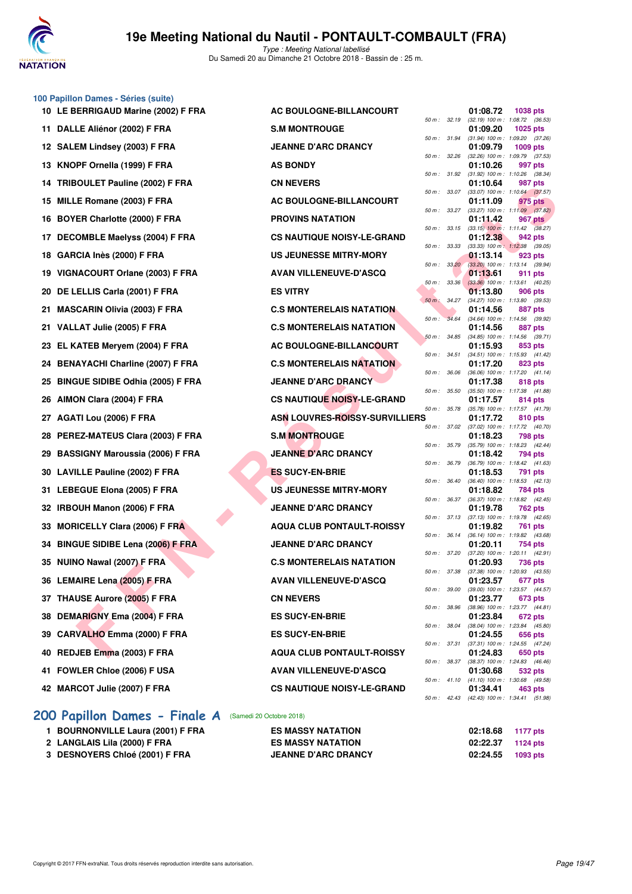

#### **100 Papillon Dames - Séries (suite)**

| $50.1$ applied barried corresponding |                                   |              |              |                                                     |                |  |
|--------------------------------------|-----------------------------------|--------------|--------------|-----------------------------------------------------|----------------|--|
| 10 LE BERRIGAUD Marine (2002) F FRA  | AC BOULOGNE-BILLANCOURT           |              |              | 01:08.72                                            | 1038 pts       |  |
| 11 DALLE Aliénor (2002) F FRA        | <b>S.M MONTROUGE</b>              |              | 50 m : 32.19 | $(32.19)$ 100 m : 1:08.72 (36.<br>01:09.20          | 1025 pts       |  |
| 12 SALEM Lindsey (2003) F FRA        | <b>JEANNE D'ARC DRANCY</b>        |              | 50 m : 31.94 | $(31.94)$ 100 m : 1:09.20 (37.<br>01:09.79          | 1009 pts       |  |
| 13 KNOPF Ornella (1999) F FRA        | <b>AS BONDY</b>                   | 50 m: 32.26  |              | (32.26) 100 m: 1:09.79 (37.<br>01:10.26             | 997 pts        |  |
| 14 TRIBOULET Pauline (2002) F FRA    | <b>CN NEVERS</b>                  |              | 50 m : 31.92 | $(31.92)$ 100 m : 1:10.26 (38.<br>01:10.64          | 987 pts        |  |
| 15 MILLE Romane (2003) F FRA         | AC BOULOGNE-BILLANCOURT           |              | 50 m : 33.07 | $(33.07)$ 100 m : 1:10.64 (37.<br>01:11.09          | 975 pts        |  |
|                                      | <b>PROVINS NATATION</b>           |              | 50 m : 33.27 | $(33.27)$ 100 m : 1:11.09 $(37.$<br>01:11.42        |                |  |
| 16 BOYER Charlotte (2000) F FRA      |                                   | 50 m :       | 33.15        | $(33.15)$ 100 m : 1:11.42 $(38.$                    | 967 pts        |  |
| 17 DECOMBLE Maelyss (2004) F FRA     | <b>CS NAUTIQUE NOISY-LE-GRAND</b> | 50 m: 33.33  |              | 01:12.38<br>(33.33) 100 m: 1:12.38 (39.             | 942 pts        |  |
| 18 GARCIA Inès (2000) F FRA          | <b>US JEUNESSE MITRY-MORY</b>     |              | 50 m: 33.20  | 01:13.14<br>(33.20) 100 m : 1:13.14 (39.            | 923 pts        |  |
| 19 VIGNACOURT Orlane (2003) F FRA    | <b>AVAN VILLENEUVE-D'ASCQ</b>     |              | 50 m: 33.36  | 01:13.61<br>$(33.36)$ 100 m : 1:13.61 (40.          | 911 pts        |  |
| 20 DE LELLIS Carla (2001) F FRA      | <b>ES VITRY</b>                   |              | 50 m : 34.27 | 01:13.80<br>(34.27) 100 m: 1:13.80 (39.             | 906 pts        |  |
| 21 MASCARIN Olivia (2003) F FRA      | <b>C.S MONTERELAIS NATATION</b>   | $50 m$ :     | 34.64        | 01:14.56<br>(34.64) 100 m: 1:14.56 (39.             | 887 pts        |  |
| 21 VALLAT Julie (2005) F FRA         | <b>C.S MONTERELAIS NATATION</b>   |              |              | 01:14.56                                            | 887 pts        |  |
| 23 EL KATEB Meryem (2004) F FRA      | AC BOULOGNE-BILLANCOURT           | 50 m: 34.85  |              | (34.85) 100 m: 1:14.56 (39.<br>01:15.93             | 853 pts        |  |
| 24 BENAYACHI Charline (2007) F FRA   | <b>C.S MONTERELAIS NATATION</b>   | 50 m : 34.51 |              | (34.51) 100 m: 1:15.93 (41.<br>01:17.20             | 823 pts        |  |
| 25 BINGUE SIDIBE Odhia (2005) F FRA  | <b>JEANNE D'ARC DRANCY</b>        | 50 m : 36.06 |              | $(36.06)$ 100 m : 1:17.20 (41.<br>01:17.38          | 818 pts        |  |
| 26 AIMON Clara (2004) F FRA          | <b>CS NAUTIQUE NOISY-LE-GRAND</b> | 50 m: 35.50  |              | (35.50) 100 m: 1:17.38 (41.<br>01:17.57             | 814 pts        |  |
| 27 AGATI Lou (2006) F FRA            | ASN LOUVRES-ROISSY-SURVILLIERS    | 50 m : 35.78 |              | $(35.78)$ 100 m : 1:17.57 (41.<br>01:17.72          | 810 pts        |  |
| 28 PEREZ-MATEUS Clara (2003) F FRA   | <b>S.M MONTROUGE</b>              |              |              | 50 m: 37.02 (37.02) 100 m: 1:17.72 (40.<br>01:18.23 | 798 pts        |  |
| 29 BASSIGNY Maroussia (2006) F FRA   | <b>JEANNE D'ARC DRANCY</b>        | 50 m : 35.79 |              | (35.79) 100 m : 1:18.23 (42.<br>01:18.42            |                |  |
|                                      |                                   | 50 m : 36.79 |              | (36.79) 100 m: 1:18.42 (41.                         | 794 pts        |  |
| 30 LAVILLE Pauline (2002) F FRA      | <b>ES SUCY-EN-BRIE</b>            | 50 m :       | 36.40        | 01:18.53<br>(36.40) 100 m: 1:18.53 (42.             | 791 pts        |  |
| 31 LEBEGUE Elona (2005) F FRA        | <b>US JEUNESSE MITRY-MORY</b>     | 50 m : 36.37 |              | 01:18.82<br>(36.37) 100 m: 1:18.82 (42.             | 784 pts        |  |
| 32 IRBOUH Manon (2006) F FRA         | <b>JEANNE D'ARC DRANCY</b>        |              | 50 m : 37.13 | 01:19.78<br>$(37.13)$ 100 m : 1:19.78 (42.          | 762 pts        |  |
| 33 MORICELLY Clara (2006) F FRA      | <b>AQUA CLUB PONTAULT-ROISSY</b>  |              | 50 m : 36.14 | 01:19.82<br>(36.14) 100 m: 1:19.82 (43.             | 761 pts        |  |
| 34 BINGUE SIDIBE Lena (2006) F FRA   | <b>JEANNE D'ARC DRANCY</b>        |              | 50 m : 37.20 | 01:20.11<br>$(37.20)$ 100 m : 1:20.11 (42.          | 754 pts        |  |
| 35 NUINO Nawal (2007) F FRA          | <b>C.S MONTERELAIS NATATION</b>   |              |              | 01:20.93<br>50 m: 37.38 (37.38) 100 m: 1:20.93 (43. | <b>736 pts</b> |  |
| 36 LEMAIRE Lena (2005) F FRA         | <b>AVAN VILLENEUVE-D'ASCQ</b>     |              |              | 01:23.57                                            | 677 pts        |  |
| 37 THAUSE Aurore (2005) F FRA        | <b>CN NEVERS</b>                  | 50 m : 39.00 |              | (39.00) 100 m : 1:23.57 (44.<br>01:23.77            | 673 pts        |  |
| 38 DEMARIGNY Ema (2004) F FRA        | <b>ES SUCY-EN-BRIE</b>            | 50 m : 38.96 |              | (38.96) 100 m : 1:23.77 (44.<br>01:23.84            | 672 pts        |  |
| 39 CARVALHO Emma (2000) F FRA        | <b>ES SUCY-EN-BRIE</b>            |              | 50 m : 38.04 | (38.04) 100 m : 1:23.84 (45.<br>01:24.55            | 656 pts        |  |
| 40 REDJEB Emma (2003) F FRA          | <b>AQUA CLUB PONTAULT-ROISSY</b>  |              | 50 m : 37.31 | $(37.31)$ 100 m : 1:24.55 (47.<br>01:24.83          | 650 pts        |  |
| 41 FOWLER Chloe (2006) F USA         | <b>AVAN VILLENEUVE-D'ASCQ</b>     |              | 50 m : 38.37 | $(38.37)$ 100 m : 1:24.83 (46.<br>01:30.68          | 532 pts        |  |
| 42 MARCOT Julie (2007) F FRA         | <b>CS NAUTIQUE NOISY-LE-GRAND</b> |              | 50 m : 41.10 | $(41.10)$ 100 m : 1:30.68 (49.<br>01:34.41          | 463 pts        |  |
|                                      |                                   |              |              | 50 m: 42.43 (42.43) 100 m: 1:34.41 (51.             |                |  |

### **[200 Papillon Dames - Finale A](http://www.ffnatation.fr/webffn/resultats.php?idact=nat&go=epr&idcpt=55747&idepr=33)** (Samedi 20 Octobre 2018)

- **1 BOURNONVILLE Laura (2001) F FRA ES MASSY NATATION 02:18.68 1177 pts**
- 
- **3 DESNOYERS Chloé (2001) F FRA JEANNE D'ARC DRANCY 02:24.55 1093 pts**

| <b>ERRIGAUD Marine (2002) F FRA</b>  | AC BOULOGNE-BILLANCOURT               |              |              | 01:08.72                                                       | <b>1038 pts</b> |  |
|--------------------------------------|---------------------------------------|--------------|--------------|----------------------------------------------------------------|-----------------|--|
| LE Aliénor (2002) F FRA              | <b>S.M MONTROUGE</b>                  |              |              | 50 m: 32.19 (32.19) 100 m: 1:08.72 (36.53)<br>01:09.20         | <b>1025 pts</b> |  |
| EM Lindsey (2003) F FRA              | <b>JEANNE D'ARC DRANCY</b>            |              |              | 50 m : 31.94 (31.94) 100 m : 1:09.20 (37.26)<br>01:09.79       | $1009$ pts      |  |
| PF Ornella (1999) F FRA              | <b>AS BONDY</b>                       | 50 m : 32.26 |              | $(32.26)$ 100 m : 1:09.79 $(37.53)$<br>01:10.26                | 997 pts         |  |
| OULET Pauline (2002) F FRA           | <b>CN NEVERS</b>                      |              |              | $50\,m:~~31.92~~(31.92)~100\,m:~~1.10.26~~(38.34)$<br>01:10.64 | 987 pts         |  |
|                                      |                                       |              |              | 50 m: 33.07 (33.07) 100 m: 1:10.64 (37.57)                     |                 |  |
| .E Romane (2003) F FRA               | AC BOULOGNE-BILLANCOURT               |              |              | 01:11.09<br>50 m : 33.27 (33.27) 100 m : 1:11.09 (37.82)       | 975 pts         |  |
| ER Charlotte (2000) F FRA            | <b>PROVINS NATATION</b>               |              |              | 01:11.42<br>50 m: 33.15 (33.15) 100 m: 1:11.42 (38.27)         | 967 pts         |  |
| OMBLE Maelyss (2004) F FRA           | <b>CS NAUTIQUE NOISY-LE-GRAND</b>     |              |              | 01:12.38                                                       | 942 pts         |  |
| CIA Inès (2000) F FRA                | US JEUNESSE MITRY-MORY                |              | 50 m : 33.33 | $(33.33)$ 100 m : 1:12.38 $(39.05)$<br>01:13.14                | 923 pts         |  |
| IACOURT Orlane (2003) F FRA          | <b>AVAN VILLENEUVE-D'ASCQ</b>         |              |              | 50 m : 33.20 (33.20) 100 m : 1:13.14 (39.94)<br>01:13.61       | 911 pts         |  |
| ELLIS Carla (2001) F FRA             | <b>ES VITRY</b>                       |              | 50 m: 33.36  | $(33.36)$ 100 m : 1:13.61 $(40.25)$<br>01:13.80                | 906 pts         |  |
|                                      |                                       |              |              | 50 m: 34.27 (34.27) 100 m: 1:13.80 (39.53)                     |                 |  |
| CARIN Olivia (2003) F FRA            | <b>C.S MONTERELAIS NATATION</b>       |              |              | 01:14.56<br>50 m : 34.64 (34.64) 100 m : 1:14.56 (39.92)       | 887 pts         |  |
| LAT Julie (2005) F FRA               | <b>C.S MONTERELAIS NATATION</b>       |              |              | 01:14.56                                                       | 887 pts         |  |
| ATEB Meryem (2004) F FRA             | AC BOULOGNE-BILLANCOURT               |              |              | 50 m: 34.85 (34.85) 100 m: 1:14.56 (39.71)<br>01:15.93         | 853 pts         |  |
| AYACHI Charline (2007) F FRA         | <b>C.S MONTERELAIS NATATION</b>       |              |              | 50 m: 34.51 (34.51) 100 m: 1:15.93 (41.42)<br>01:17.20         | 823 pts         |  |
|                                      |                                       | 50 m : 36.06 |              | $(36.06)$ 100 m : 1:17.20 $(41.14)$                            |                 |  |
| <b>iUE SIDIBE Odhia (2005) F FRA</b> | <b>JEANNE D'ARC DRANCY</b>            |              |              | 01:17.38                                                       | 818 pts         |  |
| <b>DN Clara (2004) F FRA</b>         | <b>CS NAUTIQUE NOISY-LE-GRAND</b>     | 50 m : 35.50 |              | $(35.50)$ 100 m : 1:17.38 $(41.88)$<br>01:17.57                | 814 pts         |  |
| TI Lou (2006) F FRA                  | <b>ASN LOUVRES-ROISSY-SURVILLIERS</b> |              |              | 50 m: 35.78 (35.78) 100 m: 1:17.57 (41.79)<br>01:17.72         | 810 pts         |  |
| EZ-MATEUS Clara (2003) F FRA         | <b>S.M MONTROUGE</b>                  |              |              | 50 m: 37.02 (37.02) 100 m: 1:17.72 (40.70)<br>01:18.23         | 798 pts         |  |
| SIGNY Maroussia (2006) F FRA         | <b>JEANNE D'ARC DRANCY</b>            |              |              | 50 m: 35.79 (35.79) 100 m: 1:18.23 (42.44)<br>01:18.42         | 794 pts         |  |
| <b>LLE Pauline (2002) F FRA</b>      | <b>ES SUCY-EN-BRIE</b>                | 50 m : 36.79 |              | $(36.79)$ 100 m : 1:18.42 $(41.63)$<br>01:18.53                | 791 pts         |  |
|                                      | US JEUNESSE MITRY-MORY                | 50 m : 36.40 |              | $(36.40)$ 100 m : 1:18.53 $(42.13)$                            |                 |  |
| EGUE Elona (2005) F FRA              |                                       |              |              | 01:18.82<br>50 m: 36.37 (36.37) 100 m: 1:18.82 (42.45)         | 784 pts         |  |
| )UH Manon (2006) F FRA               | <b>JEANNE D'ARC DRANCY</b>            |              |              | 01:19.78                                                       | 762 pts         |  |
| ICELLY Clara (2006) F FRA            | <b>AQUA CLUB PONTAULT-ROISSY</b>      |              |              | 50 m: 37.13 (37.13) 100 m: 1:19.78 (42.65)<br>01:19.82         | 761 pts         |  |
| <b>iUE SIDIBE Lena (2006) F FRA</b>  | <b>JEANNE D'ARC DRANCY</b>            |              |              | 50 m : 36.14 (36.14) 100 m : 1:19.82 (43.68)<br>01:20.11       | 754 pts         |  |
| IO Nawal (2007) F FRA                |                                       |              |              | 50 m: 37.20 (37.20) 100 m: 1:20.11 (42.91)                     |                 |  |
|                                      | <b>C.S MONTERELAIS NATATION</b>       |              |              | 01:20.93<br>50 m: 37.38 (37.38) 100 m: 1:20.93 (43.55)         | <b>736 pts</b>  |  |
| AIRE Lena (2005) F FRA               | <b>AVAN VILLENEUVE-D'ASCQ</b>         |              |              | 01:23.57<br>50 m: 39.00 (39.00) 100 m: 1:23.57 (44.57)         | 677 pts         |  |
| USE Aurore (2005) F FRA              | <b>CN NEVERS</b>                      |              |              | 01:23.77                                                       | 673 pts         |  |
| ARIGNY Ema (2004) F FRA              | <b>ES SUCY-EN-BRIE</b>                |              |              | 50 m: 38.96 (38.96) 100 m: 1:23.77 (44.81)<br>01:23.84         | 672 pts         |  |
| VALHO Emma (2000) F FRA              | <b>ES SUCY-EN-BRIE</b>                |              |              | 50 m: 38.04 (38.04) 100 m: 1:23.84 (45.80)<br>01:24.55         | 656 pts         |  |
|                                      |                                       |              |              | 50 m: 37.31 (37.31) 100 m: 1:24.55 (47.24)                     |                 |  |
| JEB Emma (2003) F FRA                | <b>AQUA CLUB PONTAULT-ROISSY</b>      |              |              | 01:24.83                                                       | 650 pts         |  |
| LER Chloe (2006) F USA               | <b>AVAN VILLENEUVE-D'ASCQ</b>         |              |              | 50 m: 38.37 (38.37) 100 m: 1:24.83 (46.46)<br>01:30.68         | 532 pts         |  |
|                                      |                                       |              |              | $50 m \cdot 41 10 (41 10) 100 m \cdot 130 68 (49 58)$          |                 |  |

| <b>CS NAUTIQUE NOISY-LE-GRAND</b> |  |
|-----------------------------------|--|
|                                   |  |

| 1 BOURNONVILLE Laura (2001) F FRA | <b>ES MASSY NATATION</b>   | 02:18.68 1177 pts |  |
|-----------------------------------|----------------------------|-------------------|--|
| 2 LANGLAIS Lila (2000) F FRA      | <b>ES MASSY NATATION</b>   | 02:22.37 1124 pts |  |
| 3 DESNOYERS Chloé (2001) F FRA    | <b>JEANNE D'ARC DRANCY</b> | 02:24.55 1093 pts |  |

50 m : 41.10 (41.10) 100 m : 1:30.68 (49.58)

50 m : 42.43 (42.43) 100 m : 1:34.41 (51.98)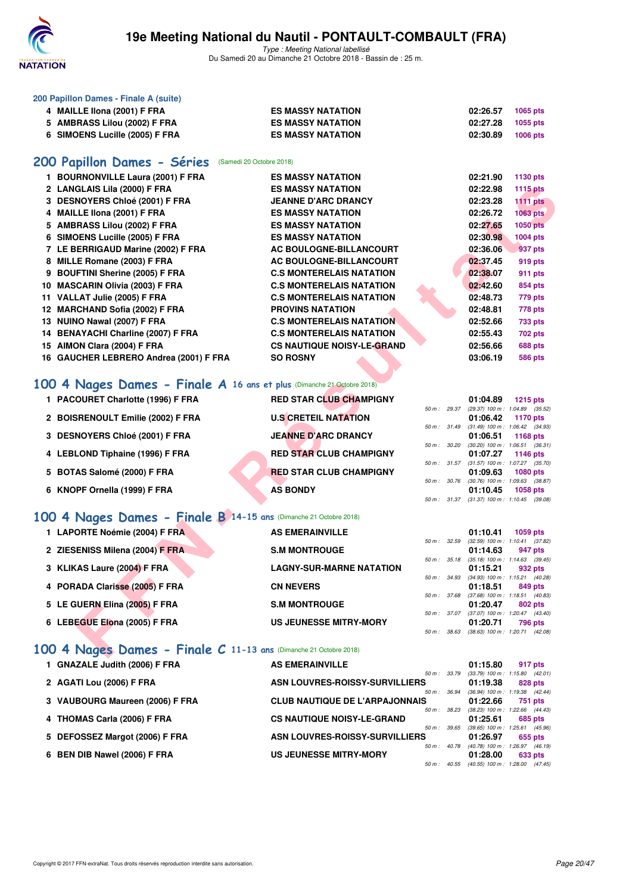

Type : Meeting National labellisé Du Samedi 20 au Dimanche 21 Octobre 2018 - Bassin de : 25 m.

| 200 Papillon Dames - Finale A (suite) |  |  |  |
|---------------------------------------|--|--|--|
|---------------------------------------|--|--|--|

| 4 MAILLE IIona (2001) F FRA    | <b>ES MASSY NATATION</b> | 02:26.57 | 1065 pts |
|--------------------------------|--------------------------|----------|----------|
| 5 AMBRASS Lilou (2002) F FRA   | <b>ES MASSY NATATION</b> | 02:27.28 | 1055 pts |
| 6 SIMOENS Lucille (2005) F FRA | <b>ES MASSY NATATION</b> | 02:30.89 | 1006 pts |
|                                |                          |          |          |

#### [200 Papillon Dames - Séries](http://www.ffnatation.fr/webffn/resultats.php?idact=nat&go=epr&idcpt=55747&idepr=33) (Samedi 20 Octobre 2018)

| 1 BOURNONVILLE Laura (2001) F FRA                                     | <b>ES MASSY NATATION</b>          |              |              | 02:21.90 | 1130 pts                                               |
|-----------------------------------------------------------------------|-----------------------------------|--------------|--------------|----------|--------------------------------------------------------|
| 2 LANGLAIS Lila (2000) F FRA                                          | <b>ES MASSY NATATION</b>          |              |              | 02:22.98 | <b>1115 pts</b>                                        |
| 3 DESNOYERS Chloé (2001) F FRA                                        | <b>JEANNE D'ARC DRANCY</b>        |              |              | 02:23.28 | <b>1111 pts</b>                                        |
| 4 MAILLE IIona (2001) F FRA                                           | <b>ES MASSY NATATION</b>          |              |              | 02:26.72 | 1063 pts                                               |
| 5 AMBRASS Lilou (2002) F FRA                                          | <b>ES MASSY NATATION</b>          |              |              | 02:27.65 | <b>1050 pts</b>                                        |
| 6 SIMOENS Lucille (2005) F FRA                                        | <b>ES MASSY NATATION</b>          |              |              | 02:30.98 | 1004 pts                                               |
| 7 LE BERRIGAUD Marine (2002) F FRA                                    | AC BOULOGNE-BILLANCOURT           |              |              | 02:36.06 | 937 pts                                                |
| 8 MILLE Romane (2003) F FRA                                           | AC BOULOGNE-BILLANCOURT           |              |              | 02:37.45 | 919 pts                                                |
| 9 BOUFTINI Sherine (2005) F FRA                                       | <b>C.S MONTERELAIS NATATION</b>   |              |              | 02:38.07 | 911 pts                                                |
| 10 MASCARIN Olivia (2003) F FRA                                       | <b>C.S MONTERELAIS NATATION</b>   |              |              | 02:42.60 | 854 pts                                                |
| 11 VALLAT Julie (2005) F FRA                                          | <b>C.S MONTERELAIS NATATION</b>   |              |              | 02:48.73 | 779 pts                                                |
| 12 MARCHAND Sofia (2002) F FRA                                        | <b>PROVINS NATATION</b>           |              |              | 02:48.81 | 778 pts                                                |
| 13 NUINO Nawal (2007) F FRA                                           | <b>C.S MONTERELAIS NATATION</b>   |              |              | 02:52.66 | 733 pts                                                |
| 14 BENAYACHI Charline (2007) F FRA                                    | <b>C.S MONTERELAIS NATATION</b>   |              |              | 02:55.43 | 702 pts                                                |
| 15 AIMON Clara (2004) F FRA                                           | <b>CS NAUTIQUE NOISY-LE-GRAND</b> |              |              | 02:56.66 | <b>688 pts</b>                                         |
| 16 GAUCHER LEBRERO Andrea (2001) F FRA                                | <b>SO ROSNY</b>                   |              |              | 03:06.19 | <b>586 pts</b>                                         |
|                                                                       |                                   |              |              |          |                                                        |
| 00 4 Nages Dames - Finale A 16 ans et plus (Dimanche 21 Octobre 2018) |                                   |              |              |          |                                                        |
| 1 PACOURET Charlotte (1996) F FRA                                     | <b>RED STAR CLUB CHAMPIGNY</b>    |              |              | 01:04.89 | <b>1215 pts</b>                                        |
|                                                                       |                                   |              | 50 m : 29.37 |          | (29.37) 100 m: 1:04.89 (35.52)                         |
| 2 BOISRENOULT Emilie (2002) F FRA                                     | <b>U.S CRETEIL NATATION</b>       |              |              | 01:06.42 | 1170 pts                                               |
| 3 DESNOYERS Chloé (2001) F FRA                                        | <b>JEANNE D'ARC DRANCY</b>        |              | 50 m: 31.49  |          | $(31.49)$ 100 m : 1:06.42 $(34.93)$                    |
|                                                                       |                                   |              | 50 m : 30.20 | 01:06.51 | <b>1168 pts</b><br>$(30.20)$ 100 m : 1:06.51 $(36.31)$ |
| 4 LEBLOND Tiphaine (1996) F FRA                                       | <b>RED STAR CLUB CHAMPIGNY</b>    |              |              | 01:07.27 | 1146 pts                                               |
|                                                                       | <b>RED STAR CLUB CHAMPIGNY</b>    |              | 50 m : 31.57 |          | $(31.57)$ 100 m : 1:07.27 $(35.70)$                    |
| 5 BOTAS Salomé (2000) F FRA                                           |                                   | 50 m : 30.76 |              | 01:09.63 | 1080 pts<br>$(30.76)$ 100 m : 1:09.63 $(38.87)$        |
| 6 KNOPF Ornella (1999) F FRA                                          | <b>AS BONDY</b>                   |              |              | 01:10.45 | <b>1058 pts</b>                                        |
|                                                                       |                                   |              |              |          | 50 m: 31.37 (31.37) 100 m: 1:10.45 (39.08)             |
| 00 4 Nages Dames - Finale B 14-15 ans (Dimanche 21 Octobre 2018)      |                                   |              |              |          |                                                        |
| 1 LAPORTE Noémie (2004) F FRA                                         | <b>AS EMERAINVILLE</b>            |              |              | 01:10.41 | 1059 pts                                               |
|                                                                       |                                   | 50 m: 32.59  |              |          | $(32.59)$ 100 m : 1:10.41 $(37.82)$                    |
| 2 ZIESENISS Milena (2004) F FRA                                       | <b>S.M MONTROUGE</b>              |              |              | 01:14.63 | 947 pts                                                |
| 3 KLIKAS Laure (2004) F FRA                                           | <b>LAGNY-SUR-MARNE NATATION</b>   | 50 m: 35.18  |              | 01:15.21 | $(35.18)$ 100 m : 1:14.63 $(39.45)$<br>932 pts         |
|                                                                       |                                   |              | 50 m : 34.93 |          | (34.93) 100 m: 1:15.21 (40.28)                         |
| 4 PORADA Clarisse (2005) F FRA                                        | <b>CN NEVERS</b>                  |              |              | 01:18.51 | 849 pts                                                |
|                                                                       |                                   |              | 50 m : 37.68 | 01:20.47 | $(37.68)$ 100 m : 1:18.51 $(40.83)$                    |
|                                                                       |                                   |              |              |          | 802 pts                                                |
| 5 LE GUERN Elina (2005) F FRA                                         | <b>S.M MONTROUGE</b>              | 50 m : 37.07 |              |          |                                                        |
| 6 LEBEGUE Elona (2005) F FRA                                          | <b>US JEUNESSE MITRY-MORY</b>     |              |              | 01:20.71 | $(37.07)$ 100 m : 1:20.47 $(43.40)$<br>796 pts         |

### **[100 4 Nages Dames - Finale A](http://www.ffnatation.fr/webffn/resultats.php?idact=nat&go=epr&idcpt=55747&idepr=40) 16 ans et plus** (Dimanche 21 Octobre 2018)

| 1 PACOURET Charlotte (1996) F FRA | <b>RED STAR CLUB CHAMPIGNY</b> |                          |              | 01:04.89 | $1215$ pts                                 |
|-----------------------------------|--------------------------------|--------------------------|--------------|----------|--------------------------------------------|
|                                   |                                | $50 m$ : 29.37           |              |          | $(29.37)$ 100 m : 1:04.89 $(35.52)$        |
| 2 BOISRENOULT Emilie (2002) F FRA | <b>U.S CRETEIL NATATION</b>    |                          |              | 01:06.42 | 1170 pts                                   |
|                                   |                                |                          |              |          | 50 m: 31.49 (31.49) 100 m: 1:06.42 (34.93) |
| 3 DESNOYERS Chloé (2001) F FRA    | <b>JEANNE D'ARC DRANCY</b>     |                          |              | 01:06.51 | 1168 $pts$                                 |
|                                   |                                | $50 \text{ m}$ : $30.20$ |              |          | $(30.20)$ 100 m : 1:06.51 $(36.31)$        |
| 4 LEBLOND Tiphaine (1996) F FRA   | <b>RED STAR CLUB CHAMPIGNY</b> |                          |              | 01:07.27 | 1146 $pts$                                 |
|                                   |                                | $50 \text{ m}$ : $31.57$ |              |          | $(31.57)$ 100 m : 1:07.27 $(35.70)$        |
| 5 BOTAS Salomé (2000) F FRA       | <b>RED STAR CLUB CHAMPIGNY</b> |                          |              | 01:09.63 | <b>1080 pts</b>                            |
|                                   |                                |                          | 50 m : 30.76 |          | $(30.76)$ 100 m : 1:09.63 $(38.87)$        |
| 6 KNOPF Ornella (1999) F FRA      | <b>AS BONDY</b>                |                          |              | 01:10.45 | <b>1058 pts</b>                            |
|                                   |                                | $50 m$ : $31.37$         |              |          | $(31.37)$ 100 m : 1:10.45 $(39.08)$        |
| _______                           |                                |                          |              |          |                                            |

#### **[100 4 Nages Dames - Finale B](http://www.ffnatation.fr/webffn/resultats.php?idact=nat&go=epr&idcpt=55747&idepr=40) 14-15 ans** (Dimanche 21 Octobre 2018)

| 1 LAPORTE Noémie (2004) F FRA   | <b>AS EMERAINVILLE</b>          |                        | 01:10.41                            | 1059 pts |         |
|---------------------------------|---------------------------------|------------------------|-------------------------------------|----------|---------|
|                                 |                                 | $50 \text{ m}$ : 32.59 | $(32.59)$ 100 m : 1:10.41 $(37.82)$ |          |         |
| 2 ZIESENISS Milena (2004) F FRA | <b>S.M MONTROUGE</b>            |                        | 01:14.63                            |          | 947 pts |
|                                 |                                 | $50 m$ : $35.18$       | $(35.18)$ 100 m : 1:14.63 $(39.45)$ |          |         |
| 3 KLIKAS Laure (2004) F FRA     | <b>LAGNY-SUR-MARNE NATATION</b> |                        | 01:15.21                            |          | 932 pts |
|                                 |                                 | $50 \text{ m}$ : 34.93 | $(34.93)$ 100 m : 1:15.21 $(40.28)$ |          |         |
| 4 PORADA Clarisse (2005) F FRA  | <b>CN NEVERS</b>                |                        | 01:18.51                            |          | 849 pts |
|                                 |                                 | 50 m: 37.68            | $(37.68)$ 100 m : 1:18.51 $(40.83)$ |          |         |
| 5 LE GUERN Elina (2005) F FRA   | <b>S.M MONTROUGE</b>            |                        | 01:20.47                            |          | 802 pts |
|                                 |                                 | $50 m$ : $37.07$       | $(37.07)$ 100 m : 1:20.47 $(43.40)$ |          |         |
| 6 LEBEGUE Elona (2005) F FRA    | <b>US JEUNESSE MITRY-MORY</b>   |                        | 01:20.71                            |          | 796 pts |
|                                 |                                 | 50 m: 38.63            | $(38.63)$ 100 m : 1:20.71 $(42.08)$ |          |         |
|                                 |                                 |                        |                                     |          |         |

### **[100 4 Nages Dames - Finale C](http://www.ffnatation.fr/webffn/resultats.php?idact=nat&go=epr&idcpt=55747&idepr=40) 11-13 ans** (Dimanche 21 Octobre 2018)

| 1 GNAZALE Judith (2006) F FRA   | <b>AS EMERAINVILLE</b>                | 01:15.80                            | 917 pts |
|---------------------------------|---------------------------------------|-------------------------------------|---------|
|                                 | $50 m$ : $33.79$                      | $(33.79)$ 100 m : 1:15.80 $(42.01)$ |         |
| 2 AGATI Lou (2006) F FRA        | ASN LOUVRES-ROISSY-SURVILLIERS        | 01:19.38                            | 828 pts |
|                                 | $50 m$ : $36.94$                      | (36.94) 100 m : 1:19.38 (42.44)     |         |
| 3 VAUBOURG Maureen (2006) F FRA | <b>CLUB NAUTIQUE DE L'ARPAJONNAIS</b> | 01:22.66                            | 751 pts |
|                                 | $50 m$ : $38.23$                      | (38.23) 100 m: 1:22.66 (44.43)      |         |
| 4 THOMAS Carla (2006) F FRA     | <b>CS NAUTIQUE NOISY-LE-GRAND</b>     | 01:25.61                            | 685 pts |
|                                 | $50 m$ : 39.65                        | (39.65) 100 m: 1:25.61 (45.96)      |         |
| 5 DEFOSSEZ Margot (2006) F FRA  | ASN LOUVRES-ROISSY-SURVILLIERS        | 01:26.97                            | 655 pts |
|                                 | $50 m$ : $40.78$                      | (40.78) 100 m : 1:26.97 (46.19      |         |
| 6 BEN DIB Nawel (2006) F FRA    | <b>US JEUNESSE MITRY-MORY</b>         | 01:28.00                            | 633 pts |
|                                 | $50 m$ : $40.55$                      | (40.55) 100 m : 1:28.00 (47.45)     |         |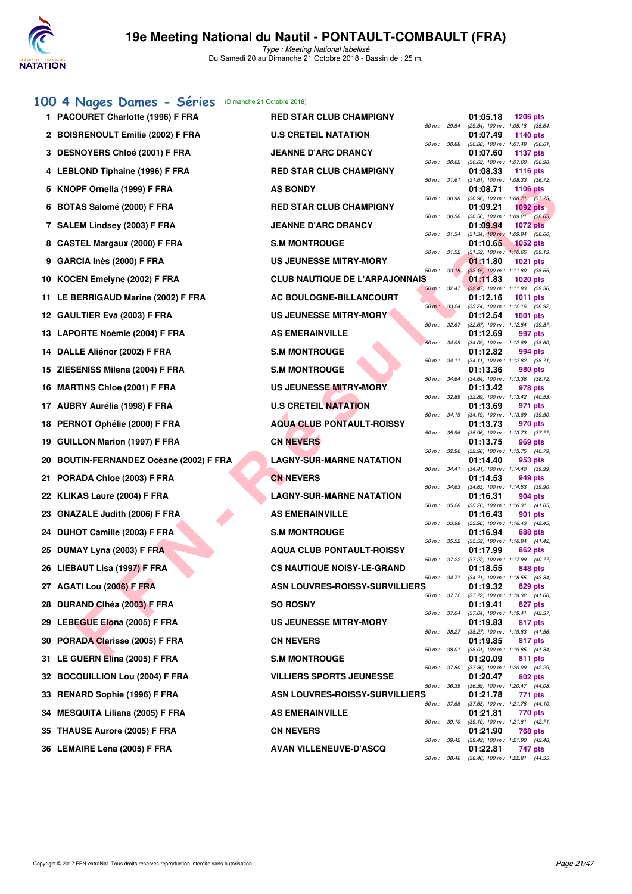

Type : Meeting National labellisé Du Samedi 20 au Dimanche 21 Octobre 2018 - Bassin de : 25 m.

### **[100 4 Nages Dames - Séries](http://www.ffnatation.fr/webffn/resultats.php?idact=nat&go=epr&idcpt=55747&idepr=40)** (Dimanche 21 Octobre 2018)

|     | 1 PACOURET Charlotte (1996) F FRA       | <b>RED STAR CLUB CHAMPIGNY</b>        |              |                             | 01:05.18 | <b>1206 pts</b>                                                                       |
|-----|-----------------------------------------|---------------------------------------|--------------|-----------------------------|----------|---------------------------------------------------------------------------------------|
|     | 2 BOISRENOULT Emilie (2002) F FRA       | <b>U.S CRETEIL NATATION</b>           |              | 50 m: 29.54                 | 01:07.49 | (29.54) 100 m: 1:05.18 (35.64)<br>1140 pts                                            |
|     | 3 DESNOYERS Chloé (2001) F FRA          | <b>JEANNE D'ARC DRANCY</b>            |              | 50 m : 30.88                | 01:07.60 | (30.88) 100 m: 1:07.49 (36.61)<br><b>1137 pts</b>                                     |
|     | 4 LEBLOND Tiphaine (1996) F FRA         | <b>RED STAR CLUB CHAMPIGNY</b>        |              | 50 m: 30.62                 | 01:08.33 | (30.62) 100 m: 1:07.60 (36.98)<br><b>1116 pts</b>                                     |
|     | 5 KNOPF Ornella (1999) F FRA            | <b>AS BONDY</b>                       |              | 50 m : 31.61                | 01:08.71 | $(31.61)$ 100 m : 1:08.33 $(36.72)$<br><b>1106 pts</b>                                |
|     | 6 BOTAS Salomé (2000) F FRA             | <b>RED STAR CLUB CHAMPIGNY</b>        |              | 50 m : 30.98                | 01:09.21 | $(30.98)$ 100 m : 1:08.71 $(37.73)$<br>1092 pts                                       |
|     | 7 SALEM Lindsey (2003) F FRA            | <b>JEANNE D'ARC DRANCY</b>            |              | 50 m : 30.56                | 01:09.94 | $(30.56)$ 100 m : 1:09.21 $(38.65)$<br><b>1072 pts</b>                                |
|     | 8 CASTEL Margaux (2000) F FRA           | <b>S.M MONTROUGE</b>                  | 50 m: 31.34  |                             | 01:10.65 | $(31.34)$ 100 m : 1:09.94 $(38.60)$<br>1052 pts                                       |
| 9   | GARCIA Inès (2000) F FRA                | <b>US JEUNESSE MITRY-MORY</b>         | 50 m: 31.52  |                             | 01:11.80 | $(31.52)$ 100 m : 1:10.65 $(39.13)$<br><b>1021 pts</b>                                |
|     | 10 KOCEN Emelyne (2002) F FRA           | <b>CLUB NAUTIQUE DE L'ARPAJONNAIS</b> |              | 50 m: 33.15                 | 01:11.83 | $(33.15)$ 100 m : 1:11.80 $(38.65)$<br>1020 pts                                       |
|     | 11 LE BERRIGAUD Marine (2002) F FRA     | AC BOULOGNE-BILLANCOURT               |              | 50 m: 32.47                 | 01:12.16 | $(32.47)$ 100 m : 1:11.83 $(39.36)$<br>1011 pts                                       |
|     | 12 GAULTIER Eva (2003) F FRA            | <b>US JEUNESSE MITRY-MORY</b>         |              | $50 \text{ m}$ : $33.24$    | 01:12.54 | (33.24) 100 m: 1:12.16 (38.92)<br><b>1001 pts</b>                                     |
|     | 13 LAPORTE Noémie (2004) F FRA          | <b>AS EMERAINVILLE</b>                |              | 50 m: 32.67                 | 01:12.69 | (32.67) 100 m: 1:12.54 (39.87)<br>997 pts                                             |
|     | 14 DALLE Aliénor (2002) F FRA           | <b>S.M MONTROUGE</b>                  |              | 50 m: 34.09                 | 01:12.82 | $(34.09)$ 100 m : 1:12.69 $(38.60)$<br>994 pts                                        |
|     | 15 ZIESENISS Milena (2004) F FRA        | <b>S.M MONTROUGE</b>                  |              | 50 m: 34.11                 | 01:13.36 | (34.11) 100 m: 1:12.82 (38.71)<br>980 pts                                             |
|     | 16 MARTINS Chloe (2001) F FRA           | US JEUNESSE MITRY-MORY                |              | 50 m : 34.64                | 01:13.42 | (34.64) 100 m: 1:13.36 (38.72)<br>978 pts                                             |
|     | 17 AUBRY Aurélia (1998) F FRA           | <b>U.S CRETEIL NATATION</b>           |              | 50 m : 32.89                | 01:13.69 | $(32.89)$ 100 m : 1:13.42 $(40.53)$<br>971 pts                                        |
|     | 18 PERNOT Ophélie (2000) F FRA          | <b>AQUA CLUB PONTAULT-ROISSY</b>      |              | 50 m: 34.19                 | 01:13.73 | $(34.19)$ 100 m : 1:13.69 $(39.50)$<br>970 pts                                        |
|     | 19 GUILLON Marion (1997) F FRA          | <b>CN NEVERS</b>                      |              | 50 m : 35.96                | 01:13.75 | (35.96) 100 m: 1:13.73 (37.77)<br>969 pts                                             |
|     | 20 BOUTIN-FERNANDEZ Océane (2002) F FRA | <b>LAGNY-SUR-MARNE NATATION</b>       | 50 m: 32.96  |                             | 01:14.40 | (32.96) 100 m : 1:13.75 (40.79)<br>953 pts                                            |
| 21. | PORADA Chloe (2003) F FRA               | <b>CN NEVERS</b>                      |              | 50 m: 34.41                 | 01:14.53 | (34.41) 100 m: 1:14.40 (39.99)<br>949 pts                                             |
|     | 22 KLIKAS Laure (2004) F FRA            | <b>LAGNY-SUR-MARNE NATATION</b>       |              | 50 m : 34.63                | 01:16.31 | $(34.63)$ 100 m : 1:14.53 $(39.90)$<br><b>904 pts</b>                                 |
|     | 23 GNAZALE Judith (2006) F FRA          | <b>AS EMERAINVILLE</b>                |              | 50 m : 35.26                | 01:16.43 | $(35.26)$ 100 m : 1:16.31 $(41.05)$<br>901 pts                                        |
|     | 24 DUHOT Camille (2003) F FRA           | <b>S.M MONTROUGE</b>                  |              | 50 m : 33.98                | 01:16.94 | $(33.98)$ 100 m : 1:16.43 $(42.45)$<br>888 pts                                        |
|     | 25 DUMAY Lyna (2003) F FRA              | <b>AQUA CLUB PONTAULT-ROISSY</b>      |              | 50 m: 35.52                 | 01:17.99 | (35.52) 100 m: 1:16.94 (41.42)<br>862 pts                                             |
|     | 26 LIEBAUT Lisa (1997) F FRA            | <b>CS NAUTIQUE NOISY-LE-GRAND</b>     |              | 50 m : 37.22                | 01:18.55 | (37.22) 100 m: 1:17.99 (40.77)<br>848 pts                                             |
|     | 27 AGATI Lou (2006) F FRA               | ASN LOUVRES-ROISSY-SURVILLIERS        |              | 50 m : 34.71                | 01:19.32 | $(34.71)$ 100 m : 1:18.55 $(43.84)$<br>829 pts                                        |
|     | 28 DURAND Clhéa (2003) F FRA            | <b>SO ROSNY</b>                       |              | 50 m : 37.72                | 01:19.41 | $(37.72)$ 100 m : 1:19.32 $(41.60)$<br>827 pts                                        |
|     | 29 LEBEGUE Elona (2005) F FRA           | <b>US JEUNESSE MITRY-MORY</b>         |              | 50 m : 37.04                | 01:19.83 | (37.04) 100 m : 1:19.41 (42.37)<br>817 pts                                            |
|     | 30 PORADA Clarisse (2005) F FRA         | <b>CN NEVERS</b>                      |              | 50 m : 38.27                | 01:19.85 | $(38.27)$ 100 m : 1:19.83 $(41.56)$<br>817 pts                                        |
|     | 31 LE GUERN Elina (2005) F FRA          | <b>S.M MONTROUGE</b>                  | 50 m : 38.01 |                             | 01:20.09 | (38.01) 100 m: 1:19.85 (41.84)<br>811 pts                                             |
|     | 32 BOCQUILLION Lou (2004) F FRA         | <b>VILLIERS SPORTS JEUNESSE</b>       |              | 50 m : 37.80                | 01:20.47 | (37.80) 100 m : 1:20.09 (42.29)<br>802 pts                                            |
|     | 33 RENARD Sophie (1996) F FRA           | ASN LOUVRES-ROISSY-SURVILLIERS        |              | 50 m : 36.39                | 01:21.78 | (36.39) 100 m: 1:20.47 (44.08)<br>771 pts                                             |
| 34  | <b>MESQUITA Liliana (2005) F FRA</b>    | <b>AS EMERAINVILLE</b>                |              | 50 m : 37.68<br>50 m: 39.10 | 01:21.81 | $(37.68)$ 100 m : 1:21.78 $(44.10)$<br>770 pts<br>$(39.10)$ 100 m : 1:21.81 $(42.71)$ |
| 35  | <b>THAUSE Aurore (2005) F FRA</b>       | <b>CN NEVERS</b>                      |              | 50 m : 39.42                | 01:21.90 | 768 pts<br>$(39.42)$ 100 m : 1:21.90 $(42.48)$                                        |
|     | 36 LEMAIRE Lena (2005) F FRA            | <b>AVAN VILLENEUVE-D'ASCQ</b>         |              | 50 m : 38.46                | 01:22.81 | 747 pts<br>(38.46) 100 m: 1:22.81 (44.35)                                             |
|     |                                         |                                       |              |                             |          |                                                                                       |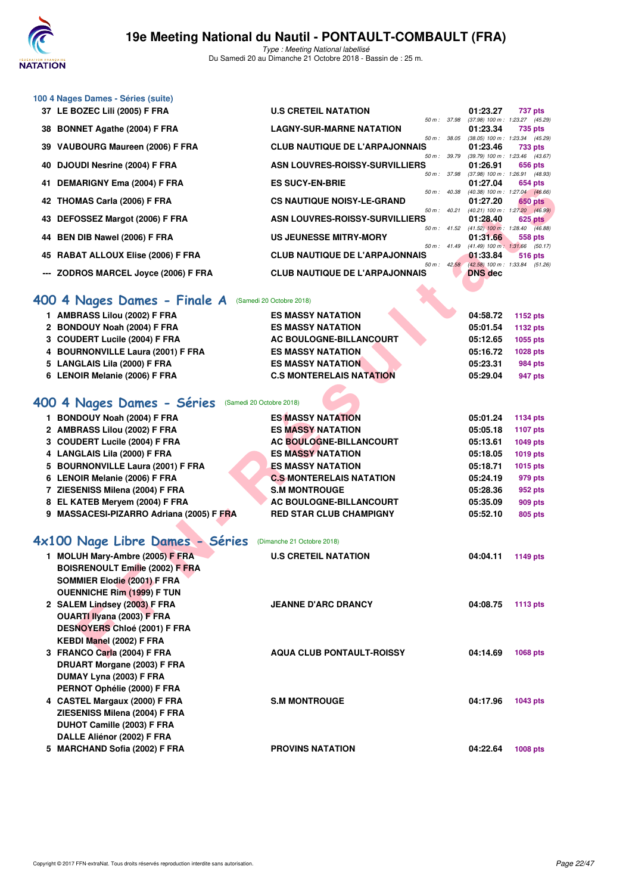

Type : Meeting National labellisé Du Samedi 20 au Dimanche 21 Octobre 2018 - Bassin de : 25 m.

| 100 4 Nages Dames - Séries (suite) |  |  |
|------------------------------------|--|--|
|------------------------------------|--|--|

| 37 LE BOZEC Lili (2005) F FRA        | <b>U.S CRETEIL NATATION</b>           |                          |       | 01:23.27                                   | 737 pts |         |
|--------------------------------------|---------------------------------------|--------------------------|-------|--------------------------------------------|---------|---------|
|                                      |                                       | 50 m: 37.98              |       | $(37.98)$ 100 m : 1:23.27 $(45.29)$        |         |         |
| 38 BONNET Agathe (2004) F FRA        | <b>LAGNY-SUR-MARNE NATATION</b>       |                          |       | 01:23.34                                   | 735 pts |         |
|                                      |                                       | 50 m: 38.05              |       | $(38.05)$ 100 m : 1:23.34 $(45.29)$        |         |         |
| 39 VAUBOURG Maureen (2006) F FRA     | <b>CLUB NAUTIQUE DE L'ARPAJONNAIS</b> |                          |       | 01:23.46                                   | 733 pts |         |
|                                      |                                       | 50 m : 39.79             |       | $(39.79)$ 100 m : 1:23.46 $(43.67)$        |         |         |
| 40 DJOUDI Nesrine (2004) F FRA       | ASN LOUVRES-ROISSY-SURVILLIERS        |                          |       | 01:26.91                                   | 656 pts |         |
|                                      |                                       | 50 m : 37.98             |       | $(37.98)$ 100 m : 1:26.91 $(48.93)$        |         |         |
| 41 DEMARIGNY Ema (2004) F FRA        | <b>ES SUCY-EN-BRIE</b>                |                          |       | 01:27.04                                   | 654 pts |         |
|                                      |                                       | 50 m: 40.38              |       | $(40.38)$ 100 m : 1:27.04 $(46.66)$        |         |         |
| 42 THOMAS Carla (2006) F FRA         | <b>CS NAUTIQUE NOISY-LE-GRAND</b>     |                          |       | 01:27.20                                   |         | 650 pts |
|                                      |                                       | 50 m :                   | 40.21 | $(40.21)$ 100 m : 1:27.20 $(46.99)$        |         |         |
| 43 DEFOSSEZ Margot (2006) F FRA      | ASN LOUVRES-ROISSY-SURVILLIERS        |                          |       | 01:28.40                                   | 625 pts |         |
|                                      |                                       | $50 m$ :                 | 41.52 | $(41.52)$ 100 m : 1:28.40 $(46.88)$        |         |         |
| 44 BEN DIB Nawel (2006) F FRA        | <b>US JEUNESSE MITRY-MORY</b>         |                          |       | 01:31.66                                   | 558 pts |         |
|                                      |                                       | $50 \text{ m}$ : $41.49$ |       | $(41.49)$ 100 m : 1:31.66                  |         | (50.17) |
| 45 RABAT ALLOUX Elise (2006) F FRA   | <b>CLUB NAUTIQUE DE L'ARPAJONNAIS</b> |                          |       | 01:33.84                                   | 516 pts |         |
|                                      |                                       |                          |       | 50 m: 42.58 (42.58) 100 m: 1:33.84 (51.26) |         |         |
| --- ZODROS MARCEL Joyce (2006) F FRA | <b>CLUB NAUTIQUE DE L'ARPAJONNAIS</b> |                          |       | <b>DNS</b> dec                             |         |         |
|                                      |                                       |                          |       |                                            |         |         |

#### **[400 4 Nages Dames - Finale A](http://www.ffnatation.fr/webffn/resultats.php?idact=nat&go=epr&idcpt=55747&idepr=42)** (Samedi 20 Octobre 2018)

| 1 AMBRASS Lilou (2002) F FRA      | <b>ES MASSY NATATION</b>        | 04:58.72 | 1152 pts        |
|-----------------------------------|---------------------------------|----------|-----------------|
| 2 BONDOUY Noah (2004) F FRA       | <b>ES MASSY NATATION</b>        | 05:01.54 | 1132 pts        |
| 3 COUDERT Lucile (2004) F FRA     | AC BOULOGNE-BILLANCOURT         | 05:12.65 | 1055 pts        |
| 4 BOURNONVILLE Laura (2001) F FRA | <b>ES MASSY NATATION</b>        | 05:16.72 | <b>1028 pts</b> |
| 5 LANGLAIS Lila (2000) F FRA      | <b>ES MASSY NATATION</b>        | 05:23.31 | <b>984 pts</b>  |
| 6 LENOIR Melanie (2006) F FRA     | <b>C.S MONTERELAIS NATATION</b> | 05:29.04 | 947 pts         |
|                                   |                                 |          |                 |

### **[400 4 Nages Dames - Séries](http://www.ffnatation.fr/webffn/resultats.php?idact=nat&go=epr&idcpt=55747&idepr=42)** (Samedi 20 Octobre 2018)

| 41 DEMANIGNT EIIIA (2004) F FRA                        | LJ JUV I "LIY"DNIL                    |              | 01.ZL.VT       | งงฯ มเธ                                                 |  |
|--------------------------------------------------------|---------------------------------------|--------------|----------------|---------------------------------------------------------|--|
| 42 THOMAS Carla (2006) F FRA                           | <b>CS NAUTIQUE NOISY-LE-GRAND</b>     | 50 m : 40.38 | 01:27.20       | $(40.38)$ 100 m : 1:27.04 $(46.66)$<br><b>650 pts</b>   |  |
|                                                        |                                       | 50 m : 40.21 |                | $(40.21)$ 100 m : 1:27.20 $(46.99)$                     |  |
| 43 DEFOSSEZ Margot (2006) F FRA                        | ASN LOUVRES-ROISSY-SURVILLIERS        |              | 01:28.40       | 625 pts<br>50 m : 41.52 (41.52) 100 m : 1:28.40 (46.88) |  |
| 44 BEN DIB Nawel (2006) F FRA                          | US JEUNESSE MITRY-MORY                |              | 01:31.66       | 558 pts                                                 |  |
|                                                        |                                       |              |                | 50 m: 41.49 (41.49) 100 m: 1:31.66 (50.17)              |  |
| 45 RABAT ALLOUX Elise (2006) F FRA                     | <b>CLUB NAUTIQUE DE L'ARPAJONNAIS</b> |              | 01:33.84       | 516 pts<br>50 m: 42.58 (42.58) 100 m: 1:33.84 (51.26)   |  |
| --- ZODROS MARCEL Joyce (2006) F FRA                   | <b>CLUB NAUTIQUE DE L'ARPAJONNAIS</b> |              | <b>DNS</b> dec |                                                         |  |
|                                                        |                                       |              |                |                                                         |  |
| 400 4 Nages Dames - Finale A                           | (Samedi 20 Octobre 2018)              |              |                |                                                         |  |
| 1 AMBRASS Lilou (2002) F FRA                           | <b>ES MASSY NATATION</b>              |              | 04:58.72       | 1152 pts                                                |  |
| 2 BONDOUY Noah (2004) F FRA                            | <b>ES MASSY NATATION</b>              |              | 05:01.54       | <b>1132 pts</b>                                         |  |
| 3 COUDERT Lucile (2004) F FRA                          | <b>AC BOULOGNE-BILLANCOURT</b>        |              | 05:12.65       | 1055 pts                                                |  |
| 4 BOURNONVILLE Laura (2001) F FRA                      | <b>ES MASSY NATATION</b>              |              | 05:16.72       | 1028 pts                                                |  |
| 5 LANGLAIS Lila (2000) F FRA                           | <b>ES MASSY NATATION</b>              |              | 05:23.31       | 984 pts                                                 |  |
| 6 LENOIR Melanie (2006) F FRA                          | <b>C.S MONTERELAIS NATATION</b>       |              | 05:29.04       | 947 pts                                                 |  |
|                                                        |                                       |              |                |                                                         |  |
| 400 4 Nages Dames - Séries<br>(Samedi 20 Octobre 2018) |                                       |              |                |                                                         |  |
| 1 BONDOUY Noah (2004) F FRA                            | <b>ES MASSY NATATION</b>              |              | 05:01.24       | 1134 pts                                                |  |
| 2 AMBRASS Lilou (2002) F FRA                           | <b>ES MASSY NATATION</b>              |              | 05:05.18       | <b>1107 pts</b>                                         |  |
| 3 COUDERT Lucile (2004) F FRA                          | AC BOULOGNE-BILLANCOURT               |              | 05:13.61       | 1049 pts                                                |  |
| 4 LANGLAIS Lila (2000) F FRA                           | <b>ES MASSY NATATION</b>              |              | 05:18.05       | 1019 pts                                                |  |
| 5 BOURNONVILLE Laura (2001) F FRA                      | <b>ES MASSY NATATION</b>              |              | 05:18.71       | 1015 pts                                                |  |
| 6 LENOIR Melanie (2006) F FRA                          | <b>C.S MONTERELAIS NATATION</b>       |              | 05:24.19       | 979 pts                                                 |  |
| 7 ZIESENISS Milena (2004) F FRA                        | <b>S.M MONTROUGE</b>                  |              | 05:28.36       | 952 pts                                                 |  |
| 8 EL KATEB Meryem (2004) F FRA                         | <b>AC BOULOGNE-BILLANCOURT</b>        |              | 05:35.09       | 909 pts                                                 |  |
| 9 MASSACESI-PIZARRO Adriana (2005) F FRA               | <b>RED STAR CLUB CHAMPIGNY</b>        |              | 05:52.10       | <b>805 pts</b>                                          |  |
|                                                        |                                       |              |                |                                                         |  |
| 4x100 Nage Libre Dames - Séries                        | (Dimanche 21 Octobre 2018)            |              |                |                                                         |  |
| 1 MOLUH Mary-Ambre (2005) F FRA                        | <b>U.S CRETEIL NATATION</b>           |              | 04:04.11       | 1149 pts                                                |  |
| <b>BOISRENOULT Emilie (2002) F FRA</b>                 |                                       |              |                |                                                         |  |
| <b>SOMMIER Elodie (2001) F FRA</b>                     |                                       |              |                |                                                         |  |
| <b>OUENNICHE Rim (1999) F TUN</b>                      |                                       |              |                |                                                         |  |
| 2 SALEM Lindsey (2003) F FRA                           | <b>JEANNE D'ARC DRANCY</b>            |              | 04:08.75       | <b>1113 pts</b>                                         |  |
| OUARTI Ilyana (2003) F FRA                             |                                       |              |                |                                                         |  |
| <b>DESNOYERS Chloé (2001) F FRA</b>                    |                                       |              |                |                                                         |  |
| KEBDI Manel (2002) F FRA                               |                                       |              |                |                                                         |  |
| 3 FRANCO Carla (2004) F FRA                            | <b>AQUA CLUB PONTAULT-ROISSY</b>      |              | 04:14.69       | 1068 pts                                                |  |

**3 FRANCO Carla (2004) F FRA AQUA CLUB PONTAULT-ROISSY 04:14.69 1068 pts DRUART Morgane (2003) F FRA DUMAY Lyna (2003) F FRA PERNOT Ophélie (2000) F FRA 4 CASTEL Margaux (2000) F FRA S.M MONTROUGE 04:17.96 1043 pts ZIESENISS Milena (2004) F FRA**

**DUHOT Camille (2003) F FRA DALLE Aliénor (2002) F FRA 5 MARCHAND Sofia (2002) F FRA PROVINS NATATION 04:22.64 1008 pts**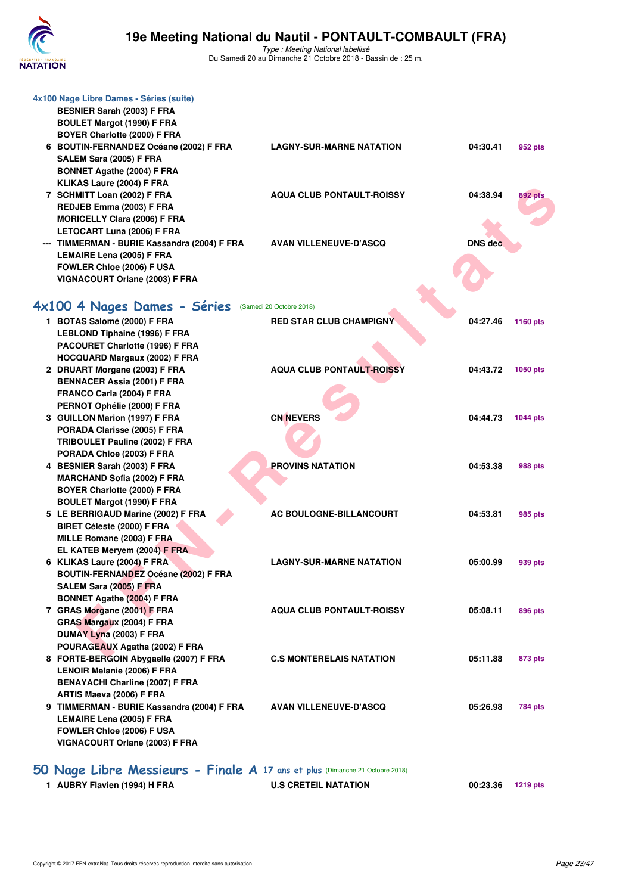

Type : Meeting National labellisé Du Samedi 20 au Dimanche 21 Octobre 2018 - Bassin de : 25 m.

| 4x100 Nage Libre Dames - Séries (suite)<br><b>BESNIER Sarah (2003) F FRA</b><br><b>BOULET Margot (1990) F FRA</b><br>BOYER Charlotte (2000) F FRA |                                  |          |                 |
|---------------------------------------------------------------------------------------------------------------------------------------------------|----------------------------------|----------|-----------------|
| 6 BOUTIN-FERNANDEZ Océane (2002) F FRA                                                                                                            | <b>LAGNY-SUR-MARNE NATATION</b>  | 04:30.41 | 952 pts         |
| SALEM Sara (2005) F FRA                                                                                                                           |                                  |          |                 |
| <b>BONNET Agathe (2004) F FRA</b>                                                                                                                 |                                  |          |                 |
| KLIKAS Laure (2004) F FRA                                                                                                                         |                                  |          |                 |
| 7 SCHMITT Loan (2002) F FRA                                                                                                                       | <b>AQUA CLUB PONTAULT-ROISSY</b> | 04:38.94 | <b>892 pts</b>  |
| REDJEB Emma (2003) F FRA                                                                                                                          |                                  |          |                 |
| <b>MORICELLY Clara (2006) F FRA</b>                                                                                                               |                                  |          |                 |
| LETOCART Luna (2006) F FRA                                                                                                                        |                                  |          |                 |
| --- TIMMERMAN - BURIE Kassandra (2004) F FRA                                                                                                      | <b>AVAN VILLENEUVE-D'ASCQ</b>    | DNS dec  |                 |
| LEMAIRE Lena (2005) F FRA                                                                                                                         |                                  |          |                 |
| FOWLER Chloe (2006) F USA                                                                                                                         |                                  |          |                 |
| VIGNACOURT Orlane (2003) F FRA                                                                                                                    |                                  |          |                 |
| 4x100 4 Nages Dames - Séries                                                                                                                      | (Samedi 20 Octobre 2018)         |          |                 |
|                                                                                                                                                   |                                  |          |                 |
| 1 BOTAS Salomé (2000) F FRA                                                                                                                       | <b>RED STAR CLUB CHAMPIGNY</b>   | 04:27.46 | 1160 pts        |
| <b>LEBLOND Tiphaine (1996) F FRA</b>                                                                                                              |                                  |          |                 |
| PACOURET Charlotte (1996) F FRA                                                                                                                   |                                  |          |                 |
| <b>HOCQUARD Margaux (2002) F FRA</b><br>2 DRUART Morgane (2003) F FRA                                                                             | <b>AQUA CLUB PONTAULT-ROISSY</b> | 04:43.72 | <b>1050 pts</b> |
| <b>BENNACER Assia (2001) F FRA</b>                                                                                                                |                                  |          |                 |
| FRANCO Carla (2004) F FRA                                                                                                                         |                                  |          |                 |
| PERNOT Ophélie (2000) F FRA                                                                                                                       |                                  |          |                 |
| 3 GUILLON Marion (1997) F FRA                                                                                                                     | <b>CN NEVERS</b>                 | 04:44.73 | <b>1044 pts</b> |
| PORADA Clarisse (2005) F FRA                                                                                                                      |                                  |          |                 |
| TRIBOULET Pauline (2002) F FRA                                                                                                                    |                                  |          |                 |
| PORADA Chloe (2003) F FRA                                                                                                                         |                                  |          |                 |
| 4 BESNIER Sarah (2003) F FRA                                                                                                                      | <b>PROVINS NATATION</b>          | 04:53.38 | 988 pts         |
| <b>MARCHAND Sofia (2002) F FRA</b>                                                                                                                |                                  |          |                 |
| BOYER Charlotte (2000) F FRA                                                                                                                      |                                  |          |                 |
| <b>BOULET Margot (1990) F FRA</b>                                                                                                                 |                                  |          |                 |
| 5 LE BERRIGAUD Marine (2002) F FRA                                                                                                                | AC BOULOGNE-BILLANCOURT          | 04:53.81 | 985 pts         |
| BIRET Céleste (2000) F FRA                                                                                                                        |                                  |          |                 |
| MILLE Romane (2003) F FRA                                                                                                                         |                                  |          |                 |
| EL KATEB Meryem (2004) F FRA                                                                                                                      |                                  |          |                 |
| 6 KLIKAS Laure (2004) F FRA                                                                                                                       | <b>LAGNY-SUR-MARNE NATATION</b>  | 05:00.99 | 939 pts         |
| <b>BOUTIN-FERNANDEZ Océane (2002) F FRA</b>                                                                                                       |                                  |          |                 |
| SALEM Sara (2005) F FRA                                                                                                                           |                                  |          |                 |
| <b>BONNET Agathe (2004) F FRA</b>                                                                                                                 |                                  |          |                 |
| 7 GRAS Morgane (2001) F FRA                                                                                                                       | <b>AQUA CLUB PONTAULT-ROISSY</b> | 05:08.11 | 896 pts         |
| GRAS Margaux (2004) F FRA                                                                                                                         |                                  |          |                 |
| DUMAY Lyna (2003) F FRA<br>POURAGEAUX Agatha (2002) F FRA                                                                                         |                                  |          |                 |
| 8 FORTE-BERGOIN Abygaelle (2007) F FRA                                                                                                            | <b>C.S MONTERELAIS NATATION</b>  | 05:11.88 | 873 pts         |
| LENOIR Melanie (2006) F FRA                                                                                                                       |                                  |          |                 |
| <b>BENAYACHI Charline (2007) F FRA</b>                                                                                                            |                                  |          |                 |
| ARTIS Maeva (2006) F FRA                                                                                                                          |                                  |          |                 |
| 9 TIMMERMAN - BURIE Kassandra (2004) F FRA                                                                                                        | <b>AVAN VILLENEUVE-D'ASCQ</b>    | 05:26.98 | 784 pts         |
| LEMAIRE Lena (2005) F FRA                                                                                                                         |                                  |          |                 |
| FOWLER Chloe (2006) F USA                                                                                                                         |                                  |          |                 |
| VIGNACOURT Orlane (2003) F FRA                                                                                                                    |                                  |          |                 |
| 50 Nage Libre Messieurs - Finale A 17 ans et plus (Dimanche 21 Octobre 2018)                                                                      |                                  |          |                 |

**1 AUBRY Flavien (1994) H FRA U.S CRETEIL NATATION 00:23.36 1219 pts**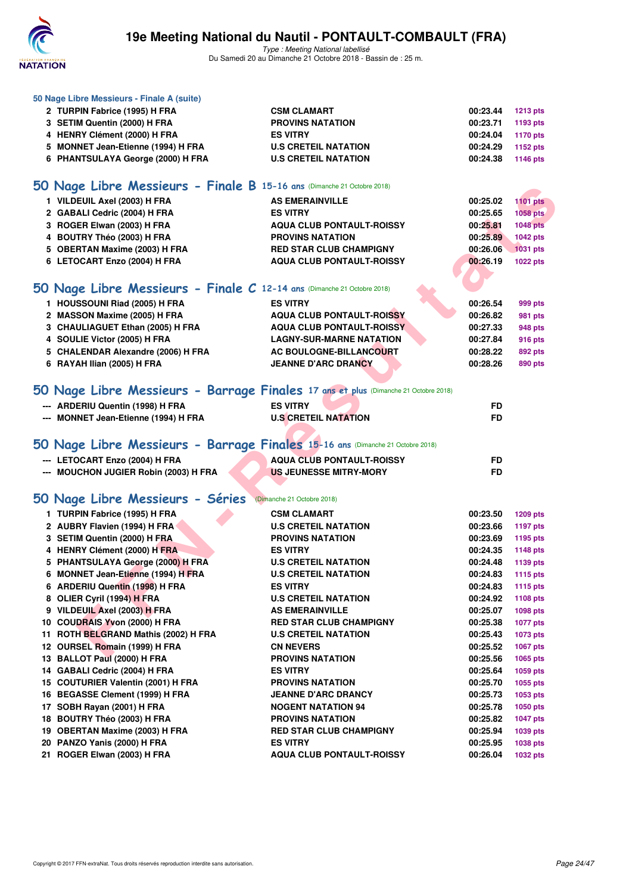

**50 Nage Libre Messieurs - Finale A (suite)**

### **19e Meeting National du Nautil - PONTAULT-COMBAULT (FRA)**

| 2 TURPIN Fabrice (1995) H FRA                                                  | <b>CSM CLAMART</b>                                                                  | 00:23.44  | <b>1213 pts</b> |
|--------------------------------------------------------------------------------|-------------------------------------------------------------------------------------|-----------|-----------------|
| 3 SETIM Quentin (2000) H FRA                                                   | <b>PROVINS NATATION</b>                                                             | 00:23.71  | 1193 pts        |
| 4 HENRY Clément (2000) H FRA                                                   | <b>ES VITRY</b>                                                                     | 00:24.04  | <b>1170 pts</b> |
| 5 MONNET Jean-Etienne (1994) H FRA                                             | <b>U.S CRETEIL NATATION</b>                                                         | 00:24.29  | 1152 pts        |
| 6 PHANTSULAYA George (2000) H FRA                                              | <b>U.S CRETEIL NATATION</b>                                                         | 00:24.38  | <b>1146 pts</b> |
| 50 Nage Libre Messieurs - Finale B 15-16 ans (Dimanche 21 Octobre 2018)        |                                                                                     |           |                 |
| 1 VILDEUIL Axel (2003) H FRA                                                   | <b>AS EMERAINVILLE</b>                                                              | 00:25.02  | <b>1101 pts</b> |
| 2 GABALI Cedric (2004) H FRA                                                   | <b>ES VITRY</b>                                                                     | 00:25.65  | 1058 pts        |
| 3 ROGER Elwan (2003) H FRA                                                     | <b>AQUA CLUB PONTAULT-ROISSY</b>                                                    | 00:25.81  | <b>1048 pts</b> |
| 4 BOUTRY Théo (2003) H FRA                                                     | <b>PROVINS NATATION</b>                                                             | 00:25.89  | 1042 pts        |
| 5 OBERTAN Maxime (2003) H FRA                                                  | <b>RED STAR CLUB CHAMPIGNY</b>                                                      | 00:26.06  | <b>1031 pts</b> |
| 6 LETOCART Enzo (2004) H FRA                                                   | <b>AQUA CLUB PONTAULT-ROISSY</b>                                                    | 00:26.19  | <b>1022 pts</b> |
|                                                                                |                                                                                     |           |                 |
|                                                                                |                                                                                     |           |                 |
| 50 Nage Libre Messieurs - Finale C 12-14 ans (Dimanche 21 Octobre 2018)        |                                                                                     |           |                 |
| 1 HOUSSOUNI Riad (2005) H FRA                                                  | <b>ES VITRY</b>                                                                     | 00:26.54  | 999 pts         |
| 2 MASSON Maxime (2005) H FRA                                                   | <b>AQUA CLUB PONTAULT-ROISSY</b>                                                    | 00:26.82  | 981 pts         |
| 3 CHAULIAGUET Ethan (2005) H FRA                                               | <b>AQUA CLUB PONTAULT-ROISSY</b>                                                    | 00:27.33  | 948 pts         |
| 4 SOULIE Victor (2005) H FRA                                                   | <b>LAGNY-SUR-MARNE NATATION</b>                                                     | 00:27.84  | 916 pts         |
| 5 CHALENDAR Alexandre (2006) H FRA                                             | <b>AC BOULOGNE-BILLANCOURT</b>                                                      | 00:28.22  | 892 pts         |
| 6 RAYAH Ilian (2005) H FRA                                                     | <b>JEANNE D'ARC DRANCY</b>                                                          | 00:28.26  | 890 pts         |
|                                                                                | 50 Nage Libre Messieurs - Barrage Finales 17 ans et plus (Dimanche 21 Octobre 2018) |           |                 |
| --- ARDERIU Quentin (1998) H FRA                                               | <b>ES VITRY</b>                                                                     | FD        |                 |
| --- MONNET Jean-Etienne (1994) H FRA                                           | <b>U.S CRETEIL NATATION</b>                                                         | FD        |                 |
|                                                                                |                                                                                     |           |                 |
| 50 Nage Libre Messieurs - Barrage Finales 15-16 ans (Dimanche 21 Octobre 2018) |                                                                                     |           |                 |
| --- LETOCART Enzo (2004) H FRA                                                 | <b>AQUA CLUB PONTAULT-ROISSY</b>                                                    | FD        |                 |
| --- MOUCHON JUGIER Robin (2003) H FRA                                          | <b>US JEUNESSE MITRY-MORY</b>                                                       | <b>FD</b> |                 |
| 50 Nage Libre Messieurs - Séries                                               | (Dimanche 21 Octobre 2018)                                                          |           |                 |
| 1 TURPIN Fabrice (1995) H FRA                                                  | <b>CSM CLAMART</b>                                                                  | 00:23.50  | <b>1209 pts</b> |
| 2 AUBRY Flavien (1994) H FRA                                                   | <b>U.S CRETEIL NATATION</b>                                                         | 00:23.66  | <b>1197 pts</b> |
| 3 SETIM Quentin (2000) H FRA                                                   | <b>PROVINS NATATION</b>                                                             | 00:23.69  | 1195 pts        |
| 4 HENRY Clément (2000) H FRA                                                   | <b>ES VITRY</b>                                                                     | 00:24.35  | 1148 pts        |
| 5 PHANTSULAYA George (2000) H FRA                                              | <b>U.S CRETEIL NATATION</b>                                                         | 00:24.48  | 1139 pts        |
| 6 MONNET Jean-Etienne (1994) H FRA                                             | <b>U.S CRETEIL NATATION</b>                                                         | 00:24.83  | <b>1115 pts</b> |
| 6 ARDERIU Quentin (1998) H FRA                                                 | <b>ES VITRY</b>                                                                     | 00:24.83  | 1115 pts        |
| 8 OLIER Cyril (1994) H FRA                                                     | <b>U.S CRETEIL NATATION</b>                                                         | 00:24.92  | 1108 pts        |
| 9 VILDEUIL Axel (2003) H FRA                                                   | <b>AS EMERAINVILLE</b>                                                              | 00:25.07  | 1098 pts        |
| 10 COUDRAIS Yvon (2000) H FRA                                                  | <b>RED STAR CLUB CHAMPIGNY</b>                                                      | 00:25.38  | <b>1077 pts</b> |
| 11 ROTH BELGRAND Mathis (2002) H FRA                                           | <b>U.S CRETEIL NATATION</b>                                                         | 00:25.43  | 1073 pts        |
| 12 OURSEL Romain (1999) H FRA                                                  | <b>CN NEVERS</b>                                                                    | 00:25.52  | 1067 pts        |
| 13 BALLOT Paul (2000) H FRA                                                    | <b>PROVINS NATATION</b>                                                             | 00:25.56  | 1065 pts        |
| 14 GABALI Cedric (2004) H FRA                                                  | <b>ES VITRY</b>                                                                     | 00:25.64  | 1059 pts        |
| 15 COUTURIER Valentin (2001) H FRA                                             | <b>PROVINS NATATION</b>                                                             | 00:25.70  | 1055 pts        |
| 16 BEGASSE Clement (1999) H FRA                                                | <b>JEANNE D'ARC DRANCY</b>                                                          | 00:25.73  | 1053 pts        |
| 17 SOBH Rayan (2001) H FRA                                                     | <b>NOGENT NATATION 94</b>                                                           | 00:25.78  | 1050 pts        |
| 18 BOUTRY Théo (2003) H FRA                                                    | <b>PROVINS NATATION</b>                                                             | 00:25.82  | <b>1047 pts</b> |
| 19 OBERTAN Maxime (2003) H FRA                                                 | <b>RED STAR CLUB CHAMPIGNY</b>                                                      | 00:25.94  | 1039 pts        |
| 20 PANZO Yanis (2000) H FRA                                                    | <b>ES VITRY</b>                                                                     | 00:25.95  | 1038 pts        |
| 21 ROGER Elwan (2003) H FRA                                                    | <b>AQUA CLUB PONTAULT-ROISSY</b>                                                    | 00:26.04  | <b>1032 pts</b> |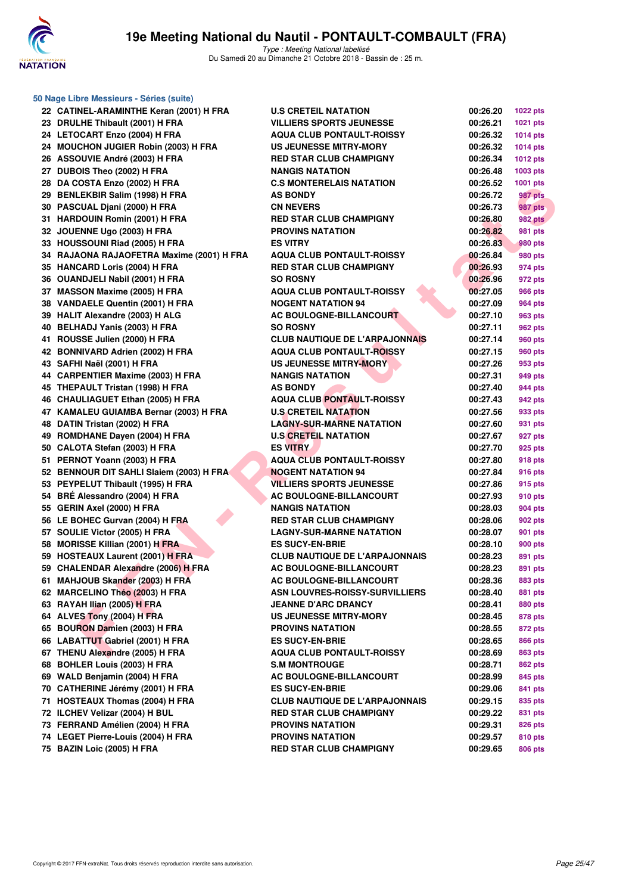

| 50 Nage Libre Messieurs - Séries (suite)  |                                       |          |                 |  |  |  |
|-------------------------------------------|---------------------------------------|----------|-----------------|--|--|--|
| 22 CATINEL-ARAMINTHE Keran (2001) H FRA   | <b>U.S CRETEIL NATATION</b>           | 00:26.20 | 1022 pts        |  |  |  |
| 23 DRULHE Thibault (2001) H FRA           | <b>VILLIERS SPORTS JEUNESSE</b>       | 00:26.21 | <b>1021 pts</b> |  |  |  |
| 24 LETOCART Enzo (2004) H FRA             | <b>AQUA CLUB PONTAULT-ROISSY</b>      | 00:26.32 | <b>1014 pts</b> |  |  |  |
| 24 MOUCHON JUGIER Robin (2003) H FRA      | <b>US JEUNESSE MITRY-MORY</b>         | 00:26.32 | <b>1014 pts</b> |  |  |  |
| 26 ASSOUVIE André (2003) H FRA            | <b>RED STAR CLUB CHAMPIGNY</b>        | 00:26.34 | <b>1012 pts</b> |  |  |  |
| 27 DUBOIS Theo (2002) H FRA               | <b>NANGIS NATATION</b>                | 00:26.48 | 1003 pts        |  |  |  |
| 28 DA COSTA Enzo (2002) H FRA             | <b>C.S MONTERELAIS NATATION</b>       | 00:26.52 | 1001 pts        |  |  |  |
| 29 BENLEKBIR Salim (1998) H FRA           | <b>AS BONDY</b>                       | 00:26.72 | 987 pts         |  |  |  |
| 30 PASCUAL Djani (2000) H FRA             | <b>CN NEVERS</b>                      | 00:26.73 | 987 pts         |  |  |  |
| 31 HARDOUIN Romin (2001) H FRA            | <b>RED STAR CLUB CHAMPIGNY</b>        | 00:26.80 | <b>982 pts</b>  |  |  |  |
| 32 JOUENNE Ugo (2003) H FRA               | <b>PROVINS NATATION</b>               | 00:26.82 | 981 pts         |  |  |  |
| 33 HOUSSOUNI Riad (2005) H FRA            | <b>ES VITRY</b>                       | 00:26.83 | 980 pts         |  |  |  |
| 34 RAJAONA RAJAOFETRA Maxime (2001) H FRA | <b>AQUA CLUB PONTAULT-ROISSY</b>      | 00:26.84 | 980 pts         |  |  |  |
| 35 HANCARD Loris (2004) H FRA             | <b>RED STAR CLUB CHAMPIGNY</b>        | 00:26.93 | 974 pts         |  |  |  |
| 36 OUANDJELI Nabil (2001) H FRA           | <b>SO ROSNY</b>                       | 00:26.96 | 972 pts         |  |  |  |
| 37 MASSON Maxime (2005) H FRA             | <b>AQUA CLUB PONTAULT-ROISSY</b>      | 00:27.05 | <b>966 pts</b>  |  |  |  |
| 38 VANDAELE Quentin (2001) H FRA          | <b>NOGENT NATATION 94</b>             | 00:27.09 | 964 pts         |  |  |  |
| 39 HALIT Alexandre (2003) H ALG           | AC BOULOGNE-BILLANCOURT               | 00:27.10 | 963 pts         |  |  |  |
| 40 BELHADJ Yanis (2003) H FRA             | <b>SO ROSNY</b>                       | 00:27.11 | 962 pts         |  |  |  |
| 41 ROUSSE Julien (2000) H FRA             | <b>CLUB NAUTIQUE DE L'ARPAJONNAIS</b> | 00:27.14 | 960 pts         |  |  |  |
| 42 BONNIVARD Adrien (2002) H FRA          | <b>AQUA CLUB PONTAULT-ROISSY</b>      | 00:27.15 | 960 pts         |  |  |  |
| 43 SAFHI Naël (2001) H FRA                | US JEUNESSE MITRY-MORY                | 00:27.26 | 953 pts         |  |  |  |
| 44 CARPENTIER Maxime (2003) H FRA         | <b>NANGIS NATATION</b>                | 00:27.31 | 949 pts         |  |  |  |
| 45 THEPAULT Tristan (1998) H FRA          | <b>AS BONDY</b>                       | 00:27.40 | 944 pts         |  |  |  |
| 46 CHAULIAGUET Ethan (2005) H FRA         | <b>AQUA CLUB PONTAULT-ROISSY</b>      | 00:27.43 | 942 pts         |  |  |  |
| 47 KAMALEU GUIAMBA Bernar (2003) H FRA    | <b>U.S CRETEIL NATATION</b>           | 00:27.56 | 933 pts         |  |  |  |
| 48 DATIN Tristan (2002) H FRA             | <b>LAGNY-SUR-MARNE NATATION</b>       | 00:27.60 | 931 pts         |  |  |  |
| 49 ROMDHANE Dayen (2004) H FRA            | <b>U.S CRETEIL NATATION</b>           | 00:27.67 | 927 pts         |  |  |  |
| 50 CALOTA Stefan (2003) H FRA             | <b>ES VITRY</b>                       | 00:27.70 | 925 pts         |  |  |  |
| 51 PERNOT Yoann (2003) H FRA              | <b>AQUA CLUB PONTAULT-ROISSY</b>      | 00:27.80 | 918 pts         |  |  |  |
| 52 BENNOUR DIT SAHLI Slaiem (2003) H FRA  | <b>NOGENT NATATION 94</b>             | 00:27.84 | 916 pts         |  |  |  |
| 53 PEYPELUT Thibault (1995) H FRA         | <b>VILLIERS SPORTS JEUNESSE</b>       | 00:27.86 | 915 pts         |  |  |  |
| 54 BRÉ Alessandro (2004) H FRA            | <b>AC BOULOGNE-BILLANCOURT</b>        | 00:27.93 | 910 pts         |  |  |  |
| 55 GERIN Axel (2000) H FRA                | <b>NANGIS NATATION</b>                | 00:28.03 | 904 pts         |  |  |  |
| 56 LE BOHEC Gurvan (2004) H FRA           | <b>RED STAR CLUB CHAMPIGNY</b>        | 00:28.06 | 902 pts         |  |  |  |
| 57 SOULIE Victor (2005) H FRA             | <b>LAGNY-SUR-MARNE NATATION</b>       | 00:28.07 | 901 pts         |  |  |  |
| 58 MORISSE Killian (2001) H FRA           | <b>ES SUCY-EN-BRIE</b>                | 00:28.10 | 900 pts         |  |  |  |
| 59 HOSTEAUX Laurent (2001) H FRA          | <b>CLUB NAUTIQUE DE L'ARPAJONNAIS</b> | 00:28.23 | 891 pts         |  |  |  |
| 59 CHALENDAR Alexandre (2006) H FRA       | AC BOULOGNE-BILLANCOURT               | 00:28.23 | 891 pts         |  |  |  |
| 61 MAHJOUB Skander (2003) H FRA           | AC BOULOGNE-BILLANCOURT               | 00:28.36 | 883 pts         |  |  |  |
| 62 MARCELINO Théo (2003) H FRA            | ASN LOUVRES-ROISSY-SURVILLIERS        | 00:28.40 | 881 pts         |  |  |  |
| 63 RAYAH Ilian (2005) H FRA               | <b>JEANNE D'ARC DRANCY</b>            | 00:28.41 | 880 pts         |  |  |  |
| 64 ALVES Tony (2004) H FRA                | <b>US JEUNESSE MITRY-MORY</b>         | 00:28.45 | 878 pts         |  |  |  |
| 65 BOURON Damien (2003) H FRA             | <b>PROVINS NATATION</b>               | 00:28.55 | 872 pts         |  |  |  |
| 66 LABATTUT Gabriel (2001) H FRA          | <b>ES SUCY-EN-BRIE</b>                | 00:28.65 | 866 pts         |  |  |  |
| 67 THENU Alexandre (2005) H FRA           | <b>AQUA CLUB PONTAULT-ROISSY</b>      | 00:28.69 | 863 pts         |  |  |  |
| 68 BOHLER Louis (2003) H FRA              | <b>S.M MONTROUGE</b>                  | 00:28.71 | <b>862 pts</b>  |  |  |  |
| 69 WALD Benjamin (2004) H FRA             | AC BOULOGNE-BILLANCOURT               | 00:28.99 | 845 pts         |  |  |  |
| 70 CATHERINE Jérémy (2001) H FRA          | <b>ES SUCY-EN-BRIE</b>                | 00:29.06 | 841 pts         |  |  |  |
| 71 HOSTEAUX Thomas (2004) H FRA           | <b>CLUB NAUTIQUE DE L'ARPAJONNAIS</b> | 00:29.15 | 835 pts         |  |  |  |
| 72 ILCHEV Velizar (2004) H BUL            | <b>RED STAR CLUB CHAMPIGNY</b>        | 00:29.22 | 831 pts         |  |  |  |
| 73 FERRAND Amélien (2004) H FRA           | <b>PROVINS NATATION</b>               | 00:29.31 | 826 pts         |  |  |  |
| 74 LEGET Pierre-Louis (2004) H FRA        | <b>PROVINS NATATION</b>               | 00:29.57 | 810 pts         |  |  |  |
| 75 BAZIN Loic (2005) H FRA                | RED STAR CLUB CHAMPIGNY               | 00:29.65 | 806 pts         |  |  |  |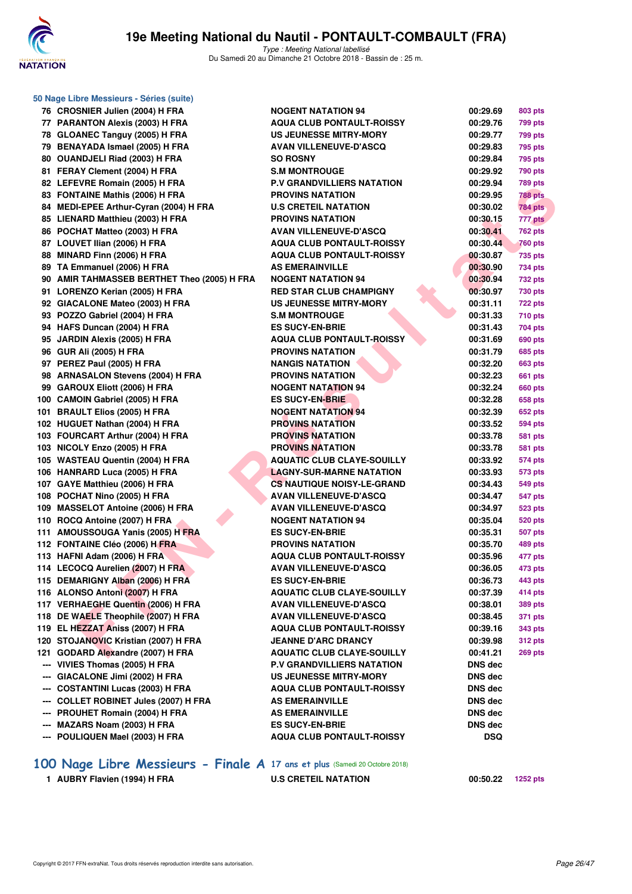

**50 Nage Libre Messieurs - Séries (suite)**

Type : Meeting National labellisé Du Samedi 20 au Dimanche 21 Octobre 2018 - Bassin de : 25 m.

|     | 76 CROSNIER Julien (2004) H FRA                                         | <b>NOGENT NATATION 94</b>                                          | 00:29.69           | 803 pts        |
|-----|-------------------------------------------------------------------------|--------------------------------------------------------------------|--------------------|----------------|
|     | 77 PARANTON Alexis (2003) H FRA                                         | <b>AQUA CLUB PONTAULT-ROISSY</b>                                   | 00:29.76           | <b>799 pts</b> |
|     | 78 GLOANEC Tanguy (2005) H FRA                                          | <b>US JEUNESSE MITRY-MORY</b>                                      | 00:29.77           | 799 pts        |
|     | 79 BENAYADA Ismael (2005) H FRA                                         | <b>AVAN VILLENEUVE-D'ASCQ</b>                                      | 00:29.83           | 795 pts        |
|     | 80 OUANDJELI Riad (2003) H FRA                                          | <b>SO ROSNY</b>                                                    | 00:29.84           | 795 pts        |
|     | 81 FERAY Clement (2004) H FRA                                           | <b>S.M MONTROUGE</b>                                               | 00:29.92           | 790 pts        |
|     | 82 LEFEVRE Romain (2005) H FRA                                          | <b>P.V GRANDVILLIERS NATATION</b>                                  | 00:29.94           | <b>789 pts</b> |
|     | 83 FONTAINE Mathis (2006) H FRA                                         | <b>PROVINS NATATION</b>                                            | 00:29.95           | <b>788 pts</b> |
|     | 84 MEDI-EPEE Arthur-Cyran (2004) H FRA                                  | <b>U.S CRETEIL NATATION</b>                                        | 00:30.02           | <b>784 pts</b> |
|     | 85 LIENARD Matthieu (2003) H FRA                                        | <b>PROVINS NATATION</b>                                            | 00:30.15           | 777 pts        |
|     | 86 POCHAT Matteo (2003) H FRA                                           | <b>AVAN VILLENEUVE-D'ASCQ</b>                                      | 00:30.41           | <b>762 pts</b> |
|     | 87 LOUVET Ilian (2006) H FRA                                            | <b>AQUA CLUB PONTAULT-ROISSY</b>                                   | 00:30.44           | <b>760 pts</b> |
|     | 88 MINARD Finn (2006) H FRA                                             | <b>AQUA CLUB PONTAULT-ROISSY</b>                                   | 00:30.87           | 735 pts        |
|     | 89 TA Emmanuel (2006) H FRA                                             | <b>AS EMERAINVILLE</b>                                             | 00:30.90           | 734 pts        |
|     | 90 AMIR TAHMASSEB BERTHET Theo (2005) H FRA                             | <b>NOGENT NATATION 94</b>                                          | 00:30.94           | 732 pts        |
|     | 91 LORENZO Kerian (2005) H FRA                                          | <b>RED STAR CLUB CHAMPIGNY</b>                                     | 00:30.97           | 730 pts        |
|     | 92 GIACALONE Mateo (2003) H FRA                                         | <b>US JEUNESSE MITRY-MORY</b>                                      | 00:31.11           | <b>722 pts</b> |
|     | 93 POZZO Gabriel (2004) H FRA                                           | <b>S.M MONTROUGE</b>                                               | 00:31.33           | 710 pts        |
|     | 94 HAFS Duncan (2004) H FRA                                             | <b>ES SUCY-EN-BRIE</b>                                             | 00:31.43           | 704 pts        |
|     | 95 JARDIN Alexis (2005) H FRA                                           | <b>AQUA CLUB PONTAULT-ROISSY</b>                                   | 00:31.69           | 690 pts        |
|     | 96 GUR Ali (2005) H FRA                                                 | <b>PROVINS NATATION</b>                                            | 00:31.79           | 685 pts        |
|     | 97 PEREZ Paul (2005) H FRA                                              | <b>NANGIS NATATION</b>                                             | 00:32.20           | 663 pts        |
|     | 98 ARNASALON Stevens (2004) H FRA                                       | <b>PROVINS NATATION</b>                                            | 00:32.23           | 661 pts        |
|     | 99 GAROUX Eliott (2006) H FRA                                           | <b>NOGENT NATATION 94</b>                                          | 00:32.24           | 660 pts        |
|     | 100 CAMOIN Gabriel (2005) H FRA                                         | <b>ES SUCY-EN-BRIE</b>                                             | 00:32.28           | <b>658 pts</b> |
|     | 101 BRAULT Elios (2005) H FRA                                           | <b>NOGENT NATATION 94</b>                                          | 00:32.39           | 652 pts        |
|     | 102 HUGUET Nathan (2004) H FRA                                          | <b>PROVINS NATATION</b>                                            | 00:33.52           | 594 pts        |
|     | 103 FOURCART Arthur (2004) H FRA                                        | <b>PROVINS NATATION</b>                                            | 00:33.78           | <b>581 pts</b> |
|     | 103 NICOLY Enzo (2005) H FRA                                            | <b>PROVINS NATATION</b>                                            | 00:33.78           | 581 pts        |
|     | 105 WASTEAU Quentin (2004) H FRA                                        | <b>AQUATIC CLUB CLAYE-SOUILLY</b>                                  | 00:33.92           | 574 pts        |
|     | 106 HANRARD Luca (2005) H FRA                                           | <b>LAGNY-SUR-MARNE NATATION</b>                                    | 00:33.93           | 573 pts        |
|     | 107 GAYE Matthieu (2006) H FRA                                          | <b>CS NAUTIQUE NOISY-LE-GRAND</b>                                  | 00:34.43           | 549 pts        |
|     | 108 POCHAT Nino (2005) H FRA                                            | <b>AVAN VILLENEUVE-D'ASCQ</b>                                      | 00:34.47           | 547 pts        |
|     | 109 MASSELOT Antoine (2006) H FRA                                       | <b>AVAN VILLENEUVE-D'ASCQ</b>                                      | 00:34.97           | 523 pts        |
|     | 110 ROCQ Antoine (2007) H FRA                                           | <b>NOGENT NATATION 94</b>                                          | 00:35.04           | 520 pts        |
|     | 111 AMOUSSOUGA Yanis (2005) H FRA                                       | <b>ES SUCY-EN-BRIE</b>                                             | 00:35.31           | 507 pts        |
|     | 112 FONTAINE Cléo (2006) H FRA                                          | <b>PROVINS NATATION</b>                                            | 00:35.70           | 489 pts        |
|     | 113 HAFNI Adam (2006) H FRA                                             | <b>AQUA CLUB PONTAULT-ROISSY</b>                                   | 00:35.96           | 477 pts        |
|     | 114 LECOCQ Aurelien (2007) H FRA                                        | <b>AVAN VILLENEUVE-D'ASCQ</b>                                      | 00:36.05           | 473 pts        |
|     | 115 DEMARIGNY Alban (2006) H FRA                                        | <b>ES SUCY-EN-BRIE</b>                                             | 00:36.73           | 443 pts        |
|     | 116 ALONSO Antoni (2007) H FRA                                          | <b>AQUATIC CLUB CLAYE-SOUILLY</b>                                  | 00:37.39           | 414 pts        |
|     | 117 VERHAEGHE Quentin (2006) H FRA                                      | <b>AVAN VILLENEUVE-D'ASCQ</b>                                      |                    |                |
|     | 118 DE WAELE Theophile (2007) H FRA                                     |                                                                    | 00:38.01           | 389 pts        |
|     | 119 EL HEZZAT Aniss (2007) H FRA                                        | <b>AVAN VILLENEUVE-D'ASCQ</b><br><b>AQUA CLUB PONTAULT-ROISSY</b>  | 00:38.45           | 371 pts        |
|     |                                                                         | <b>JEANNE D'ARC DRANCY</b>                                         | 00:39.16           | 343 pts        |
|     | 120 STOJANOVIC Kristian (2007) H FRA                                    |                                                                    | 00:39.98           | <b>312 pts</b> |
|     | 121 GODARD Alexandre (2007) H FRA                                       | <b>AQUATIC CLUB CLAYE-SOUILLY</b>                                  | 00:41.21           | <b>269 pts</b> |
|     | --- VIVIES Thomas (2005) H FRA<br>GIACALONE Jimi (2002) H FRA           | <b>P.V GRANDVILLIERS NATATION</b><br><b>US JEUNESSE MITRY-MORY</b> | DNS dec            |                |
| --- | <b>COSTANTINI Lucas (2003) H FRA</b>                                    | <b>AQUA CLUB PONTAULT-ROISSY</b>                                   | DNS dec<br>DNS dec |                |
| --- |                                                                         |                                                                    |                    |                |
| --- | <b>COLLET ROBINET Jules (2007) H FRA</b><br>PROUHET Romain (2004) H FRA | <b>AS EMERAINVILLE</b><br><b>AS EMERAINVILLE</b>                   | <b>DNS dec</b>     |                |
| --- |                                                                         |                                                                    | <b>DNS dec</b>     |                |
|     | MAZARS Noam (2003) H FRA                                                | <b>ES SUCY-EN-BRIE</b>                                             | DNS dec            |                |
|     | --- POULIQUEN Mael (2003) H FRA                                         | <b>AQUA CLUB PONTAULT-ROISSY</b>                                   | <b>DSQ</b>         |                |

**[100 Nage Libre Messieurs - Finale A](http://www.ffnatation.fr/webffn/resultats.php?idact=nat&go=epr&idcpt=55747&idepr=52) 17 ans et plus** (Samedi 20 Octobre 2018)

**1 AUBRY Flavien (1994) H FRA U.S CRETEIL NATATION 00:50.22 1252 pts**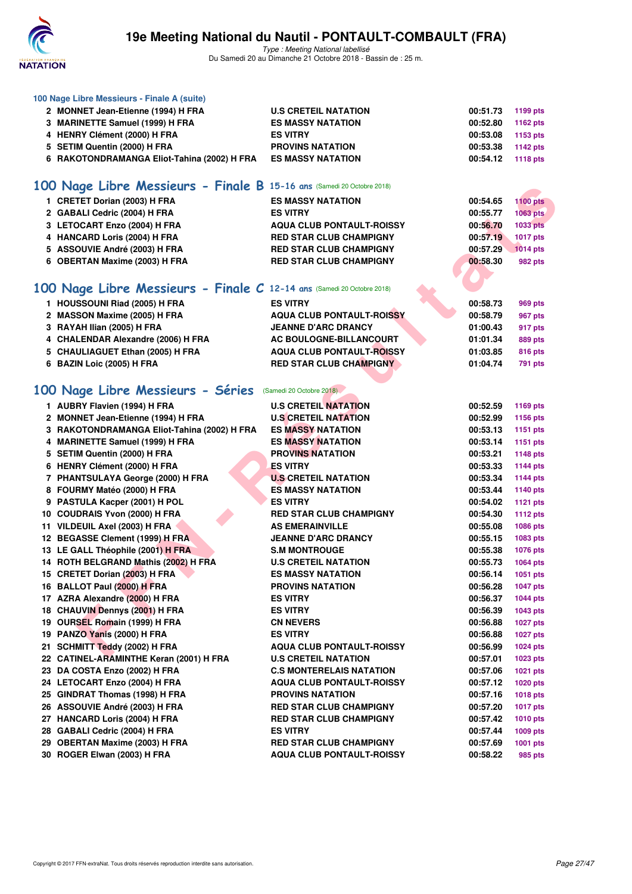

**100 Nage Libre Messieurs - Finale A (suite)**

### **19e Meeting National du Nautil - PONTAULT-COMBAULT (FRA)**

| 2 MONNET Jean-Etienne (1994) H FRA                                     | <b>U.S CRETEIL NATATION</b>      | 00:51.73 | 1199 pts                           |
|------------------------------------------------------------------------|----------------------------------|----------|------------------------------------|
| 3 MARINETTE Samuel (1999) H FRA                                        | <b>ES MASSY NATATION</b>         | 00:52.80 | 1162 pts                           |
| 4 HENRY Clément (2000) H FRA                                           | <b>ES VITRY</b>                  | 00:53.08 | 1153 pts                           |
| 5 SETIM Quentin (2000) H FRA                                           | <b>PROVINS NATATION</b>          | 00:53.38 | 1142 pts                           |
| 6 RAKOTONDRAMANGA Eliot-Tahina (2002) H FRA                            | <b>ES MASSY NATATION</b>         | 00:54.12 | 1118 pts                           |
| 100 Nage Libre Messieurs - Finale B 15-16 ans (Samedi 20 Octobre 2018) |                                  |          |                                    |
|                                                                        |                                  |          |                                    |
| 1 CRETET Dorian (2003) H FRA                                           | <b>ES MASSY NATATION</b>         | 00:54.65 | <b>1100 pts</b><br><b>1063 pts</b> |
| 2 GABALI Cedric (2004) H FRA                                           | <b>ES VITRY</b>                  | 00:55.77 |                                    |
| 3 LETOCART Enzo (2004) H FRA                                           | <b>AQUA CLUB PONTAULT-ROISSY</b> | 00:56.70 | <b>1033 pts</b>                    |
| 4 HANCARD Loris (2004) H FRA                                           | <b>RED STAR CLUB CHAMPIGNY</b>   | 00:57.19 | 1017 pts                           |
| 5 ASSOUVIE André (2003) H FRA                                          | <b>RED STAR CLUB CHAMPIGNY</b>   | 00:57.29 | <b>1014 pts</b>                    |
| 6 OBERTAN Maxime (2003) H FRA                                          | <b>RED STAR CLUB CHAMPIGNY</b>   | 00:58.30 | 982 pts                            |
|                                                                        |                                  |          |                                    |
| 100 Nage Libre Messieurs - Finale C 12-14 ans (Samedi 20 Octobre 2018) |                                  |          |                                    |
| 1 HOUSSOUNI Riad (2005) H FRA                                          | <b>ES VITRY</b>                  | 00:58.73 | 969 pts                            |
| 2 MASSON Maxime (2005) H FRA                                           | <b>AQUA CLUB PONTAULT-ROISSY</b> | 00:58.79 | <b>967 pts</b>                     |
| 3 RAYAH Ilian (2005) H FRA                                             | <b>JEANNE D'ARC DRANCY</b>       | 01:00.43 | 917 pts                            |
| 4 CHALENDAR Alexandre (2006) H FRA                                     | AC BOULOGNE-BILLANCOURT          | 01:01.34 | 889 pts                            |
| 5 CHAULIAGUET Ethan (2005) H FRA                                       | <b>AQUA CLUB PONTAULT-ROISSY</b> | 01:03.85 | 816 pts                            |
| 6 BAZIN Loic (2005) H FRA                                              | <b>RED STAR CLUB CHAMPIGNY</b>   | 01:04.74 | 791 pts                            |
|                                                                        |                                  |          |                                    |
| 100 Nage Libre Messieurs - Séries (Samedi 20 Octobre 2018)             |                                  |          |                                    |
| 1 AUBRY Flavien (1994) H FRA                                           | <b>U.S CRETEIL NATATION</b>      | 00:52.59 | 1169 pts                           |
| 2 MONNET Jean-Etienne (1994) H FRA                                     | <b>U.S CRETEIL NATATION</b>      | 00:52.99 | 1156 pts                           |
| 3 RAKOTONDRAMANGA Eliot-Tahina (2002) H FRA                            | <b>ES MASSY NATATION</b>         | 00:53.13 | 1151 pts                           |
| 4 MARINETTE Samuel (1999) H FRA                                        | <b>ES MASSY NATATION</b>         | 00:53.14 | 1151 pts                           |
| 5 SETIM Quentin (2000) H FRA                                           | <b>PROVINS NATATION</b>          | 00:53.21 | <b>1148 pts</b>                    |
| 6 HENRY Clément (2000) H FRA                                           | <b>ES VITRY</b>                  | 00:53.33 | <b>1144 pts</b>                    |
| 7 PHANTSULAYA George (2000) H FRA                                      | <b>U.S CRETEIL NATATION</b>      | 00:53.34 | <b>1144 pts</b>                    |
| 8 FOURMY Matéo (2000) H FRA                                            | <b>ES MASSY NATATION</b>         | 00:53.44 | 1140 pts                           |
| 9 PASTULA Kacper (2001) H POL                                          | <b>ES VITRY</b>                  | 00:54.02 | <b>1121 pts</b>                    |
| 10 COUDRAIS Yvon (2000) H FRA                                          | <b>RED STAR CLUB CHAMPIGNY</b>   | 00:54.30 | 1112 pts                           |
| 11 VILDEUIL Axel (2003) H FRA                                          | <b>AS EMERAINVILLE</b>           | 00:55.08 | 1086 pts                           |
| 12 BEGASSE Clement (1999) H FRA                                        | <b>JEANNE D'ARC DRANCY</b>       | 00:55.15 | 1083 pts                           |
| 13 LE GALL Théophile (2001) H FRA                                      | <b>S.M MONTROUGE</b>             | 00:55.38 | 1076 pts                           |
| 14 ROTH BELGRAND Mathis (2002) H FRA                                   | <b>U.S CRETEIL NATATION</b>      | 00:55.73 | 1064 pts                           |
| 15 CRETET Dorian (2003) H FRA                                          | <b>ES MASSY NATATION</b>         | 00:56.14 | 1051 pts                           |
| 16 BALLOT Paul (2000) H FRA                                            | <b>PROVINS NATATION</b>          | 00:56.28 | <b>1047 pts</b>                    |
| 17 AZRA Alexandre (2000) H FRA                                         | <b>ES VITRY</b>                  | 00:56.37 | <b>1044 pts</b>                    |
| 18 CHAUVIN Dennys (2001) H FRA                                         | <b>ES VITRY</b>                  | 00:56.39 | 1043 pts                           |
| 19 OURSEL Romain (1999) H FRA                                          | <b>CN NEVERS</b>                 | 00:56.88 | 1027 pts                           |
| 19 PANZO Yanis (2000) H FRA                                            | <b>ES VITRY</b>                  | 00:56.88 | <b>1027 pts</b>                    |
| 21 SCHMITT Teddy (2002) H FRA                                          | <b>AQUA CLUB PONTAULT-ROISSY</b> | 00:56.99 | 1024 pts                           |
| 22 CATINEL-ARAMINTHE Keran (2001) H FRA                                | <b>U.S CRETEIL NATATION</b>      | 00:57.01 | 1023 pts                           |
| 23 DA COSTA Enzo (2002) H FRA                                          | <b>C.S MONTERELAIS NATATION</b>  | 00:57.06 | 1021 pts                           |
| 24 LETOCART Enzo (2004) H FRA                                          | <b>AQUA CLUB PONTAULT-ROISSY</b> | 00:57.12 | <b>1020 pts</b>                    |
| 25 GINDRAT Thomas (1998) H FRA                                         | <b>PROVINS NATATION</b>          | 00:57.16 | <b>1018 pts</b>                    |
| 26 ASSOUVIE André (2003) H FRA                                         | <b>RED STAR CLUB CHAMPIGNY</b>   | 00:57.20 | <b>1017 pts</b>                    |
| 27 HANCARD Loris (2004) H FRA                                          | <b>RED STAR CLUB CHAMPIGNY</b>   | 00:57.42 | <b>1010 pts</b>                    |
| 28 GABALI Cedric (2004) H FRA                                          | <b>ES VITRY</b>                  | 00:57.44 | 1009 pts                           |
| 29 OBERTAN Maxime (2003) H FRA                                         | <b>RED STAR CLUB CHAMPIGNY</b>   | 00:57.69 | 1001 pts                           |
| 30 ROGER Elwan (2003) H FRA                                            | <b>AQUA CLUB PONTAULT-ROISSY</b> | 00:58.22 | 985 pts                            |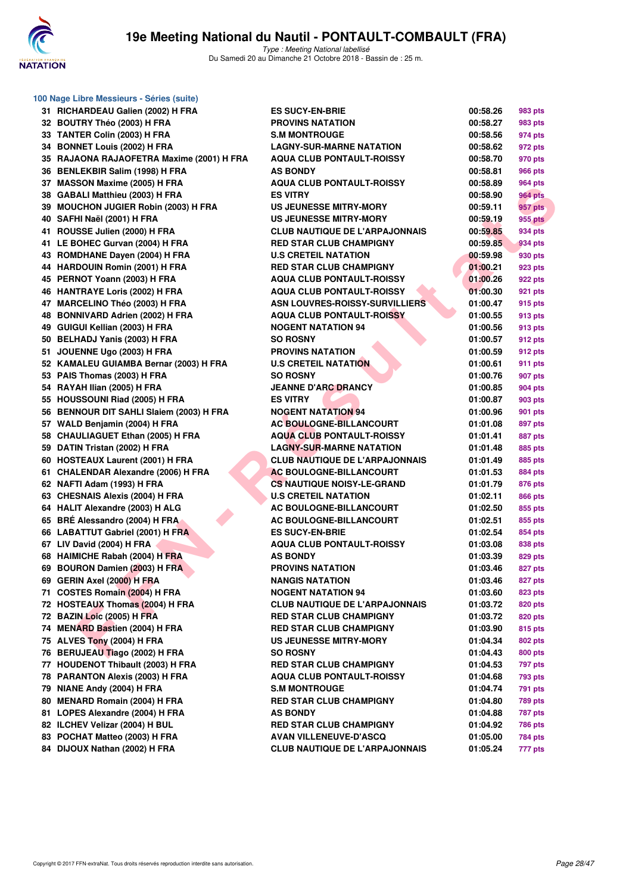

| 100 Nage Libre Messieurs - Séries (suite) |                                       |          |                |  |  |
|-------------------------------------------|---------------------------------------|----------|----------------|--|--|
| 31 RICHARDEAU Galien (2002) H FRA         | <b>ES SUCY-EN-BRIE</b>                | 00:58.26 | 983 pts        |  |  |
| 32 BOUTRY Théo (2003) H FRA               | <b>PROVINS NATATION</b>               | 00:58.27 | 983 pts        |  |  |
| 33 TANTER Colin (2003) H FRA              | <b>S.M MONTROUGE</b>                  | 00:58.56 | 974 pts        |  |  |
| 34 BONNET Louis (2002) H FRA              | <b>LAGNY-SUR-MARNE NATATION</b>       | 00:58.62 | 972 pts        |  |  |
| 35 RAJAONA RAJAOFETRA Maxime (2001) H FRA | <b>AQUA CLUB PONTAULT-ROISSY</b>      | 00:58.70 | 970 pts        |  |  |
| 36 BENLEKBIR Salim (1998) H FRA           | <b>AS BONDY</b>                       | 00:58.81 | <b>966 pts</b> |  |  |
| 37 MASSON Maxime (2005) H FRA             | <b>AQUA CLUB PONTAULT-ROISSY</b>      | 00:58.89 | 964 pts        |  |  |
| 38 GABALI Matthieu (2003) H FRA           | <b>ES VITRY</b>                       | 00:58.90 | <b>964 pts</b> |  |  |
| 39 MOUCHON JUGIER Robin (2003) H FRA      | <b>US JEUNESSE MITRY-MORY</b>         | 00:59.11 | 957 pts        |  |  |
| 40 SAFHI Naël (2001) H FRA                | US JEUNESSE MITRY-MORY                | 00:59.19 | 955 pts        |  |  |
| 41 ROUSSE Julien (2000) H FRA             | <b>CLUB NAUTIQUE DE L'ARPAJONNAIS</b> | 00:59.85 | 934 pts        |  |  |
| 41 LE BOHEC Gurvan (2004) H FRA           | <b>RED STAR CLUB CHAMPIGNY</b>        | 00:59.85 | 934 pts        |  |  |
| 43 ROMDHANE Dayen (2004) H FRA            | <b>U.S CRETEIL NATATION</b>           | 00:59.98 | 930 pts        |  |  |
| 44 HARDOUIN Romin (2001) H FRA            | <b>RED STAR CLUB CHAMPIGNY</b>        | 01:00.21 | 923 pts        |  |  |
| 45 PERNOT Yoann (2003) H FRA              | <b>AQUA CLUB PONTAULT-ROISSY</b>      | 01:00.26 | <b>922 pts</b> |  |  |
| 46 HANTRAYE Loris (2002) H FRA            | <b>AQUA CLUB PONTAULT-ROISSY</b>      | 01:00.30 | 921 pts        |  |  |
| 47 MARCELINO Théo (2003) H FRA            | <b>ASN LOUVRES-ROISSY-SURVILLIERS</b> | 01:00.47 | 915 pts        |  |  |
| 48 BONNIVARD Adrien (2002) H FRA          | <b>AQUA CLUB PONTAULT-ROISSY</b>      | 01:00.55 | 913 pts        |  |  |
| 49 GUIGUI Kellian (2003) H FRA            | <b>NOGENT NATATION 94</b>             | 01:00.56 | 913 pts        |  |  |
| 50 BELHADJ Yanis (2003) H FRA             | <b>SO ROSNY</b>                       | 01:00.57 | 912 pts        |  |  |
| 51 JOUENNE Ugo (2003) H FRA               | <b>PROVINS NATATION</b>               | 01:00.59 | 912 pts        |  |  |
| 52 KAMALEU GUIAMBA Bernar (2003) H FRA    | <b>U.S CRETEIL NATATION</b>           | 01:00.61 | 911 pts        |  |  |
| 53 PAIS Thomas (2003) H FRA               | <b>SO ROSNY</b>                       | 01:00.76 | 907 pts        |  |  |
| 54 RAYAH Ilian (2005) H FRA               | <b>JEANNE D'ARC DRANCY</b>            | 01:00.85 | 904 pts        |  |  |
| 55 HOUSSOUNI Riad (2005) H FRA            | <b>ES VITRY</b>                       | 01:00.87 | 903 pts        |  |  |
| 56 BENNOUR DIT SAHLI Slaiem (2003) H FRA  | <b>NOGENT NATATION 94</b>             | 01:00.96 | 901 pts        |  |  |
| 57 WALD Benjamin (2004) H FRA             | <b>AC BOULOGNE-BILLANCOURT</b>        | 01:01.08 | 897 pts        |  |  |
| 58 CHAULIAGUET Ethan (2005) H FRA         | <b>AQUA CLUB PONTAULT-ROISSY</b>      | 01:01.41 | 887 pts        |  |  |
| 59 DATIN Tristan (2002) H FRA             | <b>LAGNY-SUR-MARNE NATATION</b>       | 01:01.48 | 885 pts        |  |  |
| 60 HOSTEAUX Laurent (2001) H FRA          | <b>CLUB NAUTIQUE DE L'ARPAJONNAIS</b> | 01:01.49 | 885 pts        |  |  |
| 61 CHALENDAR Alexandre (2006) H FRA       | <b>AC BOULOGNE-BILLANCOURT</b>        | 01:01.53 | 884 pts        |  |  |
| 62 NAFTI Adam (1993) H FRA                | <b>CS NAUTIQUE NOISY-LE-GRAND</b>     | 01:01.79 | 876 pts        |  |  |
| 63 CHESNAIS Alexis (2004) H FRA           | <b>U.S CRETEIL NATATION</b>           | 01:02.11 | 866 pts        |  |  |
| 64 HALIT Alexandre (2003) H ALG           | AC BOULOGNE-BILLANCOURT               | 01:02.50 | 855 pts        |  |  |
| 65 BRÉ Alessandro (2004) H FRA            | AC BOULOGNE-BILLANCOURT               | 01:02.51 | 855 pts        |  |  |
| 66 LABATTUT Gabriel (2001) H FRA          | <b>ES SUCY-EN-BRIE</b>                | 01:02.54 | 854 pts        |  |  |
| 67 LIV David (2004) H FRA                 | <b>AQUA CLUB PONTAULT-ROISSY</b>      | 01:03.08 | 838 pts        |  |  |
| 68 HAIMICHE Rabah (2004) H FRA            | <b>AS BONDY</b>                       | 01:03.39 | 829 pts        |  |  |
| 69 BOURON Damien (2003) H FRA             | <b>PROVINS NATATION</b>               | 01:03.46 | 827 pts        |  |  |
| 69 GERIN Axel (2000) H FRA                | <b>NANGIS NATATION</b>                | 01:03.46 | 827 pts        |  |  |
| 71 COSTES Romain (2004) H FRA             | <b>NOGENT NATATION 94</b>             | 01:03.60 | 823 pts        |  |  |
| 72 HOSTEAUX Thomas (2004) H FRA           | <b>CLUB NAUTIQUE DE L'ARPAJONNAIS</b> | 01:03.72 | 820 pts        |  |  |
| 72 BAZIN Loic (2005) H FRA                | <b>RED STAR CLUB CHAMPIGNY</b>        | 01:03.72 | 820 pts        |  |  |
| 74 MENARD Bastien (2004) H FRA            | <b>RED STAR CLUB CHAMPIGNY</b>        | 01:03.90 | 815 pts        |  |  |
| 75 ALVES Tony (2004) H FRA                | <b>US JEUNESSE MITRY-MORY</b>         | 01:04.34 | 802 pts        |  |  |
| 76 BERUJEAU Tiago (2002) H FRA            | <b>SO ROSNY</b>                       | 01:04.43 | 800 pts        |  |  |
| 77 HOUDENOT Thibault (2003) H FRA         | <b>RED STAR CLUB CHAMPIGNY</b>        | 01:04.53 | 797 pts        |  |  |
| 78 PARANTON Alexis (2003) H FRA           | <b>AQUA CLUB PONTAULT-ROISSY</b>      | 01:04.68 | <b>793 pts</b> |  |  |
| 79 NIANE Andy (2004) H FRA                | <b>S.M MONTROUGE</b>                  | 01:04.74 | <b>791 pts</b> |  |  |
| 80 MENARD Romain (2004) H FRA             | <b>RED STAR CLUB CHAMPIGNY</b>        | 01:04.80 | <b>789 pts</b> |  |  |
| 81 LOPES Alexandre (2004) H FRA           | <b>AS BONDY</b>                       | 01:04.88 | <b>787 pts</b> |  |  |
| 82 ILCHEV Velizar (2004) H BUL            | <b>RED STAR CLUB CHAMPIGNY</b>        | 01:04.92 | <b>786 pts</b> |  |  |
| 83 POCHAT Matteo (2003) H FRA             | AVAN VILLENEUVE-D'ASCQ                | 01:05.00 | 784 pts        |  |  |
| 84 DIJOUX Nathan (2002) H FRA             | <b>CLUB NAUTIQUE DE L'ARPAJONNAIS</b> | 01:05.24 | 777 pts        |  |  |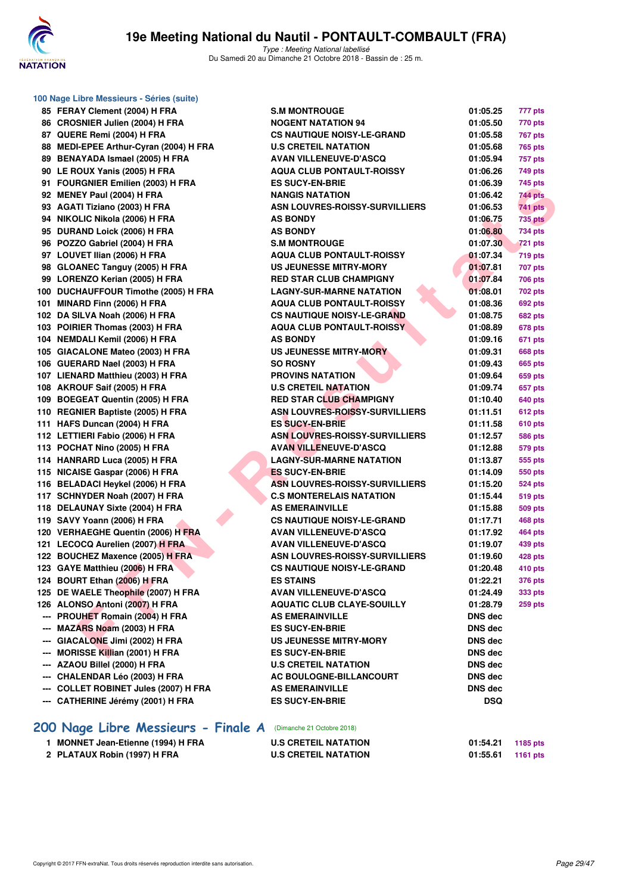

| 100 Nage Libre Messieurs - Séries (suite) |                                       |                |                |
|-------------------------------------------|---------------------------------------|----------------|----------------|
| 85 FERAY Clement (2004) H FRA             | <b>S.M MONTROUGE</b>                  | 01:05.25       | 777 pts        |
| 86 CROSNIER Julien (2004) H FRA           | <b>NOGENT NATATION 94</b>             | 01:05.50       | 770 pts        |
| 87 QUERE Remi (2004) H FRA                | <b>CS NAUTIQUE NOISY-LE-GRAND</b>     | 01:05.58       | 767 pts        |
| 88 MEDI-EPEE Arthur-Cyran (2004) H FRA    | <b>U.S CRETEIL NATATION</b>           | 01:05.68       | 765 pts        |
| 89 BENAYADA Ismael (2005) H FRA           | <b>AVAN VILLENEUVE-D'ASCQ</b>         | 01:05.94       | 757 pts        |
| 90 LE ROUX Yanis (2005) H FRA             | <b>AQUA CLUB PONTAULT-ROISSY</b>      | 01:06.26       | 749 pts        |
| 91 FOURGNIER Emilien (2003) H FRA         | <b>ES SUCY-EN-BRIE</b>                | 01:06.39       | 745 pts        |
| 92 MENEY Paul (2004) H FRA                | <b>NANGIS NATATION</b>                | 01:06.42       | 744 pts        |
| 93 AGATI Tiziano (2003) H FRA             | ASN LOUVRES-ROISSY-SURVILLIERS        | 01:06.53       | 741 pts        |
| 94 NIKOLIC Nikola (2006) H FRA            | <b>AS BONDY</b>                       | 01:06.75       | <b>735 pts</b> |
| 95 DURAND Loick (2006) H FRA              | <b>AS BONDY</b>                       | 01:06.80       | <b>734 pts</b> |
| 96 POZZO Gabriel (2004) H FRA             | <b>S.M MONTROUGE</b>                  | 01:07.30       | <b>721 pts</b> |
| 97 LOUVET Ilian (2006) H FRA              | <b>AQUA CLUB PONTAULT-ROISSY</b>      | 01:07.34       | <b>719 pts</b> |
| 98 GLOANEC Tanguy (2005) H FRA            | <b>US JEUNESSE MITRY-MORY</b>         | 01:07.81       | 707 pts        |
| 99 LORENZO Kerian (2005) H FRA            | <b>RED STAR CLUB CHAMPIGNY</b>        | 01:07.84       | <b>706 pts</b> |
| 100 DUCHAUFFOUR Timothe (2005) H FRA      | <b>LAGNY-SUR-MARNE NATATION</b>       | 01:08.01       | 702 pts        |
| 101 MINARD Finn (2006) H FRA              | <b>AQUA CLUB PONTAULT-ROISSY</b>      | 01:08.36       | <b>692 pts</b> |
| 102 DA SILVA Noah (2006) H FRA            | <b>CS NAUTIQUE NOISY-LE-GRAND</b>     | 01:08.75       | <b>682 pts</b> |
| 103 POIRIER Thomas (2003) H FRA           | <b>AQUA CLUB PONTAULT-ROISSY</b>      | 01:08.89       | 678 pts        |
| 104 NEMDALI Kemil (2006) H FRA            | <b>AS BONDY</b>                       | 01:09.16       | 671 pts        |
| 105 GIACALONE Mateo (2003) H FRA          | <b>US JEUNESSE MITRY-MORY</b>         | 01:09.31       | <b>668 pts</b> |
| 106 GUERARD Nael (2003) H FRA             | <b>SO ROSNY</b>                       | 01:09.43       | <b>665 pts</b> |
| 107 LIENARD Matthieu (2003) H FRA         | <b>PROVINS NATATION</b>               | 01:09.64       | 659 pts        |
| 108 AKROUF Saif (2005) H FRA              | <b>U.S CRETEIL NATATION</b>           | 01:09.74       | 657 pts        |
| 109 BOEGEAT Quentin (2005) H FRA          | <b>RED STAR CLUB CHAMPIGNY</b>        | 01:10.40       | 640 pts        |
| 110 REGNIER Baptiste (2005) H FRA         | <b>ASN LOUVRES-ROISSY-SURVILLIERS</b> | 01:11.51       | <b>612 pts</b> |
| 111 HAFS Duncan (2004) H FRA              | <b>ES SUCY-EN-BRIE</b>                | 01:11.58       | <b>610 pts</b> |
| 112 LETTIERI Fabio (2006) H FRA           | <b>ASN LOUVRES-ROISSY-SURVILLIERS</b> | 01:12.57       | <b>586 pts</b> |
| 113 POCHAT Nino (2005) H FRA              | <b>AVAN VILLENEUVE-D'ASCQ</b>         | 01:12.88       | 579 pts        |
| 114 HANRARD Luca (2005) H FRA             | <b>LAGNY-SUR-MARNE NATATION</b>       | 01:13.87       | 555 pts        |
| 115 NICAISE Gaspar (2006) H FRA           | <b>ES SUCY-EN-BRIE</b>                | 01:14.09       | 550 pts        |
| 116 BELADACI Heykel (2006) H FRA          | <b>ASN LOUVRES-ROISSY-SURVILLIERS</b> | 01:15.20       | <b>524 pts</b> |
| 117 SCHNYDER Noah (2007) H FRA            | <b>C.S MONTERELAIS NATATION</b>       | 01:15.44       | 519 pts        |
| 118 DELAUNAY Sixte (2004) H FRA           | <b>AS EMERAINVILLE</b>                | 01:15.88       | 509 pts        |
| 119 SAVY Yoann (2006) H FRA               | <b>CS NAUTIQUE NOISY-LE-GRAND</b>     | 01:17.71       | 468 pts        |
| 120 VERHAEGHE Quentin (2006) H FRA        | <b>AVAN VILLENEUVE-D'ASCQ</b>         | 01:17.92       | 464 pts        |
| 121 LECOCQ Aurelien (2007) H FRA          | <b>AVAN VILLENEUVE-D'ASCQ</b>         | 01:19.07       | 439 pts        |
| 122 BOUCHEZ Maxence (2005) H FRA          | <b>ASN LOUVRES-ROISSY-SURVILLIERS</b> | 01:19.60       | 428 pts        |
| 123 GAYE Matthieu (2006) H FRA            | <b>CS NAUTIQUE NOISY-LE-GRAND</b>     | 01:20.48       | 410 pts        |
| 124 BOURT Ethan (2006) H FRA              | <b>ES STAINS</b>                      | 01:22.21       | <b>376 pts</b> |
| 125 DE WAELE Theophile (2007) H FRA       | <b>AVAN VILLENEUVE-D'ASCQ</b>         | 01:24.49       | 333 pts        |
| 126 ALONSO Antoni (2007) H FRA            | <b>AQUATIC CLUB CLAYE-SOUILLY</b>     | 01:28.79       | 259 pts        |
| --- PROUHET Romain (2004) H FRA           | <b>AS EMERAINVILLE</b>                | <b>DNS dec</b> |                |
| --- MAZARS Noam (2003) H FRA              | <b>ES SUCY-EN-BRIE</b>                | DNS dec        |                |
| --- GIACALONE Jimi (2002) H FRA           | <b>US JEUNESSE MITRY-MORY</b>         | <b>DNS dec</b> |                |
| --- MORISSE Killian (2001) H FRA          | <b>ES SUCY-EN-BRIE</b>                | DNS dec        |                |
| --- AZAOU Billel (2000) H FRA             | <b>U.S CRETEIL NATATION</b>           | DNS dec        |                |
| --- CHALENDAR Léo (2003) H FRA            | AC BOULOGNE-BILLANCOURT               | DNS dec        |                |
| --- COLLET ROBINET Jules (2007) H FRA     | <b>AS EMERAINVILLE</b>                | DNS dec        |                |
| --- CATHERINE Jérémy (2001) H FRA         | <b>ES SUCY-EN-BRIE</b>                | <b>DSQ</b>     |                |
| 200 Nage Libre Messieurs - Finale A       | (Dimanche 21 Octobre 2018)            |                |                |
| 1 MONNET Jean-Etienne (1994) H FRA        | <b>U.S CRETEIL NATATION</b>           | 01:54.21       | 1185 pts       |
| 2 PLATAUX Robin (1997) H FRA              | <b>U.S CRETEIL NATATION</b>           | 01:55.61       | 1161 pts       |
|                                           |                                       |                |                |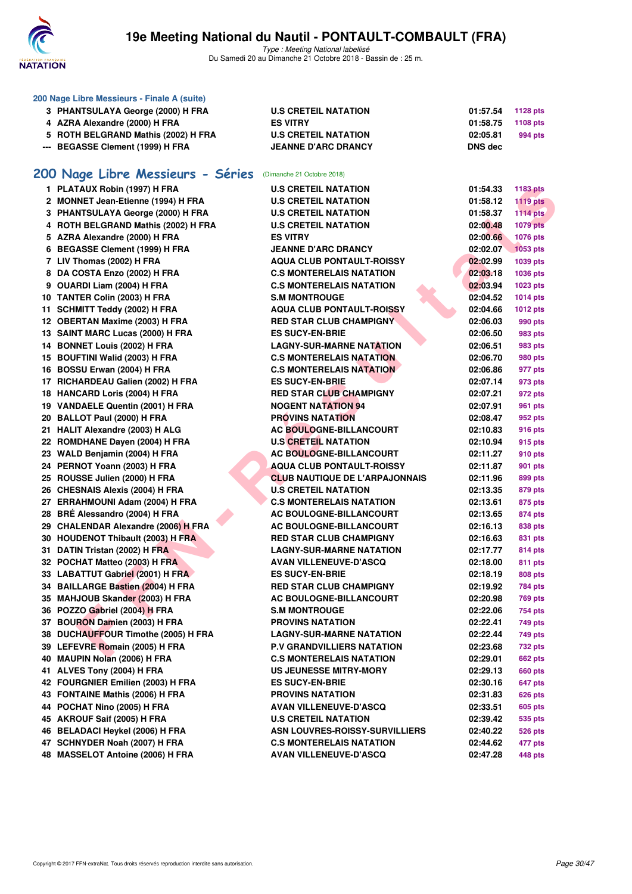

| 200 Nage Libre Messieurs - Finale A (suite) |                                     |                                       |                |                 |  |
|---------------------------------------------|-------------------------------------|---------------------------------------|----------------|-----------------|--|
|                                             | 3 PHANTSULAYA George (2000) H FRA   | <b>U.S CRETEIL NATATION</b>           | 01:57.54       | 1128 pts        |  |
|                                             | 4 AZRA Alexandre (2000) H FRA       | <b>ES VITRY</b>                       | 01:58.75       | <b>1108 pts</b> |  |
|                                             | 5 ROTH BELGRAND Mathis (2002) H FRA | <b>U.S CRETEIL NATATION</b>           | 02:05.81       | 994 pts         |  |
|                                             | --- BEGASSE Clement (1999) H FRA    | <b>JEANNE D'ARC DRANCY</b>            | <b>DNS dec</b> |                 |  |
|                                             |                                     |                                       |                |                 |  |
|                                             | 200 Nage Libre Messieurs - Séries   | (Dimanche 21 Octobre 2018)            |                |                 |  |
|                                             | 1 PLATAUX Robin (1997) H FRA        | <b>U.S CRETEIL NATATION</b>           | 01:54.33       | <b>1183 pts</b> |  |
|                                             | 2 MONNET Jean-Etienne (1994) H FRA  | <b>U.S CRETEIL NATATION</b>           | 01:58.12       | <b>1119 pts</b> |  |
|                                             | 3 PHANTSULAYA George (2000) H FRA   | <b>U.S CRETEIL NATATION</b>           | 01:58.37       | <b>1114 pts</b> |  |
|                                             | 4 ROTH BELGRAND Mathis (2002) H FRA | <b>U.S CRETEIL NATATION</b>           | 02:00.48       | <b>1079 pts</b> |  |
|                                             | 5 AZRA Alexandre (2000) H FRA       | <b>ES VITRY</b>                       | 02:00.66       | 1076 pts        |  |
|                                             | 6 BEGASSE Clement (1999) H FRA      | <b>JEANNE D'ARC DRANCY</b>            | 02:02.07       | 1053 pts        |  |
|                                             | 7 LIV Thomas (2002) H FRA           | <b>AQUA CLUB PONTAULT-ROISSY</b>      | 02:02.99       | 1039 pts        |  |
|                                             | 8 DA COSTA Enzo (2002) H FRA        | <b>C.S MONTERELAIS NATATION</b>       | 02:03.18       | 1036 pts        |  |
|                                             | 9 OUARDI Liam (2004) H FRA          | <b>C.S MONTERELAIS NATATION</b>       | 02:03.94       | 1023 pts        |  |
|                                             | 10 TANTER Colin (2003) H FRA        | <b>S.M MONTROUGE</b>                  | 02:04.52       | <b>1014 pts</b> |  |
|                                             | 11 SCHMITT Teddy (2002) H FRA       | <b>AQUA CLUB PONTAULT-ROISSY</b>      | 02:04.66       | <b>1012 pts</b> |  |
|                                             | 12 OBERTAN Maxime (2003) H FRA      | <b>RED STAR CLUB CHAMPIGNY</b>        | 02:06.03       | 990 pts         |  |
|                                             | 13 SAINT MARC Lucas (2000) H FRA    | <b>ES SUCY-EN-BRIE</b>                | 02:06.50       | 983 pts         |  |
|                                             | 14 BONNET Louis (2002) H FRA        | <b>LAGNY-SUR-MARNE NATATION</b>       | 02:06.51       | 983 pts         |  |
|                                             | 15 BOUFTINI Walid (2003) H FRA      | <b>C.S MONTERELAIS NATATION</b>       | 02:06.70       | 980 pts         |  |
|                                             | 16 BOSSU Erwan (2004) H FRA         | <b>C.S MONTERELAIS NATATION</b>       | 02:06.86       | 977 pts         |  |
|                                             | 17 RICHARDEAU Galien (2002) H FRA   | <b>ES SUCY-EN-BRIE</b>                | 02:07.14       | 973 pts         |  |
|                                             | 18 HANCARD Loris (2004) H FRA       | <b>RED STAR CLUB CHAMPIGNY</b>        | 02:07.21       | 972 pts         |  |
|                                             | 19 VANDAELE Quentin (2001) H FRA    | <b>NOGENT NATATION 94</b>             | 02:07.91       | <b>961 pts</b>  |  |
|                                             | 20 BALLOT Paul (2000) H FRA         | <b>PROVINS NATATION</b>               | 02:08.47       | 952 pts         |  |
|                                             | 21 HALIT Alexandre (2003) H ALG     | <b>AC BOULOGNE-BILLANCOURT</b>        | 02:10.83       | 916 pts         |  |
|                                             | 22 ROMDHANE Dayen (2004) H FRA      | <b>U.S CRETEIL NATATION</b>           | 02:10.94       | 915 pts         |  |
|                                             | 23 WALD Benjamin (2004) H FRA       | <b>AC BOULOGNE-BILLANCOURT</b>        | 02:11.27       | 910 pts         |  |
|                                             | 24 PERNOT Yoann (2003) H FRA        | <b>AQUA CLUB PONTAULT-ROISSY</b>      | 02:11.87       | 901 pts         |  |
|                                             | 25 ROUSSE Julien (2000) H FRA       | <b>CLUB NAUTIQUE DE L'ARPAJONNAIS</b> | 02:11.96       | 899 pts         |  |
|                                             | 26 CHESNAIS Alexis (2004) H FRA     | <b>U.S CRETEIL NATATION</b>           | 02:13.35       | 879 pts         |  |
|                                             | 27 ERRAHMOUNI Adam (2004) H FRA     | <b>C.S MONTERELAIS NATATION</b>       | 02:13.61       | 875 pts         |  |
|                                             | 28 BRÉ Alessandro (2004) H FRA      | <b>AC BOULOGNE-BILLANCOURT</b>        | 02:13.65       | 874 pts         |  |
|                                             | 29 CHALENDAR Alexandre (2006) H FRA | AC BOULOGNE-BILLANCOURT               | 02:16.13       | 838 pts         |  |
|                                             | 30 HOUDENOT Thibault (2003) H FRA   | <b>RED STAR CLUB CHAMPIGNY</b>        | 02:16.63       | 831 pts         |  |
|                                             | 31 DATIN Tristan (2002) H FRA       | <b>LAGNY-SUR-MARNE NATATION</b>       | 02:17.77       | 814 pts         |  |
|                                             | 32 POCHAT Matteo (2003) H FRA       | <b>AVAN VILLENEUVE-D'ASCQ</b>         | 02:18.00       | 811 pts         |  |
|                                             | 33 LABATTUT Gabriel (2001) H FRA    | <b>ES SUCY-EN-BRIE</b>                | 02:18.19       | 808 pts         |  |
|                                             | 34 BAILLARGE Bastien (2004) H FRA   | <b>RED STAR CLUB CHAMPIGNY</b>        | 02:19.92       | <b>784 pts</b>  |  |
|                                             | 35 MAHJOUB Skander (2003) H FRA     | <b>AC BOULOGNE-BILLANCOURT</b>        | 02:20.98       | <b>769 pts</b>  |  |
|                                             | 36 POZZO Gabriel (2004) H FRA       | <b>S.M MONTROUGE</b>                  | 02:22.06       | 754 pts         |  |
|                                             | 37 BOURON Damien (2003) H FRA       | <b>PROVINS NATATION</b>               | 02:22.41       | 749 pts         |  |
|                                             | 38 DUCHAUFFOUR Timothe (2005) H FRA | <b>LAGNY-SUR-MARNE NATATION</b>       | 02:22.44       | 749 pts         |  |
|                                             | 39 LEFEVRE Romain (2005) H FRA      | <b>P.V GRANDVILLIERS NATATION</b>     | 02:23.68       | 732 pts         |  |
|                                             | 40 MAUPIN Nolan (2006) H FRA        | <b>C.S MONTERELAIS NATATION</b>       | 02:29.01       | <b>662 pts</b>  |  |
|                                             | 41 ALVES Tony (2004) H FRA          | US JEUNESSE MITRY-MORY                | 02:29.13       | <b>660 pts</b>  |  |
|                                             | 42 FOURGNIER Emilien (2003) H FRA   | <b>ES SUCY-EN-BRIE</b>                | 02:30.16       | <b>647 pts</b>  |  |
|                                             | 43 FONTAINE Mathis (2006) H FRA     | <b>PROVINS NATATION</b>               | 02:31.83       | <b>626 pts</b>  |  |
|                                             | 44 POCHAT Nino (2005) H FRA         | <b>AVAN VILLENEUVE-D'ASCQ</b>         | 02:33.51       | <b>605 pts</b>  |  |
|                                             | 45 AKROUF Saif (2005) H FRA         | <b>U.S CRETEIL NATATION</b>           | 02:39.42       | 535 pts         |  |
|                                             | 46 BELADACI Heykel (2006) H FRA     | ASN LOUVRES-ROISSY-SURVILLIERS        | 02:40.22       | <b>526 pts</b>  |  |
|                                             | 47 SCHNYDER Noah (2007) H FRA       | <b>C.S MONTERELAIS NATATION</b>       | 02:44.62       | 477 pts         |  |
|                                             | 48 MASSELOT Antoine (2006) H FRA    | <b>AVAN VILLENEUVE-D'ASCQ</b>         | 02:47.28       | 448 pts         |  |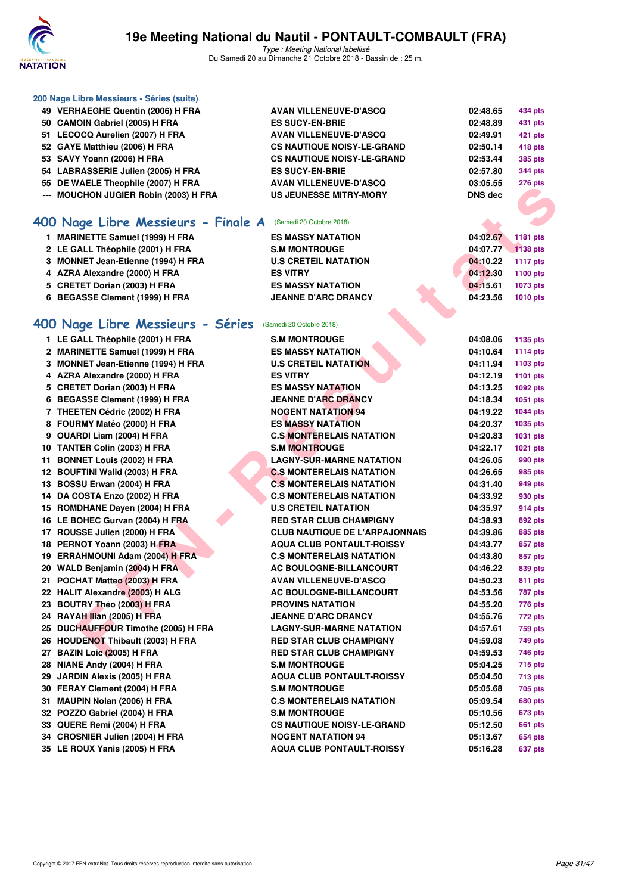

| 200 Nage Libre Messieurs - Séries (suite) |                                                |          |                 |
|-------------------------------------------|------------------------------------------------|----------|-----------------|
| 49 VERHAEGHE Quentin (2006) H FRA         | <b>AVAN VILLENEUVE-D'ASCQ</b>                  | 02:48.65 | 434 pts         |
| 50 CAMOIN Gabriel (2005) H FRA            | <b>ES SUCY-EN-BRIE</b>                         | 02:48.89 | <b>431 pts</b>  |
| 51 LECOCQ Aurelien (2007) H FRA           | <b>AVAN VILLENEUVE-D'ASCQ</b>                  | 02:49.91 | 421 pts         |
| 52 GAYE Matthieu (2006) H FRA             | <b>CS NAUTIQUE NOISY-LE-GRAND</b>              | 02:50.14 | 418 pts         |
| 53 SAVY Yoann (2006) H FRA                | <b>CS NAUTIQUE NOISY-LE-GRAND</b>              | 02:53.44 | <b>385 pts</b>  |
| 54 LABRASSERIE Julien (2005) H FRA        | <b>ES SUCY-EN-BRIE</b>                         | 02:57.80 | <b>344 pts</b>  |
| 55 DE WAELE Theophile (2007) H FRA        | <b>AVAN VILLENEUVE-D'ASCQ</b>                  | 03:05.55 | 276 pts         |
| --- MOUCHON JUGIER Robin (2003) H FRA     | <b>US JEUNESSE MITRY-MORY</b>                  | DNS dec  |                 |
|                                           |                                                |          |                 |
|                                           |                                                |          |                 |
| 400 Nage Libre Messieurs - Finale A       | (Samedi 20 Octobre 2018)                       |          |                 |
| 1 MARINETTE Samuel (1999) H FRA           | <b>ES MASSY NATATION</b>                       | 04:02.67 | 1181 pts        |
| 2 LE GALL Théophile (2001) H FRA          | <b>S.M MONTROUGE</b>                           | 04:07.77 | 1138 pts        |
| 3 MONNET Jean-Etienne (1994) H FRA        | <b>U.S CRETEIL NATATION</b>                    | 04:10.22 | <b>1117 pts</b> |
| 4 AZRA Alexandre (2000) H FRA             | <b>ES VITRY</b>                                | 04:12.30 | <b>1100 pts</b> |
| 5 CRETET Dorian (2003) H FRA              | <b>ES MASSY NATATION</b>                       | 04:15.61 | 1073 pts        |
| 6 BEGASSE Clement (1999) H FRA            | <b>JEANNE D'ARC DRANCY</b>                     | 04:23.56 | <b>1010 pts</b> |
|                                           |                                                |          |                 |
| 400 Nage Libre Messieurs - Séries         | (Samedi 20 Octobre 2018)                       |          |                 |
| 1 LE GALL Théophile (2001) H FRA          |                                                |          |                 |
| 2 MARINETTE Samuel (1999) H FRA           | <b>S.M MONTROUGE</b>                           | 04:08.06 | 1135 pts        |
|                                           | <b>ES MASSY NATATION</b>                       | 04:10.64 | <b>1114 pts</b> |
| 3 MONNET Jean-Etienne (1994) H FRA        | <b>U.S CRETEIL NATATION</b><br><b>ES VITRY</b> | 04:11.94 | 1103 pts        |
| 4 AZRA Alexandre (2000) H FRA             |                                                | 04:12.19 | 1101 pts        |
| 5 CRETET Dorian (2003) H FRA              | <b>ES MASSY NATATION</b>                       | 04:13.25 | 1092 pts        |
| 6 BEGASSE Clement (1999) H FRA            | <b>JEANNE D'ARC DRANCY</b>                     | 04:18.34 | 1051 pts        |
| 7 THEETEN Cédric (2002) H FRA             | <b>NOGENT NATATION 94</b>                      | 04:19.22 | <b>1044 pts</b> |
| 8 FOURMY Matéo (2000) H FRA               | <b>ES MASSY NATATION</b>                       | 04:20.37 | 1035 pts        |
| 9 OUARDI Liam (2004) H FRA                | <b>C.S MONTERELAIS NATATION</b>                | 04:20.83 | 1031 pts        |
| 10 TANTER Colin (2003) H FRA              | <b>S.M MONTROUGE</b>                           | 04:22.17 | 1021 pts        |
| 11 BONNET Louis (2002) H FRA              | <b>LAGNY-SUR-MARNE NATATION</b>                | 04:26.05 | 990 pts         |
| 12 BOUFTINI Walid (2003) H FRA            | <b>C.S MONTERELAIS NATATION</b>                | 04:26.65 | 985 pts         |
| 13 BOSSU Erwan (2004) H FRA               | <b>C.S MONTERELAIS NATATION</b>                | 04:31.40 | 949 pts         |
| 14 DA COSTA Enzo (2002) H FRA             | <b>C.S MONTERELAIS NATATION</b>                | 04:33.92 | 930 pts         |
| 15 ROMDHANE Dayen (2004) H FRA            | <b>U.S CRETEIL NATATION</b>                    | 04:35.97 | 914 pts         |
| 16 LE BOHEC Gurvan (2004) H FRA           | <b>RED STAR CLUB CHAMPIGNY</b>                 | 04:38.93 | 892 pts         |
| 17 ROUSSE Julien (2000) H FRA             | <b>CLUB NAUTIQUE DE L'ARPAJONNAIS</b>          | 04:39.86 | 885 pts         |
| 18 PERNOT Yoann (2003) H FRA              | <b>AQUA CLUB PONTAULT-ROISSY</b>               | 04:43.77 | 857 pts         |
| 19 ERRAHMOUNI Adam (2004) H FRA           | <b>C.S MONTERELAIS NATATION</b>                | 04:43.80 | 857 pts         |
| 20 WALD Benjamin (2004) H FRA             | AC BOULOGNE-BILLANCOURT                        | 04:46.22 | 839 pts         |
| 21 POCHAT Matteo (2003) H FRA             | <b>AVAN VILLENEUVE-D'ASCQ</b>                  | 04:50.23 | 811 pts         |
| 22 HALIT Alexandre (2003) H ALG           | <b>AC BOULOGNE-BILLANCOURT</b>                 | 04:53.56 | 787 pts         |
| 23 BOUTRY Théo (2003) H FRA               | <b>PROVINS NATATION</b>                        | 04:55.20 | 776 pts         |
| 24 RAYAH Ilian (2005) H FRA               | <b>JEANNE D'ARC DRANCY</b>                     | 04:55.76 | 772 pts         |
| 25 DUCHAUFFOUR Timothe (2005) H FRA       | <b>LAGNY-SUR-MARNE NATATION</b>                | 04:57.61 | 759 pts         |
| 26 HOUDENOT Thibault (2003) H FRA         | <b>RED STAR CLUB CHAMPIGNY</b>                 | 04:59.08 | 749 pts         |
| 27 BAZIN Loic (2005) H FRA                | <b>RED STAR CLUB CHAMPIGNY</b>                 | 04:59.53 | 746 pts         |
| 28 NIANE Andy (2004) H FRA                | <b>S.M MONTROUGE</b>                           | 05:04.25 | <b>715 pts</b>  |
| 29 JARDIN Alexis (2005) H FRA             | <b>AQUA CLUB PONTAULT-ROISSY</b>               | 05:04.50 | <b>713 pts</b>  |
| 30 FERAY Clement (2004) H FRA             | <b>S.M MONTROUGE</b>                           | 05:05.68 | 705 pts         |
| 31 MAUPIN Nolan (2006) H FRA              | <b>C.S MONTERELAIS NATATION</b>                | 05:09.54 | <b>680 pts</b>  |
| 32 POZZO Gabriel (2004) H FRA             | <b>S.M MONTROUGE</b>                           | 05:10.56 | 673 pts         |
| 33 QUERE Remi (2004) H FRA                | <b>CS NAUTIQUE NOISY-LE-GRAND</b>              | 05:12.50 | <b>661 pts</b>  |
| 34 CROSNIER Julien (2004) H FRA           | <b>NOGENT NATATION 94</b>                      | 05:13.67 | 654 pts         |
| 35 LE ROUX Yanis (2005) H FRA             | <b>AQUA CLUB PONTAULT-ROISSY</b>               | 05:16.28 | 637 pts         |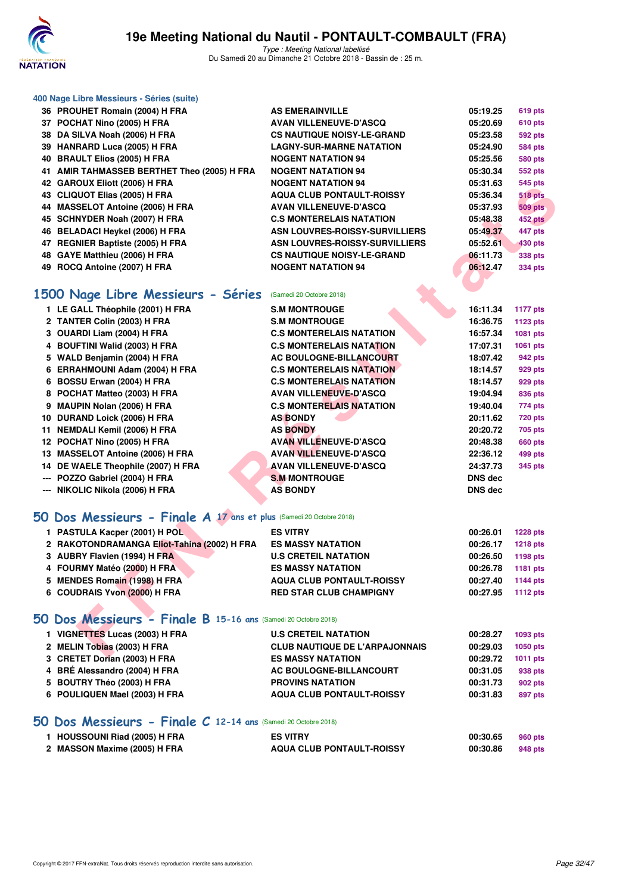

Type : Meeting National labellisé Du Samedi 20 au Dimanche 21 Octobre 2018 - Bassin de : 25 m.

| <b>619 pts</b><br>05:19.25                            |
|-------------------------------------------------------|
| 05:20.69<br><b>610 pts</b>                            |
| 05:23.58<br><b>592 pts</b>                            |
| 05:24.90<br><b>584 pts</b>                            |
| 05:25.56<br>580 pts                                   |
| 05:30.34<br>552 pts                                   |
| 05:31.63<br>545 pts                                   |
| <b>518 pts</b><br>05:36.34                            |
| 05:37.93<br><b>509 pts</b>                            |
| 05:48.38<br>452 pts                                   |
| ASN LOUVRES-ROISSY-SURVILLIERS<br>05:49.37<br>447 pts |
| ASN LOUVRES-ROISSY-SURVILLIERS<br>05:52.61<br>430 pts |
| 06:11.73<br>338 pts                                   |
| 06:12.47<br><b>334 pts</b>                            |
|                                                       |
|                                                       |
|                                                       |

### **[1500 Nage Libre Messieurs - Séries](http://www.ffnatation.fr/webffn/resultats.php?idact=nat&go=epr&idcpt=55747&idepr=56)** (Samedi 20 Octobre 2018)

| <b>42 GAROOA EIIOU (2000) II FRA</b>                               | 950 INAI AIN 194                      | UJ.JI.UJ       | ບຯບ µເວ         |
|--------------------------------------------------------------------|---------------------------------------|----------------|-----------------|
| 43 CLIQUOT Elias (2005) H FRA                                      | <b>AQUA CLUB PONTAULT-ROISSY</b>      | 05:36.34       | <b>518 pts</b>  |
| 44 MASSELOT Antoine (2006) H FRA                                   | <b>AVAN VILLENEUVE-D'ASCQ</b>         | 05:37.93       | <b>509 pts</b>  |
| 45 SCHNYDER Noah (2007) H FRA                                      | <b>C.S MONTERELAIS NATATION</b>       | 05:48.38       | 452 pts         |
| 46 BELADACI Heykel (2006) H FRA                                    | <b>ASN LOUVRES-ROISSY-SURVILLIERS</b> | 05:49.37       | 447 pts         |
| 47 REGNIER Baptiste (2005) H FRA                                   | <b>ASN LOUVRES-ROISSY-SURVILLIERS</b> | 05:52.61       | <b>430 pts</b>  |
| 48 GAYE Matthieu (2006) H FRA                                      | <b>CS NAUTIQUE NOISY-LE-GRAND</b>     | 06:11.73       | 338 pts         |
| 49 ROCQ Antoine (2007) H FRA                                       | <b>NOGENT NATATION 94</b>             | 06:12.47       | <b>334 pts</b>  |
|                                                                    |                                       |                |                 |
| 500 Nage Libre Messieurs - Séries                                  | (Samedi 20 Octobre 2018)              |                |                 |
| 1 LE GALL Théophile (2001) H FRA                                   | <b>S.M MONTROUGE</b>                  | 16:11.34       | <b>1177 pts</b> |
| 2 TANTER Colin (2003) H FRA                                        | <b>S.M MONTROUGE</b>                  | 16:36.75       | 1123 pts        |
| 3 OUARDI Liam (2004) H FRA                                         | <b>C.S MONTERELAIS NATATION</b>       | 16:57.34       | 1081 pts        |
| 4 BOUFTINI Walid (2003) H FRA                                      | <b>C.S MONTERELAIS NATATION</b>       | 17:07.31       | 1061 pts        |
| 5 WALD Benjamin (2004) H FRA                                       | <b>AC BOULOGNE-BILLANCOURT</b>        | 18:07.42       | 942 pts         |
| 6 ERRAHMOUNI Adam (2004) H FRA                                     | <b>C.S MONTERELAIS NATATION</b>       | 18:14.57       | 929 pts         |
| 6 BOSSU Erwan (2004) H FRA                                         | <b>C.S MONTERELAIS NATATION</b>       | 18:14.57       | 929 pts         |
| 8 POCHAT Matteo (2003) H FRA                                       | <b>AVAN VILLENEUVE-D'ASCQ</b>         | 19:04.94       | 836 pts         |
| 9 MAUPIN Nolan (2006) H FRA                                        | <b>C.S MONTERELAIS NATATION</b>       | 19:40.04       | 774 pts         |
| 10 DURAND Loick (2006) H FRA                                       | <b>AS BONDY</b>                       | 20:11.62       | <b>720 pts</b>  |
| 11 NEMDALI Kemil (2006) H FRA                                      | <b>AS BONDY</b>                       | 20:20.72       | 705 pts         |
| 12 POCHAT Nino (2005) H FRA                                        | <b>AVAN VILLENEUVE-D'ASCQ</b>         | 20:48.38       | <b>660 pts</b>  |
| 13 MASSELOT Antoine (2006) H FRA                                   | <b>AVAN VILLENEUVE-D'ASCQ</b>         | 22:36.12       | 499 pts         |
| 14 DE WAELE Theophile (2007) H FRA                                 | <b>AVAN VILLENEUVE-D'ASCQ</b>         | 24:37.73       | 345 pts         |
| --- POZZO Gabriel (2004) H FRA                                     | <b>S.M MONTROUGE</b>                  | DNS dec        |                 |
| --- NIKOLIC Nikola (2006) H FRA                                    | <b>AS BONDY</b>                       | <b>DNS dec</b> |                 |
|                                                                    |                                       |                |                 |
| O Dos Messieurs - Finale A 17 ans et plus (Samedi 20 Octobre 2018) |                                       |                |                 |
| 1 PASTULA Kacper (2001) H POL                                      | <b>ES VITRY</b>                       | 00:26.01       | <b>1228 pts</b> |
| 2 RAKOTONDRAMANGA Eliot-Tahina (2002) H FRA                        | <b>ES MASSY NATATION</b>              | 00:26.17       | <b>1218 pts</b> |
| 3 AUBRY Flavien (1994) H FRA                                       | <b>U.S CRETEIL NATATION</b>           | 00:26.50       | 1198 pts        |
| 4 FOURMY Matéo (2000) H FRA                                        | <b>ES MASSY NATATION</b>              | 00:26.78       | 1181 pts        |
| 5 MENDES Romain (1998) H FRA                                       | <b>AQUA CLUB PONTAULT-ROISSY</b>      | 00:27.40       | <b>1144 pts</b> |
| 6 COUDRAIS Yvon (2000) H FRA                                       | <b>RED STAR CLUB CHAMPIGNY</b>        | 00:27.95       | <b>1112 pts</b> |
|                                                                    |                                       |                |                 |
| iO Dos Messieurs - Finale B 15-16 ans (Samedi 20 Octobre 2018)     |                                       |                |                 |
| 1 VIGNETTES Lucas (2003) H FRA                                     | <b>U.S CRETEIL NATATION</b>           | 00:28.27       | 1093 pts        |
| 2 MELIN Tobias (2003) H FRA                                        | <b>CLUB NAUTIQUE DE L'ARPAJONNAIS</b> | 00:29.03       | <b>1050 pts</b> |
| $2.$ CDETET Devias (2002) U EDA                                    | <b><i>COMACOV MATATION</i></b>        | 00.0070        | $-4044$ $-44$   |

#### **[50 Dos Messieurs - Finale A](http://www.ffnatation.fr/webffn/resultats.php?idact=nat&go=epr&idcpt=55747&idepr=61) 17 ans et plus** (Samedi 20 Octobre 2018)

| 1 PASTULA Kacper (2001) H POL               | <b>ES VITRY</b>                  | 00:26.01 | <b>1228 pts</b> |
|---------------------------------------------|----------------------------------|----------|-----------------|
| 2 RAKOTONDRAMANGA Eliot-Tahina (2002) H FRA | <b>ES MASSY NATATION</b>         | 00:26.17 | <b>1218 pts</b> |
| 3 AUBRY Flavien (1994) H FRA                | <b>U.S CRETEIL NATATION</b>      | 00:26.50 | 1198 pts        |
| 4 FOURMY Matéo (2000) H FRA                 | <b>ES MASSY NATATION</b>         | 00:26.78 | 1181 pts        |
| 5 MENDES Romain (1998) H FRA                | <b>AQUA CLUB PONTAULT-ROISSY</b> | 00:27.40 | 1144 pts        |
| 6 COUDRAIS Yvon (2000) H FRA                | <b>RED STAR CLUB CHAMPIGNY</b>   | 00:27.95 | 1112 pts        |
|                                             |                                  |          |                 |

#### **[50 Dos Messieurs - Finale B](http://www.ffnatation.fr/webffn/resultats.php?idact=nat&go=epr&idcpt=55747&idepr=61) 15-16 ans** (Samedi 20 Octobre 2018)

| 1 VIGNETTES Lucas (2003) H FRA | <b>U.S CRETEIL NATATION</b>           | 00:28.27 | 1093 pts        |
|--------------------------------|---------------------------------------|----------|-----------------|
| 2 MELIN Tobias (2003) H FRA    | <b>CLUB NAUTIQUE DE L'ARPAJONNAIS</b> | 00:29.03 | 1050 pts        |
| 3 CRETET Dorian (2003) H FRA   | <b>ES MASSY NATATION</b>              | 00:29.72 | <b>1011 pts</b> |
| 4 BRÉ Alessandro (2004) H FRA  | AC BOULOGNE-BILLANCOURT               | 00:31.05 | 938 pts         |
| 5 BOUTRY Théo (2003) H FRA     | <b>PROVINS NATATION</b>               | 00:31.73 | 902 pts         |
| 6 POULIQUEN Mael (2003) H FRA  | <b>AQUA CLUB PONTAULT-ROISSY</b>      | 00:31.83 | 897 pts         |
|                                |                                       |          |                 |

#### **[50 Dos Messieurs - Finale C](http://www.ffnatation.fr/webffn/resultats.php?idact=nat&go=epr&idcpt=55747&idepr=61) 12-14 ans** (Samedi 20 Octobre 2018)

| 1 HOUSSOUNI Riad (2005) H FRA | <b>ES VITRY</b>                  | 00:30.65 | 960 pts |
|-------------------------------|----------------------------------|----------|---------|
| 2 MASSON Maxime (2005) H FRA  | <b>AQUA CLUB PONTAULT-ROISSY</b> | 00:30.86 | 948 pts |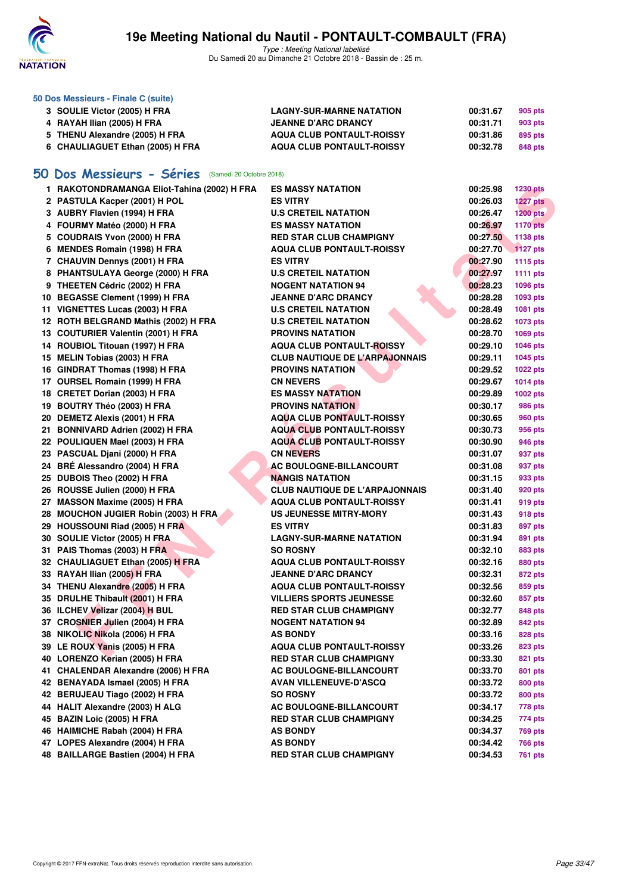

Type : Meeting National labellisé Du Samedi 20 au Dimanche 21 Octobre 2018 - Bassin de : 25 m.

| 50 Dos Messieurs - Finale C (suite) |                                  |          |                |
|-------------------------------------|----------------------------------|----------|----------------|
| 3 SOULIE Victor (2005) H FRA        | <b>LAGNY-SUR-MARNE NATATION</b>  | 00:31.67 | 905 pts        |
| 4 RAYAH Ilian (2005) H FRA          | <b>JEANNE D'ARC DRANCY</b>       | 00:31.71 | 903 pts        |
| 5 THENU Alexandre (2005) H FRA      | <b>AQUA CLUB PONTAULT-ROISSY</b> | 00:31.86 | 895 pts        |
| 6 CHAULIAGUET Ethan (2005) H FRA    | <b>AQUA CLUB PONTAULT-ROISSY</b> | 00:32.78 | <b>848 pts</b> |

### **[50 Dos Messieurs - Séries](http://www.ffnatation.fr/webffn/resultats.php?idact=nat&go=epr&idcpt=55747&idepr=61)** (Samedi 20 Octobre 2018)

| 1 RAKOTONDRAMANGA Eliot-Tahina (2002) H FRA | <b>ES MASSY NATATION</b>              | 00:25.98 | <b>1230 pts</b> |
|---------------------------------------------|---------------------------------------|----------|-----------------|
| 2 PASTULA Kacper (2001) H POL               | <b>ES VITRY</b>                       | 00:26.03 | <b>1227 pts</b> |
| 3 AUBRY Flavien (1994) H FRA                | <b>U.S CRETEIL NATATION</b>           | 00:26.47 | 1200 pts        |
| 4 FOURMY Matéo (2000) H FRA                 | <b>ES MASSY NATATION</b>              | 00:26.97 | <b>1170 pts</b> |
| 5 COUDRAIS Yvon (2000) H FRA                | <b>RED STAR CLUB CHAMPIGNY</b>        | 00:27.50 | 1138 pts        |
| 6 MENDES Romain (1998) H FRA                | <b>AQUA CLUB PONTAULT-ROISSY</b>      | 00:27.70 | <b>1127 pts</b> |
| 7 CHAUVIN Dennys (2001) H FRA               | <b>ES VITRY</b>                       | 00:27.90 | <b>1115 pts</b> |
| 8 PHANTSULAYA George (2000) H FRA           | <b>U.S CRETEIL NATATION</b>           | 00:27.97 | <b>1111 pts</b> |
| 9 THEETEN Cédric (2002) H FRA               | <b>NOGENT NATATION 94</b>             | 00:28.23 | 1096 pts        |
| 10 BEGASSE Clement (1999) H FRA             | <b>JEANNE D'ARC DRANCY</b>            | 00:28.28 | 1093 pts        |
| 11 VIGNETTES Lucas (2003) H FRA             | <b>U.S CRETEIL NATATION</b>           | 00:28.49 | 1081 pts        |
| 12 ROTH BELGRAND Mathis (2002) H FRA        | <b>U.S CRETEIL NATATION</b>           | 00:28.62 | 1073 pts        |
| 13 COUTURIER Valentin (2001) H FRA          | <b>PROVINS NATATION</b>               | 00:28.70 | 1069 pts        |
| 14 ROUBIOL Titouan (1997) H FRA             | AQUA CLUB PONTAULT-ROISSY             | 00:29.10 | 1046 pts        |
| 15 MELIN Tobias (2003) H FRA                | <b>CLUB NAUTIQUE DE L'ARPAJONNAIS</b> | 00:29.11 | 1045 pts        |
| 16 GINDRAT Thomas (1998) H FRA              | <b>PROVINS NATATION</b>               | 00:29.52 | <b>1022 pts</b> |
| 17 OURSEL Romain (1999) H FRA               | <b>CN NEVERS</b>                      | 00:29.67 | <b>1014 pts</b> |
| 18 CRETET Dorian (2003) H FRA               | <b>ES MASSY NATATION</b>              | 00:29.89 | 1002 pts        |
| 19 BOUTRY Théo (2003) H FRA                 | <b>PROVINS NATATION</b>               | 00:30.17 | <b>986 pts</b>  |
| 20 DEMETZ Alexis (2001) H FRA               | <b>AQUA CLUB PONTAULT-ROISSY</b>      | 00:30.65 | 960 pts         |
| 21 BONNIVARD Adrien (2002) H FRA            | <b>AQUA CLUB PONTAULT-ROISSY</b>      | 00:30.73 | 956 pts         |
| 22 POULIQUEN Mael (2003) H FRA              | <b>AQUA CLUB PONTAULT-ROISSY</b>      | 00:30.90 | 946 pts         |
| 23 PASCUAL Djani (2000) H FRA               | <b>CN NEVERS</b>                      | 00:31.07 | 937 pts         |
| 24 BRÉ Alessandro (2004) H FRA              | <b>AC BOULOGNE-BILLANCOURT</b>        | 00:31.08 | 937 pts         |
| 25 DUBOIS Theo (2002) H FRA                 | <b>NANGIS NATATION</b>                | 00:31.15 | 933 pts         |
| 26 ROUSSE Julien (2000) H FRA               | <b>CLUB NAUTIQUE DE L'ARPAJONNAIS</b> | 00:31.40 | 920 pts         |
| 27 MASSON Maxime (2005) H FRA               | <b>AQUA CLUB PONTAULT-ROISSY</b>      | 00:31.41 | 919 pts         |
| 28 MOUCHON JUGIER Robin (2003) H FRA        | <b>US JEUNESSE MITRY-MORY</b>         | 00:31.43 | 918 pts         |
| 29 HOUSSOUNI Riad (2005) H FRA              | ES VITRY                              | 00:31.83 | 897 pts         |
| 30 SOULIE Victor (2005) H FRA               | <b>LAGNY-SUR-MARNE NATATION</b>       | 00:31.94 | 891 pts         |
| 31 PAIS Thomas (2003) H FRA                 | <b>SO ROSNY</b>                       | 00:32.10 | 883 pts         |
| 32 CHAULIAGUET Ethan (2005) H FRA           | <b>AQUA CLUB PONTAULT-ROISSY</b>      | 00:32.16 | <b>880 pts</b>  |
| 33 RAYAH Ilian (2005) H FRA                 | <b>JEANNE D'ARC DRANCY</b>            | 00:32.31 | 872 pts         |
| 34 THENU Alexandre (2005) H FRA             | <b>AQUA CLUB PONTAULT-ROISSY</b>      | 00:32.56 | 859 pts         |
| 35 DRULHE Thibault (2001) H FRA             | <b>VILLIERS SPORTS JEUNESSE</b>       | 00:32.60 | 857 pts         |
| 36 ILCHEV Velizar (2004) H BUL              | <b>RED STAR CLUB CHAMPIGNY</b>        | 00:32.77 | 848 pts         |
| 37 CROSNIER Julien (2004) H FRA             | <b>NOGENT NATATION 94</b>             | 00:32.89 | 842 pts         |
| 38 NIKOLIC Nikola (2006) H FRA              | <b>AS BONDY</b>                       | 00:33.16 | 828 pts         |
| 39 LE ROUX Yanis (2005) H FRA               | <b>AQUA CLUB PONTAULT-ROISSY</b>      | 00:33.26 | 823 pts         |
| 40 LORENZO Kerian (2005) H FRA              | <b>RED STAR CLUB CHAMPIGNY</b>        | 00:33.30 | 821 pts         |
| 41 CHALENDAR Alexandre (2006) H FRA         | <b>AC BOULOGNE-BILLANCOURT</b>        | 00:33.70 | 801 pts         |
| 42 BENAYADA Ismael (2005) H FRA             | <b>AVAN VILLENEUVE-D'ASCQ</b>         | 00:33.72 | <b>800 pts</b>  |
| 42 BERUJEAU Tiago (2002) H FRA              | <b>SO ROSNY</b>                       | 00:33.72 | 800 pts         |
| 44 HALIT Alexandre (2003) H ALG             | <b>AC BOULOGNE-BILLANCOURT</b>        | 00:34.17 | 778 pts         |
| 45 BAZIN Loic (2005) H FRA                  | <b>RED STAR CLUB CHAMPIGNY</b>        | 00:34.25 | 774 pts         |
| 46 HAIMICHE Rabah (2004) H FRA              | <b>AS BONDY</b>                       | 00:34.37 | <b>769 pts</b>  |
| 47 LOPES Alexandre (2004) H FRA             | <b>AS BONDY</b>                       | 00:34.42 | <b>766 pts</b>  |
| 48 BAILLARGE Bastien (2004) H FRA           | <b>RED STAR CLUB CHAMPIGNY</b>        | 00:34.53 | <b>761 pts</b>  |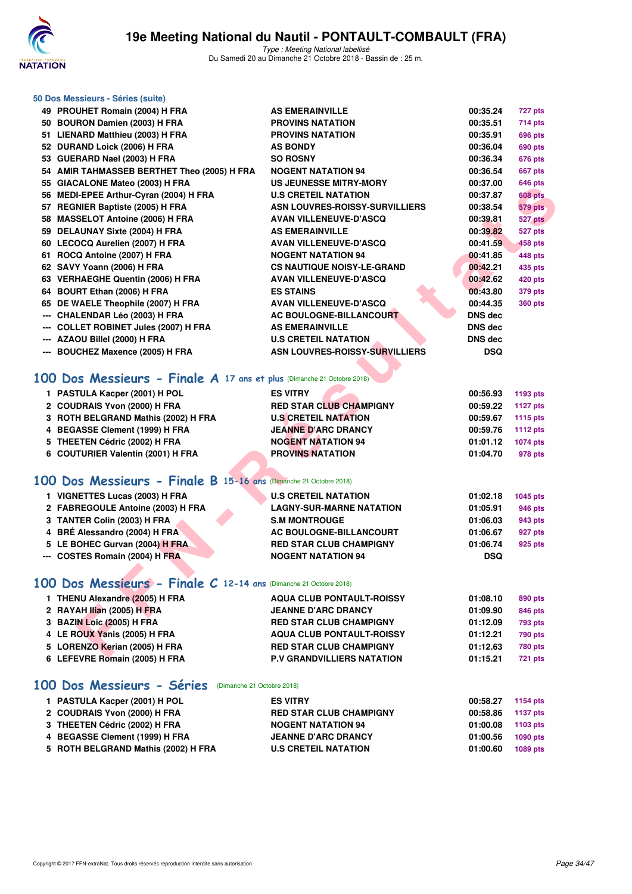

| 50 Dos Messieurs - Séries (suite)                                      |                                       |                |                 |
|------------------------------------------------------------------------|---------------------------------------|----------------|-----------------|
| 49 PROUHET Romain (2004) H FRA                                         | <b>AS EMERAINVILLE</b>                | 00:35.24       | 727 pts         |
| 50 BOURON Damien (2003) H FRA                                          | <b>PROVINS NATATION</b>               | 00:35.51       | 714 pts         |
| 51 LIENARD Matthieu (2003) H FRA                                       | <b>PROVINS NATATION</b>               | 00:35.91       | <b>696 pts</b>  |
| 52 DURAND Loick (2006) H FRA                                           | <b>AS BONDY</b>                       | 00:36.04       | <b>690 pts</b>  |
| 53 GUERARD Nael (2003) H FRA                                           | <b>SO ROSNY</b>                       | 00:36.34       | <b>676 pts</b>  |
| 54 AMIR TAHMASSEB BERTHET Theo (2005) H FRA                            | <b>NOGENT NATATION 94</b>             | 00:36.54       | <b>667 pts</b>  |
| 55 GIACALONE Mateo (2003) H FRA                                        | <b>US JEUNESSE MITRY-MORY</b>         | 00:37.00       | 646 pts         |
| 56 MEDI-EPEE Arthur-Cyran (2004) H FRA                                 | <b>U.S CRETEIL NATATION</b>           | 00:37.87       | <b>608 pts</b>  |
| 57 REGNIER Baptiste (2005) H FRA                                       | <b>ASN LOUVRES-ROISSY-SURVILLIERS</b> | 00:38.54       | <b>579 pts</b>  |
| 58 MASSELOT Antoine (2006) H FRA                                       | <b>AVAN VILLENEUVE-D'ASCQ</b>         | 00:39.81       | 527 pts         |
| 59 DELAUNAY Sixte (2004) H FRA                                         | <b>AS EMERAINVILLE</b>                | 00:39.82       | 527 pts         |
| 60 LECOCQ Aurelien (2007) H FRA                                        | <b>AVAN VILLENEUVE-D'ASCQ</b>         | 00:41.59       | 458 pts         |
| 61 ROCQ Antoine (2007) H FRA                                           | <b>NOGENT NATATION 94</b>             | 00:41.85       | 448 pts         |
| 62 SAVY Yoann (2006) H FRA                                             | <b>CS NAUTIQUE NOISY-LE-GRAND</b>     | 00:42.21       | 435 pts         |
| 63 VERHAEGHE Quentin (2006) H FRA                                      | <b>AVAN VILLENEUVE-D'ASCQ</b>         | 00:42.62       | <b>420 pts</b>  |
| 64 BOURT Ethan (2006) H FRA                                            | <b>ES STAINS</b>                      | 00:43.80       | <b>379 pts</b>  |
| 65 DE WAELE Theophile (2007) H FRA                                     | <b>AVAN VILLENEUVE-D'ASCQ</b>         | 00:44.35       | <b>360 pts</b>  |
| --- CHALENDAR Léo (2003) H FRA                                         | <b>AC BOULOGNE-BILLANCOURT</b>        | DNS dec        |                 |
| --- COLLET ROBINET Jules (2007) H FRA                                  | <b>AS EMERAINVILLE</b>                | <b>DNS dec</b> |                 |
| --- AZAOU Billel (2000) H FRA                                          | <b>U.S CRETEIL NATATION</b>           | DNS dec        |                 |
| --- BOUCHEZ Maxence (2005) H FRA                                       | <b>ASN LOUVRES-ROISSY-SURVILLIERS</b> | <b>DSQ</b>     |                 |
|                                                                        |                                       |                |                 |
| 100 Dos Messieurs - Finale A 17 ans et plus (Dimanche 21 Octobre 2018) |                                       |                |                 |
| 1 PASTULA Kacper (2001) H POL                                          | <b>ES VITRY</b>                       | 00:56.93       | 1193 pts        |
| 2 COUDRAIS Yvon (2000) H FRA                                           | <b>RED STAR CLUB CHAMPIGNY</b>        | 00:59.22       | <b>1127 pts</b> |
| 3 ROTH BELGRAND Mathis (2002) H FRA                                    | <b>U.S CRETEIL NATATION</b>           | 00:59.67       | 1115 pts        |
| 4 BEGASSE Clement (1999) H FRA                                         | <b>JEANNE D'ARC DRANCY</b>            | 00:59.76       | 1112 pts        |
| 5 THEETEN Cédric (2002) H FRA                                          | <b>NOGENT NATATION 94</b>             | 01:01.12       | 1074 pts        |
| 6 COUTURIER Valentin (2001) H FRA                                      | <b>PROVINS NATATION</b>               | 01:04.70       | 978 pts         |
|                                                                        |                                       |                |                 |
| 100 Dos Messieurs - Finale B 15-16 ans (Dimanche 21 Octobre 2018)      |                                       |                |                 |
| 1 VIGNETTES Lucas (2003) H FRA                                         | <b>U.S CRETEIL NATATION</b>           | 01:02.18       | 1045 pts        |
| 2 FABREGOULE Antoine (2003) H FRA                                      | <b>LAGNY-SUR-MARNE NATATION</b>       | 01:05.91       | 946 pts         |
| 3 TANTER Colin (2003) H FRA                                            | <b>S.M MONTROUGE</b>                  | 01:06.03       | 943 pts         |
| 4 BRÉ Alessandro (2004) H FRA                                          | AC BOULOGNE-BILLANCOURT               | 01:06.67       | 927 pts         |
| 5 LE BOHEC Gurvan (2004) H FRA                                         | <b>RED STAR CLUB CHAMPIGNY</b>        | 01:06.74       | 925 pts         |
| --- COSTES Romain (2004) H FRA                                         | <b>NOGENT NATATION 94</b>             | <b>DSQ</b>     |                 |
|                                                                        |                                       |                |                 |
| 100 Dos Messieurs - Finale C 12-14 ans (Dimanche 21 Octobre 2018)      |                                       |                |                 |
| 1 THENU Alexandre (2005) H FRA                                         | <b>AQUA CLUB PONTAULT-ROISSY</b>      | 01:08.10       | 890 pts         |
| 2 RAYAH Ilian (2005) H FRA                                             | <b>JEANNE D'ARC DRANCY</b>            | 01:09.90       | 846 pts         |
| 3 BAZIN Loic (2005) H FRA                                              | <b>RED STAR CLUB CHAMPIGNY</b>        | 01:12.09       | 793 pts         |
| 4 LE ROUX Yanis (2005) H FRA                                           | <b>AQUA CLUB PONTAULT-ROISSY</b>      | 01:12.21       | <b>790 pts</b>  |
| 5 LORENZO Kerian (2005) H FRA                                          | <b>RED STAR CLUB CHAMPIGNY</b>        | 01:12.63       | <b>780 pts</b>  |
| 6 LEFEVRE Romain (2005) H FRA                                          | <b>P.V GRANDVILLIERS NATATION</b>     | 01:15.21       | <b>721 pts</b>  |
|                                                                        |                                       |                |                 |
| 100 Dos Messieurs - Séries<br>(Dimanche 21 Octobre 2018)               |                                       |                |                 |
| 1 PASTULA Kacper (2001) H POL                                          | <b>ES VITRY</b>                       | 00:58.27       | <b>1154 pts</b> |
| 2 COUDRAIS Yvon (2000) H FRA                                           | <b>RED STAR CLUB CHAMPIGNY</b>        | 00:58.86       | <b>1137 pts</b> |
| 3 THEETEN Cédric (2002) H FRA                                          | <b>NOGENT NATATION 94</b>             | 01:00.08       | 1103 pts        |
| 4 BEGASSE Clement (1999) H FRA                                         | <b>JEANNE D'ARC DRANCY</b>            | 01:00.56       | <b>1090 pts</b> |

**5 ROTH BELGRAND Mathis (2002) H FRA U.S CRETEIL NATATION 01:00.60 1089 pts**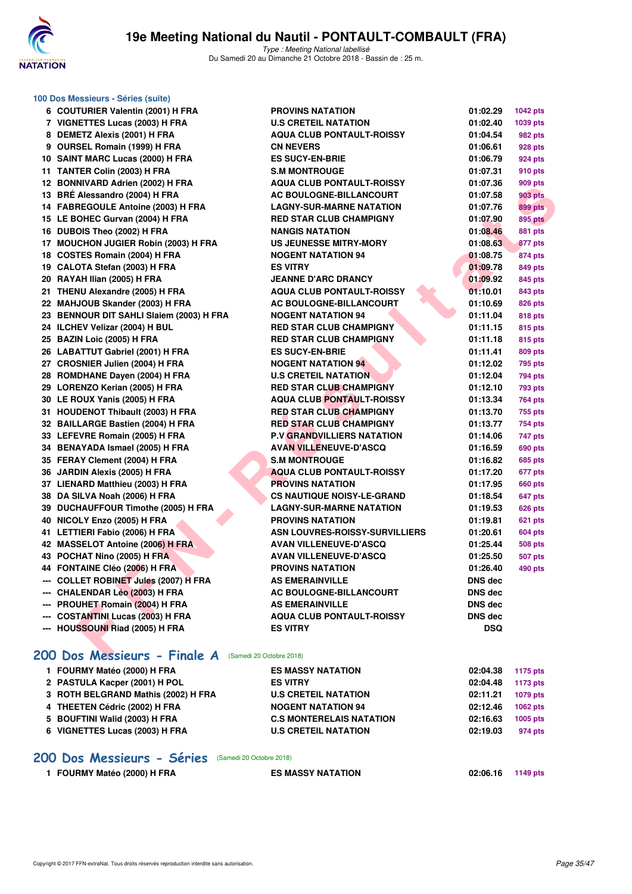

| 100 Dos Messieurs - Séries (suite)                       |                                   |                |                 |
|----------------------------------------------------------|-----------------------------------|----------------|-----------------|
| 6 COUTURIER Valentin (2001) H FRA                        | <b>PROVINS NATATION</b>           | 01:02.29       | <b>1042 pts</b> |
| 7 VIGNETTES Lucas (2003) H FRA                           | <b>U.S CRETEIL NATATION</b>       | 01:02.40       | 1039 pts        |
| 8 DEMETZ Alexis (2001) H FRA                             | <b>AQUA CLUB PONTAULT-ROISSY</b>  | 01:04.54       | <b>982 pts</b>  |
| 9 OURSEL Romain (1999) H FRA                             | <b>CN NEVERS</b>                  | 01:06.61       | 928 pts         |
| 10 SAINT MARC Lucas (2000) H FRA                         | <b>ES SUCY-EN-BRIE</b>            | 01:06.79       | 924 pts         |
| 11 TANTER Colin (2003) H FRA                             | <b>S.M MONTROUGE</b>              | 01:07.31       | 910 pts         |
| 12 BONNIVARD Adrien (2002) H FRA                         | <b>AQUA CLUB PONTAULT-ROISSY</b>  | 01:07.36       | 909 pts         |
| 13 BRÉ Alessandro (2004) H FRA                           | AC BOULOGNE-BILLANCOURT           | 01:07.58       | <b>903 pts</b>  |
| 14 FABREGOULE Antoine (2003) H FRA                       | <b>LAGNY-SUR-MARNE NATATION</b>   | 01:07.76       | <b>899 pts</b>  |
| 15 LE BOHEC Gurvan (2004) H FRA                          | <b>RED STAR CLUB CHAMPIGNY</b>    | 01:07.90       | <b>895 pts</b>  |
| 16 DUBOIS Theo (2002) H FRA                              | <b>NANGIS NATATION</b>            | 01:08.46       | 881 pts         |
| 17 MOUCHON JUGIER Robin (2003) H FRA                     | <b>US JEUNESSE MITRY-MORY</b>     | 01:08.63       | 877 pts         |
| 18 COSTES Romain (2004) H FRA                            | <b>NOGENT NATATION 94</b>         | 01:08.75       | 874 pts         |
| 19 CALOTA Stefan (2003) H FRA                            | <b>ES VITRY</b>                   | 01:09.78       | 849 pts         |
| 20 RAYAH Ilian (2005) H FRA                              | <b>JEANNE D'ARC DRANCY</b>        | 01:09.92       | 845 pts         |
| 21 THENU Alexandre (2005) H FRA                          | <b>AQUA CLUB PONTAULT-ROISSY</b>  | 01:10.01       | 843 pts         |
| 22 MAHJOUB Skander (2003) H FRA                          | AC BOULOGNE-BILLANCOURT           | 01:10.69       | 826 pts         |
| 23 BENNOUR DIT SAHLI Slaiem (2003) H FRA                 | <b>NOGENT NATATION 94</b>         | 01:11.04       | 818 pts         |
| 24 ILCHEV Velizar (2004) H BUL                           | <b>RED STAR CLUB CHAMPIGNY</b>    | 01:11.15       | 815 pts         |
| 25 BAZIN Loic (2005) H FRA                               | <b>RED STAR CLUB CHAMPIGNY</b>    | 01:11.18       | 815 pts         |
| 26 LABATTUT Gabriel (2001) H FRA                         | <b>ES SUCY-EN-BRIE</b>            | 01:11.41       | 809 pts         |
| 27 CROSNIER Julien (2004) H FRA                          | <b>NOGENT NATATION 94</b>         | 01:12.02       | <b>795 pts</b>  |
| 28 ROMDHANE Dayen (2004) H FRA                           | <b>U.S CRETEIL NATATION</b>       | 01:12.04       | 794 pts         |
| 29 LORENZO Kerian (2005) H FRA                           | <b>RED STAR CLUB CHAMPIGNY</b>    | 01:12.10       | <b>793 pts</b>  |
| 30 LE ROUX Yanis (2005) H FRA                            | <b>AQUA CLUB PONTAULT-ROISSY</b>  | 01:13.34       | 764 pts         |
| 31 HOUDENOT Thibault (2003) H FRA                        | <b>RED STAR CLUB CHAMPIGNY</b>    | 01:13.70       | 755 pts         |
| 32 BAILLARGE Bastien (2004) H FRA                        | <b>RED STAR CLUB CHAMPIGNY</b>    | 01:13.77       | 754 pts         |
| 33 LEFEVRE Romain (2005) H FRA                           | <b>P.V GRANDVILLIERS NATATION</b> | 01:14.06       | 747 pts         |
| 34 BENAYADA Ismael (2005) H FRA                          | <b>AVAN VILLENEUVE-D'ASCQ</b>     | 01:16.59       | 690 pts         |
| 35 FERAY Clement (2004) H FRA                            | <b>S.M MONTROUGE</b>              | 01:16.82       | <b>685 pts</b>  |
| 36 JARDIN Alexis (2005) H FRA                            | <b>AQUA CLUB PONTAULT-ROISSY</b>  | 01:17.20       | 677 pts         |
| 37 LIENARD Matthieu (2003) H FRA                         | <b>PROVINS NATATION</b>           | 01:17.95       | <b>660 pts</b>  |
| 38 DA SILVA Noah (2006) H FRA                            | <b>CS NAUTIQUE NOISY-LE-GRAND</b> | 01:18.54       | <b>647 pts</b>  |
| 39 DUCHAUFFOUR Timothe (2005) H FRA                      | <b>LAGNY-SUR-MARNE NATATION</b>   | 01:19.53       | <b>626 pts</b>  |
| 40 NICOLY Enzo (2005) H FRA                              | <b>PROVINS NATATION</b>           | 01:19.81       | 621 pts         |
| 41 LETTIERI Fabio (2006) H FRA                           | ASN LOUVRES-ROISSY-SURVILLIERS    | 01:20.61       | <b>604 pts</b>  |
| 42 MASSELOT Antoine (2006) H FRA                         | <b>AVAN VILLENEUVE-D'ASCQ</b>     | 01:25.44       | <b>508 pts</b>  |
| 43 POCHAT Nino (2005) H FRA                              | <b>AVAN VILLENEUVE-D'ASCQ</b>     | 01:25.50       | <b>507 pts</b>  |
| 44 FONTAINE Cléo (2006) H FRA                            | <b>PROVINS NATATION</b>           | 01:26.40       | <b>490 pts</b>  |
| --- COLLET ROBINET Jules (2007) H FRA                    | <b>AS EMERAINVILLE</b>            | <b>DNS dec</b> |                 |
| --- CHALENDAR Léo (2003) H FRA                           | AC BOULOGNE-BILLANCOURT           | DNS dec        |                 |
| --- PROUHET Romain (2004) H FRA                          | <b>AS EMERAINVILLE</b>            | DNS dec        |                 |
| --- COSTANTINI Lucas (2003) H FRA                        | <b>AQUA CLUB PONTAULT-ROISSY</b>  | DNS dec        |                 |
| --- HOUSSOUNI Riad (2005) H FRA                          | <b>ES VITRY</b>                   | <b>DSQ</b>     |                 |
|                                                          |                                   |                |                 |
| 200 Dos Messieurs - Finale A<br>(Samedi 20 Octobre 2018) |                                   |                |                 |
| 1 FOURMY Matéo (2000) H FRA                              | <b>ES MASSY NATATION</b>          | 02:04.38       | <b>1175 pts</b> |
| 2 PASTULA Kacper (2001) H POL                            | <b>ES VITRY</b>                   | 02:04.48       | <b>1173 pts</b> |
| 3 ROTH BELGRAND Mathis (2002) H FRA                      | <b>U.S CRETEIL NATATION</b>       | 02:11.21       | 1079 pts        |
| 4 THEETEN Cédric (2002) H FRA                            | <b>NOGENT NATATION 94</b>         | 02:12.46       | 1062 pts        |
| 5 BOUFTINI Walid (2003) H FRA                            | <b>C.S MONTERELAIS NATATION</b>   | 02:16.63       | 1005 pts        |

**6 VIGNETTES Lucas (2003) H FRA U.S CRETEIL NATATION 02:19.03 974 pts**

**[200 Dos Messieurs - Séries](http://www.ffnatation.fr/webffn/resultats.php?idact=nat&go=epr&idcpt=55747&idepr=63)** (Samedi 20 Octobre 2018)

**1 FOURMY Matéo (2000) H FRA ES MASSY NATATION 02:06.16 1149 pts**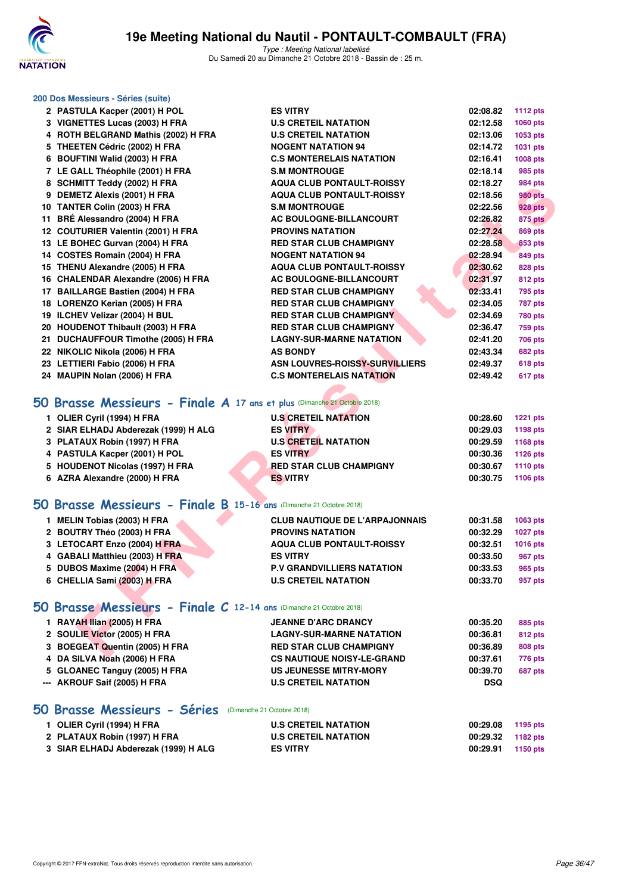

Type : Meeting National labellisé Du Samedi 20 au Dimanche 21 Octobre 2018 - Bassin de : 25 m.

#### **200 Dos Messieurs - Séries (suite)**

| 2 PASTULA Kacper (2001) H POL                                            | <b>ES VITRY</b>                       | 02:08.82   | <b>1112 pts</b> |
|--------------------------------------------------------------------------|---------------------------------------|------------|-----------------|
| 3 VIGNETTES Lucas (2003) H FRA                                           | <b>U.S CRETEIL NATATION</b>           | 02:12.58   | 1060 pts        |
| 4 ROTH BELGRAND Mathis (2002) H FRA                                      | <b>U.S CRETEIL NATATION</b>           | 02:13.06   | 1053 pts        |
| 5 THEETEN Cédric (2002) H FRA                                            | <b>NOGENT NATATION 94</b>             | 02:14.72   | 1031 pts        |
| 6 BOUFTINI Walid (2003) H FRA                                            | <b>C.S MONTERELAIS NATATION</b>       | 02:16.41   | 1008 pts        |
| 7 LE GALL Théophile (2001) H FRA                                         | <b>S.M MONTROUGE</b>                  | 02:18.14   | 985 pts         |
| 8 SCHMITT Teddy (2002) H FRA                                             | <b>AQUA CLUB PONTAULT-ROISSY</b>      | 02:18.27   | 984 pts         |
| 9 DEMETZ Alexis (2001) H FRA                                             | <b>AQUA CLUB PONTAULT-ROISSY</b>      | 02:18.56   | <b>980 pts</b>  |
| 10 TANTER Colin (2003) H FRA                                             | <b>S.M MONTROUGE</b>                  | 02:22.56   | <b>928 pts</b>  |
| 11 BRÉ Alessandro (2004) H FRA                                           | AC BOULOGNE-BILLANCOURT               | 02:26.82   | <b>875 pts</b>  |
| 12 COUTURIER Valentin (2001) H FRA                                       | <b>PROVINS NATATION</b>               | 02:27.24   | <b>869 pts</b>  |
| 13 LE BOHEC Gurvan (2004) H FRA                                          | <b>RED STAR CLUB CHAMPIGNY</b>        | 02:28.58   | 853 pts         |
| 14 COSTES Romain (2004) H FRA                                            | <b>NOGENT NATATION 94</b>             | 02:28.94   | 849 pts         |
| 15 THENU Alexandre (2005) H FRA                                          | <b>AQUA CLUB PONTAULT-ROISSY</b>      | 02:30.62   | 828 pts         |
| 16 CHALENDAR Alexandre (2006) H FRA                                      | <b>AC BOULOGNE-BILLANCOURT</b>        | 02:31.97   | <b>812 pts</b>  |
| 17 BAILLARGE Bastien (2004) H FRA                                        | <b>RED STAR CLUB CHAMPIGNY</b>        | 02:33.41   | <b>795 pts</b>  |
| 18 LORENZO Kerian (2005) H FRA                                           | <b>RED STAR CLUB CHAMPIGNY</b>        | 02:34.05   | <b>787 pts</b>  |
| 19 ILCHEV Velizar (2004) H BUL                                           | <b>RED STAR CLUB CHAMPIGNY</b>        | 02:34.69   | <b>780 pts</b>  |
| 20 HOUDENOT Thibault (2003) H FRA                                        | <b>RED STAR CLUB CHAMPIGNY</b>        | 02:36.47   | <b>759 pts</b>  |
| 21 DUCHAUFFOUR Timothe (2005) H FRA                                      | <b>LAGNY-SUR-MARNE NATATION</b>       | 02:41.20   | 706 pts         |
| 22 NIKOLIC Nikola (2006) H FRA                                           | <b>AS BONDY</b>                       | 02:43.34   | 682 pts         |
| 23 LETTIERI Fabio (2006) H FRA                                           | ASN LOUVRES-ROISSY-SURVILLIERS        | 02:49.37   | <b>618 pts</b>  |
| 24 MAUPIN Nolan (2006) H FRA                                             | <b>C.S MONTERELAIS NATATION</b>       | 02:49.42   | 617 pts         |
|                                                                          |                                       |            |                 |
| 50 Brasse Messieurs - Finale A 17 ans et plus (Dimanche 21 Octobre 2018) |                                       |            |                 |
| 1 OLIER Cyril (1994) H FRA                                               | <b>U.S CRETEIL NATATION</b>           | 00:28.60   | <b>1221 pts</b> |
| 2 SIAR ELHADJ Abderezak (1999) H ALG                                     | <b>ES VITRY</b>                       | 00:29.03   | 1198 pts        |
| 3 PLATAUX Robin (1997) H FRA                                             | <b>U.S CRETEIL NATATION</b>           | 00:29.59   | 1168 pts        |
| 4 PASTULA Kacper (2001) H POL                                            | <b>ES VITRY</b>                       | 00:30.36   | <b>1126 pts</b> |
| 5 HOUDENOT Nicolas (1997) H FRA                                          | <b>RED STAR CLUB CHAMPIGNY</b>        | 00:30.67   | 1110 pts        |
| 6 AZRA Alexandre (2000) H FRA                                            | <b>ES VITRY</b>                       | 00:30.75   | 1106 pts        |
|                                                                          |                                       |            |                 |
| 50 Brasse Messieurs - Finale B 15-16 ans (Dimanche 21 Octobre 2018)      |                                       |            |                 |
| 1 MELIN Tobias (2003) H FRA                                              | <b>CLUB NAUTIQUE DE L'ARPAJONNAIS</b> | 00:31.58   | 1063 pts        |
| 2 BOUTRY Théo (2003) H FRA                                               | <b>PROVINS NATATION</b>               | 00:32.29   | <b>1027 pts</b> |
| 3 LETOCART Enzo (2004) H FRA                                             | <b>AQUA CLUB PONTAULT-ROISSY</b>      | 00:32.51   | 1016 pts        |
| 4 GABALI Matthieu (2003) H FRA                                           | <b>ES VITRY</b>                       | 00:33.50   | 967 pts         |
| 5 DUBOS Maxime (2004) H FRA                                              | <b>P.V GRANDVILLIERS NATATION</b>     | 00:33.53   | 965 pts         |
| 6 CHELLIA Sami (2003) H FRA                                              | <b>U.S CRETEIL NATATION</b>           | 00:33.70   | 957 pts         |
|                                                                          |                                       |            |                 |
| 50 Brasse Messieurs - Finale C 12-14 ans (Dimanche 21 Octobre 2018)      |                                       |            |                 |
| 1 RAYAH Ilian (2005) H FRA                                               | <b>JEANNE D'ARC DRANCY</b>            | 00:35.20   | 885 pts         |
| 2 SOULIE Victor (2005) H FRA                                             | <b>LAGNY-SUR-MARNE NATATION</b>       | 00:36.81   | <b>812 pts</b>  |
| 3 BOEGEAT Quentin (2005) H FRA                                           | <b>RED STAR CLUB CHAMPIGNY</b>        | 00:36.89   | 808 pts         |
| 4 DA SILVA Noah (2006) H FRA                                             | <b>CS NAUTIQUE NOISY-LE-GRAND</b>     | 00:37.61   | 776 pts         |
| 5 GLOANEC Tanguy (2005) H FRA                                            | US JEUNESSE MITRY-MORY                | 00:39.70   | 687 pts         |
| --- AKROUF Saif (2005) H FRA                                             | <b>U.S CRETEIL NATATION</b>           | <b>DSQ</b> |                 |
|                                                                          |                                       |            |                 |

# **[50 Brasse Messieurs - Séries](http://www.ffnatation.fr/webffn/resultats.php?idact=nat&go=epr&idcpt=55747&idepr=71)** (Dimanche 21 Octobre 2018)

| 1 OLIER Cyril (1994) H FRA           | <b>U.S CRETEIL NATATION</b> | 00:29.08          | 1195 pts |
|--------------------------------------|-----------------------------|-------------------|----------|
| 2 PLATAUX Robin (1997) H FRA         | <b>U.S CRETEIL NATATION</b> | 00:29.32 1182 pts |          |
| 3 SIAR ELHADJ Abderezak (1999) H ALG | <b>ES VITRY</b>             | 00:29.91          | 1150 pts |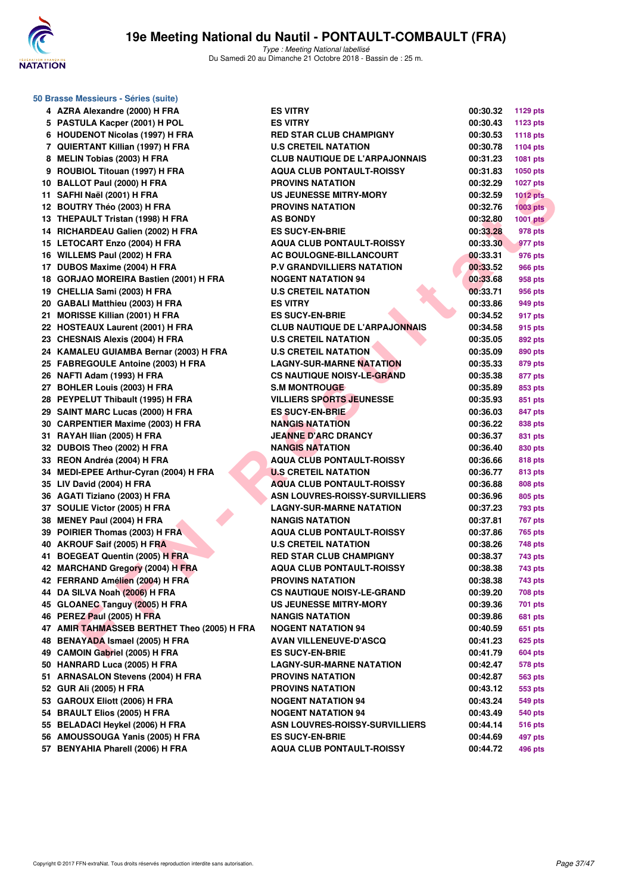

| 50 Brasse Messieurs - Séries (suite)        |                                       |          |                 |  |  |
|---------------------------------------------|---------------------------------------|----------|-----------------|--|--|
| 4 AZRA Alexandre (2000) H FRA               | <b>ES VITRY</b>                       | 00:30.32 | <b>1129 pts</b> |  |  |
| 5 PASTULA Kacper (2001) H POL               | <b>ES VITRY</b>                       | 00:30.43 | <b>1123 pts</b> |  |  |
| 6 HOUDENOT Nicolas (1997) H FRA             | <b>RED STAR CLUB CHAMPIGNY</b>        | 00:30.53 | <b>1118 pts</b> |  |  |
| 7 QUIERTANT Killian (1997) H FRA            | <b>U.S CRETEIL NATATION</b>           | 00:30.78 | <b>1104 pts</b> |  |  |
| 8 MELIN Tobias (2003) H FRA                 | <b>CLUB NAUTIQUE DE L'ARPAJONNAIS</b> | 00:31.23 | 1081 pts        |  |  |
| 9 ROUBIOL Titouan (1997) H FRA              | <b>AQUA CLUB PONTAULT-ROISSY</b>      | 00:31.83 | 1050 pts        |  |  |
| 10 BALLOT Paul (2000) H FRA                 | <b>PROVINS NATATION</b>               | 00:32.29 | <b>1027 pts</b> |  |  |
| 11 SAFHI Naël (2001) H FRA                  | US JEUNESSE MITRY-MORY                | 00:32.59 | <b>1012 pts</b> |  |  |
| 12 BOUTRY Théo (2003) H FRA                 | <b>PROVINS NATATION</b>               | 00:32.76 | $1003$ pts      |  |  |
| 13 THEPAULT Tristan (1998) H FRA            | <b>AS BONDY</b>                       | 00:32.80 | <b>1001 pts</b> |  |  |
| 14 RICHARDEAU Galien (2002) H FRA           | <b>ES SUCY-EN-BRIE</b>                | 00:33.28 | 978 pts         |  |  |
| 15 LETOCART Enzo (2004) H FRA               | <b>AQUA CLUB PONTAULT-ROISSY</b>      | 00:33.30 | 977 pts         |  |  |
| 16 WILLEMS Paul (2002) H FRA                | <b>AC BOULOGNE-BILLANCOURT</b>        | 00:33.31 | 976 pts         |  |  |
| 17 DUBOS Maxime (2004) H FRA                | <b>P.V GRANDVILLIERS NATATION</b>     | 00:33.52 | 966 pts         |  |  |
| 18 GORJAO MOREIRA Bastien (2001) H FRA      | <b>NOGENT NATATION 94</b>             | 00:33.68 | 958 pts         |  |  |
| 19 CHELLIA Sami (2003) H FRA                | <b>U.S CRETEIL NATATION</b>           | 00:33.71 | 956 pts         |  |  |
| 20 GABALI Matthieu (2003) H FRA             | <b>ES VITRY</b>                       | 00:33.86 | 949 pts         |  |  |
| 21 MORISSE Killian (2001) H FRA             | <b>ES SUCY-EN-BRIE</b>                | 00:34.52 | 917 pts         |  |  |
| 22 HOSTEAUX Laurent (2001) H FRA            | <b>CLUB NAUTIQUE DE L'ARPAJONNAIS</b> | 00:34.58 | 915 pts         |  |  |
| 23 CHESNAIS Alexis (2004) H FRA             | <b>U.S CRETEIL NATATION</b>           | 00:35.05 | 892 pts         |  |  |
| 24 KAMALEU GUIAMBA Bernar (2003) H FRA      | <b>U.S CRETEIL NATATION</b>           | 00:35.09 | 890 pts         |  |  |
| 25 FABREGOULE Antoine (2003) H FRA          | <b>LAGNY-SUR-MARNE NATATION</b>       | 00:35.33 | 879 pts         |  |  |
| 26 NAFTI Adam (1993) H FRA                  | <b>CS NAUTIQUE NOISY-LE-GRAND</b>     | 00:35.38 | 877 pts         |  |  |
| 27 BOHLER Louis (2003) H FRA                | <b>S.M MONTROUGE</b>                  | 00:35.89 | 853 pts         |  |  |
| 28 PEYPELUT Thibault (1995) H FRA           | <b>VILLIERS SPORTS JEUNESSE</b>       | 00:35.93 | 851 pts         |  |  |
| 29 SAINT MARC Lucas (2000) H FRA            | <b>ES SUCY-EN-BRIE</b>                | 00:36.03 | 847 pts         |  |  |
| 30 CARPENTIER Maxime (2003) H FRA           | <b>NANGIS NATATION</b>                | 00:36.22 | 838 pts         |  |  |
| 31 RAYAH Ilian (2005) H FRA                 | <b>JEANNE D'ARC DRANCY</b>            | 00:36.37 | 831 pts         |  |  |
| 32 DUBOIS Theo (2002) H FRA                 | <b>NANGIS NATATION</b>                | 00:36.40 | 830 pts         |  |  |
| 33 REON Andréa (2004) H FRA                 | <b>AQUA CLUB PONTAULT-ROISSY</b>      | 00:36.66 | 818 pts         |  |  |
| 34 MEDI-EPEE Arthur-Cyran (2004) H FRA      | <b>U.S CRETEIL NATATION</b>           | 00:36.77 | 813 pts         |  |  |
| 35 LIV David (2004) H FRA                   | <b>AQUA CLUB PONTAULT-ROISSY</b>      | 00:36.88 | 808 pts         |  |  |
| 36 AGATI Tiziano (2003) H FRA               | <b>ASN LOUVRES-ROISSY-SURVILLIERS</b> | 00:36.96 | 805 pts         |  |  |
| 37 SOULIE Victor (2005) H FRA               | <b>LAGNY-SUR-MARNE NATATION</b>       | 00:37.23 | 793 pts         |  |  |
| 38 MENEY Paul (2004) H FRA                  | <b>NANGIS NATATION</b>                | 00:37.81 | 767 pts         |  |  |
| 39 POIRIER Thomas (2003) H FRA              | <b>AQUA CLUB PONTAULT-ROISSY</b>      | 00:37.86 | 765 pts         |  |  |
| 40 AKROUF Saif (2005) H FRA                 | <b>U.S CRETEIL NATATION</b>           | 00:38.26 | 748 pts         |  |  |
| 41 BOEGEAT Quentin (2005) H FRA             | <b>RED STAR CLUB CHAMPIGNY</b>        | 00:38.37 | 743 pts         |  |  |
| 42 MARCHAND Gregory (2004) H FRA            | <b>AQUA CLUB PONTAULT-ROISSY</b>      | 00:38.38 | 743 pts         |  |  |
| 42 FERRAND Amélien (2004) H FRA             | <b>PROVINS NATATION</b>               | 00:38.38 | 743 pts         |  |  |
| 44 DA SILVA Noah (2006) H FRA               | <b>CS NAUTIQUE NOISY-LE-GRAND</b>     | 00:39.20 | 708 pts         |  |  |
| 45 GLOANEC Tanguy (2005) H FRA              | <b>US JEUNESSE MITRY-MORY</b>         | 00:39.36 | 701 pts         |  |  |
| 46 PEREZ Paul (2005) H FRA                  | <b>NANGIS NATATION</b>                | 00:39.86 | 681 pts         |  |  |
| 47 AMIR TAHMASSEB BERTHET Theo (2005) H FRA | <b>NOGENT NATATION 94</b>             | 00:40.59 | 651 pts         |  |  |
| 48 BENAYADA Ismael (2005) H FRA             | <b>AVAN VILLENEUVE-D'ASCQ</b>         | 00:41.23 | 625 pts         |  |  |
| 49 CAMOIN Gabriel (2005) H FRA              | <b>ES SUCY-EN-BRIE</b>                | 00:41.79 | 604 pts         |  |  |
| 50 HANRARD Luca (2005) H FRA                | <b>LAGNY-SUR-MARNE NATATION</b>       | 00:42.47 | 578 pts         |  |  |
| 51 ARNASALON Stevens (2004) H FRA           | <b>PROVINS NATATION</b>               | 00:42.87 | 563 pts         |  |  |
| 52 GUR Ali (2005) H FRA                     | <b>PROVINS NATATION</b>               | 00:43.12 | 553 pts         |  |  |
| 53 GAROUX Eliott (2006) H FRA               | <b>NOGENT NATATION 94</b>             | 00:43.24 | 549 pts         |  |  |
| 54 BRAULT Elios (2005) H FRA                | <b>NOGENT NATATION 94</b>             | 00:43.49 | 540 pts         |  |  |
| 55 BELADACI Heykel (2006) H FRA             | ASN LOUVRES-ROISSY-SURVILLIERS        | 00:44.14 | <b>516 pts</b>  |  |  |
| 56 AMOUSSOUGA Yanis (2005) H FRA            | <b>ES SUCY-EN-BRIE</b>                | 00:44.69 | 497 pts         |  |  |
| 57 BENYAHIA Pharell (2006) H FRA            | <b>AQUA CLUB PONTAULT-ROISSY</b>      | 00:44.72 | 496 pts         |  |  |

|                                                 | 00:30.32             | <b>1129 pts</b>    |
|-------------------------------------------------|----------------------|--------------------|
|                                                 | 00:30.43             | 1123 pts           |
| <b>R CLUB CHAMPIGNY</b>                         | 00:30.53             | 1118 pts           |
| <b>TEIL NATATION</b>                            | 00:30.78             | 1104 $pts$         |
| <b>NUTIQUE DE L'ARPAJONNAIS</b>                 | 00:31.23             | 1081 pts           |
| <b>LUB PONTAULT-ROISSY</b>                      | 00:31.83             | 1050 pts           |
| <b>SNATATION</b>                                | 00:32.29             | <b>1027 pts</b>    |
| <b>IESSE MITRY-MORY</b>                         | 00:32.59             | <b>1012 pts</b>    |
| S NATATION                                      | 00:32.76             | 1003 pts           |
| אכ                                              | 00:32.80             | 1001 pts           |
| <b>-EN-BRIE</b>                                 | 00:33.28             | 978 pts            |
| <b>LUB PONTAULT-ROISSY</b>                      | 00:33.30             | 977 pts            |
| <b>LOGNE-BILLANCOURT</b>                        | 00:33.31             | 976 pts            |
| NDVILLIERS NATATION                             | 00:33.52             | 966 pts            |
| NATATION 94                                     | 00:33.68             | 958 pts            |
| TEIL NATATION                                   | 00:33.71             | 956 pts            |
| ſ                                               | 00:33.86             | 949 pts            |
| <b>-EN-BRIE</b>                                 | 00:34.52             | 917 pts            |
| <b>NUTIQUE DE L'ARPAJONNAIS</b>                 | 00:34.58             | 915 pts            |
| <b>TEIL NATATION</b>                            | 00:35.05             | 892 pts            |
| TEIL NATATION                                   | 00:35.09             | 890 pts            |
| SUR-MARNE NATATION                              | 00:35.33             | 879 pts            |
| <b>TIQUE NOISY-LE-GRAND</b>                     | 00:35.38             | 877 pts            |
| <b>ITROUGE</b>                                  | 00:35.89             | 853 pts            |
| <b>SPORTS JEUNESSE</b>                          | 00:35.93             | 851 pts            |
| -EN-BRIE                                        | 00:36.03             | 847 pts            |
| NATATION                                        | 00:36.22             | 838 pts            |
| <b>D'ARC DRANCY</b>                             | 00:36.37             | 831 pts            |
| NATATION                                        | 00:36.40             | 830 pts            |
| <b>LUB PONTAULT-ROISSY</b>                      | 00:36.66             | 818 pts            |
| <b>TEIL NATATION</b>                            | 00:36.77             | 813 pts            |
| <b>LUB PONTAULT-ROISSY</b>                      | 00:36.88             | 808 pts            |
| <b>JVRES-ROISSY-SURVILLIERS</b>                 | 00:36.96             | 805 pts            |
| SUR-MARNE NATATION                              | 00:37.23             | <b>793 pts</b>     |
| <b>NATATION</b>                                 | 00:37.81             | <b>767 pts</b>     |
| <b>LUB PONTAULT-ROISSY</b>                      | 00:37.86             | 765 pts            |
| <b>TEIL NATATION</b><br><b>R CLUB CHAMPIGNY</b> | 00:38.26             | 748 pts            |
|                                                 | 00:38.37             | 743 pts            |
| <b>LUB PONTAULT-ROISSY</b><br><b>SNATATION</b>  | 00:38.38<br>00:38.38 | 743 pts<br>743 pts |
| <b>NOUE NOISY-LE-GRAND</b>                      | 00:39.20             | 708 pts            |
| <b>IESSE MITRY-MORY</b>                         | 00:39.36             | <b>701 pts</b>     |
| <b>NATATION</b>                                 | 00:39.86             | 681 pts            |
| NATATION 94                                     | 00:40.59             | 651 pts            |
| <b>LLENEUVE-D'ASCQ</b>                          | 00:41.23             | <b>625 pts</b>     |
| <b>-EN-BRIE</b>                                 | 00:41.79             | <b>604 pts</b>     |
| SUR-MARNE NATATION                              | 00:42.47             | 578 pts            |
| S NATATION                                      | 00:42.87             | 563 pts            |
| <b>SNATATION</b>                                | 00:43.12             | 553 pts            |
| NATATION 94                                     | 00:43.24             | 549 pts            |
| NATATION 94                                     | 00:43.49             | 540 pts            |
| <b>JVRES-ROISSY-SURVILLIERS</b>                 | 00:44.14             | <b>516 pts</b>     |
| <b>-EN-BRIE</b>                                 | 00:44.69             | 497 pts            |
| <b>LUB PONTAULT-ROISSY</b>                      | 00:44.72             | 496 pts            |
|                                                 |                      |                    |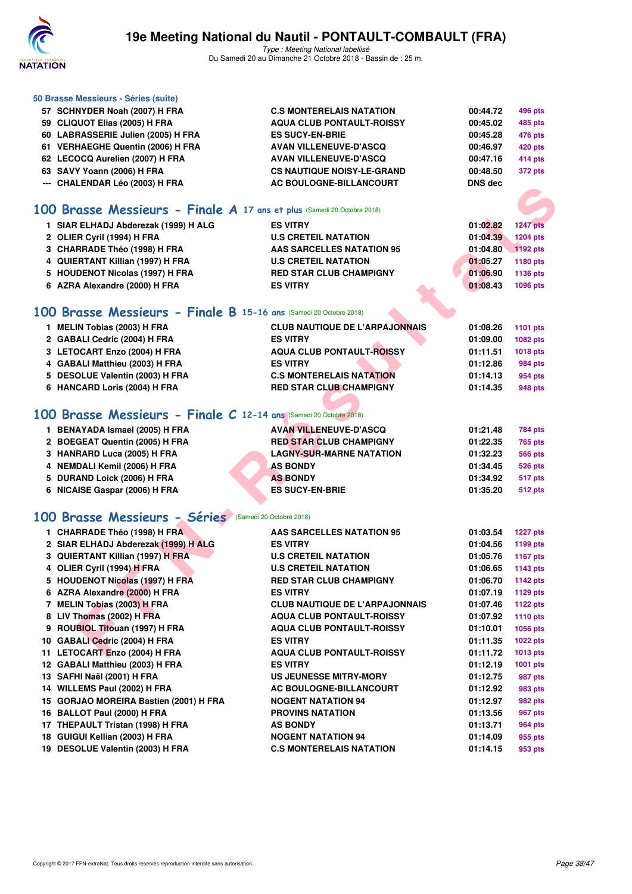

| 50 Brasse Messieurs - Séries (suite)                                    |                                              |                      |                 |
|-------------------------------------------------------------------------|----------------------------------------------|----------------------|-----------------|
| 57 SCHNYDER Noah (2007) H FRA                                           | <b>C.S MONTERELAIS NATATION</b>              | 00:44.72             | <b>496 pts</b>  |
| 59 CLIQUOT Elias (2005) H FRA                                           | <b>AQUA CLUB PONTAULT-ROISSY</b>             | 00:45.02             | 485 pts         |
| 60 LABRASSERIE Julien (2005) H FRA                                      | <b>ES SUCY-EN-BRIE</b>                       | 00:45.28             | <b>476 pts</b>  |
| 61 VERHAEGHE Quentin (2006) H FRA                                       | <b>AVAN VILLENEUVE-D'ASCQ</b>                | 00:46.97             | <b>420 pts</b>  |
| 62 LECOCQ Aurelien (2007) H FRA                                         | <b>AVAN VILLENEUVE-D'ASCQ</b>                | 00:47.16             | <b>414 pts</b>  |
| 63 SAVY Yoann (2006) H FRA                                              | <b>CS NAUTIQUE NOISY-LE-GRAND</b>            | 00:48.50             | <b>372 pts</b>  |
| --- CHALENDAR Léo (2003) H FRA                                          | AC BOULOGNE-BILLANCOURT                      | <b>DNS</b> dec       |                 |
|                                                                         |                                              |                      |                 |
| 100 Brasse Messieurs - Finale A 17 ans et plus (Samedi 20 Octobre 2018) |                                              |                      |                 |
| 1 SIAR ELHADJ Abderezak (1999) H ALG                                    | <b>ES VITRY</b>                              | 01:02.82             | <b>1247 pts</b> |
| 2 OLIER Cyril (1994) H FRA                                              | <b>U.S CRETEIL NATATION</b>                  | 01:04.39             | 1204 pts        |
| 3 CHARRADE Théo (1998) H FRA                                            | <b>AAS SARCELLES NATATION 95</b>             | 01:04.80             | 1192 pts        |
| 4 QUIERTANT Killian (1997) H FRA                                        | <b>U.S CRETEIL NATATION</b>                  | 01:05.27             | 1180 pts        |
| 5 HOUDENOT Nicolas (1997) H FRA                                         | <b>RED STAR CLUB CHAMPIGNY</b>               | 01:06.90             | 1136 pts        |
| 6 AZRA Alexandre (2000) H FRA                                           | <b>ES VITRY</b>                              | 01:08.43             | 1096 pts        |
|                                                                         |                                              |                      |                 |
|                                                                         |                                              |                      |                 |
| 100 Brasse Messieurs - Finale B 15-16 ans (Samedi 20 Octobre 2018)      |                                              |                      |                 |
| 1 MELIN Tobias (2003) H FRA                                             | <b>CLUB NAUTIQUE DE L'ARPAJONNAIS</b>        | 01:08.26             | 1101 pts        |
| 2 GABALI Cedric (2004) H FRA                                            | <b>ES VITRY</b>                              | 01:09.00             | 1082 pts        |
| 3 LETOCART Enzo (2004) H FRA                                            | <b>AQUA CLUB PONTAULT-ROISSY</b>             | 01:11.51             | 1018 pts        |
| 4 GABALI Matthieu (2003) H FRA                                          | <b>ES VITRY</b>                              | 01:12.86             | <b>984 pts</b>  |
| 5 DESOLUE Valentin (2003) H FRA                                         | <b>C.S MONTERELAIS NATATION</b>              | 01:14.13             | 954 pts         |
| 6 HANCARD Loris (2004) H FRA                                            | <b>RED STAR CLUB CHAMPIGNY</b>               | 01:14.35             | 948 pts         |
|                                                                         |                                              |                      |                 |
| 100 Brasse Messieurs - Finale C 12-14 ans (Samedi 20 Octobre 2018)      |                                              |                      |                 |
| 1 BENAYADA Ismael (2005) H FRA                                          | <b>AVAN VILLENEUVE-D'ASCQ</b>                | 01:21.48             | <b>784 pts</b>  |
| 2 BOEGEAT Quentin (2005) H FRA                                          | <b>RED STAR CLUB CHAMPIGNY</b>               | 01:22.35             | <b>765 pts</b>  |
| 3 HANRARD Luca (2005) H FRA                                             | <b>LAGNY-SUR-MARNE NATATION</b>              | 01:32.23             | <b>566 pts</b>  |
| 4 NEMDALI Kemil (2006) H FRA                                            | <b>AS BONDY</b>                              | 01:34.45             | <b>526 pts</b>  |
| 5 DURAND Loick (2006) H FRA                                             | <b>AS BONDY</b>                              | 01:34.92             | 517 pts         |
| 6 NICAISE Gaspar (2006) H FRA                                           | <b>ES SUCY-EN-BRIE</b>                       | 01:35.20             | <b>512 pts</b>  |
|                                                                         |                                              |                      |                 |
| 100 Brasse Messieurs - Séries (Samedi 20 Octobre 2018)                  |                                              |                      |                 |
| 1 CHARRADE Théo (1998) H FRA                                            | <b>AAS SARCELLES NATATION 95</b>             | 01:03.54             | <b>1227 pts</b> |
| 2 SIAR ELHADJ Abderezak (1999) H ALG                                    | <b>ES VITRY</b>                              | 01:04.56             | 1199 pts        |
| 3 QUIERTANT Killian (1997) H FRA                                        | <b>U.S CRETEIL NATATION</b>                  | 01:05.76             | <b>1167 pts</b> |
| 4 OLIER Cyril (1994) H FRA                                              | <b>U.S CRETEIL NATATION</b>                  | 01:06.65             | 1143 pts        |
| 5 HOUDENOT Nicolas (1997) H FRA                                         | <b>RED STAR CLUB CHAMPIGNY</b>               | 01:06.70             | <b>1142 pts</b> |
| 6 AZRA Alexandre (2000) H FRA                                           | <b>ES VITRY</b>                              | 01:07.19             | 1129 pts        |
| 7 MELIN Tobias (2003) H FRA                                             | <b>CLUB NAUTIQUE DE L'ARPAJONNAIS</b>        | 01:07.46             | <b>1122 pts</b> |
| 8 LIV Thomas (2002) H FRA                                               | <b>AQUA CLUB PONTAULT-ROISSY</b>             | 01:07.92             | <b>1110 pts</b> |
| 9 ROUBIOL Titouan (1997) H FRA                                          | <b>AQUA CLUB PONTAULT-ROISSY</b>             | 01:10.01             | 1056 pts        |
| 10 GABALI Cedric (2004) H FRA                                           | <b>ES VITRY</b>                              | 01:11.35             | <b>1022 pts</b> |
| 11 LETOCART Enzo (2004) H FRA                                           | <b>AQUA CLUB PONTAULT-ROISSY</b>             | 01:11.72             | 1013 pts        |
| 12 GABALI Matthieu (2003) H FRA                                         | <b>ES VITRY</b>                              | 01:12.19             | 1001 pts        |
| 13 SAFHI Naël (2001) H FRA                                              | US JEUNESSE MITRY-MORY                       | 01:12.75             | 987 pts         |
| 14 WILLEMS Paul (2002) H FRA                                            | <b>AC BOULOGNE-BILLANCOURT</b>               | 01:12.92             | 983 pts         |
| 15 GORJAO MOREIRA Bastien (2001) H FRA                                  | <b>NOGENT NATATION 94</b>                    | 01:12.97             |                 |
| 16 BALLOT Paul (2000) H FRA                                             | <b>PROVINS NATATION</b>                      |                      | 982 pts         |
|                                                                         |                                              | 01:13.56             | 967 pts         |
| 17 THEPAULT Tristan (1998) H FRA                                        | <b>AS BONDY</b><br><b>NOGENT NATATION 94</b> | 01:13.71             | 964 pts         |
| 18 GUIGUI Kellian (2003) H FRA                                          | <b>C.S MONTERELAIS NATATION</b>              | 01:14.09<br>01:14.15 | 955 pts         |
| 19 DESOLUE Valentin (2003) H FRA                                        |                                              |                      | 953 pts         |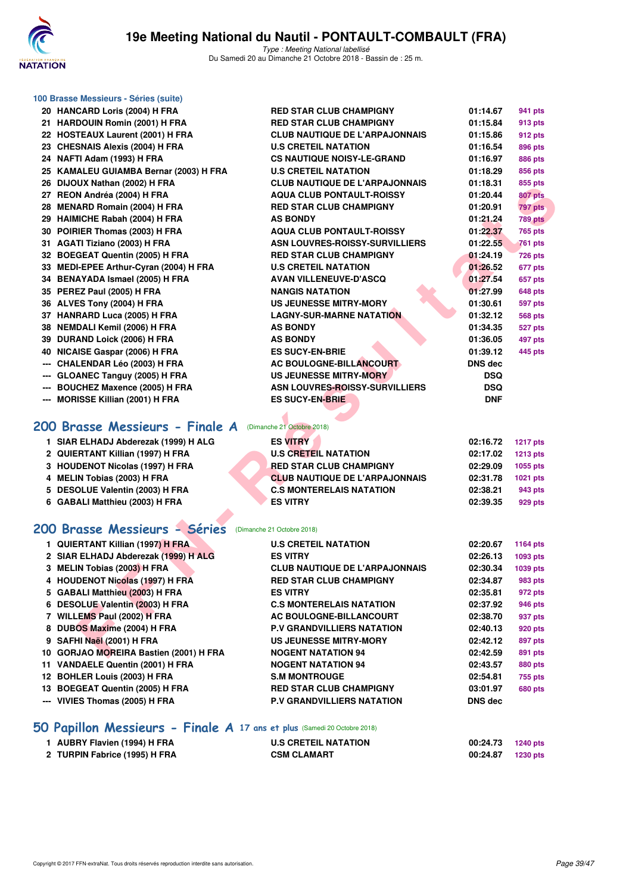

Type : Meeting National labellisé Du Samedi 20 au Dimanche 21 Octobre 2018 - Bassin de : 25 m.

|                      | 100 Brasse Messieurs - Séries (suite)                    |                                       |                |                 |  |
|----------------------|----------------------------------------------------------|---------------------------------------|----------------|-----------------|--|
|                      | 20 HANCARD Loris (2004) H FRA                            | <b>RED STAR CLUB CHAMPIGNY</b>        | 01:14.67       | 941 pts         |  |
|                      | 21 HARDOUIN Romin (2001) H FRA                           | <b>RED STAR CLUB CHAMPIGNY</b>        | 01:15.84       | 913 pts         |  |
|                      | 22 HOSTEAUX Laurent (2001) H FRA                         | <b>CLUB NAUTIQUE DE L'ARPAJONNAIS</b> | 01:15.86       | 912 pts         |  |
|                      | 23 CHESNAIS Alexis (2004) H FRA                          | <b>U.S CRETEIL NATATION</b>           | 01:16.54       | 896 pts         |  |
|                      | 24 NAFTI Adam (1993) H FRA                               | <b>CS NAUTIQUE NOISY-LE-GRAND</b>     | 01:16.97       | 886 pts         |  |
|                      | 25 KAMALEU GUIAMBA Bernar (2003) H FRA                   | <b>U.S CRETEIL NATATION</b>           | 01:18.29       | 856 pts         |  |
|                      | 26 DIJOUX Nathan (2002) H FRA                            | <b>CLUB NAUTIQUE DE L'ARPAJONNAIS</b> | 01:18.31       | 855 pts         |  |
|                      | 27 REON Andréa (2004) H FRA                              | <b>AQUA CLUB PONTAULT-ROISSY</b>      | 01:20.44       | <b>807 pts</b>  |  |
|                      | 28 MENARD Romain (2004) H FRA                            | <b>RED STAR CLUB CHAMPIGNY</b>        | 01:20.91       | 797 pts         |  |
|                      | 29 HAIMICHE Rabah (2004) H FRA                           | <b>AS BONDY</b>                       | 01:21.24       | 789 pts         |  |
|                      | 30 POIRIER Thomas (2003) H FRA                           | <b>AQUA CLUB PONTAULT-ROISSY</b>      | 01:22.37       | <b>765 pts</b>  |  |
|                      | 31 AGATI Tiziano (2003) H FRA                            | <b>ASN LOUVRES-ROISSY-SURVILLIERS</b> | 01:22.55       | <b>761 pts</b>  |  |
|                      | 32 BOEGEAT Quentin (2005) H FRA                          | <b>RED STAR CLUB CHAMPIGNY</b>        | 01:24.19       | <b>726 pts</b>  |  |
|                      | 33 MEDI-EPEE Arthur-Cyran (2004) H FRA                   | <b>U.S CRETEIL NATATION</b>           | 01:26.52       | 677 pts         |  |
|                      | 34 BENAYADA Ismael (2005) H FRA                          | <b>AVAN VILLENEUVE-D'ASCQ</b>         | 01:27.54       | 657 pts         |  |
|                      | 35 PEREZ Paul (2005) H FRA                               | NANGIS NATATION                       | 01:27.99       | <b>648 pts</b>  |  |
|                      | 36 ALVES Tony (2004) H FRA                               | <b>US JEUNESSE MITRY-MORY</b>         | 01:30.61       | 597 pts         |  |
|                      | 37 HANRARD Luca (2005) H FRA                             | <b>LAGNY-SUR-MARNE NATATION</b>       | 01:32.12       | 568 pts         |  |
|                      | 38 NEMDALI Kemil (2006) H FRA                            | <b>AS BONDY</b>                       | 01:34.35       | 527 pts         |  |
|                      | 39 DURAND Loick (2006) H FRA                             | <b>AS BONDY</b>                       | 01:36.05       | 497 pts         |  |
|                      | 40 NICAISE Gaspar (2006) H FRA                           | <b>ES SUCY-EN-BRIE</b>                | 01:39.12       | 445 pts         |  |
| $\scriptstyle\cdots$ | <b>CHALENDAR Léo (2003) H FRA</b>                        | <b>AC BOULOGNE-BILLANCOURT</b>        | <b>DNS dec</b> |                 |  |
| ---                  | <b>GLOANEC Tanguy (2005) H FRA</b>                       | <b>US JEUNESSE MITRY-MORY</b>         | DSQ            |                 |  |
|                      | <b>BOUCHEZ Maxence (2005) H FRA</b>                      | <b>ASN LOUVRES-ROISSY-SURVILLIERS</b> | <b>DSQ</b>     |                 |  |
| ---                  | <b>MORISSE Killian (2001) H FRA</b>                      | <b>ES SUCY-EN-BRIE</b>                | <b>DNF</b>     |                 |  |
|                      |                                                          |                                       |                |                 |  |
|                      | 200 Brasse Messieurs - Finale A                          | (Dimanche 21 Octobre 2018)            |                |                 |  |
|                      | 1 SIAR ELHADJ Abderezak (1999) H ALG                     | <b>ES VITRY</b>                       | 02:16.72       | <b>1217 pts</b> |  |
|                      | 2 QUIERTANT Killian (1997) H FRA                         | <b>U.S CRETEIL NATATION</b>           | 02:17.02       | 1213 pts        |  |
|                      | 3 HOUDENOT Nicolas (1997) H FRA                          | <b>RED STAR CLUB CHAMPIGNY</b>        | 02:29.09       | 1055 pts        |  |
|                      | 4 MELIN Tobias (2003) H FRA                              | <b>CLUB NAUTIQUE DE L'ARPAJONNAIS</b> | 02:31.78       | 1021 pts        |  |
|                      | 5 DESOLUE Valentin (2003) H FRA                          | <b>C.S MONTERELAIS NATATION</b>       | 02:38.21       | 943 pts         |  |
|                      | 6 GABALI Matthieu (2003) H FRA                           | <b>ES VITRY</b>                       | 02:39.35       | 929 pts         |  |
|                      |                                                          |                                       |                |                 |  |
|                      | 200 Brasse Messieurs - Séries (Dimanche 21 Octobre 2018) |                                       |                |                 |  |
|                      | 1 QUIERTANT Killian (1997) H FRA                         | <b>U.S CRETEIL NATATION</b>           | 02:20.67       | <b>1164 pts</b> |  |
|                      | 2 SIAR ELHADJ Abderezak (1999) H ALG                     | <b>ES VITRY</b>                       | 02:26.13       | 1093 pts        |  |
|                      | 3 MELIN Tobias (2003) H FRA                              | CLUB NAUTIQUE DE L'ARPAJONNAIS        | 02:30.34       | 1039 pts        |  |
|                      | 4 HOUDENOT Nicolas (1997) H FRA                          | <b>RED STAR CLUB CHAMPIGNY</b>        | 02:34.87       | 983 pts         |  |
|                      | 5 GABALI Matthieu (2003) H FRA                           | ES VITRY                              | 02:35.81       | 972 pts         |  |
|                      | 6 DESOLUE Valentin (2003) H FRA                          | <b>C.S MONTERELAIS NATATION</b>       | 02:37.92       | 946 pts         |  |
|                      | 7 WILLEMS Paul (2002) H FRA                              | <b>AC BOULOGNE-BILLANCOURT</b>        | 02:38.70       | 937 pts         |  |
|                      | 8 DUBOS Maxime (2004) H FRA                              | <b>P.V GRANDVILLIERS NATATION</b>     | 02:40.13       | 920 pts         |  |
|                      | 9 SAFHI Naël (2001) H FRA                                | <b>US JEUNESSE MITRY-MORY</b>         | 02:42.12       | 897 pts         |  |
|                      | 10 GORJAO MOREIRA Bastien (2001) H FRA                   | <b>NOGENT NATATION 94</b>             | 02:42.59       | 891 pts         |  |
|                      |                                                          |                                       |                |                 |  |

# **[200 Brasse Messieurs - Finale A](http://www.ffnatation.fr/webffn/resultats.php?idact=nat&go=epr&idcpt=55747&idepr=73)** (Dimanche 21 Octobre 2018)

| 1 SIAR ELHADJ Abderezak (1999) H ALG | <b>ES VITRY</b>                       | 02:16.72 | <b>1217 pts</b> |
|--------------------------------------|---------------------------------------|----------|-----------------|
| 2 QUIERTANT Killian (1997) H FRA     | <b>U.S CRETEIL NATATION</b>           | 02:17.02 | <b>1213 pts</b> |
| 3 HOUDENOT Nicolas (1997) H FRA      | <b>RED STAR CLUB CHAMPIGNY</b>        | 02:29.09 | 1055 pts        |
| 4 MELIN Tobias (2003) H FRA          | <b>CLUB NAUTIQUE DE L'ARPAJONNAIS</b> | 02:31.78 | 1021 pts        |
| 5 DESOLUE Valentin (2003) H FRA      | <b>C.S MONTERELAIS NATATION</b>       | 02:38.21 | 943 pts         |
| 6 GABALI Matthieu (2003) H FRA       | <b>ES VITRY</b>                       | 02:39.35 | 929 pts         |
|                                      |                                       |          |                 |

### **[200 Brasse Messieurs - Séries](http://www.ffnatation.fr/webffn/resultats.php?idact=nat&go=epr&idcpt=55747&idepr=73)** (Dimanche 21 Octobre 2018)

| 1 QUIERTANT Killian (1997) H FRA       | <b>U.S CRETEIL NATATION</b>           | 02:20.67       | <b>1164 pts</b> |
|----------------------------------------|---------------------------------------|----------------|-----------------|
| 2 SIAR ELHADJ Abderezak (1999) H ALG   | <b>ES VITRY</b>                       | 02:26.13       | 1093 pts        |
| 3 MELIN Tobias (2003) H FRA            | <b>CLUB NAUTIQUE DE L'ARPAJONNAIS</b> | 02:30.34       | 1039 pts        |
| 4 HOUDENOT Nicolas (1997) H FRA        | <b>RED STAR CLUB CHAMPIGNY</b>        | 02:34.87       | 983 pts         |
| 5 GABALI Matthieu (2003) H FRA         | <b>ES VITRY</b>                       | 02:35.81       | 972 pts         |
| 6 DESOLUE Valentin (2003) H FRA        | <b>C.S MONTERELAIS NATATION</b>       | 02:37.92       | 946 pts         |
| 7 WILLEMS Paul (2002) H FRA            | AC BOULOGNE-BILLANCOURT               | 02:38.70       | 937 pts         |
| 8 DUBOS Maxime (2004) H FRA            | <b>P.V GRANDVILLIERS NATATION</b>     | 02:40.13       | <b>920 pts</b>  |
| 9 SAFHI Naël (2001) H FRA              | US JEUNESSE MITRY-MORY                | 02:42.12       | 897 pts         |
| 10 GORJAO MOREIRA Bastien (2001) H FRA | <b>NOGENT NATATION 94</b>             | 02:42.59       | 891 pts         |
| 11 VANDAELE Quentin (2001) H FRA       | <b>NOGENT NATATION 94</b>             | 02:43.57       | <b>880 pts</b>  |
| 12 BOHLER Louis (2003) H FRA           | <b>S.M MONTROUGE</b>                  | 02:54.81       | 755 pts         |
| 13 BOEGEAT Quentin (2005) H FRA        | <b>RED STAR CLUB CHAMPIGNY</b>        | 03:01.97       | <b>680 pts</b>  |
| --- VIVIES Thomas (2005) H FRA         | <b>P.V GRANDVILLIERS NATATION</b>     | <b>DNS</b> dec |                 |
|                                        |                                       |                |                 |

#### **[50 Papillon Messieurs - Finale A](http://www.ffnatation.fr/webffn/resultats.php?idact=nat&go=epr&idcpt=55747&idepr=81) 17 ans et plus** (Samedi 20 Octobre 2018)

| 1 AUBRY Flavien (1994) H FRA  | <b>U.S CRETEIL NATATION</b> | 00:24.73 | 1240 pts |
|-------------------------------|-----------------------------|----------|----------|
| 2 TURPIN Fabrice (1995) H FRA | <b>CSM CLAMART</b>          | 00:24.87 | 1230 pts |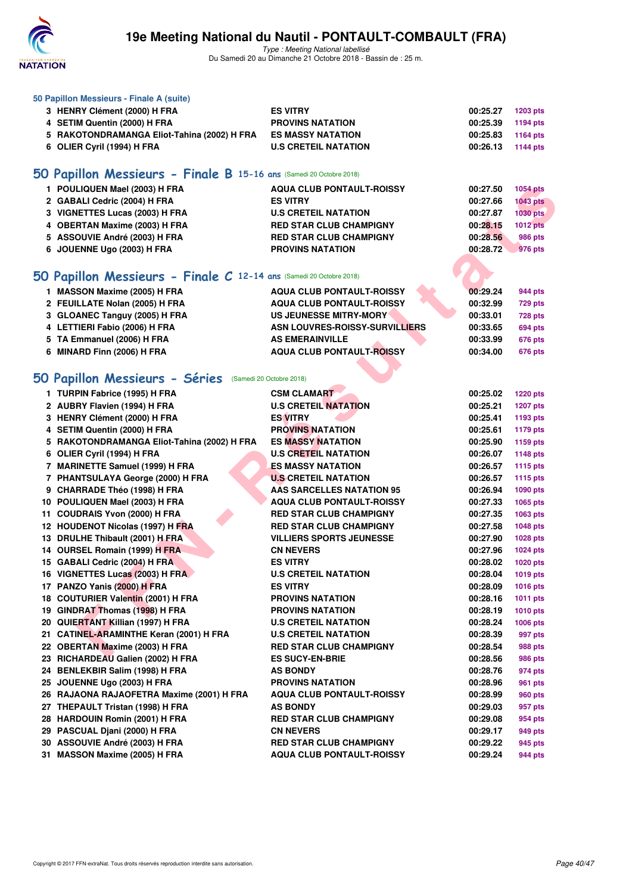

**50 Papillon Messieurs - Finale A (suite)**

### **19e Meeting National du Nautil - PONTAULT-COMBAULT (FRA)**

Type : Meeting National labellisé Du Samedi 20 au Dimanche 21 Octobre 2018 - Bassin de : 25 m.

**3 HENRY Clément (2000) H FRA ES VITRY 00:25.27 1203 pts 4 SETIM Quentin (2000) H FRA PROVINS NATATION 00:25.39 1194 pts 5 RAKOTONDRAMANGA Eliot-Tahina (2002) H FRA ES MASSY NATATION 00:25.83 1164 pts**

| 6 OLIER Cyril (1994) H FRA                                          | <b>U.S CRETEIL NATATION</b>      | 00:26.13 | 1144 pts        |
|---------------------------------------------------------------------|----------------------------------|----------|-----------------|
| 50 Papillon Messieurs - Finale B 15-16 ans (Samedi 20 Octobre 2018) |                                  |          |                 |
| 1 POULIQUEN Mael (2003) H FRA                                       | <b>AQUA CLUB PONTAULT-ROISSY</b> | 00:27.50 | <b>1054 pts</b> |
| 2 GABALI Cedric (2004) H FRA                                        | <b>ES VITRY</b>                  | 00:27.66 | <b>1043 pts</b> |
| 3 VIGNETTES Lucas (2003) H FRA                                      | <b>U.S CRETEIL NATATION</b>      | 00:27.87 | <b>1030 pts</b> |
| 4 OBERTAN Maxime (2003) H FRA                                       | <b>RED STAR CLUB CHAMPIGNY</b>   | 00:28.15 | <b>1012 pts</b> |
| 5 ASSOUVIE André (2003) H FRA                                       | <b>RED STAR CLUB CHAMPIGNY</b>   | 00:28.56 | <b>986 pts</b>  |
| 6 JOUENNE Ugo (2003) H FRA                                          | <b>PROVINS NATATION</b>          | 00:28.72 | 976 pts         |
|                                                                     |                                  |          |                 |
| 50 Papillon Messieurs - Finale C 12-14 ans (Samedi 20 Octobre 2018) |                                  |          |                 |
| 1 MASSON Maxime (2005) H FRA                                        | <b>AQUA CLUB PONTAULT-ROISSY</b> | 00:29.24 | 944 pts         |
| 2 FEUILLATE Nolan (2005) H FRA                                      | <b>AQUA CLUB PONTAULT-ROISSY</b> | 00:32.99 | <b>729 pts</b>  |
| 3 GLOANEC Tanguy (2005) H FRA                                       | US JEUNESSE MITRY-MORY           | 00:33.01 | 728 pts         |
| 4 LETTIERI Fabio (2006) H FRA                                       | ASN LOUVRES-ROISSY-SURVILLIERS   | 00:33.65 | 694 pts         |
| 5 TA Emmanuel (2006) H FRA                                          | <b>AS EMERAINVILLE</b>           | 00:33.99 | 676 pts         |
| 6 MINARD Finn (2006) H FRA                                          | <b>AQUA CLUB PONTAULT-ROISSY</b> | 00:34.00 | <b>676 pts</b>  |
|                                                                     |                                  |          |                 |
| 50 Papillon Messieurs - Séries (Samedi 20 Octobre 2018)             |                                  |          |                 |
| 1 TURPIN Fabrice (1995) H FRA                                       | <b>CSM CLAMART</b>               | 00:25.02 | <b>1220 pts</b> |
| 2 AUBRY Flavien (1994) H FRA                                        | <b>U.S CRETEIL NATATION</b>      | 00:25.21 | <b>1207 pts</b> |
| 3 HENRY Clément (2000) H FRA                                        | <b>ES VITRY</b>                  | 00:25.41 | 1193 pts        |
| 4 SETIM Quentin (2000) H FRA                                        | <b>PROVINS NATATION</b>          | 00:25.61 | 1179 pts        |
| 5 RAKOTONDRAMANGA Eliot-Tahina (2002) H FRA                         | <b>ES MASSY NATATION</b>         | 00:25.90 | 1159 pts        |
| 6 OLIER Cyril (1994) H FRA                                          | <b>U.S CRETEIL NATATION</b>      | 00:26.07 | <b>1148 pts</b> |
| 7 MARINETTE Samuel (1999) H FRA                                     | <b>ES MASSY NATATION</b>         | 00:26.57 | <b>1115 pts</b> |
| 7 PHANTSULAYA George (2000) H FRA                                   | <b>U.S CRETEIL NATATION</b>      | 00:26.57 | <b>1115 pts</b> |
| 9 CHARRADE Théo (1998) H FRA                                        | <b>AAS SARCELLES NATATION 95</b> | 00:26.94 | 1090 pts        |
| 10 POULIQUEN Mael (2003) H FRA                                      | <b>AQUA CLUB PONTAULT-ROISSY</b> | 00:27.33 | 1065 pts        |
| 11 COUDRAIS Yvon (2000) H FRA                                       | <b>RED STAR CLUB CHAMPIGNY</b>   | 00:27.35 | 1063 pts        |
| 12 HOUDENOT Nicolas (1997) H FRA                                    | <b>RED STAR CLUB CHAMPIGNY</b>   | 00:27.58 | 1048 pts        |
| 13 DRULHE Thibault (2001) H FRA                                     | <b>VILLIERS SPORTS JEUNESSE</b>  | 00:27.90 | 1028 pts        |
| 14 OURSEL Romain (1999) H FRA                                       | <b>CN NEVERS</b>                 | 00:27.96 | 1024 pts        |
| 15 GABALI Cedric (2004) H FRA                                       | <b>ES VITRY</b>                  | 00:28.02 | <b>1020 pts</b> |
| 16 VIGNETTES Lucas (2003) H FRA                                     | <b>U.S CRETEIL NATATION</b>      | 00:28.04 | 1019 pts        |
| 17 PANZO Yanis (2000) H FRA                                         | <b>ES VITRY</b>                  | 00:28.09 | <b>1016 pts</b> |
| 18 COUTURIER Valentin (2001) H FRA                                  | <b>PROVINS NATATION</b>          | 00:28.16 | 1011 pts        |
| 19 GINDRAT Thomas (1998) H FRA                                      | <b>PROVINS NATATION</b>          | 00:28.19 | <b>1010 pts</b> |
| 20 QUIERTANT Killian (1997) H FRA                                   | <b>U.S CRETEIL NATATION</b>      | 00:28.24 | 1006 pts        |
| 21 CATINEL-ARAMINTHE Keran (2001) H FRA                             | <b>U.S CRETEIL NATATION</b>      | 00:28.39 | 997 pts         |
| 22 OBERTAN Maxime (2003) H FRA                                      | <b>RED STAR CLUB CHAMPIGNY</b>   | 00:28.54 | 988 pts         |
| 23 RICHARDEAU Galien (2002) H FRA                                   | <b>ES SUCY-EN-BRIE</b>           | 00:28.56 | 986 pts         |
| 24 BENLEKBIR Salim (1998) H FRA                                     | <b>AS BONDY</b>                  | 00:28.76 | 974 pts         |
| 25 JOUENNE Ugo (2003) H FRA                                         | <b>PROVINS NATATION</b>          | 00:28.96 | 961 pts         |
| 26 RAJAONA RAJAOFETRA Maxime (2001) H FRA                           | <b>AQUA CLUB PONTAULT-ROISSY</b> | 00:28.99 | 960 pts         |
| 27 THEPAULT Tristan (1998) H FRA                                    | <b>AS BONDY</b>                  | 00:29.03 | 957 pts         |
| 28 HARDOUIN Romin (2001) H FRA                                      | <b>RED STAR CLUB CHAMPIGNY</b>   | 00:29.08 | 954 pts         |
| 29 PASCUAL Djani (2000) H FRA                                       | <b>CN NEVERS</b>                 | 00:29.17 | 949 pts         |
|                                                                     |                                  |          |                 |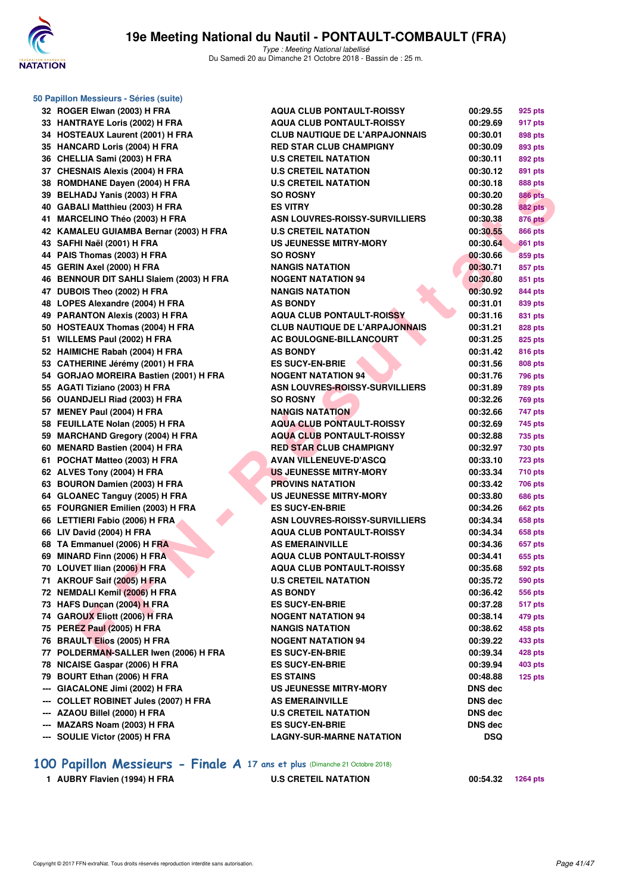

|     | 50 Papillon Messieurs - Séries (suite)   |                                       |                |                |
|-----|------------------------------------------|---------------------------------------|----------------|----------------|
|     | 32 ROGER Elwan (2003) H FRA              | <b>AQUA CLUB PONTAULT-ROISSY</b>      | 00:29.55       | 925 pts        |
|     | 33 HANTRAYE Loris (2002) H FRA           | <b>AQUA CLUB PONTAULT-ROISSY</b>      | 00:29.69       | 917 pts        |
|     | 34 HOSTEAUX Laurent (2001) H FRA         | <b>CLUB NAUTIQUE DE L'ARPAJONNAIS</b> | 00:30.01       | 898 pts        |
|     | 35 HANCARD Loris (2004) H FRA            | <b>RED STAR CLUB CHAMPIGNY</b>        | 00:30.09       | 893 pts        |
|     | 36 CHELLIA Sami (2003) H FRA             | <b>U.S CRETEIL NATATION</b>           | 00:30.11       | 892 pts        |
|     | 37 CHESNAIS Alexis (2004) H FRA          | <b>U.S CRETEIL NATATION</b>           | 00:30.12       | 891 pts        |
|     | 38 ROMDHANE Dayen (2004) H FRA           | <b>U.S CRETEIL NATATION</b>           | 00:30.18       | 888 pts        |
|     | 39 BELHADJ Yanis (2003) H FRA            | <b>SO ROSNY</b>                       | 00:30.20       | <b>886 pts</b> |
|     | 40 GABALI Matthieu (2003) H FRA          | <b>ES VITRY</b>                       | 00:30.28       | <b>882 pts</b> |
|     | 41 MARCELINO Théo (2003) H FRA           | <b>ASN LOUVRES-ROISSY-SURVILLIERS</b> | 00:30.38       | <b>876 pts</b> |
|     | 42 KAMALEU GUIAMBA Bernar (2003) H FRA   | <b>U.S CRETEIL NATATION</b>           | 00:30.55       | <b>866 pts</b> |
|     | 43 SAFHI Naël (2001) H FRA               | <b>US JEUNESSE MITRY-MORY</b>         | 00:30.64       | <b>861 pts</b> |
|     | 44 PAIS Thomas (2003) H FRA              | <b>SO ROSNY</b>                       | 00:30.66       | 859 pts        |
|     | 45 GERIN Axel (2000) H FRA               | <b>NANGIS NATATION</b>                | 00:30.71       | 857 pts        |
|     | 46 BENNOUR DIT SAHLI Slaiem (2003) H FRA | <b>NOGENT NATATION 94</b>             | 00:30.80       | 851 pts        |
|     | 47 DUBOIS Theo (2002) H FRA              | <b>NANGIS NATATION</b>                | 00:30.92       | 844 pts        |
|     | 48 LOPES Alexandre (2004) H FRA          | <b>AS BONDY</b>                       | 00:31.01       | 839 pts        |
|     | 49 PARANTON Alexis (2003) H FRA          | <b>AQUA CLUB PONTAULT-ROISSY</b>      | 00:31.16       | 831 pts        |
|     | 50 HOSTEAUX Thomas (2004) H FRA          | <b>CLUB NAUTIQUE DE L'ARPAJONNAIS</b> | 00:31.21       | <b>828 pts</b> |
|     | 51 WILLEMS Paul (2002) H FRA             | <b>AC BOULOGNE-BILLANCOURT</b>        | 00:31.25       | 825 pts        |
|     | 52 HAIMICHE Rabah (2004) H FRA           | <b>AS BONDY</b>                       | 00:31.42       | 816 pts        |
|     | 53 CATHERINE Jérémy (2001) H FRA         | <b>ES SUCY-EN-BRIE</b>                | 00:31.56       | 808 pts        |
|     | 54 GORJAO MOREIRA Bastien (2001) H FRA   | <b>NOGENT NATATION 94</b>             | 00:31.76       | <b>796 pts</b> |
|     | 55 AGATI Tiziano (2003) H FRA            | <b>ASN LOUVRES-ROISSY-SURVILLIERS</b> | 00:31.89       | <b>789 pts</b> |
|     | 56 OUANDJELI Riad (2003) H FRA           | <b>SO ROSNY</b>                       | 00:32.26       | 769 pts        |
|     | 57 MENEY Paul (2004) H FRA               | <b>NANGIS NATATION</b>                | 00:32.66       | 747 pts        |
|     | 58 FEUILLATE Nolan (2005) H FRA          | <b>AQUA CLUB PONTAULT-ROISSY</b>      | 00:32.69       | 745 pts        |
|     | 59 MARCHAND Gregory (2004) H FRA         | <b>AQUA CLUB PONTAULT-ROISSY</b>      | 00:32.88       | 735 pts        |
|     | 60 MENARD Bastien (2004) H FRA           | <b>RED STAR CLUB CHAMPIGNY</b>        | 00:32.97       | 730 pts        |
|     | 61 POCHAT Matteo (2003) H FRA            | <b>AVAN VILLENEUVE-D'ASCQ</b>         | 00:33.10       | <b>723 pts</b> |
|     | 62 ALVES Tony (2004) H FRA               | <b>US JEUNESSE MITRY-MORY</b>         | 00:33.34       | 710 pts        |
|     | 63 BOURON Damien (2003) H FRA            | <b>PROVINS NATATION</b>               | 00:33.42       | <b>706 pts</b> |
|     | 64 GLOANEC Tanguy (2005) H FRA           | <b>US JEUNESSE MITRY-MORY</b>         | 00:33.80       | 686 pts        |
|     | 65 FOURGNIER Emilien (2003) H FRA        | <b>ES SUCY-EN-BRIE</b>                | 00:34.26       | 662 pts        |
|     | 66 LETTIERI Fabio (2006) H FRA           | <b>ASN LOUVRES-ROISSY-SURVILLIERS</b> | 00:34.34       | 658 pts        |
|     | 66 LIV David (2004) H FRA                | <b>AQUA CLUB PONTAULT-ROISSY</b>      | 00:34.34       | 658 pts        |
|     | 68 TA Emmanuel (2006) H FRA              | <b>AS EMERAINVILLE</b>                | 00:34.36       | 657 pts        |
|     | 69 MINARD Finn (2006) H FRA              | <b>AQUA CLUB PONTAULT-ROISSY</b>      | 00:34.41       | 655 pts        |
|     | 70 LOUVET Ilian (2006) H FRA             | <b>AQUA CLUB PONTAULT-ROISSY</b>      | 00:35.68       | 592 pts        |
|     | 71 AKROUF Saif (2005) H FRA              | <b>U.S CRETEIL NATATION</b>           | 00:35.72       | <b>590 pts</b> |
|     | 72 NEMDALI Kemil (2006) H FRA            | <b>AS BONDY</b>                       | 00:36.42       | 556 pts        |
|     | 73 HAFS Duncan (2004) H FRA              | <b>ES SUCY-EN-BRIE</b>                | 00:37.28       | 517 pts        |
|     | 74 GAROUX Eliott (2006) H FRA            | <b>NOGENT NATATION 94</b>             | 00:38.14       | 479 pts        |
|     | 75 PEREZ Paul (2005) H FRA               | <b>NANGIS NATATION</b>                | 00:38.62       | 458 pts        |
|     | 76 BRAULT Elios (2005) H FRA             | <b>NOGENT NATATION 94</b>             | 00:39.22       | 433 pts        |
|     | 77 POLDERMAN-SALLER Iwen (2006) H FRA    | <b>ES SUCY-EN-BRIE</b>                | 00:39.34       | 428 pts        |
|     | 78 NICAISE Gaspar (2006) H FRA           | <b>ES SUCY-EN-BRIE</b>                | 00:39.94       | 403 pts        |
|     | 79 BOURT Ethan (2006) H FRA              | <b>ES STAINS</b>                      | 00:48.88       | $125$ pts      |
| --- | GIACALONE Jimi (2002) H FRA              | <b>US JEUNESSE MITRY-MORY</b>         | DNS dec        |                |
| --- | <b>COLLET ROBINET Jules (2007) H FRA</b> | <b>AS EMERAINVILLE</b>                | DNS dec        |                |
| --- | AZAOU Billel (2000) H FRA                | <b>U.S CRETEIL NATATION</b>           | <b>DNS dec</b> |                |
|     | MAZARS Noam (2003) H FRA                 | <b>ES SUCY-EN-BRIE</b>                | DNS dec        |                |
|     | --- SOULIE Victor (2005) H FRA           | <b>LAGNY-SUR-MARNE NATATION</b>       | <b>DSQ</b>     |                |

**[100 Papillon Messieurs - Finale A](http://www.ffnatation.fr/webffn/resultats.php?idact=nat&go=epr&idcpt=55747&idepr=82) 17 ans et plus** (Dimanche 21 Octobre 2018)

**1 AUBRY Flavien (1994) H FRA U.S CRETEIL NATATION 00:54.32 1264 pts**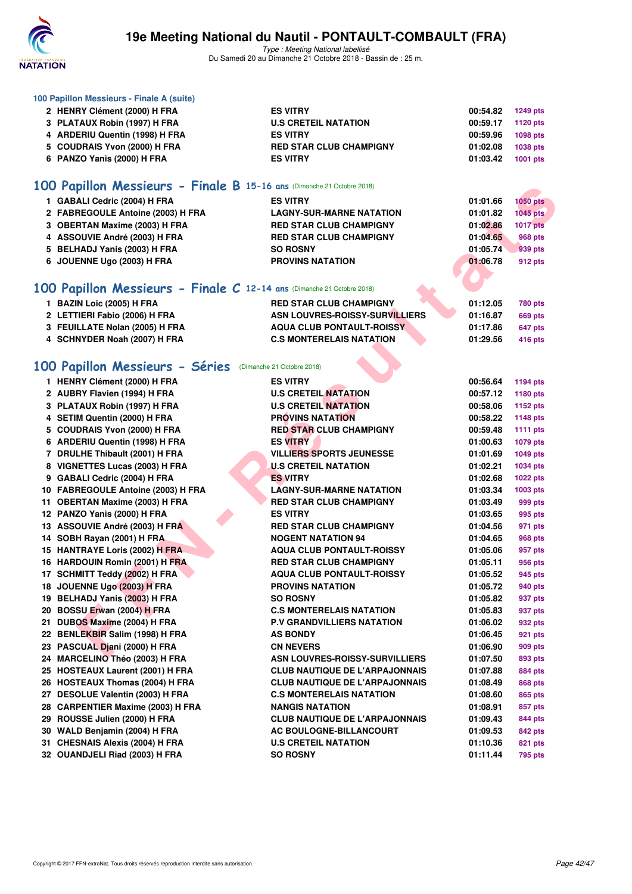

| 100 Papillon Messieurs - Finale A (suite)                              |                                       |          |                 |
|------------------------------------------------------------------------|---------------------------------------|----------|-----------------|
| 2 HENRY Clément (2000) H FRA                                           | <b>ES VITRY</b>                       | 00:54.82 | <b>1249 pts</b> |
| 3 PLATAUX Robin (1997) H FRA                                           | <b>U.S CRETEIL NATATION</b>           | 00:59.17 | <b>1120 pts</b> |
| 4 ARDERIU Quentin (1998) H FRA                                         | <b>ES VITRY</b>                       | 00:59.96 | <b>1098 pts</b> |
| 5 COUDRAIS Yvon (2000) H FRA                                           | <b>RED STAR CLUB CHAMPIGNY</b>        | 01:02.08 | 1038 pts        |
| 6 PANZO Yanis (2000) H FRA                                             | <b>ES VITRY</b>                       | 01:03.42 | 1001 pts        |
| 100 Papillon Messieurs - Finale B 15-16 ans (Dimanche 21 Octobre 2018) |                                       |          |                 |
| 1 GABALI Cedric (2004) H FRA                                           | <b>ES VITRY</b>                       | 01:01.66 | <b>1050 pts</b> |
| 2 FABREGOULE Antoine (2003) H FRA                                      | <b>LAGNY-SUR-MARNE NATATION</b>       | 01:01.82 | <b>1045 pts</b> |
| 3 OBERTAN Maxime (2003) H FRA                                          | <b>RED STAR CLUB CHAMPIGNY</b>        | 01:02.86 | <b>1017 pts</b> |
| 4 ASSOUVIE André (2003) H FRA                                          | <b>RED STAR CLUB CHAMPIGNY</b>        | 01:04.65 | <b>968 pts</b>  |
| 5 BELHADJ Yanis (2003) H FRA                                           | <b>SO ROSNY</b>                       | 01:05.74 | 939 pts         |
| 6 JOUENNE Ugo (2003) H FRA                                             | <b>PROVINS NATATION</b>               | 01:06.78 | 912 pts         |
|                                                                        |                                       |          |                 |
| 100 Papillon Messieurs - Finale C 12-14 ans (Dimanche 21 Octobre 2018) |                                       |          |                 |
| 1 BAZIN Loic (2005) H FRA                                              | <b>RED STAR CLUB CHAMPIGNY</b>        | 01:12.05 | <b>780 pts</b>  |
| 2 LETTIERI Fabio (2006) H FRA                                          | <b>ASN LOUVRES-ROISSY-SURVILLIERS</b> | 01:16.87 | <b>669 pts</b>  |
| 3 FEUILLATE Nolan (2005) H FRA                                         | <b>AQUA CLUB PONTAULT-ROISSY</b>      | 01:17.86 | 647 pts         |
| 4 SCHNYDER Noah (2007) H FRA                                           | <b>C.S MONTERELAIS NATATION</b>       | 01:29.56 | <b>416 pts</b>  |
|                                                                        |                                       |          |                 |
| 100 Papillon Messieurs - Séries                                        | (Dimanche 21 Octobre 2018)            |          |                 |
| 1 HENRY Clément (2000) H FRA                                           | <b>ES VITRY</b>                       | 00:56.64 | 1194 pts        |
| 2 AUBRY Flavien (1994) H FRA                                           | <b>U.S CRETEIL NATATION</b>           | 00:57.12 | 1180 pts        |
| 3 PLATAUX Robin (1997) H FRA                                           | <b>U.S CRETEIL NATATION</b>           | 00:58.06 | 1152 pts        |
| 4 SETIM Quentin (2000) H FRA                                           | <b>PROVINS NATATION</b>               | 00:58.22 | 1148 pts        |
| 5 COUDRAIS Yvon (2000) H FRA                                           | <b>RED STAR CLUB CHAMPIGNY</b>        | 00:59.48 | <b>1111 pts</b> |
| 6 ARDERIU Quentin (1998) H FRA                                         | <b>ES VITRY</b>                       | 01:00.63 | 1079 pts        |
| 7 DRULHE Thibault (2001) H FRA                                         | <b>VILLIERS SPORTS JEUNESSE</b>       | 01:01.69 | 1049 pts        |
| 8 VIGNETTES Lucas (2003) H FRA                                         | <b>U.S CRETEIL NATATION</b>           | 01:02.21 | 1034 pts        |
| 9 GABALI Cedric (2004) H FRA                                           | <b>ES VITRY</b>                       | 01:02.68 | 1022 pts        |
| 10 FABREGOULE Antoine (2003) H FRA                                     | <b>LAGNY-SUR-MARNE NATATION</b>       | 01:03.34 | 1003 pts        |
| 11 OBERTAN Maxime (2003) H FRA                                         | <b>RED STAR CLUB CHAMPIGNY</b>        | 01:03.49 | 999 pts         |
| 12 PANZO Yanis (2000) H FRA                                            | <b>ES VITRY</b>                       | 01:03.65 | 995 pts         |
| 13 ASSOUVIE André (2003) H FRA                                         | <b>RED STAR CLUB CHAMPIGNY</b>        | 01:04.56 | 971 pts         |
| 14 SOBH Rayan (2001) H FRA                                             | <b>NOGENT NATATION 94</b>             | 01:04.65 | 968 pts         |
| 15 HANTRAYE Loris (2002) H FRA                                         | <b>AQUA CLUB PONTAULT-ROISSY</b>      | 01:05.06 | 957 pts         |
| 16 HARDOUIN Romin (2001) H FRA                                         | <b>RED STAR CLUB CHAMPIGNY</b>        | 01:05.11 | 956 pts         |
| 17 SCHMITT Teddy (2002) H FRA                                          | <b>AQUA CLUB PONTAULT-ROISSY</b>      | 01:05.52 | 945 pts         |
| 18 JOUENNE Ugo (2003) H FRA                                            | <b>PROVINS NATATION</b>               | 01:05.72 | 940 pts         |
| 19 BELHADJ Yanis (2003) H FRA                                          | <b>SO ROSNY</b>                       | 01:05.82 | 937 pts         |
| 20 BOSSU Erwan (2004) H FRA                                            | <b>C.S MONTERELAIS NATATION</b>       | 01:05.83 | 937 pts         |
| 21 DUBOS Maxime (2004) H FRA                                           | <b>P.V GRANDVILLIERS NATATION</b>     | 01:06.02 | 932 pts         |
| 22 BENLEKBIR Salim (1998) H FRA                                        | <b>AS BONDY</b>                       | 01:06.45 | 921 pts         |
| 23 PASCUAL Djani (2000) H FRA                                          | <b>CN NEVERS</b>                      | 01:06.90 | 909 pts         |
| 24 MARCELINO Théo (2003) H FRA                                         | <b>ASN LOUVRES-ROISSY-SURVILLIERS</b> | 01:07.50 | 893 pts         |
| 25 HOSTEAUX Laurent (2001) H FRA                                       | <b>CLUB NAUTIQUE DE L'ARPAJONNAIS</b> | 01:07.88 | 884 pts         |
| 26 HOSTEAUX Thomas (2004) H FRA                                        | <b>CLUB NAUTIQUE DE L'ARPAJONNAIS</b> | 01:08.49 | 868 pts         |
| 27 DESOLUE Valentin (2003) H FRA                                       | <b>C.S MONTERELAIS NATATION</b>       | 01:08.60 | 865 pts         |
| 28 CARPENTIER Maxime (2003) H FRA                                      | <b>NANGIS NATATION</b>                | 01:08.91 | 857 pts         |
| 29 ROUSSE Julien (2000) H FRA                                          | <b>CLUB NAUTIQUE DE L'ARPAJONNAIS</b> | 01:09.43 | 844 pts         |
| 30 WALD Benjamin (2004) H FRA                                          | AC BOULOGNE-BILLANCOURT               | 01:09.53 | 842 pts         |
| 31 CHESNAIS Alexis (2004) H FRA                                        | <b>U.S CRETEIL NATATION</b>           | 01:10.36 | 821 pts         |
| 32 OUANDJELI Riad (2003) H FRA                                         | <b>SO ROSNY</b>                       | 01:11.44 | 795 pts         |
|                                                                        |                                       |          |                 |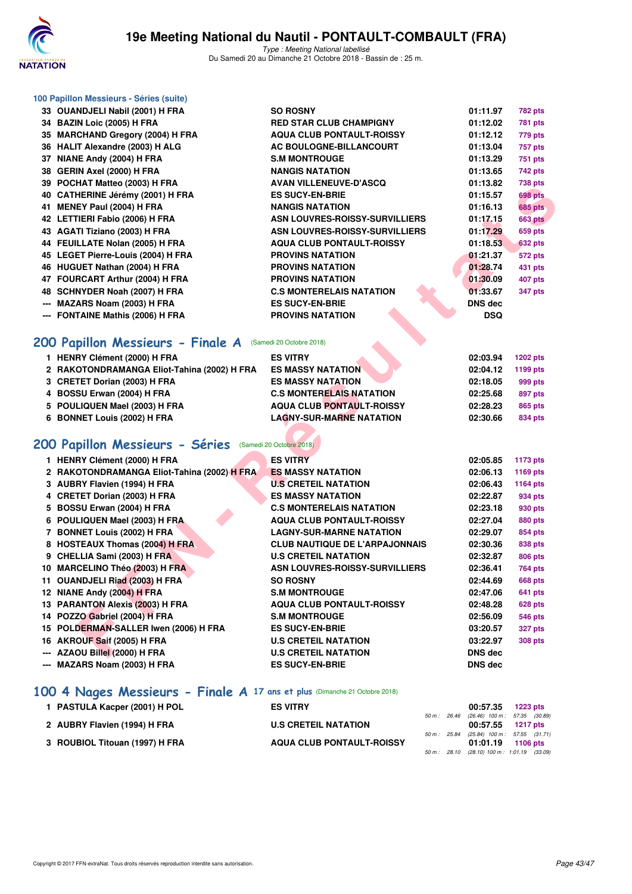

Type : Meeting National labellisé Du Samedi 20 au Dimanche 21 Octobre 2018 - Bassin de : 25 m.

| 100 Papillon Messieurs - Séries (suite)                    |                                       |            |                 |
|------------------------------------------------------------|---------------------------------------|------------|-----------------|
| 33 OUANDJELI Nabil (2001) H FRA                            | <b>SO ROSNY</b>                       | 01:11.97   | <b>782 pts</b>  |
| 34 BAZIN Loic (2005) H FRA                                 | <b>RED STAR CLUB CHAMPIGNY</b>        | 01:12.02   | <b>781 pts</b>  |
| 35 MARCHAND Gregory (2004) H FRA                           | <b>AQUA CLUB PONTAULT-ROISSY</b>      | 01:12.12   | 779 pts         |
| 36 HALIT Alexandre (2003) H ALG                            | AC BOULOGNE-BILLANCOURT               | 01:13.04   | 757 pts         |
| 37 NIANE Andy (2004) H FRA                                 | <b>S.M MONTROUGE</b>                  | 01:13.29   | <b>751 pts</b>  |
| 38 GERIN Axel (2000) H FRA                                 | <b>NANGIS NATATION</b>                | 01:13.65   | 742 pts         |
| 39 POCHAT Matteo (2003) H FRA                              | <b>AVAN VILLENEUVE-D'ASCQ</b>         | 01:13.82   | <b>738 pts</b>  |
| 40 CATHERINE Jérémy (2001) H FRA                           | <b>ES SUCY-EN-BRIE</b>                | 01:15.57   | 698 pts         |
| 41 MENEY Paul (2004) H FRA                                 | <b>NANGIS NATATION</b>                | 01:16.13   | <b>685 pts</b>  |
| 42 LETTIERI Fabio (2006) H FRA                             | ASN LOUVRES-ROISSY-SURVILLIERS        | 01:17.15   | <b>663 pts</b>  |
| 43 AGATI Tiziano (2003) H FRA                              | ASN LOUVRES-ROISSY-SURVILLIERS        | 01:17.29   | <b>659 pts</b>  |
| 44 FEUILLATE Nolan (2005) H FRA                            | <b>AQUA CLUB PONTAULT-ROISSY</b>      | 01:18.53   | <b>632 pts</b>  |
| 45 LEGET Pierre-Louis (2004) H FRA                         | <b>PROVINS NATATION</b>               | 01:21.37   | <b>572 pts</b>  |
| 46 HUGUET Nathan (2004) H FRA                              | <b>PROVINS NATATION</b>               | 01:28.74   | 431 pts         |
| 47 FOURCART Arthur (2004) H FRA                            | <b>PROVINS NATATION</b>               | 01:30.09   | <b>407 pts</b>  |
| 48 SCHNYDER Noah (2007) H FRA                              | <b>C.S MONTERELAIS NATATION</b>       | 01:33.67   | 347 pts         |
| MAZARS Noam (2003) H FRA                                   | <b>ES SUCY-EN-BRIE</b>                | DNS dec    |                 |
| --- FONTAINE Mathis (2006) H FRA                           | <b>PROVINS NATATION</b>               | <b>DSQ</b> |                 |
|                                                            |                                       |            |                 |
| 200 Papillon Messieurs - Finale A (Samedi 20 Octobre 2018) |                                       |            |                 |
| 1 HENRY Clément (2000) H FRA                               | <b>ES VITRY</b>                       | 02:03.94   | <b>1202 pts</b> |
| 2 RAKOTONDRAMANGA Eliot-Tahina (2002) H FRA                | <b>ES MASSY NATATION</b>              | 02:04.12   | 1199 pts        |
| 3 CRETET Dorian (2003) H FRA                               | <b>ES MASSY NATATION</b>              | 02:18.05   | 999 pts         |
| 4 BOSSU Erwan (2004) H FRA                                 | <b>C.S MONTERELAIS NATATION</b>       | 02:25.68   | 897 pts         |
| 5 POULIQUEN Mael (2003) H FRA                              | <b>AQUA CLUB PONTAULT-ROISSY</b>      | 02:28.23   | 865 pts         |
| 6 BONNET Louis (2002) H FRA                                | <b>LAGNY-SUR-MARNE NATATION</b>       | 02:30.66   | 834 pts         |
|                                                            |                                       |            |                 |
| 200 Papillon Messieurs - Séries (Samedi 20 Octobre 2018)   |                                       |            |                 |
| 1 HENRY Clément (2000) H FRA                               | <b>ES VITRY</b>                       | 02:05.85   | 1173 pts        |
| 2 RAKOTONDRAMANGA Eliot-Tahina (2002) H FRA                | <b>ES MASSY NATATION</b>              | 02:06.13   | 1169 pts        |
| 3 AUBRY Flavien (1994) H FRA                               | <b>U.S CRETEIL NATATION</b>           | 02:06.43   | <b>1164 pts</b> |
| 4 CRETET Dorian (2003) H FRA                               | <b>ES MASSY NATATION</b>              | 02:22.87   | 934 pts         |
| 5 BOSSU Erwan (2004) H FRA                                 | <b>C.S MONTERELAIS NATATION</b>       | 02:23.18   | 930 pts         |
| 6 POULIQUEN Mael (2003) H FRA                              | <b>AQUA CLUB PONTAULT-ROISSY</b>      | 02:27.04   | 880 pts         |
| 7 BONNET Louis (2002) H FRA                                | <b>LAGNY-SUR-MARNE NATATION</b>       | 02:29.07   | 854 pts         |
| 8 HOSTEAUX Thomas (2004) H FRA                             | <b>CLUB NAUTIQUE DE L'ARPAJONNAIS</b> | 02:30.36   | 838 pts         |
| 9 CHELLIA Sami (2003) H FRA                                | <b>U.S CRETEIL NATATION</b>           | 02:32.87   | 806 pts         |
| 10 MARCELINO Théo (2003) H FRA                             | ASN LOUVRES-ROISSY-SURVILLIERS        | 02:36.41   | <b>764 pts</b>  |
| 11 OUANDJELI Riad (2003) H FRA                             | <b>SO ROSNY</b>                       | 02:44.69   | 668 pts         |
| 12 NIANE Andy (2004) H FRA                                 | <b>S.M MONTROUGE</b>                  | 02:47.06   | 641 pts         |
| 13 PARANTON Alexis (2003) H FRA                            | <b>AQUA CLUB PONTAULT-ROISSY</b>      | 02:48.28   | <b>628 pts</b>  |
| 14 POZZO Gabriel (2004) H FRA                              | <b>S.M MONTROUGE</b>                  | 02:56.09   | <b>546 pts</b>  |
| 15 POLDERMAN-SALLER Iwen (2006) H FRA                      | <b>ES SUCY-EN-BRIE</b>                | 03:20.57   | <b>327 pts</b>  |
| 16 AKROUF Saif (2005) H FRA                                | <b>U.S CRETEIL NATATION</b>           | 03:22.97   | <b>308 pts</b>  |
| --- AZAOU Billel (2000) H FRA                              | <b>U.S CRETEIL NATATION</b>           | DNS dec    |                 |

- 
- **6 POULIQUEN Mael (2003) H FRA AQUA CLUB PONTAULT-ROISSY 02:27.04 880 pts**
- **7 BONNET Louis (2002) H FRA LAGNY-SUR-MARNE NATATION 02:29.07 854 pts 8 HOSTEAUX Thomas (2004) H FRA CLUB NAUTIQUE DE L'ARPAJONNAIS 02:30.36 838 pts**
- **9 CHELLIA Sami (2003) H FRA U.S CRETEIL NATATION 02:32.87 806 pts**
- **10 MARCELINO Théo (2003) H FRA ASN LOUVRES-ROISSY-SURVILLIERS** 02:36.41 764 pts
- **11 OUANDJELI Riad (2003) H FRA SO ROSNY 02:44.69 668 pts**
- **12 NIANE Andy (2004) H FRA S.M MONTROUGE 641 pts** 02:47.06 **641 pts**
- **13 PARANTON Alexis (2003) H FRA AQUA CLUB PONTAULT-ROISSY 02:48.28 628 pts**
- 
- **14 POZZO Gabriel (2004) H FRA S.M MONTROUGE 02:56.09 546 pts**
- **15 POLDERMAN-SALLER Iwen (2006) H FRA ES SUCY-EN-BRIE 03:20.57 327 pts**
- **16 AKROUF Saif (2005) H FRA U.S CRETEIL NATATION 03:22.97 308 pts**
- **--- AZAOU Billel (2000) H FRA U.S CRETEIL NATATION DNS dec**
- **--- MAZARS Noam (2003) H FRA ES SUCY-EN-BRIE DNS dec**

# **[100 4 Nages Messieurs - Finale A](http://www.ffnatation.fr/webffn/resultats.php?idact=nat&go=epr&idcpt=55747&idepr=90) 17 ans et plus** (Dimanche 21 Octobre 2018)

| 1 PASTULA Kacper (2001) H POL  | <b>ES VITRY</b>                  |  | 00:57.35 1223 pts                                                 |  |
|--------------------------------|----------------------------------|--|-------------------------------------------------------------------|--|
| 2 AUBRY Flavien (1994) H FRA   | <b>U.S CRETEIL NATATION</b>      |  | 50 m: 26.46 (26.46) 100 m: 57.35 (30.89)<br>00:57.55 1217 pts     |  |
|                                |                                  |  | 50 m: 25.84 (25.84) 100 m: 57.55 (31.71)                          |  |
| 3 ROUBIOL Titouan (1997) H FRA | <b>AQUA CLUB PONTAULT-ROISSY</b> |  | 01:01.19 1106 pts<br>50 m : 28.10 (28.10) 100 m : 1:01.19 (33.09) |  |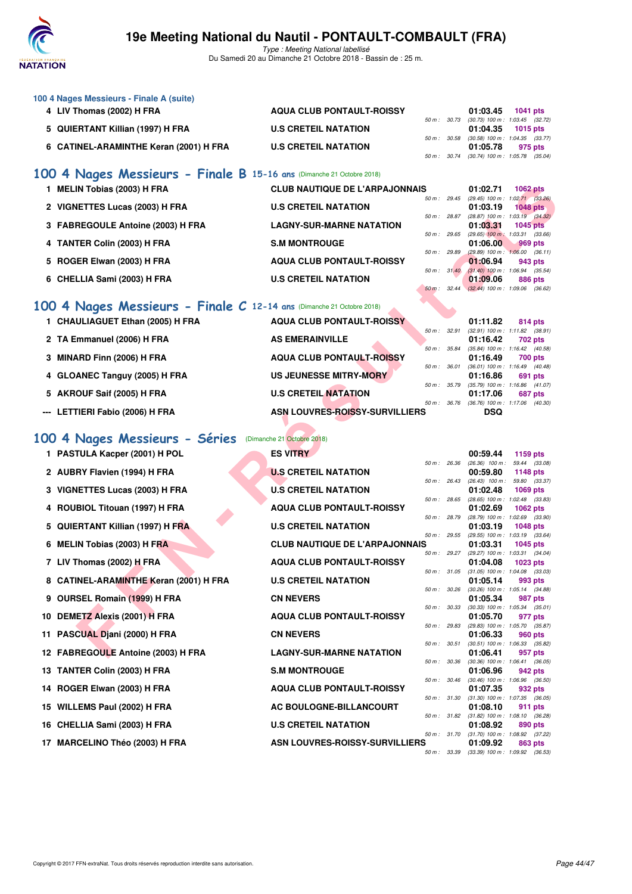

Type : Meeting National labellisé Du Samedi 20 au Dimanche 21 Octobre 2018 - Bassin de : 25 m.

| 100 4 Nages Messieurs - Finale A (suite) |                                  |             |                                              |          |  |
|------------------------------------------|----------------------------------|-------------|----------------------------------------------|----------|--|
| 4 LIV Thomas (2002) H FRA                | <b>AQUA CLUB PONTAULT-ROISSY</b> |             | 01:03.45                                     | 1041 pts |  |
|                                          |                                  | 50 m: 30.73 | (30.73) 100 m : 1:03.45 (32.72)              |          |  |
| 5 QUIERTANT Killian (1997) H FRA         | <b>U.S CRETEIL NATATION</b>      |             | 01:04.35                                     | 1015 pts |  |
|                                          |                                  |             | 50 m: 30.58 (30.58) 100 m: 1:04.35 (33.77)   |          |  |
| 6 CATINEL-ARAMINTHE Keran (2001) H FRA   | <b>U.S CRETEIL NATATION</b>      |             | 01:05.78                                     | 975 pts  |  |
|                                          |                                  |             | 50 m : 30.74 (30.74) 100 m : 1:05.78 (35.04) |          |  |
| .<br>$\cdots$                            |                                  |             |                                              |          |  |

#### **[100 4 Nages Messieurs - Finale B](http://www.ffnatation.fr/webffn/resultats.php?idact=nat&go=epr&idcpt=55747&idepr=90) 15-16 ans** (Dimanche 21 Octobre 2018)

| <b>MELIN Tobias (2003) H FRA</b>  | <b>CLUB NAUTIQUE DE L'ARPAJONNAIS</b> |                          |       | 01:02.71                                        | <b>1062 pts</b> |  |
|-----------------------------------|---------------------------------------|--------------------------|-------|-------------------------------------------------|-----------------|--|
| 2 VIGNETTES Lucas (2003) H FRA    | <b>U.S CRETEIL NATATION</b>           | $50 \text{ m}$ : 29.45   |       | $(29.45)$ 100 m : 1:02.71 $(33.26)$<br>01:03.19 | $1048$ pts      |  |
|                                   |                                       | 50 m: 28.87              |       | $(28.87)$ 100 m : 1:03.19 $(34.32)$             |                 |  |
| 3 FABREGOULE Antoine (2003) H FRA | <b>LAGNY-SUR-MARNE NATATION</b>       | $50 m$ : 29.65           |       | 01:03.31<br>$(29.65)$ 100 m : 1:03.31 $(33.66)$ | $1045$ pts      |  |
| 4 TANTER Colin (2003) H FRA       | <b>S.M MONTROUGE</b>                  | $50 \text{ m}$ : 29.89   |       | 01:06.00<br>$(29.89)$ 100 m : 1:06.00 $(36.11)$ | $969$ pts       |  |
| 5 ROGER Elwan (2003) H FRA        | <b>AQUA CLUB PONTAULT-ROISSY</b>      |                          |       | 01:06.94                                        | 943 pts         |  |
| 6 CHELLIA Sami (2003) H FRA       | <b>U.S CRETEIL NATATION</b>           | $50 \text{ m}$ : $31.40$ |       | $(31.40)$ 100 m : 1:06.94 $(35.54)$<br>01:09.06 | 886 pts         |  |
|                                   |                                       | $50 m$ :                 | 32.44 | $(32.44)$ 100 m : 1:09.06 (36.62)               |                 |  |

### **[100 4 Nages Messieurs - Finale C](http://www.ffnatation.fr/webffn/resultats.php?idact=nat&go=epr&idcpt=55747&idepr=90) 12-14 ans** (Dimanche 21 Octobre 2018)

| 1 CHAULIAGUET Ethan (2005) H FRA | <b>AQUA CLUB PONTAULT-ROISSY</b> |                          | 01:11.82   | <b>814 pts</b>                                        |
|----------------------------------|----------------------------------|--------------------------|------------|-------------------------------------------------------|
| 2 TA Emmanuel (2006) H FRA       | <b>AS EMERAINVILLE</b>           | 50 m: 32.91              | 01:16.42   | $(32.91)$ 100 m : 1:11.82 $(38.91)$<br>702 pts        |
| 3 MINARD Finn (2006) H FRA       | <b>AQUA CLUB PONTAULT-ROISSY</b> | $50 \text{ m}$ : $35.84$ | 01:16.49   | $(35.84)$ 100 m : 1:16.42 $(40.58)$<br><b>700 pts</b> |
| 4 GLOANEC Tanguy (2005) H FRA    | US JEUNESSE MITRY-MORY           | 50 m: 36.01              | 01:16.86   | $(36.01)$ 100 m : 1:16.49 $(40.48)$<br>691 pts        |
| 5 AKROUF Saif (2005) H FRA       | <b>U.S CRETEIL NATATION</b>      | 50 m : 35.79             | 01:17.06   | $(35.79)$ 100 m : 1:16.86 $(41.07)$<br>687 pts        |
| --- LETTIERI Fabio (2006) H FRA  | ASN LOUVRES-ROISSY-SURVILLIERS   | $50 m$ : $36.76$         | <b>DSQ</b> | $(36.76)$ 100 m : 1:17.06 $(40.30)$                   |

#### **[100 4 Nages Messieurs - Séries](http://www.ffnatation.fr/webffn/resultats.php?idact=nat&go=epr&idcpt=55747&idepr=90)** (Dimanche 21 Octobre 2018)

| 1 MELIN Tobias (2003) H FRA                                          | <b>CLUB NAUTIQUE DE L'ARPAJONNAIS</b> |              |              | 01:02.71                      | <b>1062 pts</b>                                    |
|----------------------------------------------------------------------|---------------------------------------|--------------|--------------|-------------------------------|----------------------------------------------------|
| 2 VIGNETTES Lucas (2003) H FRA                                       | <b>U.S CRETEIL NATATION</b>           | 50 m: 29.45  |              | 01:03.19                      | $(29.45)$ 100 m : 1:02.71 $(33.26)$<br>1048 pts    |
| 3 FABREGOULE Antoine (2003) H FRA                                    | <b>LAGNY-SUR-MARNE NATATION</b>       | 50 m : 28.87 |              | 01:03.31                      | $(28.87)$ 100 m : 1:03.19 $(34.32)$<br>$1045$ pts  |
| 4 TANTER Colin (2003) H FRA                                          | <b>S.M MONTROUGE</b>                  | 50 m: 29.65  |              | 01:06.00                      | $(29.65)$ 100 m : 1:03.31 $(33.66)$<br>969 pts     |
| 5 ROGER Elwan (2003) H FRA                                           | <b>AQUA CLUB PONTAULT-ROISSY</b>      | 50 m : 29.89 |              | 01:06.94                      | $(29.89)$ 100 m : 1:06.00 $(36.11)$<br>943 pts     |
| 6 CHELLIA Sami (2003) H FRA                                          | <b>U.S CRETEIL NATATION</b>           | 50 m: 31.40  |              | 01:09.06                      | $(31.40)$ 100 m : 1:06.94 $(35.54)$<br>886 pts     |
|                                                                      |                                       | 50 m: 32.44  |              |                               | $(32.44)$ 100 m : 1:09.06 $(36.62)$                |
| 00 4 Nages Messieurs - Finale C 12-14 ans (Dimanche 21 Octobre 2018) |                                       |              |              |                               |                                                    |
| 1 CHAULIAGUET Ethan (2005) H FRA                                     | <b>AQUA CLUB PONTAULT-ROISSY</b>      |              |              | 01:11.82                      | 814 pts                                            |
| 2 TA Emmanuel (2006) H FRA                                           | <b>AS EMERAINVILLE</b>                | 50 m: 32.91  |              | 01:16.42                      | (32.91) 100 m: 1:11.82 (38.91)<br>702 pts          |
| 3 MINARD Finn (2006) H FRA                                           | <b>AQUA CLUB PONTAULT-ROISSY</b>      | 50 m : 35.84 |              | 01:16.49                      | (35.84) 100 m: 1:16.42 (40.58)<br>700 pts          |
| 4 GLOANEC Tanguy (2005) H FRA                                        | <b>US JEUNESSE MITRY-MORY</b>         | 50 m : 36.01 |              | 01:16.86                      | (36.01) 100 m: 1:16.49 (40.48)<br>691 pts          |
| 5 AKROUF Saif (2005) H FRA                                           | <b>U.S CRETEIL NATATION</b>           | 50 m : 35.79 |              | 01:17.06                      | (35.79) 100 m: 1:16.86 (41.07)<br>687 pts          |
| --- LETTIERI Fabio (2006) H FRA                                      | ASN LOUVRES-ROISSY-SURVILLIERS        | 50 m : 36.76 |              | <b>DSQ</b>                    | (36.76) 100 m: 1:17.06 (40.30)                     |
|                                                                      |                                       |              |              |                               |                                                    |
| 00 4 Nages Messieurs - Séries                                        | (Dimanche 21 Octobre 2018)            |              |              |                               |                                                    |
| 1 PASTULA Kacper (2001) H POL                                        | <b>ES VITRY</b>                       |              |              | 00:59.44                      | 1159 pts                                           |
| 2 AUBRY Flavien (1994) H FRA                                         | <b>U.S CRETEIL NATATION</b>           | 50 m: 26.36  |              | $(26.36)$ 100 m :<br>00:59.80 | 59.44 (33.08)<br>1148 pts                          |
| 3 VIGNETTES Lucas (2003) H FRA                                       | <b>U.S CRETEIL NATATION</b>           | 50 m: 26.43  |              | $(26.43)$ 100 m :<br>01:02.48 | 59.80 (33.37)<br>1069 pts                          |
| 4 ROUBIOL Titouan (1997) H FRA                                       | <b>AQUA CLUB PONTAULT-ROISSY</b>      | 50 m : 28.65 |              | 01:02.69                      | (28.65) 100 m: 1:02.48 (33.83)<br><b>1062 pts</b>  |
| 5 QUIERTANT Killian (1997) H FRA                                     | <b>U.S CRETEIL NATATION</b>           | 50 m : 28.79 |              | 01:03.19                      | (28.79) 100 m : 1:02.69 (33.90)<br><b>1048 pts</b> |
|                                                                      | <b>CLUB NAUTIQUE DE L'ARPAJONNAIS</b> | 50 m: 29.55  |              | 01:03.31                      | (29.55) 100 m: 1:03.19 (33.64)                     |
| 6 MELIN Tobias (2003) H FRA                                          |                                       | 50 m: 29.27  |              |                               | 1045 pts<br>(29.27) 100 m: 1:03.31 (34.04)         |
| 7 LIV Thomas (2002) H FRA                                            | <b>AQUA CLUB PONTAULT-ROISSY</b>      | 50 m: 31.05  |              | 01:04.08                      | 1023 pts<br>$(31.05)$ 100 m : 1:04.08 $(33.03)$    |
| 8 CATINEL-ARAMINTHE Keran (2001) H FRA                               | <b>U.S CRETEIL NATATION</b>           | 50 m: 30.26  |              | 01:05.14                      | 993 pts<br>(30.26) 100 m : 1:05.14 (34.88)         |
| 9 OURSEL Romain (1999) H FRA                                         | <b>CN NEVERS</b>                      | 50 m : 30.33 |              | 01:05.34                      | 987 pts<br>$(30.33)$ 100 m : 1:05.34 $(35.01)$     |
| 10 DEMETZ Alexis (2001) H FRA                                        | <b>AQUA CLUB PONTAULT-ROISSY</b>      |              |              | 01:05.70                      | 977 pts                                            |
| 11 PASCUAL Djani (2000) H FRA                                        | <b>CN NEVERS</b>                      | 50 m : 29.83 |              | 01:06.33                      | (29.83) 100 m : 1:05.70 (35.87)<br>960 pts         |
| 12 FABREGOULE Antoine (2003) H FRA                                   | <b>LAGNY-SUR-MARNE NATATION</b>       |              | 50 m : 30.51 | 01:06.41                      | $(30.51)$ 100 m : 1:06.33 $(35.82)$<br>957 pts     |
| 13 TANTER Colin (2003) H FRA                                         | <b>S.M MONTROUGE</b>                  | 50 m : 30.36 |              | 01:06.96                      | $(30.36)$ 100 m : 1:06.41 $(36.05)$<br>942 pts     |
| 14 ROGER Elwan (2003) H FRA                                          | <b>AQUA CLUB PONTAULT-ROISSY</b>      | 50 m: 30.46  |              | 01:07.35                      | $(30.46)$ 100 m : 1:06.96 $(36.50)$<br>932 pts     |
| 15 WILLEMS Paul (2002) H FRA                                         | AC BOULOGNE-BILLANCOURT               | 50 m: 31.30  |              |                               | $(31.30)$ 100 m : 1:07.35 $(36.05)$                |
|                                                                      |                                       | 50 m : 31.82 |              | 01:08.10                      | 911 pts<br>(31.82) 100 m : 1:08.10 (36.28)         |
| 16 CHELLIA Sami (2003) H FRA                                         | <b>U.S CRETEIL NATATION</b>           | 50 m : 31.70 |              | 01:08.92                      | 890 pts<br>$(31.70)$ 100 m : 1:08.92 $(37.22)$     |
| 17 MARCELINO Théo (2003) H FRA                                       | ASN LOUVRES-ROISSY-SURVILLIERS        | 50 m : 33.39 |              | 01:09.92                      | <b>863 pts</b><br>(33.39) 100 m : 1:09.92 (36.53)  |
|                                                                      |                                       |              |              |                               |                                                    |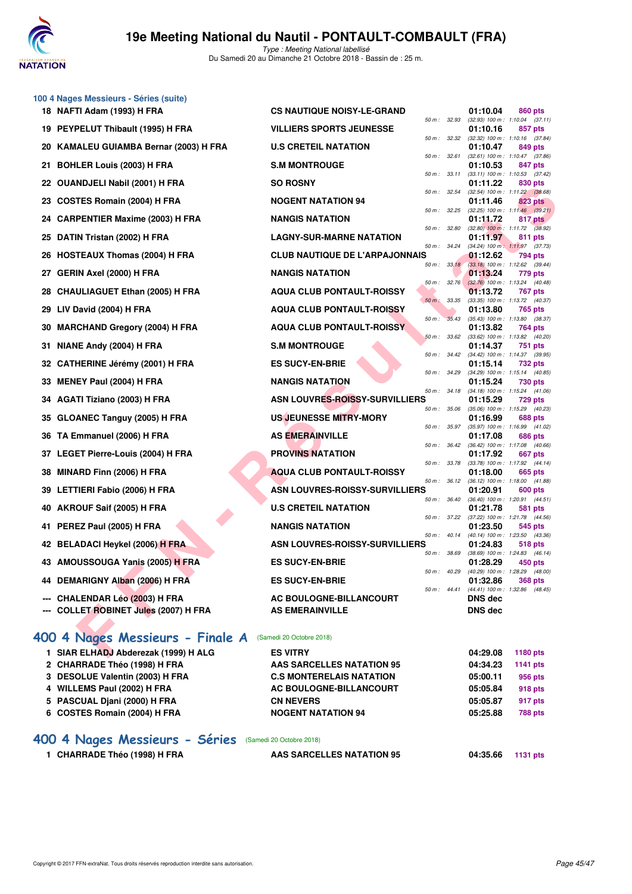

Type : Meeting National labellisé Du Samedi 20 au Dimanche 21 Octobre 2018 - Bassin de : 25 m.

|    | 100 4 Nages Messieurs - Séries (suite)<br>18 NAFTI Adam (1993) H FRA | <b>CS NAUTIQUE NOISY-LE-GRAND</b>            |              | 01:10.04             | 860 pts                                                        |
|----|----------------------------------------------------------------------|----------------------------------------------|--------------|----------------------|----------------------------------------------------------------|
|    |                                                                      |                                              | 50 m: 32.93  |                      | $(32.93)$ 100 m : 1:10.04 $(37.11)$                            |
|    | 19 PEYPELUT Thibault (1995) H FRA                                    | <b>VILLIERS SPORTS JEUNESSE</b>              |              | 01:10.16             | 857 pts<br>50 m: 32.32 (32.32) 100 m: 1:10.16 (37.84)          |
|    | 20 KAMALEU GUIAMBA Bernar (2003) H FRA                               | <b>U.S CRETEIL NATATION</b>                  | 50 m: 32.61  | 01:10.47             | 849 pts<br>$(32.61)$ 100 m : 1:10.47 $(37.86)$                 |
|    | 21 BOHLER Louis (2003) H FRA                                         | <b>S.M MONTROUGE</b>                         | 50 m : 33.11 | 01:10.53             | 847 pts<br>(33.11) 100 m: 1:10.53 (37.42)                      |
|    | 22 OUANDJELI Nabil (2001) H FRA                                      | <b>SO ROSNY</b>                              | 50 m: 32.54  | 01:11.22             | 830 pts<br>(32.54) 100 m: 1:11.22 (38.68)                      |
| 23 | COSTES Romain (2004) H FRA                                           | <b>NOGENT NATATION 94</b>                    |              | 01:11.46             | 823 pts                                                        |
|    | 24 CARPENTIER Maxime (2003) H FRA                                    | <b>NANGIS NATATION</b>                       | 50 m : 32.25 | 01:11.72             | $(32.25)$ 100 m : 1:11.46 $(39.21)$<br>817 pts                 |
| 25 | DATIN Tristan (2002) H FRA                                           | <b>LAGNY-SUR-MARNE NATATION</b>              | 50 m : 32.80 | 01:11.97             | $(32.80)$ 100 m : 1:11.72 $(38.92)$<br>811 pts                 |
|    | 26 HOSTEAUX Thomas (2004) H FRA                                      | <b>CLUB NAUTIQUE DE L'ARPAJONNAIS</b>        | 50 m : 34.24 | 01:12.62             | (34.24) 100 m: 1:11.97 (37.73)<br>794 pts                      |
| 27 | <b>GERIN Axel (2000) H FRA</b>                                       | <b>NANGIS NATATION</b>                       | 50 m: 33.18  | 01:13.24             | (33.18) 100 m: 1:12.62 (39.44)<br>779 pts                      |
|    | 28 CHAULIAGUET Ethan (2005) H FRA                                    | <b>AQUA CLUB PONTAULT-ROISSY</b>             | 50 m: 32.76  | 01:13.72             | $(32.76)$ 100 m : 1:13.24 $(40.48)$<br>767 pts                 |
| 29 | LIV David (2004) H FRA                                               | $50 m$ :<br><b>AQUA CLUB PONTAULT-ROISSY</b> | 33.35        | 01:13.80             | (33.35) 100 m: 1:13.72 (40.37)<br>765 pts                      |
|    |                                                                      | $50 m$ :                                     | 35.43        |                      | $(35.43)$ 100 m : 1:13.80 $(38.37)$                            |
| 30 | <b>MARCHAND Gregory (2004) H FRA</b>                                 | <b>AQUA CLUB PONTAULT-ROISSY</b>             | 50 m: 33.62  | 01:13.82             | 764 pts<br>(33.62) 100 m: 1:13.82 (40.20)                      |
| 31 | NIANE Andy (2004) H FRA                                              | <b>S.M MONTROUGE</b>                         |              | 01:14.37             | 751 pts<br>50 m: 34.42 (34.42) 100 m: 1:14.37 (39.95)          |
|    | 32 CATHERINE Jérémy (2001) H FRA                                     | <b>ES SUCY-EN-BRIE</b>                       | 50 m : 34.29 | 01:15.14             | 732 pts<br>$(34.29)$ 100 m : 1:15.14 $(40.85)$                 |
| 33 | MENEY Paul (2004) H FRA                                              | <b>NANGIS NATATION</b>                       | 50 m: 34.18  | 01:15.24             | 730 pts<br>$(34.18)$ 100 m : 1:15.24 $(41.06)$                 |
|    | 34 AGATI Tiziano (2003) H FRA                                        | ASN LOUVRES-ROISSY-SURVILLIERS               |              | 01:15.29             | 729 pts                                                        |
|    | 35 GLOANEC Tanguy (2005) H FRA                                       | <b>US JEUNESSE MITRY-MORY</b>                | 50 m : 35.06 | 01:16.99             | (35.06) 100 m : 1:15.29 (40.23)<br>688 pts                     |
|    | 36 TA Emmanuel (2006) H FRA                                          | <b>AS EMERAINVILLE</b>                       | 50 m: 35.97  | 01:17.08             | (35.97) 100 m: 1:16.99 (41.02)<br>686 pts                      |
|    | 37 LEGET Pierre-Louis (2004) H FRA                                   | <b>PROVINS NATATION</b>                      | 50 m : 36.42 | 01:17.92             | (36.42) 100 m: 1:17.08 (40.66)<br>667 pts                      |
| 38 | MINARD Finn (2006) H FRA                                             | <b>AQUA CLUB PONTAULT-ROISSY</b>             | 50 m : 33.78 | 01:18.00             | (33.78) 100 m: 1:17.92 (44.14)<br>665 pts                      |
|    |                                                                      | <b>ASN LOUVRES-ROISSY-SURVILLIERS</b>        | 50 m : 36.12 |                      | $(36.12)$ 100 m : 1:18.00 $(41.88)$                            |
| 39 | LETTIERI Fabio (2006) H FRA                                          |                                              | 50 m: 36.40  | 01:20.91             | 600 pts<br>(36.40) 100 m: 1:20.91 (44.51)                      |
|    | 40 AKROUF Saif (2005) H FRA                                          | <b>U.S CRETEIL NATATION</b>                  | 50 m: 37.22  | 01:21.78             | 581 pts<br>(37.22) 100 m: 1:21.78 (44.56)                      |
| 41 | PEREZ Paul (2005) H FRA                                              | <b>NANGIS NATATION</b>                       | 50 m: 40.14  | 01:23.50             | 545 pts<br>(40.14) 100 m : 1:23.50 (43.36)                     |
|    | 42 BELADACI Heykel (2006) H FRA                                      | ASN LOUVRES-ROISSY-SURVILLIERS               | 50 m : 38.69 | 01:24.83             | 518 pts<br>(38.69) 100 m: 1:24.83 (46.14)                      |
|    | 43 AMOUSSOUGA Yanis (2005) H FRA                                     | <b>ES SUCY-EN-BRIE</b>                       |              | 01:28.29             | 450 pts                                                        |
|    | 44 DEMARIGNY Alban (2006) H FRA                                      | <b>ES SUCY-EN-BRIE</b>                       |              | 01:32.86             | 50 m : 40.29 (40.29) 100 m : 1:28.29 (48.00)<br><b>368 pts</b> |
|    | --- CHALENDAR Léo (2003) H FRA                                       | AC BOULOGNE-BILLANCOURT                      | 50 m : 44.41 | <b>DNS</b> dec       | (44.41) 100 m: 1:32.86 (48.45)                                 |
|    | --- COLLET ROBINET Jules (2007) H FRA                                | <b>AS EMERAINVILLE</b>                       |              | DNS dec              |                                                                |
|    | 400 4 Nages Messieurs - Finale A                                     | (Samedi 20 Octobre 2018)                     |              |                      |                                                                |
|    | 1 SIAR ELHADJ Abderezak (1999) H ALG                                 | <b>ES VITRY</b>                              |              | 04:29.08             | 1180 pts                                                       |
|    | 2 CHARRADE Théo (1998) H FRA                                         | AAS SARCELLES NATATION 95                    |              | 04:34.23             | <b>1141 pts</b>                                                |
|    | 3 DESOLUE Valentin (2003) H FRA                                      | <b>C.S MONTERELAIS NATATION</b>              |              | 05:00.11             | 956 pts                                                        |
|    | 4 WILLEMS Paul (2002) H FRA<br>5 PASCUAL Djani (2000) H FRA          | AC BOULOGNE-BILLANCOURT<br><b>CN NEVERS</b>  |              | 05:05.84<br>05:05.87 | 918 pts                                                        |
|    | 6 COSTES Romain (2004) H FRA                                         | <b>NOGENT NATATION 94</b>                    |              | 05:25.88             | 917 pts<br><b>788 pts</b>                                      |
|    | 400 4 Nages Messieurs - Séries                                       | (Samedi 20 Octobre 2018)                     |              |                      |                                                                |

1 CHARRADE Théo (1998) H FRA **AAS SARCELLES NATATION 95** 04:35.66 1131 pts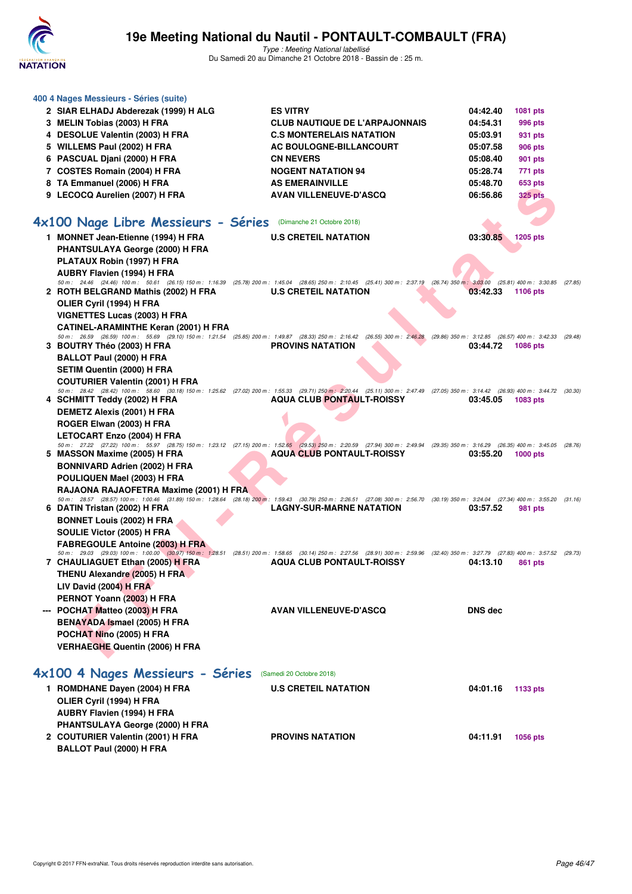

Type : Meeting National labellisé Du Samedi 20 au Dimanche 21 Octobre 2018 - Bassin de : 25 m.

|                                                                | 400 4 Nages Messieurs - Séries (suite)<br>2 SIAR ELHADJ Abderezak (1999) H ALG<br>3 MELIN Tobias (2003) H FRA<br>4 DESOLUE Valentin (2003) H FRA<br>5 WILLEMS Paul (2002) H FRA<br>6 PASCUAL Djani (2000) H FRA<br>7 COSTES Romain (2004) H FRA<br>8 TA Emmanuel (2006) H FRA<br>9 LECOCQ Aurelien (2007) H FRA                                                    |  | <b>ES VITRY</b><br><b>CLUB NAUTIQUE DE L'ARPAJONNAIS</b><br><b>C.S MONTERELAIS NATATION</b><br>AC BOULOGNE-BILLANCOURT<br><b>CN NEVERS</b><br><b>NOGENT NATATION 94</b><br><b>AS EMERAINVILLE</b><br><b>AVAN VILLENEUVE-D'ASCQ</b> |  | 04:42.40<br>04:54.31<br>05:03.91<br>05:07.58<br>05:08.40<br>05:28.74<br>05:48.70<br>06:56.86 | <b>1081 pts</b><br>996 pts<br>931 pts<br><b>906 pts</b><br>901 pts<br>771 pts<br>653 pts<br><b>325 pts</b> |  |  |  |  |  |
|----------------------------------------------------------------|--------------------------------------------------------------------------------------------------------------------------------------------------------------------------------------------------------------------------------------------------------------------------------------------------------------------------------------------------------------------|--|------------------------------------------------------------------------------------------------------------------------------------------------------------------------------------------------------------------------------------|--|----------------------------------------------------------------------------------------------|------------------------------------------------------------------------------------------------------------|--|--|--|--|--|
| 4x100 Nage Libre Messieurs - Séries (Dimanche 21 Octobre 2018) |                                                                                                                                                                                                                                                                                                                                                                    |  |                                                                                                                                                                                                                                    |  |                                                                                              |                                                                                                            |  |  |  |  |  |
|                                                                | 1 MONNET Jean-Etienne (1994) H FRA<br><b>PHANTSULAYA George (2000) H FRA</b>                                                                                                                                                                                                                                                                                       |  | <b>U.S CRETEIL NATATION</b>                                                                                                                                                                                                        |  | 03:30.85                                                                                     | 1205 pts                                                                                                   |  |  |  |  |  |
|                                                                | PLATAUX Robin (1997) H FRA<br>AUBRY Flavien (1994) H FRA<br>50 m: 24.46 (24.46) 100 m: 50.61 (26.15) 150 m: 1:16.39 (25.78) 200 m: 1:45.04 (28.65) 250 m: 2:10.45 (25.41) 300 m: 2:37.19 (26.74) 350 m: 3:03.00 (25.81) 400 m: 3:30.85 (27.85)<br>2 ROTH BELGRAND Mathis (2002) H FRA<br>OLIER Cyril (1994) H FRA                                                  |  | <b>U.S CRETEIL NATATION</b>                                                                                                                                                                                                        |  | 03:42.33                                                                                     | 1106 pts                                                                                                   |  |  |  |  |  |
|                                                                | <b>VIGNETTES Lucas (2003) H FRA</b><br><b>CATINEL-ARAMINTHE Keran (2001) H FRA</b><br>50 m: 26.59 (26.59) 100 m: 55.69 (29.10) 150 m: 1:21.54 (25.85) 200 m: 1:49.87 (28.33) 250 m: 2:16.42 (26.55) 300 m: 2:46.28 (29.86) 350 m: 3:12.85 (26.57) 400 m: 3:42.33 (29.48)<br>3 BOUTRY Théo (2003) H FRA<br>BALLOT Paul (2000) H FRA                                 |  | <b>PROVINS NATATION</b>                                                                                                                                                                                                            |  | 03:44.72                                                                                     | <b>1086 pts</b>                                                                                            |  |  |  |  |  |
|                                                                | <b>SETIM Quentin (2000) H FRA</b><br><b>COUTURIER Valentin (2001) H FRA</b><br>50 m: 28.42 (28.42) 100 m: 58.60 (30.18) 150 m: 1:25.62 (27.02) 200 m: 1:55.33 (29.71) 250 m; 2:20.44 (25.11) 300 m: 2:47.49 (27.05) 350 m: 3:14.42 (26.93) 400 m: 3:44.72 (30.30)<br>4 SCHMITT Teddy (2002) H FRA<br>DEMETZ Alexis (2001) H FRA                                    |  | <b>AQUA CLUB PONTAULT-ROISSY</b>                                                                                                                                                                                                   |  | 03:45.05                                                                                     | 1083 pts                                                                                                   |  |  |  |  |  |
|                                                                | ROGER Elwan (2003) H FRA<br><b>LETOCART Enzo (2004) H FRA</b><br>50 m : 27.22 (27.22) 100 m : 55.97 (28.75) 150 m : 1:23.12 (27.15) 200 m : 1:52.65 (29.53) 250 m : 2:20.59 (27.94) 300 m : 2:49.94 (29.35) 350 m : 3:16.29 (26.35) 400 m : 3:45.05 (28.76)<br>5 MASSON Maxime (2005) H FRA<br><b>BONNIVARD Adrien (2002) H FRA</b><br>POULIQUEN Mael (2003) H FRA |  | <b>AQUA CLUB PONTAULT-ROISSY</b>                                                                                                                                                                                                   |  | 03:55.20                                                                                     | $1000$ pts                                                                                                 |  |  |  |  |  |
|                                                                | RAJAONA RAJAOFETRA Maxime (2001) H FRA<br>50 m: 28.57 (28.57) 100 m: 1:00.46 (31.89) 150 m: 1:28.64 (28.18) 200 m: 1:59.43 (30.79) 250 m: 2:26.51 (27.08) 300 m: 2:56.70 (30.19) 350 m: 3:24.04 (27.34) 400 m: 3:55.20 (31.16)<br>6 DATIN Tristan (2002) H FRA<br><b>BONNET Louis (2002) H FRA</b><br>SOULIE Victor (2005) H FRA                                   |  | <b>LAGNY-SUR-MARNE NATATION</b>                                                                                                                                                                                                    |  | 03:57.52                                                                                     | 981 pts                                                                                                    |  |  |  |  |  |
|                                                                | <b>FABREGOULE Antoine (2003) H FRA</b><br>50 m: 29.03 (29.03) 100 m: 1:00.00 (30.97) 150 m: 1:28.51 (28.51) 200 m: 1:58.65 (30.14) 250 m: 2:27.56 (28.91) 300 m: 2:59.96 (32.40) 350 m: 3:27.79 (27.83) 400 m: 3:57.52 (29.73)<br>7 CHAULIAGUET Ethan (2005) H FRA<br>THENU Alexandre (2005) H FRA<br>LIV David (2004) H FRA                                       |  | <b>AQUA CLUB PONTAULT-ROISSY</b>                                                                                                                                                                                                   |  | 04:13.10                                                                                     | 861 pts                                                                                                    |  |  |  |  |  |
|                                                                | PERNOT Yoann (2003) H FRA<br>--- POCHAT Matteo (2003) H FRA<br><b>BENAYADA Ismael (2005) H FRA</b><br>POCHAT Nino (2005) H FRA<br><b>VERHAEGHE Quentin (2006) H FRA</b>                                                                                                                                                                                            |  | <b>AVAN VILLENEUVE-D'ASCQ</b>                                                                                                                                                                                                      |  | <b>DNS dec</b>                                                                               |                                                                                                            |  |  |  |  |  |
|                                                                | 4x100 4 Nages Messieurs - Séries (Samedi 20 Octobre 2018)<br>1 ROMDHANE Dayen (2004) H FRA<br>OLIER Cyril (1994) H FRA                                                                                                                                                                                                                                             |  | <b>U.S CRETEIL NATATION</b>                                                                                                                                                                                                        |  | 04:01.16                                                                                     | 1133 pts                                                                                                   |  |  |  |  |  |
|                                                                | AUBRY Flavien (1994) H FRA<br>PHANTSULAYA George (2000) H FRA<br>2 COUTURIER Valentin (2001) H FRA                                                                                                                                                                                                                                                                 |  | <b>PROVINS NATATION</b>                                                                                                                                                                                                            |  | 04:11.91                                                                                     | 1056 pts                                                                                                   |  |  |  |  |  |

**BALLOT Paul (2000) H FRA**